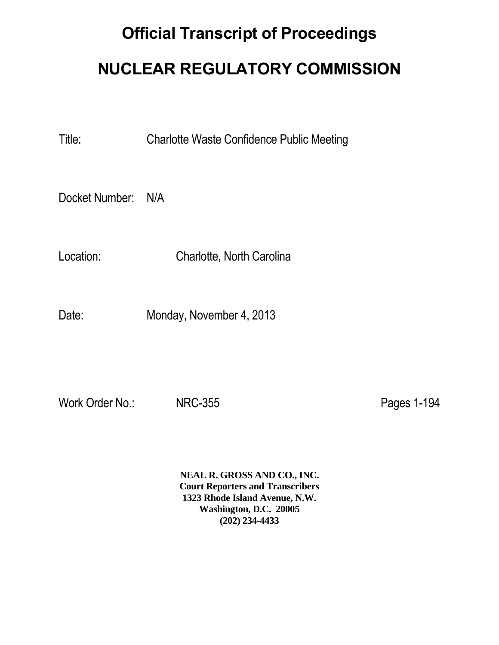## **Official Transcript of Proceedings**

## **NUCLEAR REGULATORY COMMISSION**

Title: Charlotte Waste Confidence Public Meeting

Docket Number: N/A

Location: Charlotte, North Carolina

Date: Monday, November 4, 2013

Work Order No.: NRC-355 Note and the Pages 1-194

**NEAL R. GROSS AND CO., INC. Court Reporters and Transcribers 1323 Rhode Island Avenue, N.W. Washington, D.C. 20005 (202) 234-4433**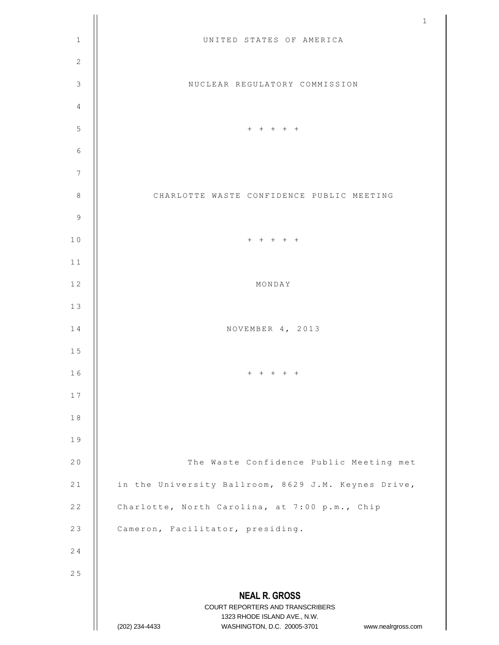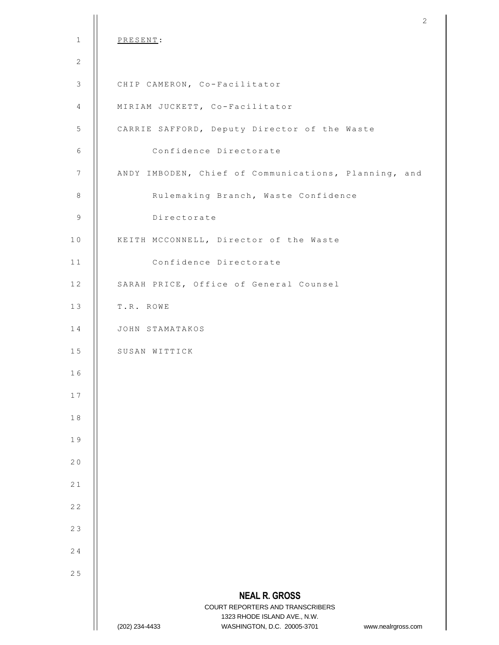|                | $\mathbf{2}$                                                                                                                                                    |
|----------------|-----------------------------------------------------------------------------------------------------------------------------------------------------------------|
| $\mathbf{1}$   | PRESENT:                                                                                                                                                        |
| $\mathbf{2}$   |                                                                                                                                                                 |
| $\mathcal{S}$  | CHIP CAMERON, Co-Facilitator                                                                                                                                    |
| 4              | MIRIAM JUCKETT, Co-Facilitator                                                                                                                                  |
| 5              | CARRIE SAFFORD, Deputy Director of the Waste                                                                                                                    |
| $\sqrt{6}$     | Confidence Directorate                                                                                                                                          |
| $\overline{7}$ | ANDY IMBODEN, Chief of Communications, Planning, and                                                                                                            |
| $\,8\,$        | Rulemaking Branch, Waste Confidence                                                                                                                             |
| $\,9$          | Directorate                                                                                                                                                     |
| 10             | KEITH MCCONNELL, Director of the Waste                                                                                                                          |
| 11             | Confidence Directorate                                                                                                                                          |
| 12             | SARAH PRICE, Office of General Counsel                                                                                                                          |
| 13             | T.R. ROWE                                                                                                                                                       |
| 14             | JOHN STAMATAKOS                                                                                                                                                 |
| 15             | SUSAN WITTICK                                                                                                                                                   |
| 16             |                                                                                                                                                                 |
| 17             |                                                                                                                                                                 |
| 18             |                                                                                                                                                                 |
| 19             |                                                                                                                                                                 |
| 20             |                                                                                                                                                                 |
| 21             |                                                                                                                                                                 |
| 22             |                                                                                                                                                                 |
| 23             |                                                                                                                                                                 |
| 24             |                                                                                                                                                                 |
| 25             |                                                                                                                                                                 |
|                | <b>NEAL R. GROSS</b><br>COURT REPORTERS AND TRANSCRIBERS<br>1323 RHODE ISLAND AVE., N.W.<br>(202) 234-4433<br>WASHINGTON, D.C. 20005-3701<br>www.nealrgross.com |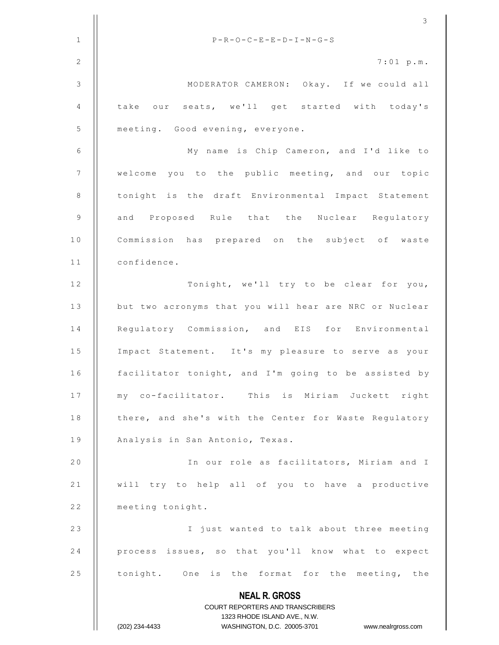|                | 3                                                                                                   |
|----------------|-----------------------------------------------------------------------------------------------------|
| $\mathbf{1}$   | $P-R-O-C-E-E-D-I-N-G-S$                                                                             |
| 2              | $7:01$ p.m.                                                                                         |
| $\mathcal{S}$  | MODERATOR CAMERON: Okay. If we could all                                                            |
| $\overline{4}$ | take our seats, we'll get started with today's                                                      |
| 5              | meeting. Good evening, everyone.                                                                    |
| 6              | My name is Chip Cameron, and I'd like to                                                            |
| 7              | welcome you to the public meeting, and our topic                                                    |
| 8              | tonight is the draft Environmental Impact Statement                                                 |
| 9              | and Proposed Rule that the Nuclear Regulatory                                                       |
| 10             | Commission has prepared on the subject of waste                                                     |
| 11             | confidence.                                                                                         |
| 12             | Tonight, we'll try to be clear for you,                                                             |
| 13             | but two acronyms that you will hear are NRC or Nuclear                                              |
| 14             | Regulatory Commission, and EIS for Environmental                                                    |
| 15             | Impact Statement. It's my pleasure to serve as your                                                 |
| 16             | facilitator tonight, and I'm going to be assisted by                                                |
| 17             | my co-facilitator. This is Miriam Juckett right                                                     |
| 18             | there, and she's with the Center for Waste Regulatory                                               |
| 19             | Analysis in San Antonio, Texas.                                                                     |
| 20             | In our role as facilitators, Miriam and I                                                           |
| 21             | will try to help all of you to have a productive                                                    |
| 22             | meeting tonight.                                                                                    |
| 23             | I just wanted to talk about three meeting                                                           |
| 24             | process issues, so that you'll know what to expect                                                  |
| 25             | tonight. One is the format for the meeting, the                                                     |
|                | <b>NEAL R. GROSS</b>                                                                                |
|                | <b>COURT REPORTERS AND TRANSCRIBERS</b>                                                             |
|                | 1323 RHODE ISLAND AVE., N.W.<br>(202) 234-4433<br>WASHINGTON, D.C. 20005-3701<br>www.nealrgross.com |
|                |                                                                                                     |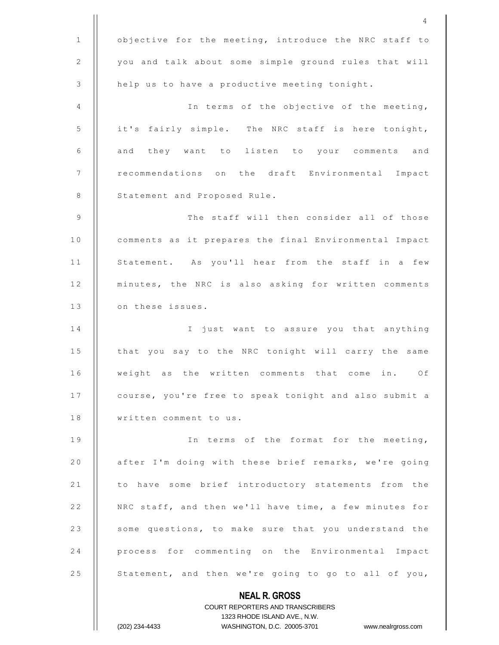|                | 4                                                        |
|----------------|----------------------------------------------------------|
| $\mathbf{1}$   | objective for the meeting, introduce the NRC staff to    |
| 2              | you and talk about some simple ground rules that will    |
| 3              | help us to have a productive meeting tonight.            |
| 4              | In terms of the objective of the meeting,                |
| 5              | it's fairly simple. The NRC staff is here tonight,       |
| 6              | and they want to listen to your comments and             |
| 7              | recommendations on the draft Environmental Impact        |
| 8              | Statement and Proposed Rule.                             |
| $\overline{9}$ | The staff will then consider all of those                |
| 10             | comments as it prepares the final Environmental Impact   |
| 11             | Statement. As you'll hear from the staff in a few        |
| 12             | minutes, the NRC is also asking for written comments     |
| 13             | on these issues.                                         |
| 14             | I just want to assure you that anything                  |
| 15             | that you say to the NRC tonight will carry the same      |
| 16             | weight as the written comments that come<br>in.<br>Оf    |
| 17             | course, you're free to speak tonight and also submit a   |
| 18             | written comment to us.                                   |
| 19             | In terms of the format for the meeting,                  |
| 20             | after I'm doing with these brief remarks, we're going    |
| 21             | to have some brief introductory statements from the      |
| 22             | NRC staff, and then we'll have time, a few minutes for   |
| 23             | some questions, to make sure that you understand the     |
| 24             | process for commenting on the Environmental Impact       |
| 25             | Statement, and then we're going to go to all of you,     |
|                | <b>NEAL R. GROSS</b><br>COURT REPORTERS AND TRANSCRIBERS |

1323 RHODE ISLAND AVE., N.W.

 $\prod$ 

(202) 234-4433 WASHINGTON, D.C. 20005-3701 www.nealrgross.com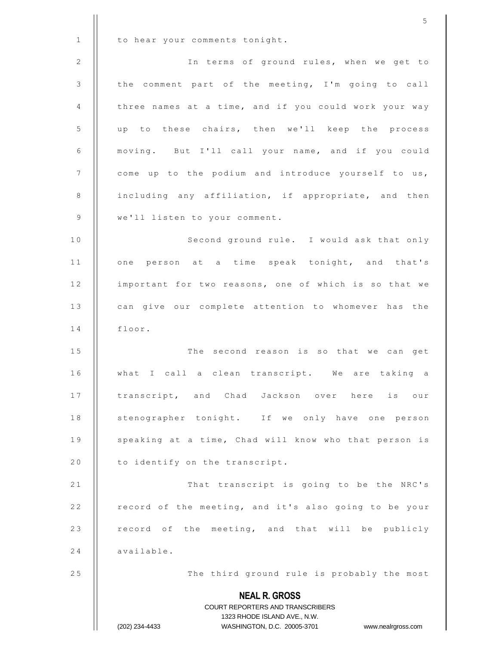|              | 5                                                                                                   |
|--------------|-----------------------------------------------------------------------------------------------------|
| $\mathbf{1}$ | to hear your comments tonight.                                                                      |
| 2            | In terms of ground rules, when we get to                                                            |
| 3            | the comment part of the meeting, I'm going to call                                                  |
| 4            | three names at a time, and if you could work your way                                               |
| 5            | up to these chairs, then we'll keep the process                                                     |
| 6            | moving. But I'll call your name, and if you could                                                   |
| 7            | come up to the podium and introduce yourself to us,                                                 |
| 8            | including any affiliation, if appropriate, and then                                                 |
| 9            | we'll listen to your comment.                                                                       |
| 10           | Second ground rule. I would ask that only                                                           |
| 11           | one person at a time speak tonight, and that's                                                      |
| 12           | important for two reasons, one of which is so that we                                               |
| 13           | can give our complete attention to whomever has the                                                 |
| 14           | floor.                                                                                              |
| 15           | The second reason is so that we can get                                                             |
| 16           | what I call a clean transcript. We are taking a                                                     |
| 17           | transcript, and Chad Jackson over here is our                                                       |
| 18           | stenographer tonight. If we only have one person                                                    |
| 19           | speaking at a time, Chad will know who that person is                                               |
| 20           | to identify on the transcript.                                                                      |
| 21           | That transcript is going to be the NRC's                                                            |
| 22           | record of the meeting, and it's also going to be your                                               |
| 23           | record of the meeting, and that will be publicly                                                    |
| 24           | available.                                                                                          |
| 25           | The third ground rule is probably the most                                                          |
|              | <b>NEAL R. GROSS</b>                                                                                |
|              | COURT REPORTERS AND TRANSCRIBERS                                                                    |
|              | 1323 RHODE ISLAND AVE., N.W.<br>WASHINGTON, D.C. 20005-3701<br>(202) 234-4433<br>www.nealrgross.com |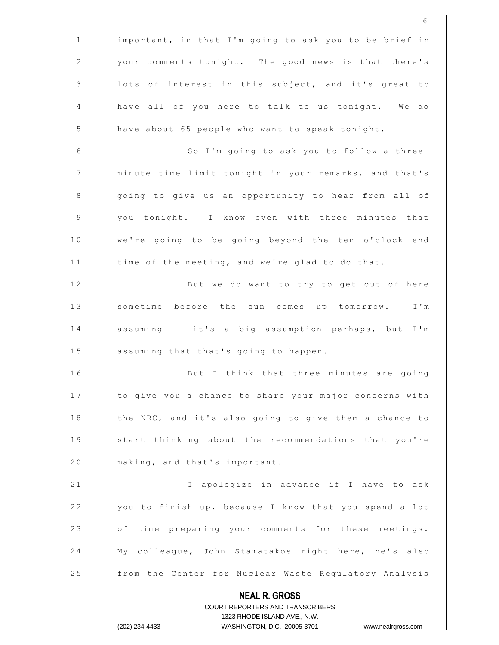**NEAL R. GROSS** COURT REPORTERS AND TRANSCRIBERS 1323 RHODE ISLAND AVE., N.W. (202) 234-4433 WASHINGTON, D.C. 20005-3701 www.nealrgross.com 1 | important, in that I'm going to ask you to be brief in 2  $\parallel$  your comments tonight. The good news is that there's  $3$  | lots of interest in this subject, and it's great to 4 | have all of you here to talk to us tonight. We do 5 | have about 65 people who want to speak tonight. 6 | So I'm going to ask you to follow a three-7 | | minute time limit tonight in your remarks, and that's 8 | going to give us an opportunity to hear from all of 9 || you tonight. I know even with three minutes that 10 || we're going to be going beyond the ten o'clock end 11 | time of the meeting, and we're glad to do that. 12 || But we do want to try to get out of here 13 || sometime before the sun comes up tomorrow. I'm 14 | assuming -- it's a big assumption perhaps, but I'm 15 | assuming that that's going to happen. 16 || But I think that three minutes are going 17 | to give you a chance to share your major concerns with 18 | the NRC, and it's also going to give them a chance to 19 || start thinking about the recommendations that you're 20 | making, and that's important. 21 | | I apologize in advance if I have to ask 22 | you to finish up, because I know that you spend a lot 23 | of time preparing your comments for these meetings. 24 || My colleaque, John Stamatakos right here, he's also 25 | from the Center for Nuclear Waste Regulatory Analysis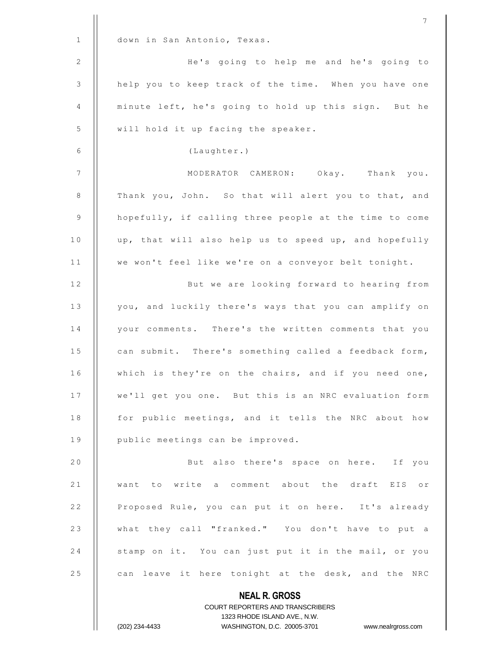|              | 7                                                                                                   |
|--------------|-----------------------------------------------------------------------------------------------------|
| $\mathbf{1}$ | down in San Antonio, Texas.                                                                         |
| 2            | He's going to help me and he's going to                                                             |
| 3            | help you to keep track of the time. When you have one                                               |
| 4            | minute left, he's going to hold up this sign. But he                                                |
| 5            | will hold it up facing the speaker.                                                                 |
| 6            | (Laughter.)                                                                                         |
| 7            | MODERATOR CAMERON: Okay. Thank you.                                                                 |
| 8            | Thank you, John. So that will alert you to that, and                                                |
| 9            | hopefully, if calling three people at the time to come                                              |
| 10           | up, that will also help us to speed up, and hopefully                                               |
| 11           | we won't feel like we're on a conveyor belt tonight.                                                |
| 12           | But we are looking forward to hearing from                                                          |
| 13           | you, and luckily there's ways that you can amplify on                                               |
| 14           | your comments. There's the written comments that you                                                |
| 15           | can submit. There's something called a feedback form,                                               |
| 16           | which is they're on the chairs, and if you need one,                                                |
| 17           | we'll get you one. But this is an NRC evaluation form                                               |
| 18           | for public meetings, and it tells the NRC about how                                                 |
| 19           | public meetings can be improved.                                                                    |
| 20           | But also there's space on here. If you                                                              |
| 21           | want to write a comment about the draft EIS or                                                      |
| 22           | Proposed Rule, you can put it on here. It's already                                                 |
| 23           | what they call "franked." You don't have to put a                                                   |
| 24           | stamp on it. You can just put it in the mail, or you                                                |
| 25           | can leave it here tonight at the desk, and the NRC                                                  |
|              | <b>NEAL R. GROSS</b>                                                                                |
|              | <b>COURT REPORTERS AND TRANSCRIBERS</b>                                                             |
|              | 1323 RHODE ISLAND AVE., N.W.<br>(202) 234-4433<br>WASHINGTON, D.C. 20005-3701<br>www.nealrgross.com |
|              |                                                                                                     |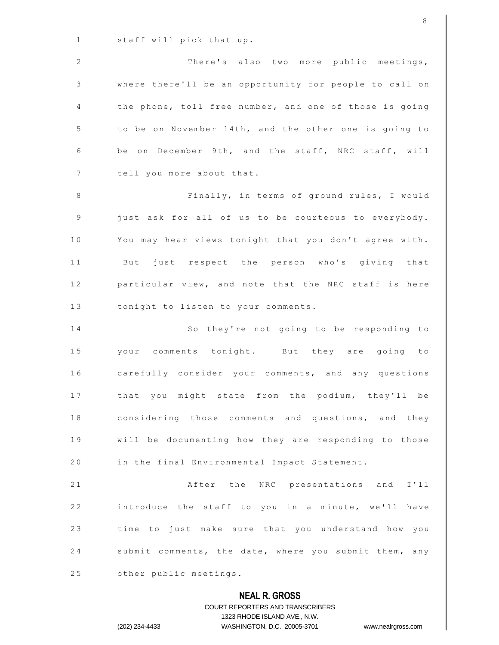|                | <b>COURT REPORTERS AND TRANSCRIBERS</b><br>1323 RHODE ISLAND AVE., N.W.<br>(202) 234-4433<br>WASHINGTON, D.C. 20005-3701<br>www.nealrgross.com |
|----------------|------------------------------------------------------------------------------------------------------------------------------------------------|
|                | <b>NEAL R. GROSS</b>                                                                                                                           |
| 25             | other public meetings.                                                                                                                         |
| 24             | submit comments, the date, where you submit them, any                                                                                          |
| 23             | time to just make sure that you understand how you                                                                                             |
| 22             | introduce the staff to you in a minute, we'll have                                                                                             |
| 21             | After the NRC presentations and I'll                                                                                                           |
| 20             | in the final Environmental Impact Statement.                                                                                                   |
| 19             | will be documenting how they are responding to those                                                                                           |
| 18             | considering those comments and questions, and they                                                                                             |
| 17             | that you might state from the podium, they'll be                                                                                               |
| 16             | carefully consider your comments, and any questions                                                                                            |
| 15             | your comments tonight. But they are going to                                                                                                   |
| 14             | So they're not going to be responding to                                                                                                       |
| 13             | tonight to listen to your comments.                                                                                                            |
| 12             | particular view, and note that the NRC staff is here                                                                                           |
| 11             | But just respect the person who's giving that                                                                                                  |
| 10             | You may hear views tonight that you don't agree with.                                                                                          |
| $\mathsf 9$    | just ask for all of us to be courteous to everybody.                                                                                           |
| 8              | Finally, in terms of ground rules, I would                                                                                                     |
| 7              | tell you more about that.                                                                                                                      |
| 6              | be on December 9th, and the staff, NRC staff, will                                                                                             |
| 5              | to be on November 14th, and the other one is going to                                                                                          |
| 4              | the phone, toll free number, and one of those is going                                                                                         |
| $\mathfrak{Z}$ | where there'll be an opportunity for people to call on                                                                                         |
| 2              | There's also two more public meetings,                                                                                                         |
| $\mathbf{1}$   | staff will pick that up.                                                                                                                       |
|                | 8                                                                                                                                              |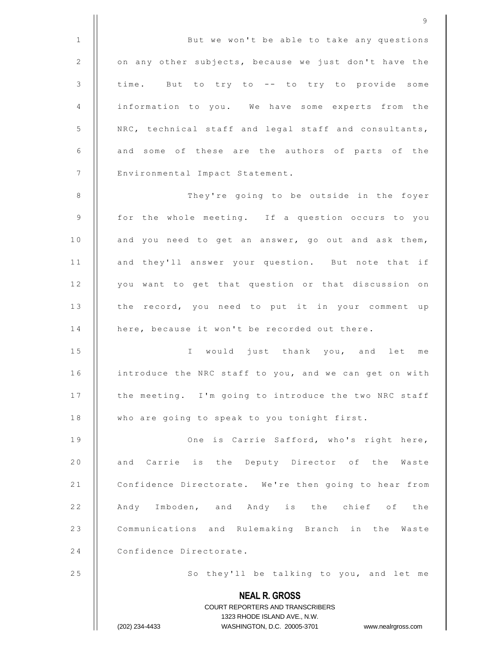1 ||<br>But we won't be able to take any questions 2 | on any other subjects, because we just don't have the 3 | time. But to try to -- to try to provide some 4 | information to you. We have some experts from the 5 | NRC, technical staff and legal staff and consultants,  $6$  || and some of these are the authors of parts of the 7 | Environmental Impact Statement. 8 | They're going to be outside in the foyer

9

 $9$  | for the whole meeting. If a question occurs to you 10 || and you need to get an answer, go out and ask them, 11 || and they'll answer your question. But note that if 12 | you want to get that question or that discussion on 13 | the record, you need to put it in your comment up 14 | here, because it won't be recorded out there.

15 || I would just thank you, and let me 16 | introduce the NRC staff to you, and we can get on with 17 | the meeting. I'm going to introduce the two NRC staff 18 | who are going to speak to you tonight first.

1 9 O n e i s C a r r i e S a f f o r d , w h o ' s r i g h t h e r e , 20 || and Carrie is the Deputy Director of the Waste 21 | Confidence Directorate. We're then going to hear from 22 || Andy Imboden, and Andy is the chief of the 23 | Communications and Rulemaking Branch in the Waste 24 | Confidence Directorate.

25 | So they'll be talking to you, and let me

**NEAL R. GROSS** COURT REPORTERS AND TRANSCRIBERS 1323 RHODE ISLAND AVE., N.W. (202) 234-4433 WASHINGTON, D.C. 20005-3701 www.nealrgross.com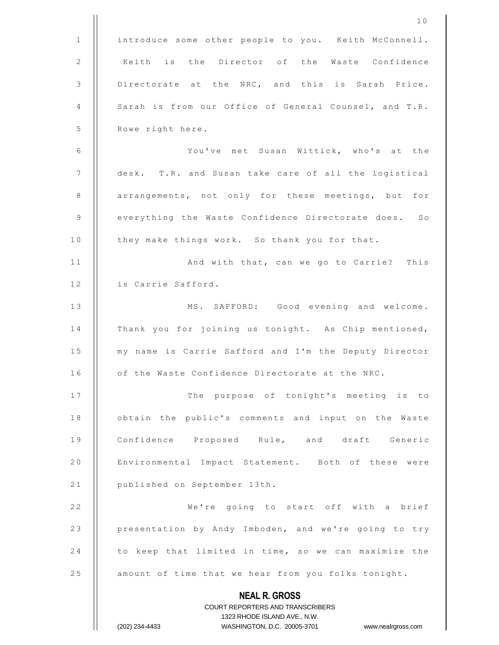|              | 10                                                                                                  |
|--------------|-----------------------------------------------------------------------------------------------------|
| $\mathbf{1}$ | introduce some other people to you. Keith McConnell.                                                |
| 2            | Keith is the Director of the Waste Confidence                                                       |
| 3            | Directorate at the NRC, and this is Sarah Price.                                                    |
| 4            | Sarah is from our Office of General Counsel, and T.R.                                               |
| 5            | Rowe right here.                                                                                    |
| 6            | You've met Susan Wittick, who's at the                                                              |
| 7            | desk. T.R. and Susan take care of all the logistical                                                |
| 8            | arrangements, not only for these meetings, but for                                                  |
| 9            | everything the Waste Confidence Directorate does. So                                                |
| 10           | they make things work. So thank you for that.                                                       |
| 11           | And with that, can we go to Carrie? This                                                            |
| 12           | is Carrie Safford.                                                                                  |
| 13           | MS. SAFFORD: Good evening and welcome.                                                              |
| 14           | Thank you for joining us tonight. As Chip mentioned,                                                |
| 15           | my name is Carrie Safford and I'm the Deputy Director                                               |
| 16           | of the Waste Confidence Directorate at the NRC.                                                     |
| 17           | The purpose of tonight's meeting is to                                                              |
| 18           | obtain the public's comments and input on the Waste                                                 |
| 19           | Confidence Proposed Rule, and draft Generic                                                         |
| 20           | Environmental Impact Statement. Both of these were                                                  |
| 21           | published on September 13th.                                                                        |
| 22           | We're going to start off with a brief                                                               |
| 23           | presentation by Andy Imboden, and we're going to try                                                |
| 24           | to keep that limited in time, so we can maximize the                                                |
| 25           | amount of time that we hear from you folks tonight.                                                 |
|              | <b>NEAL R. GROSS</b>                                                                                |
|              | COURT REPORTERS AND TRANSCRIBERS                                                                    |
|              | 1323 RHODE ISLAND AVE., N.W.<br>(202) 234-4433<br>WASHINGTON, D.C. 20005-3701<br>www.nealrgross.com |
|              |                                                                                                     |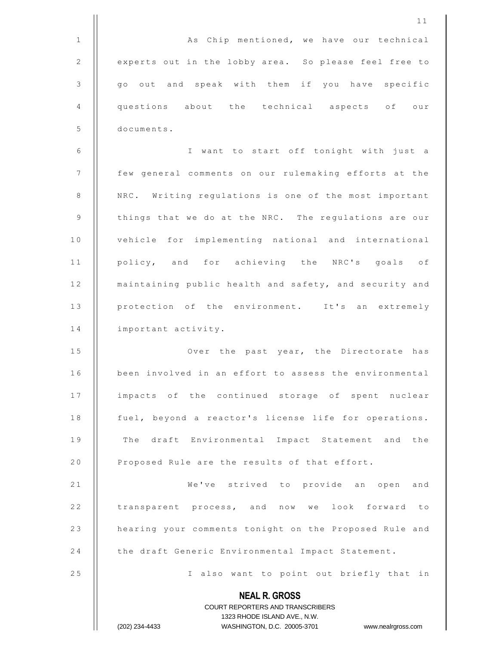**NEAL R. GROSS** COURT REPORTERS AND TRANSCRIBERS 1323 RHODE ISLAND AVE., N.W. (202) 234-4433 WASHINGTON, D.C. 20005-3701 www.nealrgross.com 1 1 1 | | As Chip mentioned, we have our technical 2 | experts out in the lobby area. So please feel free to 3 || go out and speak with them if you have specific 4 questions about the technical aspects of our 5 documents. 6 || I want to start off tonight with just a 7 | few general comments on our rulemaking efforts at the 8 | NRC. Writing regulations is one of the most important 9  $\parallel$  things that we do at the NRC. The regulations are our 10 | vehicle for implementing national and international 11 || policy, and for achieving the NRC's goals of 12 | maintaining public health and safety, and security and 13 | protection of the environment. It's an extremely 14 | important activity. 15 || Over the past year, the Directorate has 16 | been involved in an effort to assess the environmental 17 || impacts of the continued storage of spent nuclear 18 | fuel, beyond a reactor's license life for operations. 19 || The draft Environmental Impact Statement and the 20 | Proposed Rule are the results of that effort. 21 || We've strived to provide an open and 22 | transparent process, and now we look forward to 23 | hearing your comments tonight on the Proposed Rule and 24 the draft Generic Environmental Impact Statement. 25 || I also want to point out briefly that in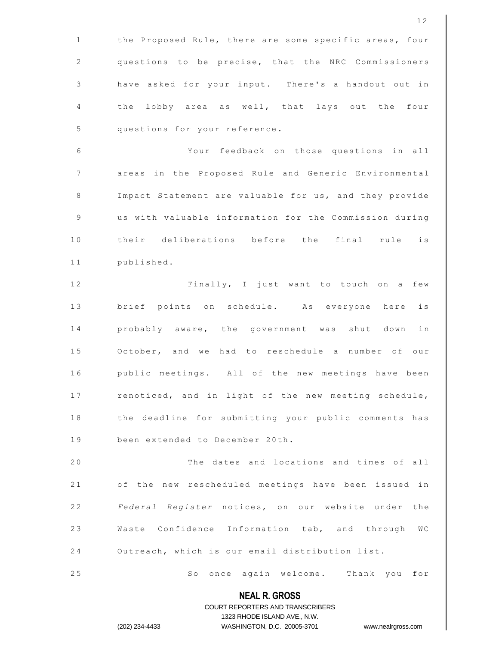**NEAL R. GROSS** COURT REPORTERS AND TRANSCRIBERS 1323 RHODE ISLAND AVE., N.W. (202) 234-4433 WASHINGTON, D.C. 20005-3701 www.nealrgross.com 1 | the Proposed Rule, there are some specific areas, four 2 | questions to be precise, that the NRC Commissioners 3 | have asked for your input. There's a handout out in 4  $\parallel$  the lobby area as well, that lays out the four 5 | questions for your reference. 6 | Your feedback on those questions in all 7 | areas in the Proposed Rule and Generic Environmental 8 | Impact Statement are valuable for us, and they provide 9 | us with valuable information for the Commission during 10 || their deliberations before the final rule is 11 | published. 12 || Finally, I just want to touch on a few 13 || brief points on schedule. As everyone here is 14 || probably aware, the government was shut down in 15 | October, and we had to reschedule a number of our 16 | public meetings. All of the new meetings have been 17 | renoticed, and in light of the new meeting schedule, 18 | the deadline for submitting your public comments has 19 | been extended to December 20th. 20 | The dates and locations and times of all 21 | of the new rescheduled meetings have been issued in 2 2 *Federal Register* notices, on our website under the 23 | Waste Confidence Information tab, and through WC 24 **C** Outreach, which is our email distribution list. 25 || So once again welcome. Thank you for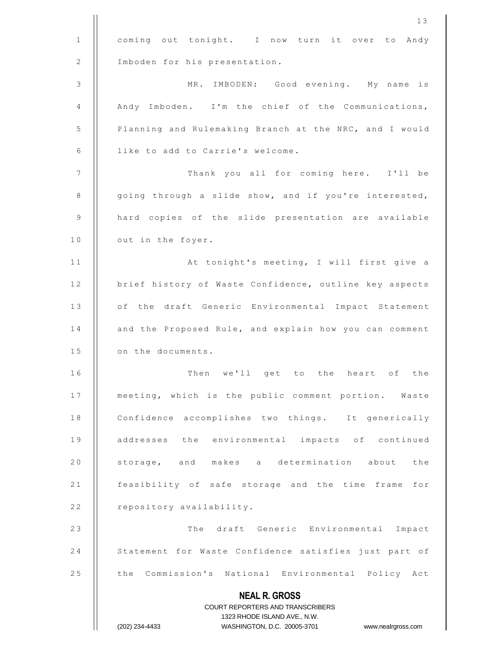|    | 13                                                                      |
|----|-------------------------------------------------------------------------|
| 1  | coming out tonight. I now turn it over to<br>Andy                       |
| 2  | Imboden for his presentation.                                           |
| 3  | MR. IMBODEN: Good evening. My name is                                   |
| 4  | Andy Imboden. I'm the chief of the Communications,                      |
| 5  | Planning and Rulemaking Branch at the NRC, and I would                  |
| 6  | like to add to Carrie's welcome.                                        |
| 7  | Thank you all for coming here. I'll be                                  |
| 8  | going through a slide show, and if you're interested,                   |
| 9  | hard copies of the slide presentation are available                     |
| 10 | out in the foyer.                                                       |
| 11 | At tonight's meeting, I will first give a                               |
| 12 | brief history of Waste Confidence, outline key aspects                  |
| 13 | of the draft Generic Environmental Impact Statement                     |
| 14 | and the Proposed Rule, and explain how you can comment                  |
| 15 | on the documents.                                                       |
| 16 | Then<br>we'll get to the heart of the                                   |
| 17 | meeting, which is the public comment portion. Waste                     |
| 18 | Confidence accomplishes two things. It generically                      |
| 19 | addresses the environmental impacts of continued                        |
| 20 | storage, and makes a determination about the                            |
| 21 | feasibility of safe storage and the time frame for                      |
| 22 | repository availability.                                                |
| 23 | The draft Generic Environmental Impact                                  |
| 24 | Statement for Waste Confidence satisfies just part of                   |
| 25 | the Commission's National Environmental Policy Act                      |
|    | <b>NEAL R. GROSS</b>                                                    |
|    | <b>COURT REPORTERS AND TRANSCRIBERS</b><br>1323 RHODE ISLAND AVE., N.W. |
|    | WASHINGTON, D.C. 20005-3701<br>(202) 234-4433<br>www.nealrgross.com     |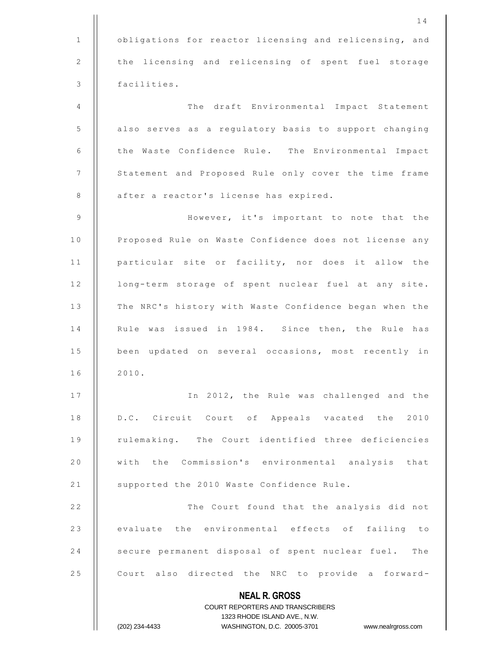|              | 14                                                                                                  |
|--------------|-----------------------------------------------------------------------------------------------------|
| $\mathbf{1}$ | obligations for reactor licensing and relicensing, and                                              |
| 2            | the licensing and relicensing of spent fuel storage                                                 |
| 3            | facilities.                                                                                         |
| 4            | The draft Environmental Impact Statement                                                            |
| 5            | also serves as a regulatory basis to support changing                                               |
| 6            | the Waste Confidence Rule. The Environmental Impact                                                 |
| 7            | Statement and Proposed Rule only cover the time frame                                               |
| 8            | after a reactor's license has expired.                                                              |
| 9            | However, it's important to note that the                                                            |
| 10           | Proposed Rule on Waste Confidence does not license any                                              |
| 11           | particular site or facility, nor does it allow the                                                  |
| 12           | long-term storage of spent nuclear fuel at any site.                                                |
| 13           | The NRC's history with Waste Confidence began when the                                              |
| 14           | Rule was issued in 1984. Since then, the Rule has                                                   |
| 15           | been updated on several occasions, most recently in                                                 |
| 16           | 2010.                                                                                               |
| 17           | In 2012, the Rule was challenged and the                                                            |
| 18           | D.C. Circuit Court of Appeals vacated the 2010                                                      |
| 19           | rulemaking. The Court identified three deficiencies                                                 |
| 20           | with the Commission's environmental analysis that                                                   |
| 21           | supported the 2010 Waste Confidence Rule.                                                           |
| 22           | The Court found that the analysis did not                                                           |
| 23           | evaluate the environmental effects of failing to                                                    |
| 24           | secure permanent disposal of spent nuclear fuel. The                                                |
| 25           | Court also directed the NRC to provide a forward-                                                   |
|              | <b>NEAL R. GROSS</b>                                                                                |
|              | <b>COURT REPORTERS AND TRANSCRIBERS</b>                                                             |
|              | 1323 RHODE ISLAND AVE., N.W.<br>(202) 234-4433<br>WASHINGTON, D.C. 20005-3701<br>www.nealrgross.com |
|              |                                                                                                     |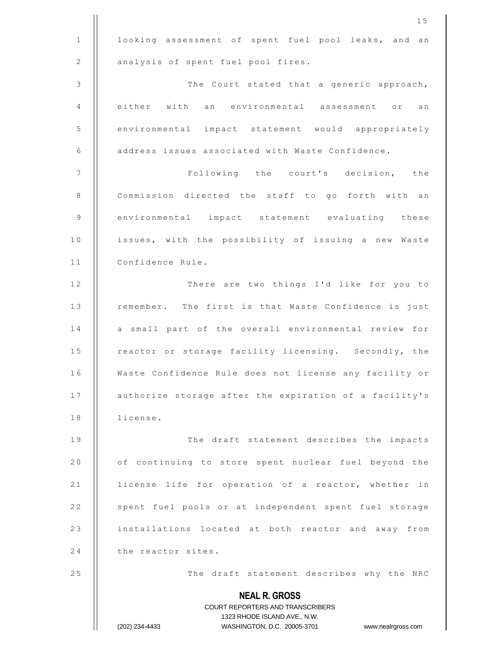|             | 15                                                                      |
|-------------|-------------------------------------------------------------------------|
| $\mathbf 1$ | looking assessment of spent fuel pool leaks, and an                     |
| $\sqrt{2}$  | analysis of spent fuel pool fires.                                      |
| 3           | The Court stated that a generic approach,                               |
| 4           | either with an environmental assessment or<br>an                        |
| 5           | environmental impact statement would appropriately                      |
| 6           | address issues associated with Waste Confidence.                        |
| 7           | Following the court's decision, the                                     |
| 8           | Commission directed the staff to go forth with an                       |
| 9           | environmental impact statement evaluating these                         |
| 10          | issues, with the possibility of issuing a new Waste                     |
| 11          | Confidence Rule.                                                        |
| 12          | There are two things I'd like for you to                                |
| 13          | remember. The first is that Waste Confidence is just                    |
| 14          | a small part of the overall environmental review for                    |
| 15          | reactor or storage facility licensing. Secondly, the                    |
| 16          | Waste Confidence Rule does not license any facility or                  |
| 17          | authorize storage after the expiration of a facility's                  |
| 18          | license.                                                                |
| 19          | The draft statement describes the impacts                               |
| 20          | of continuing to store spent nuclear fuel beyond the                    |
| 21          | license life for operation of a reactor, whether in                     |
| 22          | spent fuel pools or at independent spent fuel storage                   |
| 23          | installations located at both reactor and away from                     |
| 24          | the reactor sites.                                                      |
| 25          | The draft statement describes why the NRC                               |
|             | <b>NEAL R. GROSS</b>                                                    |
|             | <b>COURT REPORTERS AND TRANSCRIBERS</b><br>1323 RHODE ISLAND AVE., N.W. |
|             | (202) 234-4433<br>WASHINGTON, D.C. 20005-3701<br>www.nealrgross.com     |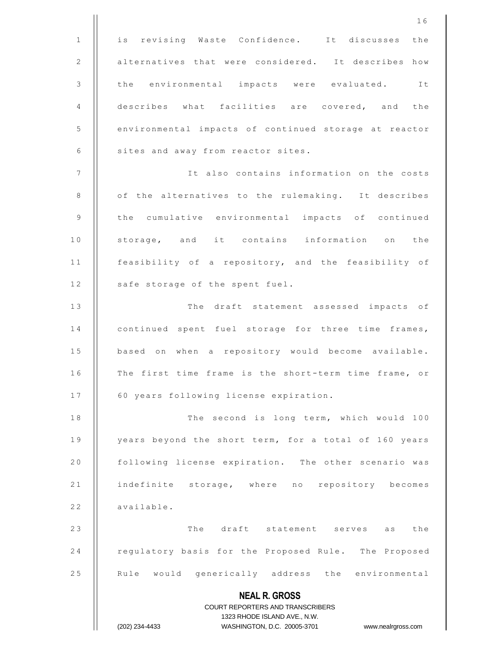**NEAL R. GROSS** COURT REPORTERS AND TRANSCRIBERS 1323 RHODE ISLAND AVE., N.W. (202) 234-4433 WASHINGTON, D.C. 20005-3701 www.nealrgross.com 1 || is revising Waste Confidence. It discusses the 2 | alternatives that were considered. It describes how 3 || the environmental impacts were evaluated. It 4 | describes what facilities are covered, and the 5 | environmental impacts of continued storage at reactor 6 | sites and away from reactor sites. 7 || It also contains information on the costs 8 | of the alternatives to the rulemaking. It describes 9 || the cumulative environmental impacts of continued 10 || storage, and it contains information on the 11 | feasibility of a repository, and the feasibility of 12 | safe storage of the spent fuel. 13 || The draft statement assessed impacts of 14 | continued spent fuel storage for three time frames, 15 | based on when a repository would become available. 16 || The first time frame is the short-term time frame, or 17 | 60 years following license expiration. 18 | The second is long term, which would 100 19 | years beyond the short term, for a total of 160 years 20 | following license expiration. The other scenario was 21 || indefinite storage, where no repository becomes  $22$  | available. 2 3 T h e d r a f t s t a t e m e n t s e r v e s a s t h e 24 | regulatory basis for the Proposed Rule. The Proposed 25 | Rule would generically address the environmental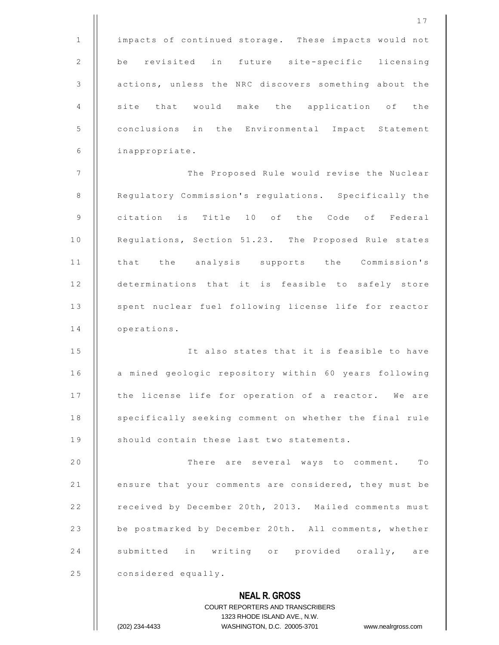|                | 17                                                                                                  |
|----------------|-----------------------------------------------------------------------------------------------------|
| $\mathbf{1}$   | impacts of continued storage. These impacts would not                                               |
| 2              | be revisited in future site-specific licensing                                                      |
| 3              | actions, unless the NRC discovers something about the                                               |
| 4              | site that would make the application of the                                                         |
| 5              | conclusions in the Environmental Impact Statement                                                   |
| 6              | inappropriate.                                                                                      |
| $\overline{7}$ | The Proposed Rule would revise the Nuclear                                                          |
| $\,8\,$        | Regulatory Commission's regulations. Specifically the                                               |
| 9              | citation is Title 10 of the Code of Federal                                                         |
| 10             | Regulations, Section 51.23. The Proposed Rule states                                                |
| 11             | that the analysis supports the Commission's                                                         |
| 12             | determinations that it is feasible to safely store                                                  |
| 13             | spent nuclear fuel following license life for reactor                                               |
| 14             | operations.                                                                                         |
| 15             | It also states that it is feasible to have                                                          |
| 16             | a mined geologic repository within 60 years following                                               |
| 17             | the license life for operation of a reactor. We are                                                 |
| 18             | specifically seeking comment on whether the final rule                                              |
| 19             | should contain these last two statements.                                                           |
| 20             | There are several ways to comment.<br>$T \circ$                                                     |
| 21             | ensure that your comments are considered, they must be                                              |
| 22             | received by December 20th, 2013. Mailed comments must                                               |
| 23             | be postmarked by December 20th. All comments, whether                                               |
| 24             | submitted in writing or provided orally, are                                                        |
| 25             | considered equally.                                                                                 |
|                | <b>NEAL R. GROSS</b>                                                                                |
|                | <b>COURT REPORTERS AND TRANSCRIBERS</b>                                                             |
|                | 1323 RHODE ISLAND AVE., N.W.<br>(202) 234-4433<br>WASHINGTON, D.C. 20005-3701<br>www.nealrgross.com |
|                |                                                                                                     |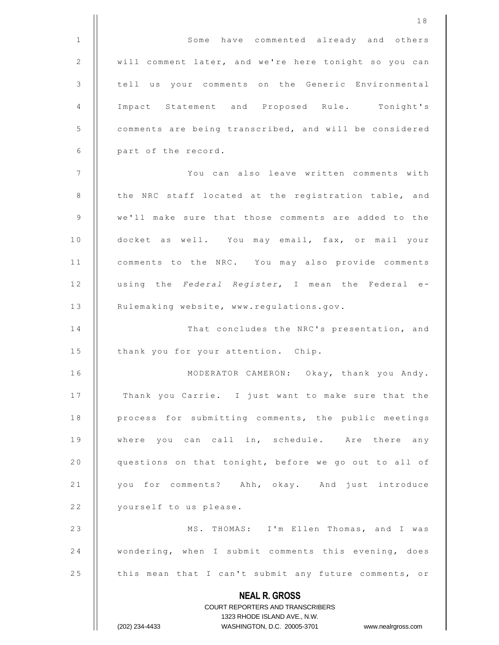|             | 18                                                                                                  |
|-------------|-----------------------------------------------------------------------------------------------------|
| $\mathbf 1$ | Some have commented already and others                                                              |
| 2           | will comment later, and we're here tonight so you can                                               |
| 3           | tell us your comments on the Generic Environmental                                                  |
| 4           | Impact Statement and Proposed Rule. Tonight's                                                       |
| 5           | comments are being transcribed, and will be considered                                              |
| 6           | part of the record.                                                                                 |
| 7           | You can also leave written comments with                                                            |
| 8           | the NRC staff located at the registration table, and                                                |
| 9           | we'll make sure that those comments are added to the                                                |
| 10          | docket as well. You may email, fax, or mail your                                                    |
| 11          | comments to the NRC. You may also provide comments                                                  |
| 12          | using the Federal Register, I mean the Federal e-                                                   |
| 13          | Rulemaking website, www.regulations.gov.                                                            |
| 14          | That concludes the NRC's presentation, and                                                          |
| 15          | thank you for your attention. Chip.                                                                 |
| 16          | MODERATOR CAMERON: Okay, thank you Andy.                                                            |
| 17          | Thank you Carrie. I just want to make sure that the                                                 |
| 18          | process for submitting comments, the public meetings                                                |
| 19          | where you can call in, schedule. Are there any                                                      |
| 20          | questions on that tonight, before we go out to all of                                               |
| 21          | you for comments? Ahh, okay. And just introduce                                                     |
| 22          | yourself to us please.                                                                              |
| 23          | MS. THOMAS: I'm Ellen Thomas, and I was                                                             |
| 24          | wondering, when I submit comments this evening, does                                                |
| 25          | this mean that I can't submit any future comments, or                                               |
|             | <b>NEAL R. GROSS</b>                                                                                |
|             | COURT REPORTERS AND TRANSCRIBERS                                                                    |
|             | 1323 RHODE ISLAND AVE., N.W.<br>(202) 234-4433<br>WASHINGTON, D.C. 20005-3701<br>www.nealrgross.com |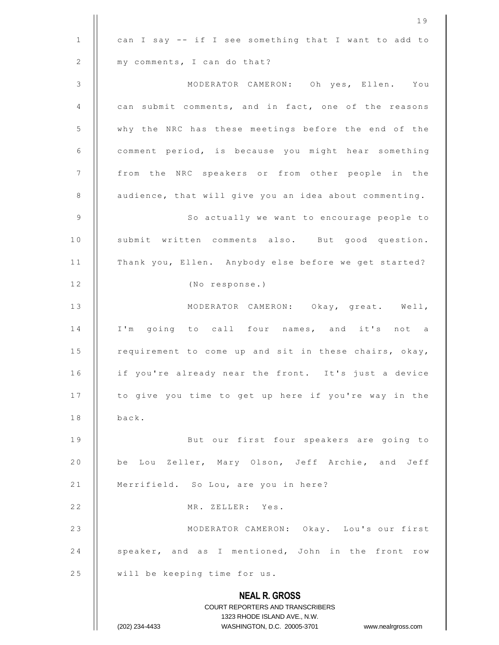|                | 19                                                                                                  |
|----------------|-----------------------------------------------------------------------------------------------------|
| $\mathbf{1}$   | can I say -- if I see something that I want to add to                                               |
| 2              | my comments, I can do that?                                                                         |
| $\mathfrak{Z}$ | MODERATOR CAMERON: Oh yes, Ellen. You                                                               |
| 4              | can submit comments, and in fact, one of the reasons                                                |
| 5              | why the NRC has these meetings before the end of the                                                |
| 6              | comment period, is because you might hear something                                                 |
| 7              | from the NRC speakers or from other people in the                                                   |
| 8              | audience, that will give you an idea about commenting.                                              |
| 9              | So actually we want to encourage people to                                                          |
| 10             | submit written comments also. But good question.                                                    |
| 11             | Thank you, Ellen. Anybody else before we get started?                                               |
| 12             | (No response.)                                                                                      |
| 13             | MODERATOR CAMERON: Okay, great. Well,                                                               |
| 14             | I'm going to call four names, and it's not a                                                        |
| 15             | requirement to come up and sit in these chairs, okay,                                               |
| 16             | if you're already near the front. It's just a device                                                |
| 17             | to give you time to get up here if you're way in the                                                |
| 18             | back.                                                                                               |
| 19             | But our first four speakers are going to                                                            |
| 20             | be Lou Zeller, Mary Olson, Jeff Archie, and Jeff                                                    |
| 21             | Merrifield. So Lou, are you in here?                                                                |
| 22             | MR. ZELLER: Yes.                                                                                    |
| 23             | MODERATOR CAMERON: Okay. Lou's our first                                                            |
| 24             | speaker, and as I mentioned, John in the front row                                                  |
| 25             | will be keeping time for us.                                                                        |
|                | <b>NEAL R. GROSS</b>                                                                                |
|                | COURT REPORTERS AND TRANSCRIBERS                                                                    |
|                | 1323 RHODE ISLAND AVE., N.W.<br>(202) 234-4433<br>WASHINGTON, D.C. 20005-3701<br>www.nealrgross.com |
|                |                                                                                                     |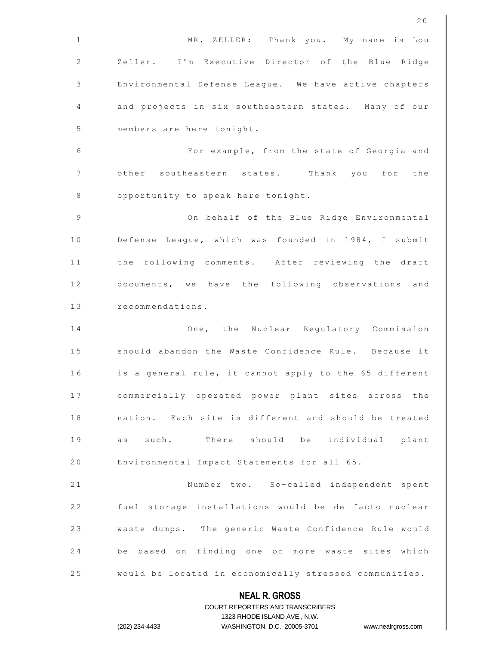|                | 20                                                                                                  |
|----------------|-----------------------------------------------------------------------------------------------------|
| $\mathbf{1}$   | MR. ZELLER: Thank you. My name is Lou                                                               |
| 2              | Zeller. I'm Executive Director of the Blue Ridge                                                    |
| $\mathfrak{Z}$ | Environmental Defense League. We have active chapters                                               |
| 4              | and projects in six southeastern states. Many of our                                                |
| 5              | members are here tonight.                                                                           |
| 6              | For example, from the state of Georgia and                                                          |
| $\overline{7}$ | other southeastern states. Thank you for the                                                        |
| 8              | opportunity to speak here tonight.                                                                  |
| 9              | On behalf of the Blue Ridge Environmental                                                           |
| 10             | Defense League, which was founded in 1984, I submit                                                 |
| 11             | the following comments. After reviewing the draft                                                   |
| 12             | documents, we have the following observations and                                                   |
| 13             | recommendations.                                                                                    |
| 14             | One, the Nuclear Regulatory Commission                                                              |
| 15             | should abandon the Waste Confidence Rule. Because it                                                |
| 16             | is a general rule, it cannot apply to the 65 different                                              |
| 17             | commercially operated power plant sites across the                                                  |
| 18             | nation. Each site is different and should be treated                                                |
| 19             | as such. There should be individual plant                                                           |
| 20             | Environmental Impact Statements for all 65.                                                         |
| 21             | Number two. So-called independent spent                                                             |
| 22             | fuel storage installations would be de facto nuclear                                                |
| 23             | waste dumps. The generic Waste Confidence Rule would                                                |
| 24             | be based on finding one or more waste sites which                                                   |
| 25             | would be located in economically stressed communities.                                              |
|                | <b>NEAL R. GROSS</b>                                                                                |
|                | <b>COURT REPORTERS AND TRANSCRIBERS</b>                                                             |
|                | 1323 RHODE ISLAND AVE., N.W.<br>(202) 234-4433<br>WASHINGTON, D.C. 20005-3701<br>www.nealrgross.com |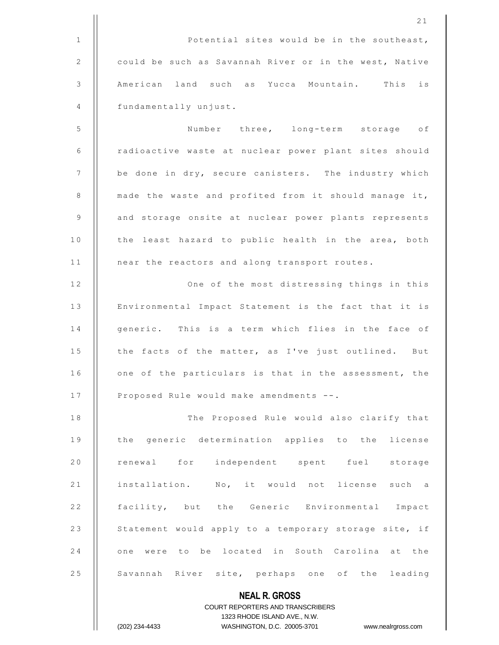2 1 1 | Potential sites would be in the southeast, 2 | could be such as Savannah River or in the west, Native 3 | American land such as Yucca Mountain. This is 4 | fundamentally unjust. 5 | Number three, long-term storage of 6 | radioactive waste at nuclear power plant sites should 7 | be done in dry, secure canisters. The industry which 8  $\parallel$  made the waste and profited from it should manage it, 9 | and storage onsite at nuclear power plants represents 10 || the least hazard to public health in the area, both 11 | near the reactors and along transport routes. 12 || One of the most distressing things in this 13 | Environmental Impact Statement is the fact that it is 14 || generic. This is a term which flies in the face of 15 | the facts of the matter, as I've just outlined. But 16 | one of the particulars is that in the assessment, the 17 | Proposed Rule would make amendments --. 18 || The Proposed Rule would also clarify that 19 || the generic determination applies to the license 20 || renewal for independent spent fuel storage 21 | installation. No, it would not license such a 22 || facility, but the Generic Environmental Impact 23 | Statement would apply to a temporary storage site, if 24 || one were to be located in South Carolina at the 25 | Savannah River site, perhaps one of the leading

## COURT REPORTERS AND TRANSCRIBERS 1323 RHODE ISLAND AVE., N.W. (202) 234-4433 WASHINGTON, D.C. 20005-3701 www.nealrgross.com

**NEAL R. GROSS**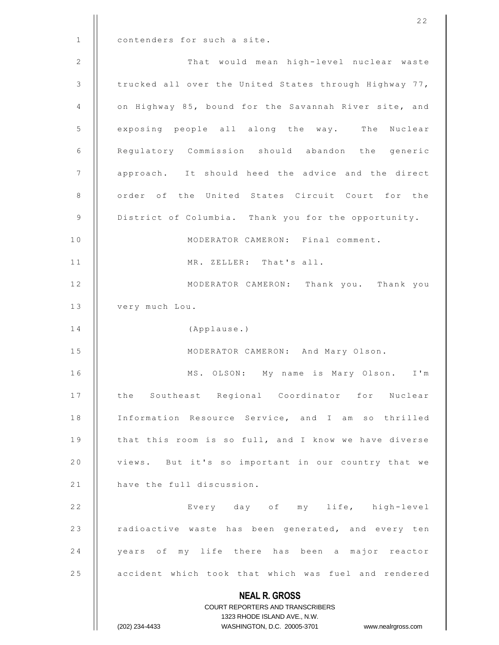**NEAL R. GROSS** COURT REPORTERS AND TRANSCRIBERS 1323 RHODE ISLAND AVE., N.W. (202) 234-4433 WASHINGTON, D.C. 20005-3701 www.nealrgross.com 1 | contenders for such a site. 2 | That would mean high-level nuclear waste 3 | trucked all over the United States through Highway 77, 4 | on Highway 85, bound for the Savannah River site, and 5 | exposing people all along the way. The Nuclear 6 | Regulatory Commission should abandon the generic 7 | approach. It should heed the advice and the direct 8 || order of the United States Circuit Court for the 9 | District of Columbia. Thank you for the opportunity. 10 | MODERATOR CAMERON: Final comment. 11 || MR. ZELLER: That's all. 12 || MODERATOR CAMERON: Thank you. Thank you 13 | very much Lou. 14 | (Applause.) 15 || MODERATOR CAMERON: And Mary Olson. 16 || MS. OLSON: My name is Mary Olson. I'm 17 || the Southeast Regional Coordinator for Nuclear 18 | Information Resource Service, and I am so thrilled 19 | that this room is so full, and I know we have diverse 20 | views. But it's so important in our country that we 21 | have the full discussion. 2 2 E v e r y d a y o f m y l i f e , h i g h -level 23 | radioactive waste has been generated, and every ten 24 || years of my life there has been a major reactor 25 **a**ccident which took that which was fuel and rendered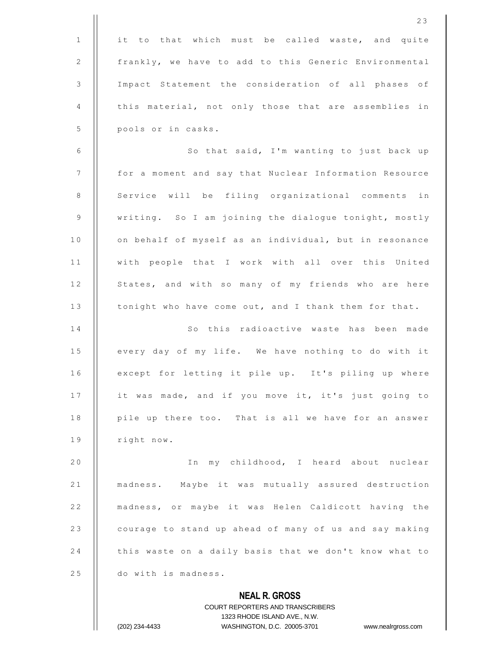|                | 23                                                       |
|----------------|----------------------------------------------------------|
| $\mathbf{1}$   | it to that which must be called waste, and quite         |
| 2              | frankly, we have to add to this Generic Environmental    |
| $\mathfrak{Z}$ | Impact Statement the consideration of all phases of      |
| 4              | this material, not only those that are assemblies in     |
| 5              | pools or in casks.                                       |
| 6              | So that said, I'm wanting to just back up                |
| $\overline{7}$ | for a moment and say that Nuclear Information Resource   |
| $\,8\,$        | Service will be filing organizational comments in        |
| $\mathsf 9$    | writing. So I am joining the dialogue tonight, mostly    |
| 10             | on behalf of myself as an individual, but in resonance   |
| 11             | with people that I work with all over this United        |
| 12             | States, and with so many of my friends who are here      |
| 13             | tonight who have come out, and I thank them for that.    |
| 14             | So this radioactive waste has been made                  |
| 15             | every day of my life. We have nothing to do with it      |
| 16             | except for letting it pile up. It's piling up where      |
| 17             | it was made, and if you move it, it's just going to      |
| 18             | pile up there too. That is all we have for an answer     |
| 19             | right now.                                               |
| 20             | my childhood, I heard about nuclear<br>I n               |
| 21             | madness. Maybe it was mutually assured destruction       |
| 22             | madness, or maybe it was Helen Caldicott having the      |
| 23             | courage to stand up ahead of many of us and say making   |
| 24             | this waste on a daily basis that we don't know what to   |
| 25             | do with is madness.                                      |
|                | <b>NEAL R. GROSS</b><br>COURT REPORTERS AND TRANSCRIBERS |

1323 RHODE ISLAND AVE., N.W.

 $\mathsf{I}$  $\prod_{i=1}^{n}$ 

(202) 234-4433 WASHINGTON, D.C. 20005-3701 www.nealrgross.com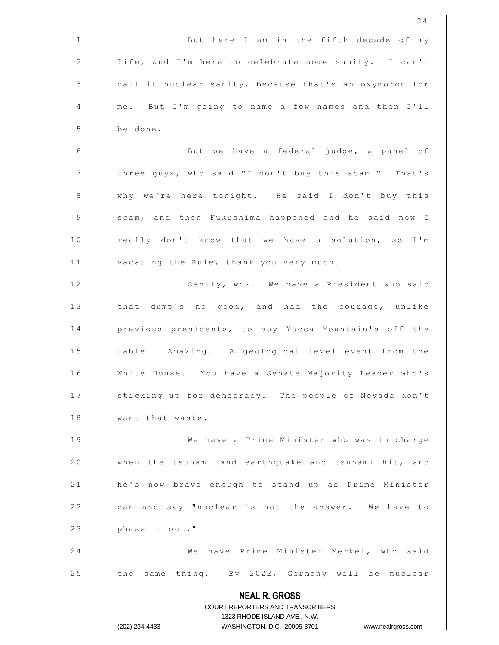|              | 24                                                                                                  |
|--------------|-----------------------------------------------------------------------------------------------------|
| $\mathbf{1}$ | But here I am in the fifth decade of my                                                             |
| 2            | life, and I'm here to celebrate some sanity. I can't                                                |
| 3            | call it nuclear sanity, because that's an oxymoron for                                              |
| 4            | me. But I'm going to name a few names and then I'll                                                 |
| 5            | be done.                                                                                            |
| 6            | But we have a federal judge, a panel of                                                             |
| 7            | three guys, who said "I don't buy this scam." That's                                                |
| 8            | why we're here tonight. He said I don't buy this                                                    |
| 9            | scam, and then Fukushima happened and he said now I                                                 |
| 10           | really don't know that we have a solution, so I'm                                                   |
| 11           | vacating the Rule, thank you very much.                                                             |
| 12           | Sanity, wow. We have a President who said                                                           |
| 13           | that dump's no good, and had the courage, unlike                                                    |
| 14           | previous presidents, to say Yucca Mountain's off the                                                |
| 15           | table. Amazing. A geological level event from the                                                   |
| 16           | White House. You have a Senate Majority Leader who's                                                |
| 17           | sticking up for democracy. The people of Nevada don't                                               |
| 18           | want that waste.                                                                                    |
| 19           | We have a Prime Minister who was in charge                                                          |
| 20           | when the tsunami and earthquake and tsunami hit, and                                                |
| 21           | he's now brave enough to stand up as Prime Minister                                                 |
| 22           | can and say "nuclear is not the answer. We have to                                                  |
| 23           | phase it out."                                                                                      |
| 24           | We have Prime Minister Merkel, who said                                                             |
| 25           | the same thing. By 2022, Germany will be nuclear                                                    |
|              | <b>NEAL R. GROSS</b>                                                                                |
|              | COURT REPORTERS AND TRANSCRIBERS                                                                    |
|              | 1323 RHODE ISLAND AVE., N.W.<br>(202) 234-4433<br>WASHINGTON, D.C. 20005-3701<br>www.nealrgross.com |
|              |                                                                                                     |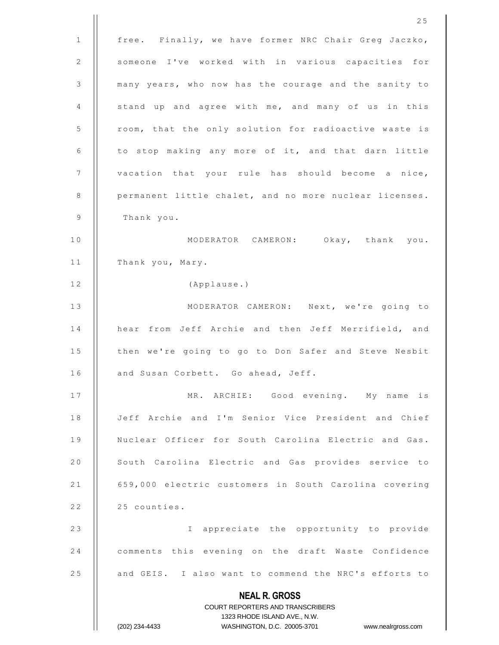**NEAL R. GROSS** COURT REPORTERS AND TRANSCRIBERS 1323 RHODE ISLAND AVE., N.W. (202) 234-4433 WASHINGTON, D.C. 20005-3701 www.nealrgross.com 1 | free. Finally, we have former NRC Chair Greg Jaczko, 2 || someone I've worked with in various capacities for 3 | many years, who now has the courage and the sanity to 4  $\parallel$  stand up and agree with me, and many of us in this 5 | room, that the only solution for radioactive waste is  $6$  | to stop making any more of it, and that darn little 7 | vacation that your rule has should become a nice,  $8$  | permanent little chalet, and no more nuclear licenses. 9 Thank you. 10 || MODERATOR CAMERON: Okay, thank you. 11 | Thank you, Mary. 12 | (Applause.) 13 || MODERATOR CAMERON: Next, we're going to 14 || hear from Jeff Archie and then Jeff Merrifield, and 15 | then we're going to go to Don Safer and Steve Nesbit 16 | and Susan Corbett. Go ahead, Jeff. 17 || MR. ARCHIE: Good evening. My name is 18 | Jeff Archie and I'm Senior Vice President and Chief 19 | Nuclear Officer for South Carolina Electric and Gas. 20 | South Carolina Electric and Gas provides service to 21 | 659,000 electric customers in South Carolina covering  $22$  |  $25$  counties. 23 || I appreciate the opportunity to provide 24 | comments this evening on the draft Waste Confidence 25 | and GEIS. I also want to commend the NRC's efforts to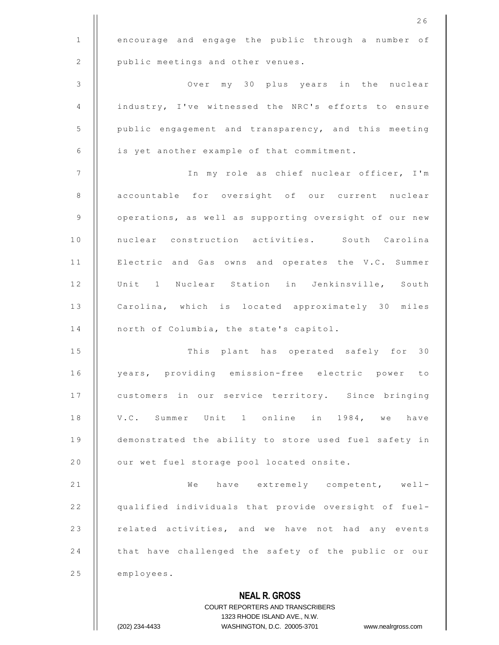|                | 26                                                     |
|----------------|--------------------------------------------------------|
| $\mathbf{1}$   | encourage and engage the public through a number of    |
| 2              | public meetings and other venues.                      |
| $\mathfrak{Z}$ | Over my 30 plus years in the nuclear                   |
| 4              | industry, I've witnessed the NRC's efforts to ensure   |
| 5              | public engagement and transparency, and this meeting   |
| 6              | is yet another example of that commitment.             |
| $\overline{7}$ | In my role as chief nuclear officer, I'm               |
| 8              | accountable for oversight of our current nuclear       |
| 9              | operations, as well as supporting oversight of our new |
| 10             | nuclear construction activities. South Carolina        |
| 11             | Electric and Gas owns and operates the V.C. Summer     |
| 12             | Unit 1 Nuclear Station in Jenkinsville, South          |
| 13             | Carolina, which is located approximately 30 miles      |
| 14             | north of Columbia, the state's capitol.                |
| 15             | This plant has operated safely for 30                  |
| 16             | years, providing emission-free electric power<br>to    |
| 17             | customers in our service territory. Since bringing     |
| 18             | V.C. Summer Unit 1 online in 1984, we have             |
| 19             | demonstrated the ability to store used fuel safety in  |
| 20             | our wet fuel storage pool located onsite.              |
| 21             | We have extremely competent, well-                     |
| 22             | qualified individuals that provide oversight of fuel-  |
| 23             | related activities, and we have not had any events     |
| 24             | that have challenged the safety of the public or our   |
| 25             | employees.                                             |
|                | <b>NEAL R. GROSS</b>                                   |
|                | COURT REPORTERS AND TRANSCRIBERS                       |

1323 RHODE ISLAND AVE., N.W.

 $\prod$ 

(202) 234-4433 WASHINGTON, D.C. 20005-3701 www.nealrgross.com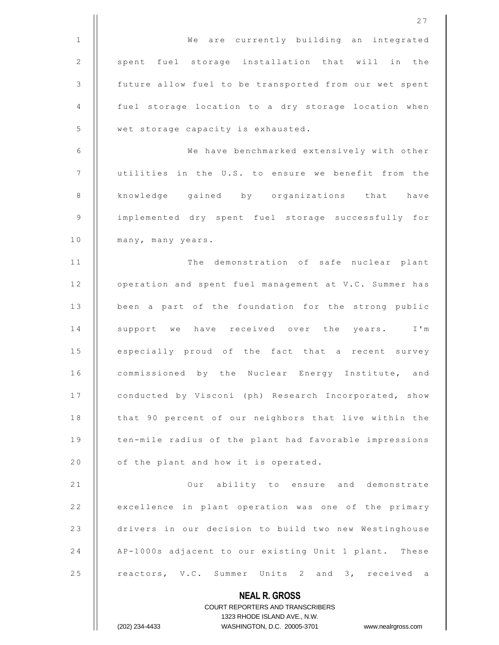|                | 27                                                     |
|----------------|--------------------------------------------------------|
| $\mathbf{1}$   | We are currently building an integrated                |
| $\mathbf{2}$   | spent fuel storage installation that will in the       |
| 3              | future allow fuel to be transported from our wet spent |
| 4              | fuel storage location to a dry storage location when   |
| 5              | wet storage capacity is exhausted.                     |
| 6              | We have benchmarked extensively with other             |
| $\overline{7}$ | utilities in the U.S. to ensure we benefit from the    |
| 8              | knowledge gained by organizations that have            |
| 9              | implemented dry spent fuel storage successfully for    |
| 10             | many, many years.                                      |
| 11             | The demonstration of safe nuclear plant                |
| 12             | operation and spent fuel management at V.C. Summer has |
| 13             | been a part of the foundation for the strong public    |
| 14             | support we have received over the<br>years. I'm        |
| 15             | especially proud of the fact that a recent survey      |
| 16             | commissioned by the Nuclear Energy Institute, and      |
| 17             | conducted by Visconi (ph) Research Incorporated, show  |
| 18             | that 90 percent of our neighbors that live within the  |
| 19             | ten-mile radius of the plant had favorable impressions |
| 20             | of the plant and how it is operated.                   |
| 21             | Our ability to ensure and demonstrate                  |
| 22             | excellence in plant operation was one of the primary   |
| 23             | drivers in our decision to build two new Westinghouse  |
| 24             | AP-1000s adjacent to our existing Unit 1 plant. These  |
| 25             | reactors, V.C. Summer Units 2 and 3, received a        |
|                | <b>NEAL R. GROSS</b>                                   |

COURT REPORTERS AND TRANSCRIBERS 1323 RHODE ISLAND AVE., N.W. (202) 234-4433 WASHINGTON, D.C. 20005-3701 www.nealrgross.com

 $\prod$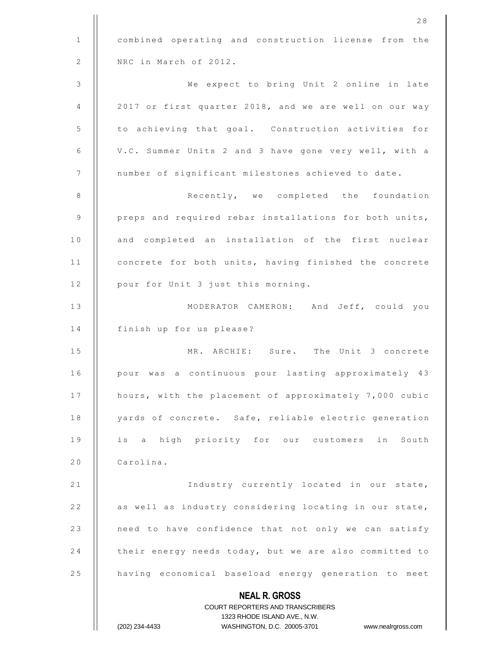|              | COURT REPORTERS AND TRANSCRIBERS<br>1323 RHODE ISLAND AVE., N.W.<br>(202) 234-4433<br>WASHINGTON, D.C. 20005-3701<br>www.nealrgross.com |
|--------------|-----------------------------------------------------------------------------------------------------------------------------------------|
|              | <b>NEAL R. GROSS</b>                                                                                                                    |
| 25           | having economical baseload energy generation to meet                                                                                    |
| 24           | their energy needs today, but we are also committed to                                                                                  |
| 23           | need to have confidence that not only we can satisfy                                                                                    |
| 22           | as well as industry considering locating in our state,                                                                                  |
| 21           | Industry currently located in our state,                                                                                                |
| 20           | Carolina.                                                                                                                               |
| 19           | is a high priority for our customers in South                                                                                           |
| 18           | yards of concrete. Safe, reliable electric generation                                                                                   |
| 17           | hours, with the placement of approximately 7,000 cubic                                                                                  |
| 16           | pour was a continuous pour lasting approximately 43                                                                                     |
| 15           | MR. ARCHIE: Sure. The Unit 3 concrete                                                                                                   |
| 14           | finish up for us please?                                                                                                                |
| 13           | MODERATOR CAMERON: And Jeff, could you                                                                                                  |
| 12           | pour for Unit 3 just this morning.                                                                                                      |
| 11           | concrete for both units, having finished the concrete                                                                                   |
| 10           | and completed an installation of the first nuclear                                                                                      |
| 9            | preps and required rebar installations for both units,                                                                                  |
| 8            | Recently, we completed the foundation                                                                                                   |
| 7            | number of significant milestones achieved to date.                                                                                      |
| 6            | V.C. Summer Units 2 and 3 have gone very well, with a                                                                                   |
| 5            | to achieving that goal. Construction activities for                                                                                     |
| 4            | 2017 or first quarter 2018, and we are well on our way                                                                                  |
| 3            | We expect to bring Unit 2 online in late                                                                                                |
| 2            | NRC in March of 2012.                                                                                                                   |
| $\mathbf{1}$ | combined operating and construction license from the                                                                                    |
|              | 28                                                                                                                                      |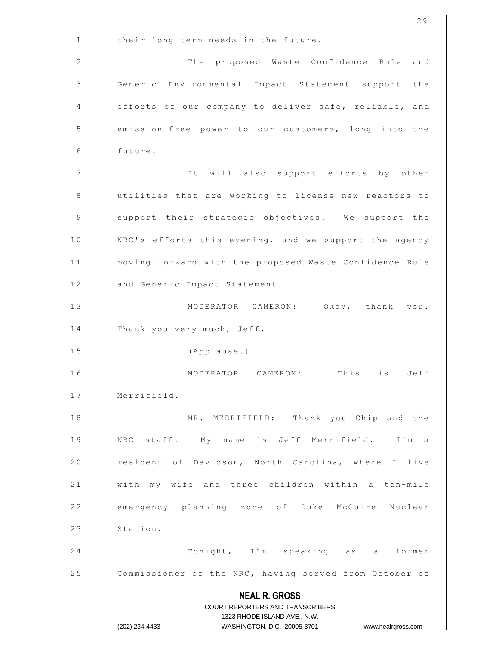|              | 29                                                                      |
|--------------|-------------------------------------------------------------------------|
| $\mathbf{1}$ | their long-term needs in the future.                                    |
| 2            | The proposed Waste Confidence Rule and                                  |
| 3            | Generic Environmental Impact Statement support the                      |
| 4            | efforts of our company to deliver safe, reliable, and                   |
| 5            | emission-free power to our customers, long into the                     |
| 6            | future.                                                                 |
| 7            | It will also support efforts by other                                   |
| 8            | utilities that are working to license new reactors to                   |
| 9            | support their strategic objectives. We support the                      |
| 10           | NRC's efforts this evening, and we support the agency                   |
| 11           | moving forward with the proposed Waste Confidence Rule                  |
| 12           | and Generic Impact Statement.                                           |
| 13           | MODERATOR CAMERON: Okay, thank you.                                     |
| 14           | Thank you very much, Jeff.                                              |
| 15           | (Applause.)                                                             |
| 16           | MODERATOR CAMERON:<br>This is Jeff                                      |
| 17           | Merrifield.                                                             |
| 18           | MR. MERRIFIELD: Thank you Chip and the                                  |
| 19           | NRC staff. My name is Jeff Merrifield. I'm a                            |
| 20           | resident of Davidson, North Carolina, where I live                      |
| 21           | with my wife and three children within a ten-mile                       |
| 22           | emergency planning zone of Duke McGuire Nuclear                         |
| 23           | Station.                                                                |
| 24           | Tonight, I'm speaking as a former                                       |
| 25           | Commissioner of the NRC, having served from October of                  |
|              | <b>NEAL R. GROSS</b>                                                    |
|              | <b>COURT REPORTERS AND TRANSCRIBERS</b><br>1323 RHODE ISLAND AVE., N.W. |
|              | WASHINGTON, D.C. 20005-3701 www.nealrgross.com<br>(202) 234-4433        |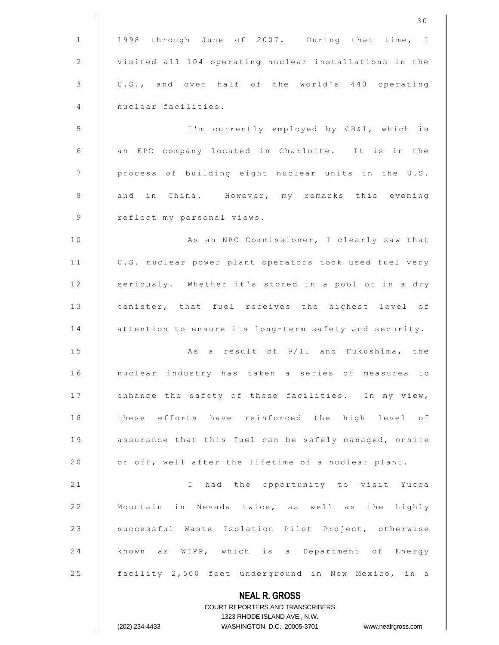|                | 30                                                                  |
|----------------|---------------------------------------------------------------------|
| $\mathbf{1}$   | 1998 through June of 2007. During that time, I                      |
| 2              | visited all 104 operating nuclear installations in the              |
| 3              | U.S., and over half of the world's 440 operating                    |
| 4              | nuclear facilities.                                                 |
| 5              | I'm currently employed by CB&I, which is                            |
| 6              | an EPC company located in Charlotte. It is in the                   |
| 7              | process of building eight nuclear units in the U.S.                 |
| $\,8\,$        | and in China. However, my remarks this evening                      |
| $\overline{9}$ | reflect my personal views.                                          |
| 10             | As an NRC Commissioner, I clearly saw that                          |
| 11             | U.S. nuclear power plant operators took used fuel very              |
| 12             | seriously. Whether it's stored in a pool or in a dry                |
| 13             | canister, that fuel receives the highest level of                   |
| 14             | attention to ensure its long-term safety and security.              |
| 15             | As a result of 9/11 and Fukushima, the                              |
| 16             | nuclear industry has taken a series of measures to                  |
| 17             | enhance the safety of these facilities. In my view,                 |
| 18             | these efforts have reinforced the high level of                     |
| 19             | assurance that this fuel can be safely managed, onsite              |
| 20             | or off, well after the lifetime of a nuclear plant.                 |
| 21             | I had the opportunity to visit Yucca                                |
| 22             | Mountain in Nevada twice, as well as the highly                     |
| 23             | successful Waste Isolation Pilot Project, otherwise                 |
| 24             | known as WIPP, which is a Department of Energy                      |
| 25             | facility 2,500 feet underground in New Mexico, in a                 |
|                | <b>NEAL R. GROSS</b>                                                |
|                | <b>COURT REPORTERS AND TRANSCRIBERS</b>                             |
|                | 1323 RHODE ISLAND AVE., N.W.                                        |
|                | (202) 234-4433<br>WASHINGTON, D.C. 20005-3701<br>www.nealrgross.com |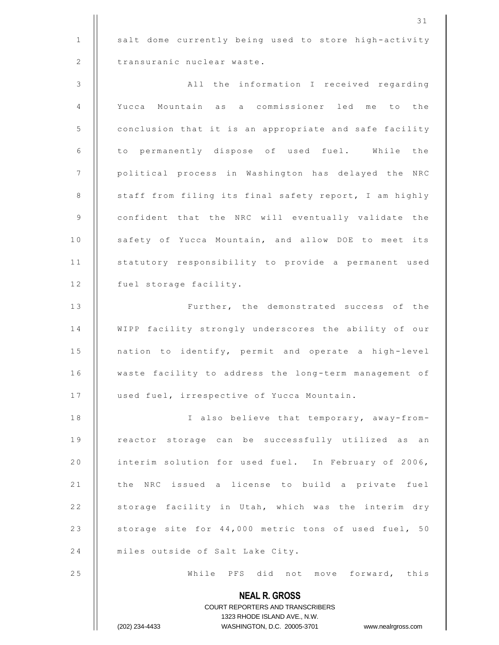1 | salt dome currently being used to store high-activity 2 | transuranic nuclear waste.

3 A l l t h e i n f o r m a t i o n I r e c e i v e d r e g a r d i n g 4 | Yucca Mountain as a commissioner led me to the 5 | conclusion that it is an appropriate and safe facility 6 || to permanently dispose of used fuel. While the 7 | political process in Washington has delayed the NRC 8 | staff from filing its final safety report, I am highly 9 | confident that the NRC will eventually validate the 10 | safety of Yucca Mountain, and allow DOE to meet its 11 || statutory responsibility to provide a permanent used 12 | fuel storage facility.

13 || Further, the demonstrated success of the 14 | WIPP facility strongly underscores the ability of our 15 | nation to identify, permit and operate a high-level 16 | waste facility to address the long-term management of 17 | used fuel, irrespective of Yucca Mountain.

18 || I also believe that temporary, away-from-19 || reactor storage can be successfully utilized as an 20 | interim solution for used fuel. In February of 2006, 21 | the NRC issued a license to build a private fuel 22 | storage facility in Utah, which was the interim dry 23 | storage site for 44,000 metric tons of used fuel, 50 24 | miles outside of Salt Lake City.

2 5 W h i l e P F S d i d n o t m o v e f o r w a r d , t h i s

**NEAL R. GROSS** COURT REPORTERS AND TRANSCRIBERS 1323 RHODE ISLAND AVE., N.W. (202) 234-4433 WASHINGTON, D.C. 20005-3701 www.nealrgross.com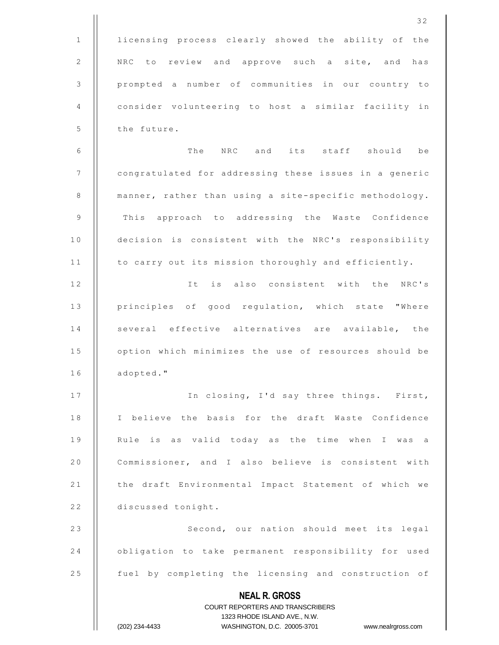| 25           | fuel by completing the licensing and construction of   |
|--------------|--------------------------------------------------------|
| 24           | obligation to take permanent responsibility for used   |
| 23           | Second, our nation should meet its legal               |
| 22           | discussed tonight.                                     |
| 21           | the draft Environmental Impact Statement of which we   |
| 20           | Commissioner, and I also believe is consistent with    |
| 19           | Rule is as valid today as the time when I was<br>a a   |
| 18           | I believe the basis for the draft Waste Confidence     |
| 17           | In closing, I'd say three things. First,               |
| 16           | adopted."                                              |
| 15           | option which minimizes the use of resources should be  |
| 14           | several effective alternatives are available, the      |
| 13           | principles of good regulation, which state "Where      |
| 12           | It is also consistent with the NRC's                   |
| 11           | to carry out its mission thoroughly and efficiently.   |
| 10           | decision is consistent with the NRC's responsibility   |
| 9            | This approach to addressing the Waste Confidence       |
| 8            | manner, rather than using a site-specific methodology. |
| 7            | congratulated for addressing these issues in a generic |
| 6            | The NRC and its staff should be                        |
| 5            | the future.                                            |
| 4            | consider volunteering to host a similar facility in    |
| 3            | prompted a number of communities in our country to     |
| 2            | NRC to review and approve such a site, and has         |
| $\mathbf{1}$ | licensing process clearly showed the ability of the    |
|              | 32                                                     |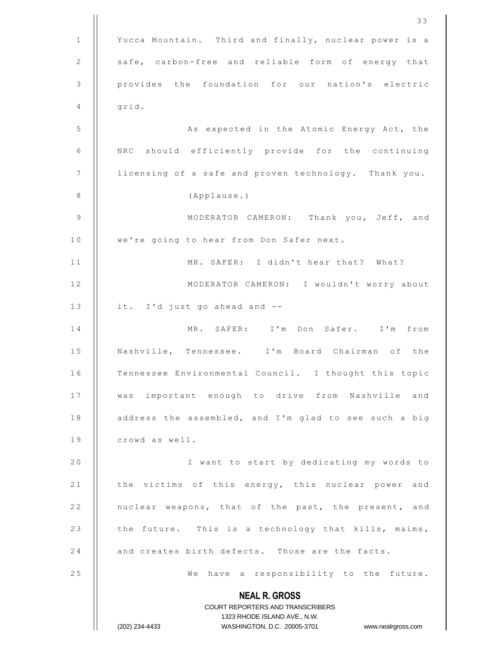**NEAL R. GROSS** COURT REPORTERS AND TRANSCRIBERS 1323 RHODE ISLAND AVE., N.W. (202) 234-4433 WASHINGTON, D.C. 20005-3701 www.nealrgross.com 1 | Yucca Mountain. Third and finally, nuclear power is a 2 | safe, carbon-free and reliable form of energy that 3 | provides the foundation for our nation's electric  $4$  ||  $qrid.$ 5 | | As expected in the Atomic Energy Act, the 6 | NRC should efficiently provide for the continuing 7 | licensing of a safe and proven technology. Thank you. 8 (Applause.) 9 MODERATOR CAMERON: Thank you, Jeff, and 10 | we're going to hear from Don Safer next. 1 1 MR. SAFER: I didn't hear that? What? 12 || MODERATOR CAMERON: I wouldn't worry about 13  $\parallel$  it. I'd just go ahead and --1 4 M R . S A F E R : I ' m D o n S a f e r . I ' m f r o m 15 || Nashville, Tennessee. I'm Board Chairman of the 16 | Tennessee Environmental Council. I thought this topic 17 || was important enough to drive from Nashville and 18 | address the assembled, and I'm glad to see such a big 19 | crowd as well. 20 | I want to start by dedicating my words to 21 | the victims of this energy, this nuclear power and 22 | nuclear weapons, that of the past, the present, and 23 | the future. This is a technology that kills, maims, 24 and creates birth defects. Those are the facts. 25 || We have a responsibility to the future.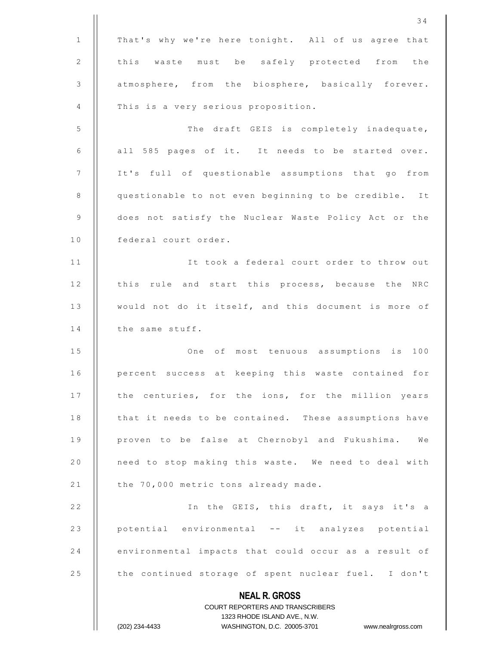|              | 34                                                                                                  |
|--------------|-----------------------------------------------------------------------------------------------------|
| $\mathbf{1}$ | That's why we're here tonight. All of us agree that                                                 |
| 2            | this waste must be safely protected from the                                                        |
| 3            | atmosphere, from the biosphere, basically forever.                                                  |
| 4            | This is a very serious proposition.                                                                 |
| 5            | The draft GEIS is completely inadequate,                                                            |
| 6            | all 585 pages of it. It needs to be started over.                                                   |
| 7            | It's full of questionable assumptions that go from                                                  |
| 8            | questionable to not even beginning to be credible. It                                               |
| 9            | does not satisfy the Nuclear Waste Policy Act or the                                                |
| 10           | federal court order.                                                                                |
| 11           | It took a federal court order to throw out                                                          |
| 12           | this rule and start this process, because the NRC                                                   |
| 13           | would not do it itself, and this document is more of                                                |
| 14           | the same stuff.                                                                                     |
| 15           | 100<br>One of most tenuous assumptions<br>is                                                        |
| 16           | percent success at keeping this waste contained for                                                 |
| 17           | the centuries, for the ions, for the million years                                                  |
| 18           | that it needs to be contained. These assumptions have                                               |
| 19           | proven to be false at Chernobyl and Fukushima. We                                                   |
| 20           | need to stop making this waste. We need to deal with                                                |
| 21           | the 70,000 metric tons already made.                                                                |
| 22           | In the GEIS, this draft, it says it's a                                                             |
| 23           | potential environmental -- it analyzes potential                                                    |
| 24           | environmental impacts that could occur as a result of                                               |
| 25           | the continued storage of spent nuclear fuel. I don't                                                |
|              | <b>NEAL R. GROSS</b>                                                                                |
|              | <b>COURT REPORTERS AND TRANSCRIBERS</b>                                                             |
|              | 1323 RHODE ISLAND AVE., N.W.<br>WASHINGTON, D.C. 20005-3701<br>(202) 234-4433<br>www.nealrgross.com |
|              |                                                                                                     |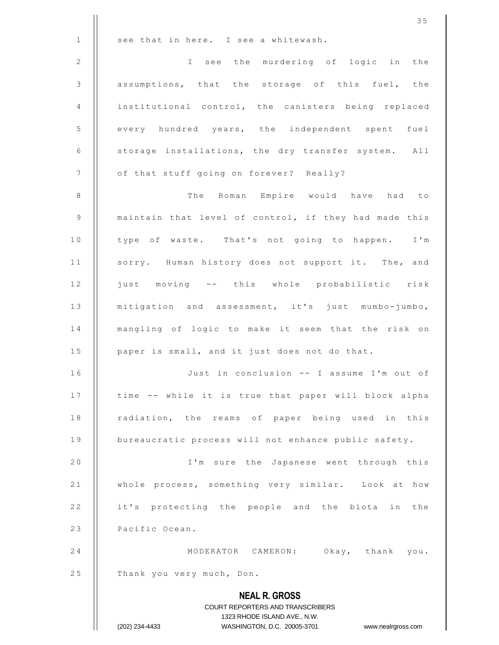|             | 35                                                               |
|-------------|------------------------------------------------------------------|
| $\mathbf 1$ | see that in here. I see a whitewash.                             |
| $\sqrt{2}$  | I see the murdering of logic in the                              |
| 3           | assumptions, that the storage of this fuel, the                  |
| 4           | institutional control, the canisters being replaced              |
| 5           | every hundred years, the independent spent fuel                  |
| 6           | storage installations, the dry transfer system. All              |
| 7           | of that stuff going on forever? Really?                          |
| $\,8\,$     | The Roman Empire would have had to                               |
| $\mathsf 9$ | maintain that level of control, if they had made this            |
| 10          | type of waste. That's not going to happen. I'm                   |
| 11          | sorry. Human history does not support it. The, and               |
| 12          | just moving -- this whole probabilistic risk                     |
| 13          | mitigation and assessment, it's just mumbo-jumbo,                |
| 14          | mangling of logic to make it seem that the risk on               |
| 15          | paper is small, and it just does not do that.                    |
| 16          | Just in conclusion -- I assume I'm out of                        |
| 17          | time -- while it is true that paper will block alpha             |
| 18          | radiation, the reams of paper being used in this                 |
| 19          | bureaucratic process will not enhance public safety.             |
| 20          | I'm sure the Japanese went through this                          |
| 21          | whole process, something very similar. Look at how               |
| 22          | it's protecting the people and the biota in the                  |
| 23          | Pacific Ocean.                                                   |
| 24          | MODERATOR CAMERON: Okay, thank you.                              |
| 25          | Thank you very much, Don.                                        |
|             | <b>NEAL R. GROSS</b><br><b>COURT REPORTERS AND TRANSCRIBERS</b>  |
|             | 1323 RHODE ISLAND AVE., N.W.                                     |
|             | (202) 234-4433<br>WASHINGTON, D.C. 20005-3701 www.nealrgross.com |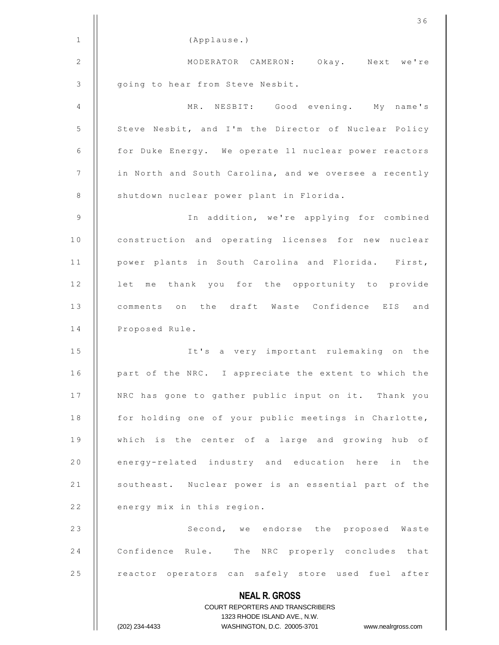|                 | 36                                                                                                  |
|-----------------|-----------------------------------------------------------------------------------------------------|
| $\mathbf{1}$    | (Applause.)                                                                                         |
| 2               | MODERATOR CAMERON: Okay. Next we're                                                                 |
| $\mathcal{S}$   | going to hear from Steve Nesbit.                                                                    |
| 4               | MR. NESBIT: Good evening. My name's                                                                 |
| $\mathsf S$     | Steve Nesbit, and I'm the Director of Nuclear Policy                                                |
| 6               | for Duke Energy. We operate 11 nuclear power reactors                                               |
| $7\phantom{.0}$ | in North and South Carolina, and we oversee a recently                                              |
| 8               | shutdown nuclear power plant in Florida.                                                            |
| $\overline{9}$  | In addition, we're applying for combined                                                            |
| 10              | construction and operating licenses for new nuclear                                                 |
| 11              | power plants in South Carolina and Florida. First,                                                  |
| 12              | let me thank you for the opportunity to provide                                                     |
| 13              | comments on the draft Waste Confidence EIS and                                                      |
| 14              | Proposed Rule.                                                                                      |
| 15              | It's a very important rulemaking on the                                                             |
| 16              | part of the NRC. I appreciate the extent to which the                                               |
| 17              | NRC has gone to gather public input on it. Thank you                                                |
| 18              | for holding one of your public meetings in Charlotte,                                               |
| 19              | which is the center of a large and growing hub of                                                   |
| 20              | energy-related industry and education here<br>in the                                                |
| 21              | southeast. Nuclear power is an essential part of the                                                |
| 22              | energy mix in this region.                                                                          |
| 23              | Second, we endorse the proposed Waste                                                               |
| 24              | Confidence Rule. The NRC properly concludes that                                                    |
| 25              | reactor operators can safely store used fuel after                                                  |
|                 | <b>NEAL R. GROSS</b>                                                                                |
|                 | COURT REPORTERS AND TRANSCRIBERS                                                                    |
|                 | 1323 RHODE ISLAND AVE., N.W.<br>(202) 234-4433<br>WASHINGTON, D.C. 20005-3701<br>www.nealrgross.com |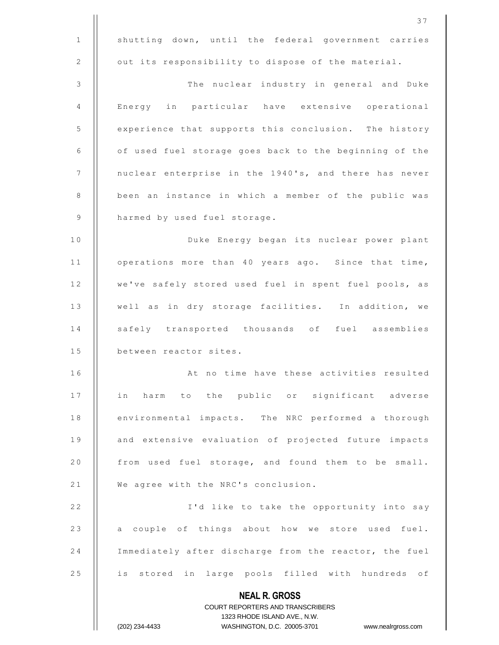|                 | 37                                                                                                  |
|-----------------|-----------------------------------------------------------------------------------------------------|
| $\mathbf{1}$    | shutting down, until the federal government carries                                                 |
| 2               | out its responsibility to dispose of the material.                                                  |
| $\mathcal{S}$   | The nuclear industry in general and Duke                                                            |
| 4               | Energy in particular have extensive operational                                                     |
| 5               | experience that supports this conclusion. The history                                               |
| 6               | of used fuel storage goes back to the beginning of the                                              |
| $7\phantom{.0}$ | nuclear enterprise in the 1940's, and there has never                                               |
| 8               | been an instance in which a member of the public was                                                |
| 9               | harmed by used fuel storage.                                                                        |
| 10              | Duke Energy began its nuclear power plant                                                           |
| 11              | operations more than 40 years ago. Since that time,                                                 |
| 12              | we've safely stored used fuel in spent fuel pools, as                                               |
| 13              | well as in dry storage facilities. In addition, we                                                  |
| 14              | safely transported thousands of fuel assemblies                                                     |
| 15              | between reactor sites.                                                                              |
| 16              | At no time have these activities resulted                                                           |
| 17              | in harm to the public or significant adverse                                                        |
| 18              | environmental impacts. The NRC performed a thorough                                                 |
| 19              | and extensive evaluation of projected future impacts                                                |
| 20              | from used fuel storage, and found them to be small.                                                 |
| 21              | We agree with the NRC's conclusion.                                                                 |
| 22              | I'd like to take the opportunity into say                                                           |
| 23              | a couple of things about how we store used fuel.                                                    |
| 24              | Immediately after discharge from the reactor, the fuel                                              |
| 25              | is stored in large pools filled with hundreds of                                                    |
|                 | <b>NEAL R. GROSS</b>                                                                                |
|                 | <b>COURT REPORTERS AND TRANSCRIBERS</b>                                                             |
|                 | 1323 RHODE ISLAND AVE., N.W.<br>(202) 234-4433<br>WASHINGTON, D.C. 20005-3701<br>www.nealrgross.com |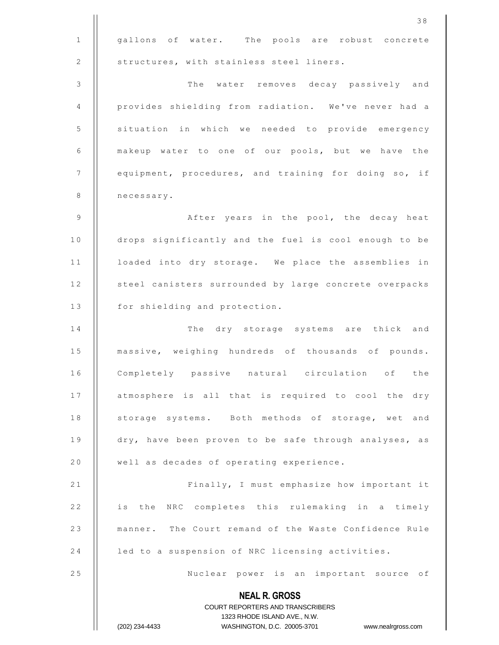|              | 38                                                                  |
|--------------|---------------------------------------------------------------------|
| $\mathbf{1}$ | gallons of water. The pools are robust concrete                     |
| $\sqrt{2}$   | structures, with stainless steel liners.                            |
| 3            | The water removes decay passively and                               |
| 4            | provides shielding from radiation. We've never had a                |
| 5            | situation in which we needed to provide emergency                   |
| 6            | makeup water to one of our pools, but we have the                   |
| 7            | equipment, procedures, and training for doing so, if                |
| 8            | necessary.                                                          |
| 9            | After years in the pool, the decay heat                             |
| 10           | drops significantly and the fuel is cool enough to be               |
| 11           | loaded into dry storage. We place the assemblies in                 |
| 12           | steel canisters surrounded by large concrete overpacks              |
| 13           | for shielding and protection.                                       |
| 14           | The<br>dry storage systems are thick and                            |
| 15           | massive, weighing hundreds of thousands of pounds.                  |
| 16           | Completely passive natural circulation of the                       |
| 17           | atmosphere is all that is required to cool the dry                  |
| 18           | storage systems. Both methods of storage, wet and                   |
| 19           | dry, have been proven to be safe through analyses, as               |
| 20           | well as decades of operating experience.                            |
| 21           | Finally, I must emphasize how important it                          |
| 22           | is the NRC completes this rulemaking in a timely                    |
| 23           | manner. The Court remand of the Waste Confidence Rule               |
| 24           | led to a suspension of NRC licensing activities.                    |
| 25           | Nuclear power is an important source of                             |
|              | <b>NEAL R. GROSS</b>                                                |
|              | COURT REPORTERS AND TRANSCRIBERS                                    |
|              | 1323 RHODE ISLAND AVE., N.W.                                        |
|              | (202) 234-4433<br>WASHINGTON, D.C. 20005-3701<br>www.nealrgross.com |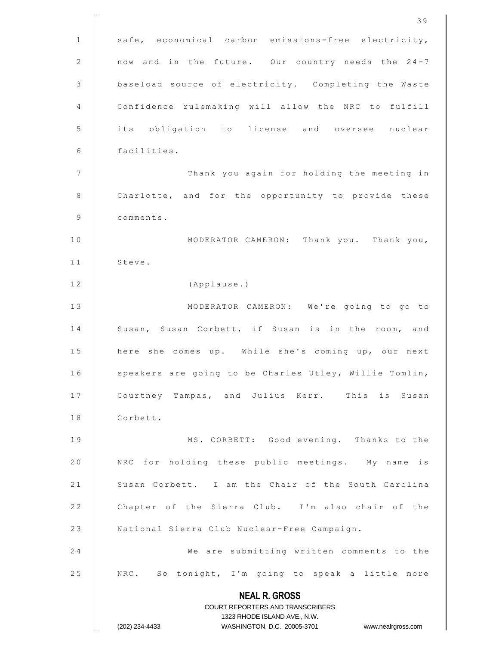|              | 39                                                                                               |
|--------------|--------------------------------------------------------------------------------------------------|
| $\mathbf{1}$ | safe, economical carbon emissions-free electricity,                                              |
| 2            | now and in the future. Our country needs the 24-7                                                |
| 3            | baseload source of electricity. Completing the Waste                                             |
| 4            | Confidence rulemaking will allow the NRC to fulfill                                              |
| 5            | its obligation to license and oversee nuclear                                                    |
| 6            | facilities.                                                                                      |
| 7            | Thank you again for holding the meeting in                                                       |
| 8            | Charlotte, and for the opportunity to provide these                                              |
| 9            | comments.                                                                                        |
| 10           | MODERATOR CAMERON: Thank you. Thank you,                                                         |
| 11           | Steve.                                                                                           |
| 12           | (Applause.)                                                                                      |
| 13           | MODERATOR CAMERON: We're going to go to                                                          |
| 14           | Susan, Susan Corbett, if Susan is in the room, and                                               |
| 15           | here she comes up. While she's coming up, our next                                               |
| 16           | speakers are going to be Charles Utley, Willie Tomlin,                                           |
| 17           | Courtney Tampas, and Julius Kerr. This is Susan                                                  |
| 18           | Corbett.                                                                                         |
| 19           | MS. CORBETT: Good evening. Thanks to the                                                         |
| 20           | NRC for holding these public meetings. My name is                                                |
| 21           | Susan Corbett. I am the Chair of the South Carolina                                              |
| 22           | Chapter of the Sierra Club. I'm also chair of the                                                |
| 23           | National Sierra Club Nuclear-Free Campaign.                                                      |
| 24           | We are submitting written comments to the                                                        |
| 25           | NRC. So tonight, I'm going to speak a little more                                                |
|              | <b>NEAL R. GROSS</b>                                                                             |
|              | COURT REPORTERS AND TRANSCRIBERS                                                                 |
|              | 1323 RHODE ISLAND AVE., N.W.<br>(202) 234-4433<br>WASHINGTON, D.C. 20005-3701 www.nealrgross.com |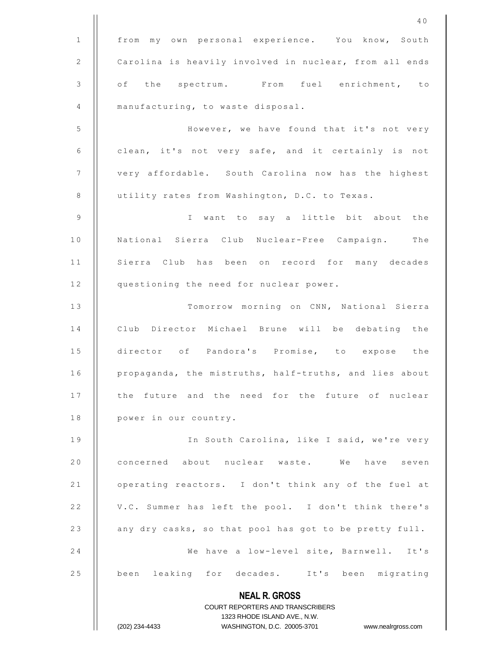|               | 40                                                                  |
|---------------|---------------------------------------------------------------------|
| $\mathbf{1}$  | from my own personal experience. You know, South                    |
| 2             | Carolina is heavily involved in nuclear, from all ends              |
| $\mathcal{S}$ | of the spectrum. From fuel enrichment, to                           |
| 4             | manufacturing, to waste disposal.                                   |
| 5             | However, we have found that it's not very                           |
| 6             | clean, it's not very safe, and it certainly is not                  |
| 7             | very affordable. South Carolina now has the highest                 |
| $\,8\,$       | utility rates from Washington, D.C. to Texas.                       |
| 9             | I want to say a little bit about the                                |
| 10            | National Sierra Club Nuclear-Free Campaign. The                     |
| 11            | Sierra Club has been on record for many decades                     |
| 12            | questioning the need for nuclear power.                             |
| 13            | Tomorrow morning on CNN, National Sierra                            |
| 14            | Club Director Michael Brune will be debating the                    |
| 15            | director of Pandora's Promise, to expose the                        |
| 16            | propaganda, the mistruths, half-truths, and lies about              |
| 17            | the future and the need for the future of nuclear                   |
| 18            | power in our country.                                               |
| 19            | In South Carolina, like I said, we're very                          |
| 20            | concerned about nuclear waste. We have seven                        |
| 21            | operating reactors. I don't think any of the fuel at                |
| 22            | V.C. Summer has left the pool. I don't think there's                |
| 23            | any dry casks, so that pool has got to be pretty full.              |
| 24            | We have a low-level site, Barnwell. It's                            |
| 25            | been leaking for decades. It's been migrating                       |
|               | <b>NEAL R. GROSS</b>                                                |
|               | COURT REPORTERS AND TRANSCRIBERS                                    |
|               | 1323 RHODE ISLAND AVE., N.W.                                        |
|               | (202) 234-4433<br>WASHINGTON, D.C. 20005-3701<br>www.nealrgross.com |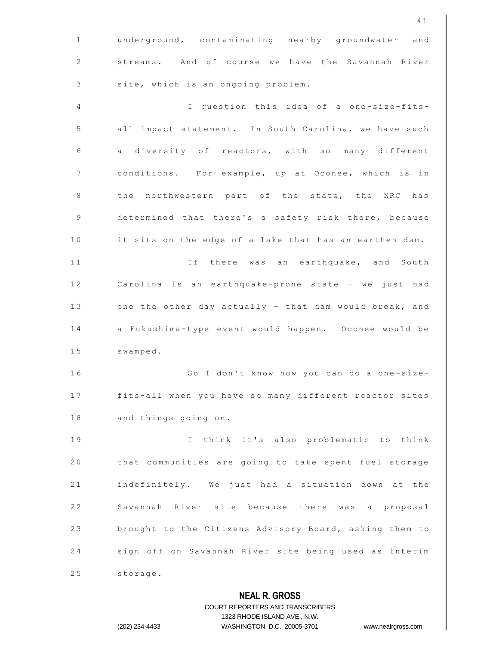|                | 41                                                                                                  |
|----------------|-----------------------------------------------------------------------------------------------------|
| $\mathbf{1}$   | underground, contaminating nearby groundwater and                                                   |
| 2              | streams. And of course we have the Savannah River                                                   |
| 3              | site, which is an ongoing problem.                                                                  |
| 4              | I question this idea of a one-size-fits-                                                            |
| 5              | all impact statement. In South Carolina, we have such                                               |
| 6              | a diversity of reactors, with so many different                                                     |
| $\overline{7}$ | conditions. For example, up at Oconee, which is in                                                  |
| 8              | the northwestern part of the state, the NRC has                                                     |
| $\overline{9}$ | determined that there's a safety risk there, because                                                |
| 10             | it sits on the edge of a lake that has an earthen dam.                                              |
| 11             | If there was an earthquake, and South                                                               |
| 12             | Carolina is an earthquake-prone state - we just had                                                 |
| 13             | one the other day actually - that dam would break, and                                              |
| 14             | a Fukushima-type event would happen. Oconee would be                                                |
| 15             | swamped.                                                                                            |
| 16             | So I don't know how you can do a one-size-                                                          |
| 17             | fits-all when you have so many different reactor sites                                              |
| 18             | and things going on.                                                                                |
| 19             | I think it's also problematic to think                                                              |
| 20             | that communities are going to take spent fuel storage                                               |
| 21             | indefinitely. We just had a situation down at the                                                   |
| 22             | Savannah River site because there was a proposal                                                    |
| 23             | brought to the Citizens Advisory Board, asking them to                                              |
| 24             | sign off on Savannah River site being used as interim                                               |
| 25             | storage.                                                                                            |
|                | <b>NEAL R. GROSS</b>                                                                                |
|                | <b>COURT REPORTERS AND TRANSCRIBERS</b>                                                             |
|                | 1323 RHODE ISLAND AVE., N.W.<br>WASHINGTON, D.C. 20005-3701<br>(202) 234-4433<br>www.nealrgross.com |
|                |                                                                                                     |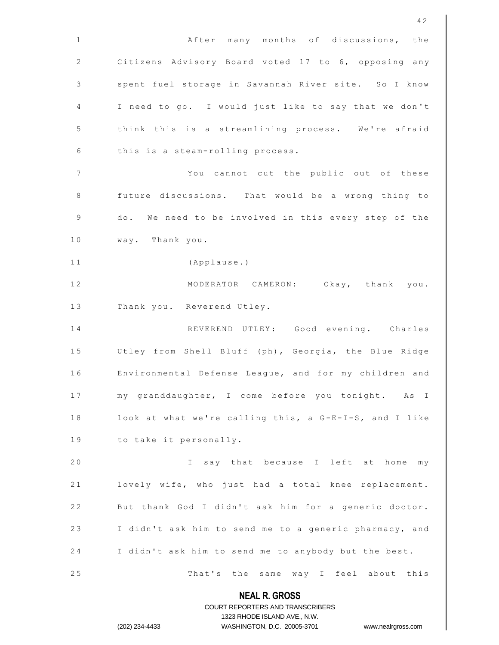|                          | 42                                                                                                  |
|--------------------------|-----------------------------------------------------------------------------------------------------|
| 1                        | After many months of discussions, the                                                               |
| 2                        | Citizens Advisory Board voted 17 to 6, opposing any                                                 |
| 3                        | spent fuel storage in Savannah River site. So I know                                                |
| 4                        | I need to go. I would just like to say that we don't                                                |
| 5                        | think this is a streamlining process. We're afraid                                                  |
| 6                        | this is a steam-rolling process.                                                                    |
| $\overline{\phantom{a}}$ | You cannot cut the public out of these                                                              |
| 8                        | future discussions. That would be a wrong thing to                                                  |
| 9                        | do. We need to be involved in this every step of the                                                |
| 10                       | way. Thank you.                                                                                     |
| 11                       | (Applause.)                                                                                         |
| 12                       | MODERATOR CAMERON: Okay, thank you.                                                                 |
| 13                       | Thank you. Reverend Utley.                                                                          |
| 14                       | REVEREND UTLEY: Good evening. Charles                                                               |
| 15                       | Utley from Shell Bluff (ph), Georgia, the Blue Ridge                                                |
| 16                       | Environmental Defense League, and for my children and                                               |
| 17                       | my granddaughter, I come before you tonight. As I                                                   |
| 18                       | look at what we're calling this, a G-E-I-S, and I like                                              |
| 19                       | to take it personally.                                                                              |
| 20                       | say that because I left at home my<br>$\mathbf{I}$                                                  |
| 21                       | lovely wife, who just had a total knee replacement.                                                 |
| 22                       | But thank God I didn't ask him for a generic doctor.                                                |
| 23                       | I didn't ask him to send me to a generic pharmacy, and                                              |
| 24                       | I didn't ask him to send me to anybody but the best.                                                |
| 25                       | That's the same way I feel about this                                                               |
|                          | <b>NEAL R. GROSS</b>                                                                                |
|                          | COURT REPORTERS AND TRANSCRIBERS                                                                    |
|                          | 1323 RHODE ISLAND AVE., N.W.<br>WASHINGTON, D.C. 20005-3701<br>(202) 234-4433<br>www.nealrgross.com |
|                          |                                                                                                     |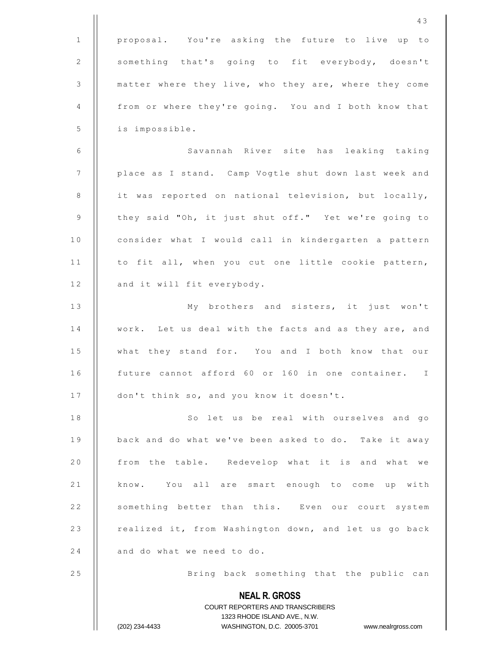|                | 43                                                                                                  |
|----------------|-----------------------------------------------------------------------------------------------------|
| 1              | proposal. You're asking the future to live up to                                                    |
| 2              | something that's going to fit everybody, doesn't                                                    |
| 3              | matter where they live, who they are, where they come                                               |
| 4              | from or where they're going. You and I both know that                                               |
| $\mathsf S$    | is impossible.                                                                                      |
| 6              | Savannah River site has leaking taking                                                              |
| $7\phantom{.}$ | place as I stand. Camp Vogtle shut down last week and                                               |
| 8              | it was reported on national television, but locally,                                                |
| 9              | they said "Oh, it just shut off." Yet we're going to                                                |
| 10             | consider what I would call in kindergarten a pattern                                                |
| 11             | to fit all, when you cut one little cookie pattern,                                                 |
| 12             | and it will fit everybody.                                                                          |
| 13             | My brothers and sisters, it just won't                                                              |
| 14             | work. Let us deal with the facts and as they are, and                                               |
| 15             | what they stand for. You and I both know that our                                                   |
| 16             | future cannot afford 60 or 160 in one container. I                                                  |
| 17             | don't think so, and you know it doesn't.                                                            |
| 18             | So let us be real with ourselves and go                                                             |
| 19             | back and do what we've been asked to do. Take it away                                               |
| 20             | from the table. Redevelop what it is and what we                                                    |
| 21             | know. You all are smart enough to come up with                                                      |
| 22             | something better than this. Even our court system                                                   |
| 23             | realized it, from Washington down, and let us go back                                               |
| 24             | and do what we need to do.                                                                          |
| 25             | Bring back something that the public can                                                            |
|                | <b>NEAL R. GROSS</b>                                                                                |
|                | COURT REPORTERS AND TRANSCRIBERS                                                                    |
|                | 1323 RHODE ISLAND AVE., N.W.<br>(202) 234-4433<br>WASHINGTON, D.C. 20005-3701<br>www.nealrgross.com |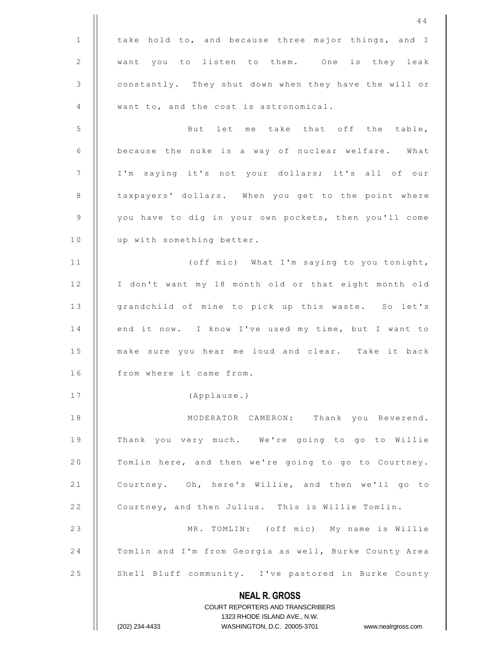**NEAL R. GROSS** COURT REPORTERS AND TRANSCRIBERS 1323 RHODE ISLAND AVE., N.W. (202) 234-4433 WASHINGTON, D.C. 20005-3701 www.nealrgross.com 4 4 1 | take hold to, and because three major things, and I 2 || want you to listen to them. One is they leak 3 constantly. They shut down when they have the will or 4 | want to, and the cost is astronomical. 5 || But let me take that off the table, 6 | because the nuke is a way of nuclear welfare. What 7 | | I'm saying it's not your dollars; it's all of our 8 | taxpayers' dollars. When you get to the point where 9 | you have to dig in your own pockets, then you'll come 10 | up with something better. 1 1 ( o f f m i c ) W h a t I ' m s a y i n g t o y o u tonight, 12 | I don't want my 18 month old or that eight month old 13 || grandchild of mine to pick up this waste. So let's 14 | end it now. I know I've used my time, but I want to 15 || make sure you hear me loud and clear. Take it back 16 | from where it came from. 17 || (Applause.) 18 || MODERATOR CAMERON: Thank you Reverend. 19 || Thank you very much. We're going to go to Willie 20 | Tomlin here, and then we're going to go to Courtney. 21 | Courtney. Oh, here's Willie, and then we'll go to 22 | Courtney, and then Julius. This is Willie Tomlin. 23 || MR. TOMLIN: (off mic) My name is Willie 24 | Tomlin and I'm from Georgia as well, Burke County Area 25 | Shell Bluff community. I've pastored in Burke County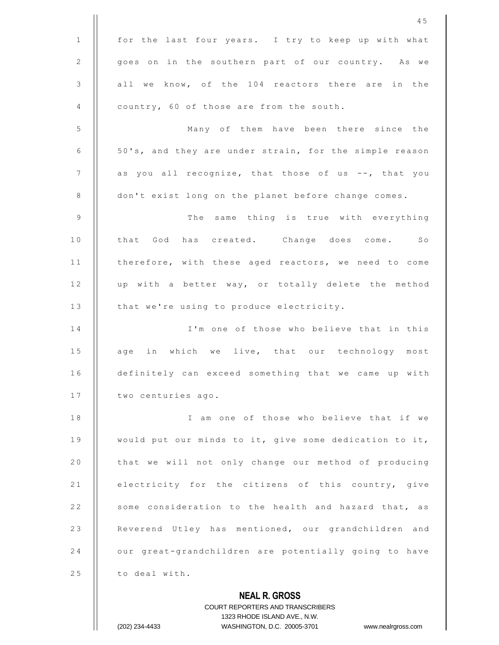|               | 45                                                                                                  |
|---------------|-----------------------------------------------------------------------------------------------------|
| $\mathbf{1}$  | for the last four years. I try to keep up with what                                                 |
| 2             | goes on in the southern part of our country. As we                                                  |
| $\mathcal{S}$ | all we know, of the 104 reactors there are in the                                                   |
| 4             | country, 60 of those are from the south.                                                            |
| 5             | Many of them have been there since the                                                              |
| 6             | 50's, and they are under strain, for the simple reason                                              |
| 7             | as you all recognize, that those of us --, that you                                                 |
| 8             | don't exist long on the planet before change comes.                                                 |
| 9             | The same thing is true with everything                                                              |
| 10            | that God has created. Change does come. So                                                          |
| 11            | therefore, with these aged reactors, we need to come                                                |
| 12            | up with a better way, or totally delete the method                                                  |
| 13            | that we're using to produce electricity.                                                            |
| 14            | I'm one of those who believe that in this                                                           |
| 15            | age in which we live, that our technology most                                                      |
| 16            | definitely can exceed something that we came up with                                                |
| 17            | two centuries ago.                                                                                  |
| 18            | I am one of those who believe that if we                                                            |
| 19            | would put our minds to it, give some dedication to it,                                              |
| 20            | that we will not only change our method of producing                                                |
| 21            | electricity for the citizens of this country, give                                                  |
| 22            | some consideration to the health and hazard that, as                                                |
| 23            | Reverend Utley has mentioned, our grandchildren and                                                 |
| 24            | our great-grandchildren are potentially going to have                                               |
| 25            | to deal with.                                                                                       |
|               | <b>NEAL R. GROSS</b>                                                                                |
|               | <b>COURT REPORTERS AND TRANSCRIBERS</b>                                                             |
|               | 1323 RHODE ISLAND AVE., N.W.<br>WASHINGTON, D.C. 20005-3701<br>(202) 234-4433<br>www.nealrgross.com |
|               |                                                                                                     |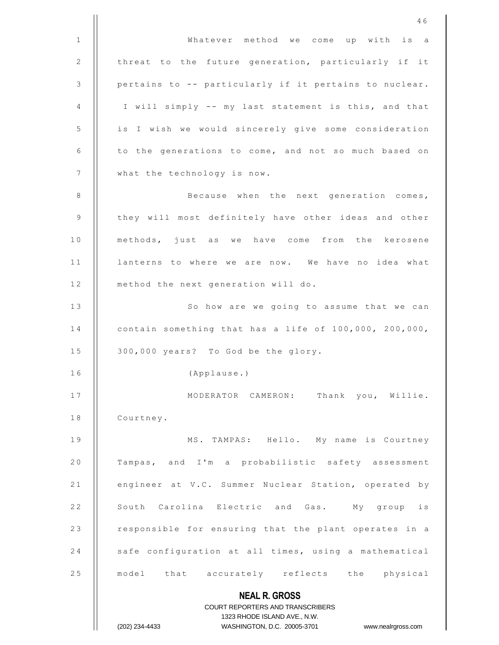|              | 46                                                               |
|--------------|------------------------------------------------------------------|
| $\mathbf{1}$ | Whatever method we come up with is a                             |
| 2            | threat to the future generation, particularly if it              |
| 3            | pertains to -- particularly if it pertains to nuclear.           |
| 4            | I will simply -- my last statement is this, and that             |
| 5            | is I wish we would sincerely give some consideration             |
| 6            | to the generations to come, and not so much based on             |
| 7            | what the technology is now.                                      |
| 8            | Because when the next generation comes,                          |
| 9            | they will most definitely have other ideas and other             |
| 10           | methods, just as we have come from the kerosene                  |
| 11           | lanterns to where we are now. We have no idea what               |
| 12           | method the next generation will do.                              |
| 13           | So how are we going to assume that we can                        |
| 14           | contain something that has a life of 100,000, 200,000,           |
| 15           | 300,000 years? To God be the glory.                              |
| 16           | (Applause.)                                                      |
| 17           | MODERATOR CAMERON: Thank you, Willie.                            |
| 18           | Courtney.                                                        |
| 19           | MS. TAMPAS: Hello. My name is Courtney                           |
| 20           | Tampas, and I'm a probabilistic safety assessment                |
| 21           | engineer at V.C. Summer Nuclear Station, operated by             |
| 22           | South Carolina Electric and Gas. My group is                     |
| 23           | responsible for ensuring that the plant operates in a            |
| 24           | safe configuration at all times, using a mathematical            |
| 25           | model that accurately reflects the physical                      |
|              | <b>NEAL R. GROSS</b>                                             |
|              | COURT REPORTERS AND TRANSCRIBERS                                 |
|              | 1323 RHODE ISLAND AVE., N.W.                                     |
|              | WASHINGTON, D.C. 20005-3701 www.nealrgross.com<br>(202) 234-4433 |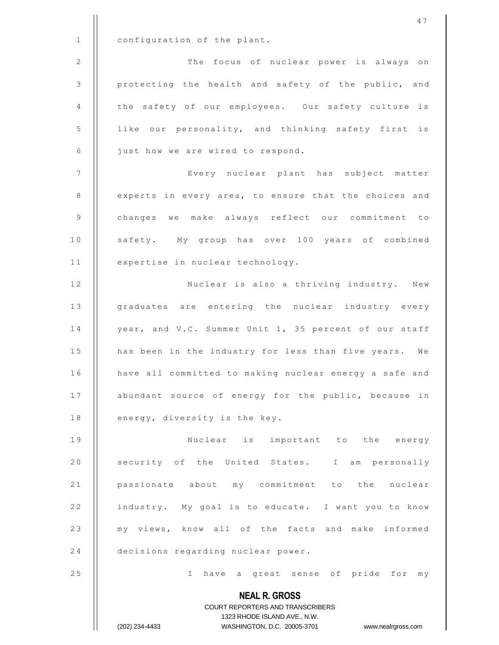**NEAL R. GROSS** COURT REPORTERS AND TRANSCRIBERS 1323 RHODE ISLAND AVE., N.W. (202) 234-4433 WASHINGTON, D.C. 20005-3701 www.nealrgross.com 1 | configuration of the plant. 2 | | The focus of nuclear power is always on 3 | protecting the health and safety of the public, and 4 || the safety of our employees. Our safety culture is 5 | like our personality, and thinking safety first is 6 | just how we are wired to respond. 7 || Every nuclear plant has subject matter 8 | experts in every area, to ensure that the choices and 9 | changes we make always reflect our commitment to 10 | safety. My group has over 100 years of combined 11 | expertise in nuclear technology. 12 || Nuclear is also a thriving industry. New 13 || graduates are entering the nuclear industry every 14 | year, and V.C. Summer Unit 1, 35 percent of our staff 15 | has been in the industry for less than five years. We 16 | have all committed to making nuclear energy a safe and 17 | abundant source of energy for the public, because in 18  $\parallel$  energy, diversity is the key. 19 | Nuclear is important to the energy 20 | security of the United States. I am personally 21 | passionate about my commitment to the nuclear 22 | industry. My goal is to educate. I want you to know 23 || my views, know all of the facts and make informed 24 **decisions regarding nuclear power.** 25 || I have a great sense of pride for my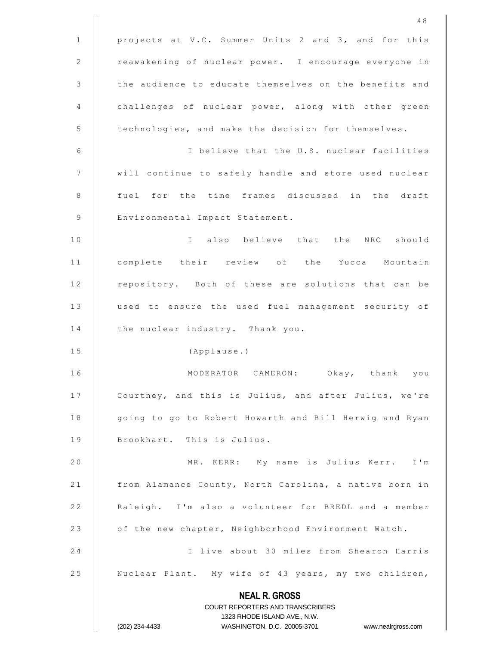**NEAL R. GROSS** COURT REPORTERS AND TRANSCRIBERS 1323 RHODE ISLAND AVE., N.W. (202) 234-4433 WASHINGTON, D.C. 20005-3701 www.nealrgross.com 4 8 1 | projects at V.C. Summer Units 2 and 3, and for this 2 | reawakening of nuclear power. I encourage everyone in 3 | the audience to educate themselves on the benefits and 4 | challenges of nuclear power, along with other green 5 | technologies, and make the decision for themselves. 6 | I believe that the U.S. nuclear facilities 7 | | will continue to safely handle and store used nuclear 8 || fuel for the time frames discussed in the draft 9 | Environmental Impact Statement. 10 || I also believe that the NRC should 11 || complete their review of the Yucca Mountain 12 | repository. Both of these are solutions that can be 13 | used to ensure the used fuel management security of 14 | the nuclear industry. Thank you. 15 | (Applause.) 16 || MODERATOR CAMERON: Okay, thank you 17 | Courtney, and this is Julius, and after Julius, we're 18 | qoing to go to Robert Howarth and Bill Herwig and Ryan 19 | Brookhart. This is Julius. 20 || MR. KERR: My name is Julius Kerr. I'm 21 | from Alamance County, North Carolina, a native born in 22 | Raleigh. I'm also a volunteer for BREDL and a member 23 | of the new chapter, Neighborhood Environment Watch. 24 | I live about 30 miles from Shearon Harris 25 | Nuclear Plant. My wife of 43 years, my two children,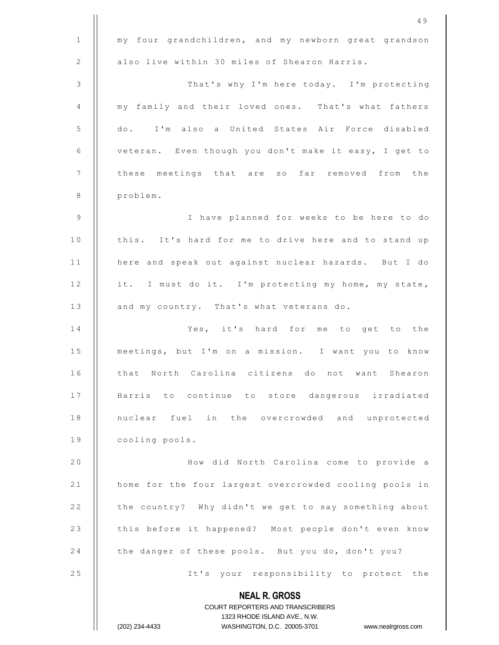|              | 49                                                                  |
|--------------|---------------------------------------------------------------------|
| $\mathbf{1}$ | my four grandchildren, and my newborn great grandson                |
| 2            | also live within 30 miles of Shearon Harris.                        |
| 3            | That's why I'm here today. I'm protecting                           |
| 4            | my family and their loved ones. That's what fathers                 |
| 5            | do. I'm also a United States Air Force disabled                     |
| 6            | veteran. Even though you don't make it easy, I get to               |
| 7            | these meetings that are so far removed from the                     |
| 8            | problem.                                                            |
| 9            | I have planned for weeks to be here to do                           |
| 10           | this. It's hard for me to drive here and to stand up                |
| 11           | here and speak out against nuclear hazards. But I do                |
| 12           | it. I must do it. I'm protecting my home, my state,                 |
| 13           | and my country. That's what veterans do.                            |
| 14           | Yes, it's hard for me to get to the                                 |
| 15           | meetings, but I'm on a mission. I want you to know                  |
| 16           | that North Carolina citizens do not want Shearon                    |
| 17           | Harris to continue to store dangerous irradiated                    |
| 18           | nuclear fuel in the overcrowded and unprotected                     |
| 19           | cooling pools.                                                      |
| 20           | How did North Carolina come to provide a                            |
| 21           | home for the four largest overcrowded cooling pools in              |
| 22           | the country? Why didn't we get to say something about               |
| 23           | this before it happened? Most people don't even know                |
| 24           | the danger of these pools. But you do, don't you?                   |
| 25           | It's your responsibility to protect the                             |
|              | <b>NEAL R. GROSS</b>                                                |
|              | <b>COURT REPORTERS AND TRANSCRIBERS</b>                             |
|              | 1323 RHODE ISLAND AVE., N.W.                                        |
|              | (202) 234-4433<br>WASHINGTON, D.C. 20005-3701<br>www.nealrgross.com |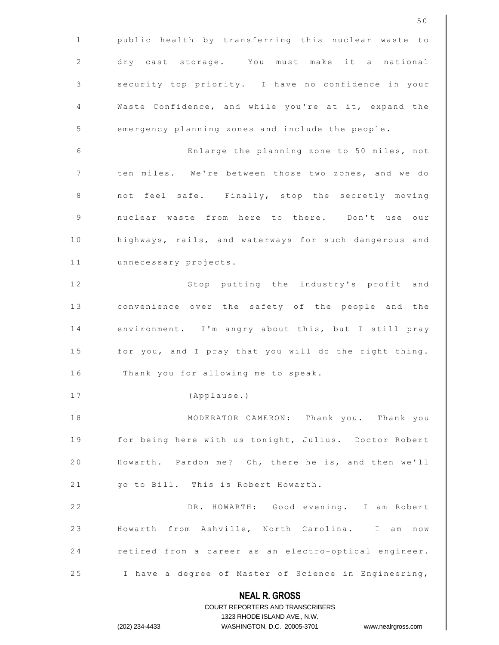|    | 50                                                                                                  |
|----|-----------------------------------------------------------------------------------------------------|
| 1  | public health by transferring this nuclear waste to                                                 |
| 2  | dry cast storage. You must make it a national                                                       |
| 3  | security top priority. I have no confidence in your                                                 |
| 4  | Waste Confidence, and while you're at it, expand the                                                |
| 5  | emergency planning zones and include the people.                                                    |
| 6  | Enlarge the planning zone to 50 miles, not                                                          |
| 7  | ten miles. We're between those two zones, and we do                                                 |
| 8  | not feel safe. Finally, stop the secretly moving                                                    |
| 9  | nuclear waste from here to there. Don't use our                                                     |
| 10 | highways, rails, and waterways for such dangerous and                                               |
| 11 | unnecessary projects.                                                                               |
| 12 | Stop putting the industry's profit and                                                              |
| 13 | convenience over the safety of the people and the                                                   |
| 14 | environment. I'm angry about this, but I still pray                                                 |
| 15 | for you, and I pray that you will do the right thing.                                               |
| 16 | Thank you for allowing me to speak.                                                                 |
| 17 | (Applause.)                                                                                         |
| 18 | MODERATOR CAMERON: Thank you. Thank you                                                             |
| 19 | for being here with us tonight, Julius. Doctor Robert                                               |
| 20 | Howarth. Pardon me? Oh, there he is, and then we'll                                                 |
| 21 | go to Bill. This is Robert Howarth.                                                                 |
| 22 | DR. HOWARTH: Good evening. I am Robert                                                              |
| 23 | Howarth from Ashville, North Carolina. I am now                                                     |
| 24 | retired from a career as an electro-optical engineer.                                               |
| 25 | I have a degree of Master of Science in Engineering,                                                |
|    | <b>NEAL R. GROSS</b>                                                                                |
|    | <b>COURT REPORTERS AND TRANSCRIBERS</b>                                                             |
|    | 1323 RHODE ISLAND AVE., N.W.<br>WASHINGTON, D.C. 20005-3701<br>(202) 234-4433<br>www.nealrgross.com |
|    |                                                                                                     |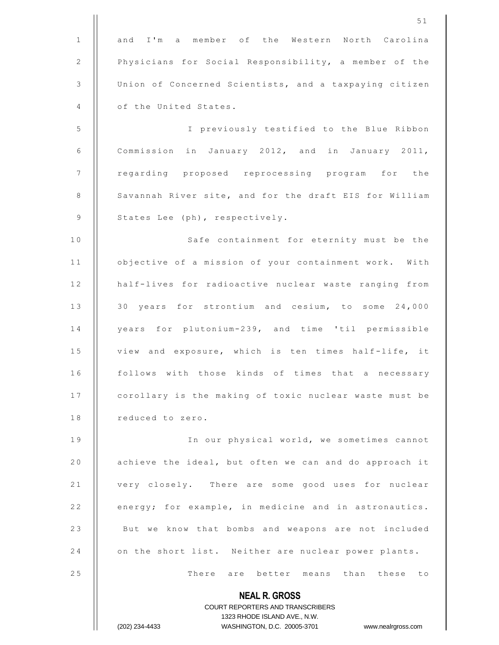|              | 51                                                                                                  |
|--------------|-----------------------------------------------------------------------------------------------------|
| $\mathbf{1}$ | and I'm a member of the Western North Carolina                                                      |
| 2            | Physicians for Social Responsibility, a member of the                                               |
| 3            | Union of Concerned Scientists, and a taxpaying citizen                                              |
| 4            | of the United States.                                                                               |
| 5            | I previously testified to the Blue Ribbon                                                           |
| 6            | Commission in January 2012, and in January 2011,                                                    |
| 7            | regarding proposed reprocessing program for the                                                     |
| 8            | Savannah River site, and for the draft EIS for William                                              |
| 9            | States Lee (ph), respectively.                                                                      |
| 10           | Safe containment for eternity must be the                                                           |
| 11           | objective of a mission of your containment work. With                                               |
| 12           | half-lives for radioactive nuclear waste ranging from                                               |
| 13           | 30 years for strontium and cesium, to some 24,000                                                   |
| 14           | years for plutonium-239, and time 'til permissible                                                  |
| 15           | view and exposure, which is ten times half-life, it                                                 |
| 16           | follows with those kinds of times that a necessary                                                  |
| 17           | corollary is the making of toxic nuclear waste must be                                              |
| 18           | reduced to zero.                                                                                    |
| 19           | In our physical world, we sometimes cannot                                                          |
| 20           | achieve the ideal, but often we can and do approach it                                              |
| 21           | very closely. There are some good uses for nuclear                                                  |
| 22           | energy; for example, in medicine and in astronautics.                                               |
| 23           | But we know that bombs and weapons are not included                                                 |
| 24           | on the short list. Neither are nuclear power plants.                                                |
| 25           | There are better means than these to                                                                |
|              | <b>NEAL R. GROSS</b>                                                                                |
|              | COURT REPORTERS AND TRANSCRIBERS                                                                    |
|              | 1323 RHODE ISLAND AVE., N.W.<br>WASHINGTON, D.C. 20005-3701<br>(202) 234-4433<br>www.nealrgross.com |
|              |                                                                                                     |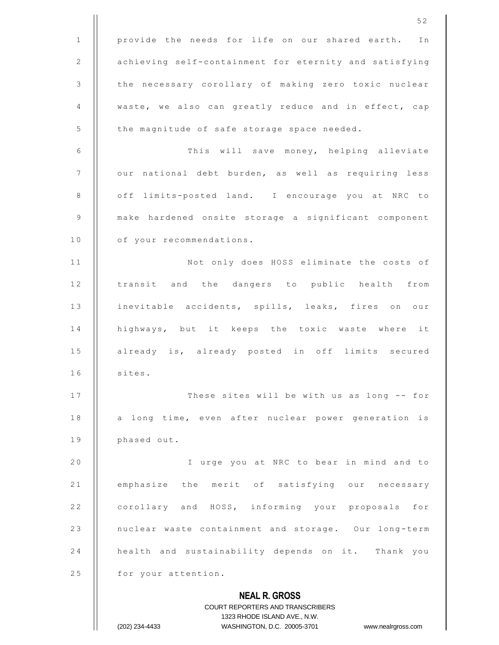**NEAL R. GROSS** COURT REPORTERS AND TRANSCRIBERS 1323 RHODE ISLAND AVE., N.W. 1 | provide the needs for life on our shared earth. In 2 | achieving self-containment for eternity and satisfying 3 | the necessary corollary of making zero toxic nuclear 4  $\parallel$  waste, we also can greatly reduce and in effect, cap 5 | the magnitude of safe storage space needed. 6 | This will save money, helping alleviate 7 | our national debt burden, as well as requiring less 8 | off limits-posted land. I encourage you at NRC to 9 | make hardened onsite storage a significant component 10 | of your recommendations. 11 | Not only does HOSS eliminate the costs of 12 || transit and the dangers to public health from 13 || inevitable accidents, spills, leaks, fires on our 14 | highways, but it keeps the toxic waste where it 15 || already is, already posted in off limits secured  $16$  | sites. 17 | These sites will be with us as long -- for 18 || a long time, even after nuclear power generation is 19 | phased out. 20 || I urge you at NRC to bear in mind and to 21 | emphasize the merit of satisfying our necessary 22 | corollary and HOSS, informing your proposals for 23 | nuclear waste containment and storage. Our long-term 24 | health and sustainability depends on it. Thank you 25 | for your attention.

(202) 234-4433 WASHINGTON, D.C. 20005-3701 www.nealrgross.com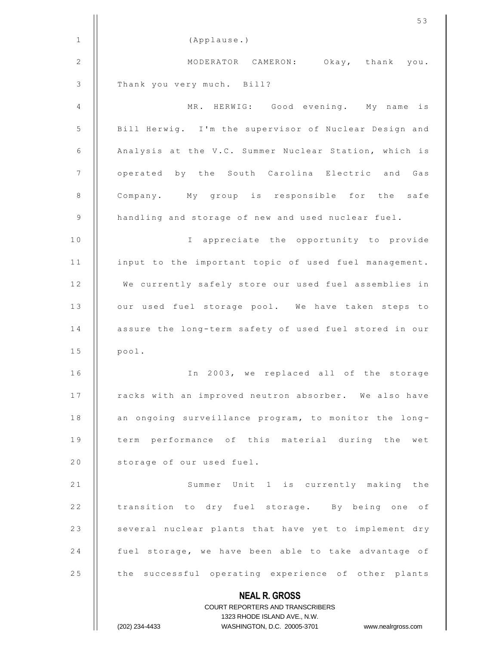|    | 53                                                               |
|----|------------------------------------------------------------------|
| 1  | (Applause.)                                                      |
| 2  | MODERATOR CAMERON: Okay, thank you.                              |
| 3  | Thank you very much. Bill?                                       |
| 4  | MR. HERWIG: Good evening. My name<br>is                          |
| 5  | Bill Herwig. I'm the supervisor of Nuclear Design and            |
| 6  | Analysis at the V.C. Summer Nuclear Station, which is            |
| 7  | operated by the South Carolina Electric and Gas                  |
| 8  | Company. My group is responsible for the safe                    |
| 9  | handling and storage of new and used nuclear fuel.               |
| 10 | I appreciate the opportunity to provide                          |
| 11 | input to the important topic of used fuel management.            |
| 12 | We currently safely store our used fuel assemblies in            |
| 13 | our used fuel storage pool. We have taken steps to               |
| 14 | assure the long-term safety of used fuel stored in our           |
| 15 | pool.                                                            |
| 16 | In 2003, we replaced all of the storage                          |
| 17 | racks with an improved neutron absorber. We also have            |
| 18 | an ongoing surveillance program, to monitor the long-            |
| 19 | term performance of this material during the wet                 |
| 20 | storage of our used fuel.                                        |
| 21 | Summer Unit 1 is currently making the                            |
| 22 | transition to dry fuel storage. By being one of                  |
| 23 | several nuclear plants that have yet to implement dry            |
| 24 | fuel storage, we have been able to take advantage of             |
| 25 | the successful operating experience of other plants              |
|    | <b>NEAL R. GROSS</b>                                             |
|    | COURT REPORTERS AND TRANSCRIBERS<br>1323 RHODE ISLAND AVE., N.W. |
|    | (202) 234-4433<br>WASHINGTON, D.C. 20005-3701 www.nealrgross.com |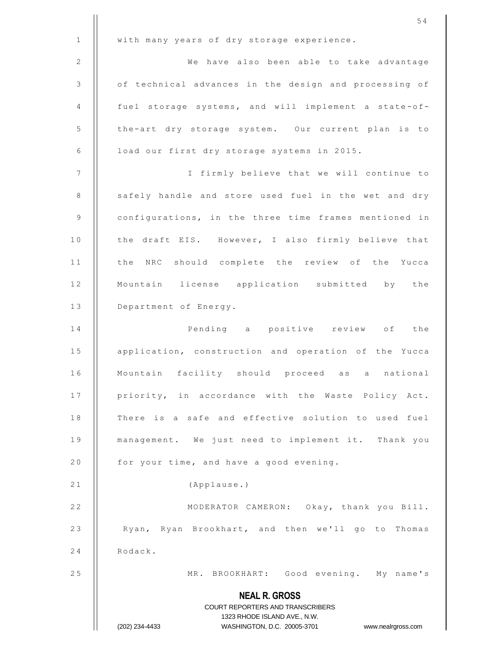|              | 54                                                                                                  |
|--------------|-----------------------------------------------------------------------------------------------------|
| $\mathbf{1}$ | with many years of dry storage experience.                                                          |
| 2            | We have also been able to take advantage                                                            |
| 3            | of technical advances in the design and processing of                                               |
| 4            | fuel storage systems, and will implement a state-of-                                                |
| 5            | the-art dry storage system. Our current plan is to                                                  |
| 6            | load our first dry storage systems in 2015.                                                         |
| 7            | I firmly believe that we will continue to                                                           |
| 8            | safely handle and store used fuel in the wet and dry                                                |
| 9            | configurations, in the three time frames mentioned in                                               |
| 10           | the draft EIS. However, I also firmly believe that                                                  |
| 11           | the NRC should complete the review of the Yucca                                                     |
| 12           | Mountain license application submitted by the                                                       |
| 13           | Department of Energy.                                                                               |
| 14           | Pending a positive review of the                                                                    |
| 15           | application, construction and operation of the Yucca                                                |
| 16           | Mountain facility should proceed as a national                                                      |
| 17           | priority, in accordance with the Waste Policy Act.                                                  |
| 18           | There is a safe and effective solution to used fuel                                                 |
| 19           | management. We just need to implement it. Thank you                                                 |
| 20           | for your time, and have a good evening.                                                             |
| 21           | (Applause.)                                                                                         |
| 22           | MODERATOR CAMERON: Okay, thank you Bill.                                                            |
| 23           | Ryan, Ryan Brookhart, and then we'll go to Thomas                                                   |
| 24           | Rodack.                                                                                             |
| 25           | MR. BROOKHART: Good evening. My name's                                                              |
|              | <b>NEAL R. GROSS</b>                                                                                |
|              | COURT REPORTERS AND TRANSCRIBERS                                                                    |
|              | 1323 RHODE ISLAND AVE., N.W.<br>WASHINGTON, D.C. 20005-3701<br>(202) 234-4433<br>www.nealrgross.com |
|              |                                                                                                     |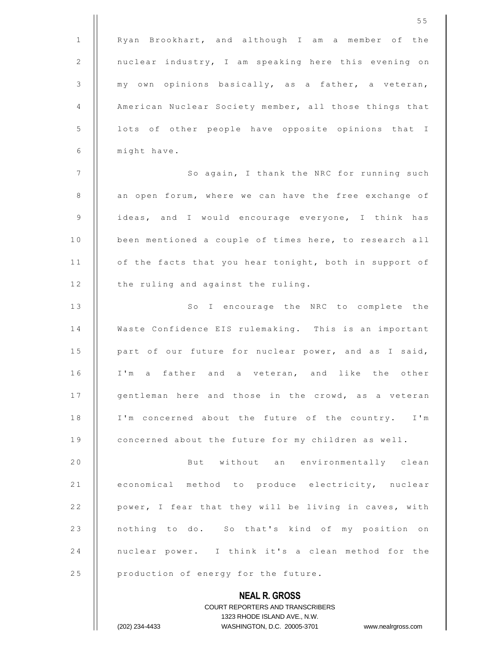|              | 55                                                                                                  |
|--------------|-----------------------------------------------------------------------------------------------------|
| $\mathbf{1}$ | Ryan Brookhart, and although I am a member of the                                                   |
| 2            | nuclear industry, I am speaking here this evening on                                                |
| 3            | my own opinions basically, as a father, a veteran,                                                  |
| 4            | American Nuclear Society member, all those things that                                              |
| 5            | lots of other people have opposite opinions that I                                                  |
| 6            | might have.                                                                                         |
| 7            | So again, I thank the NRC for running such                                                          |
| 8            | an open forum, where we can have the free exchange of                                               |
| 9            | ideas, and I would encourage everyone, I think has                                                  |
| 10           | been mentioned a couple of times here, to research all                                              |
| 11           | of the facts that you hear tonight, both in support of                                              |
| 12           | the ruling and against the ruling.                                                                  |
| 13           | So I encourage the NRC to complete the                                                              |
| 14           | Waste Confidence EIS rulemaking. This is an important                                               |
| 15           | part of our future for nuclear power, and as I said,                                                |
| 16           | I'm a father and a veteran, and like the other                                                      |
| 17           | gentleman here and those in the crowd, as a veteran                                                 |
| 18           | I'm concerned about the future of the country. I'm                                                  |
| 19           | concerned about the future for my children as well.                                                 |
| 20           | But without an environmentally clean                                                                |
| 21           | economical method to produce electricity, nuclear                                                   |
| 22           | power, I fear that they will be living in caves, with                                               |
| 23           | nothing to do. So that's kind of my position on                                                     |
| 24           | nuclear power. I think it's a clean method for the                                                  |
| 25           | production of energy for the future.                                                                |
|              | <b>NEAL R. GROSS</b>                                                                                |
|              | <b>COURT REPORTERS AND TRANSCRIBERS</b>                                                             |
|              | 1323 RHODE ISLAND AVE., N.W.<br>(202) 234-4433<br>WASHINGTON, D.C. 20005-3701<br>www.nealrgross.com |
|              |                                                                                                     |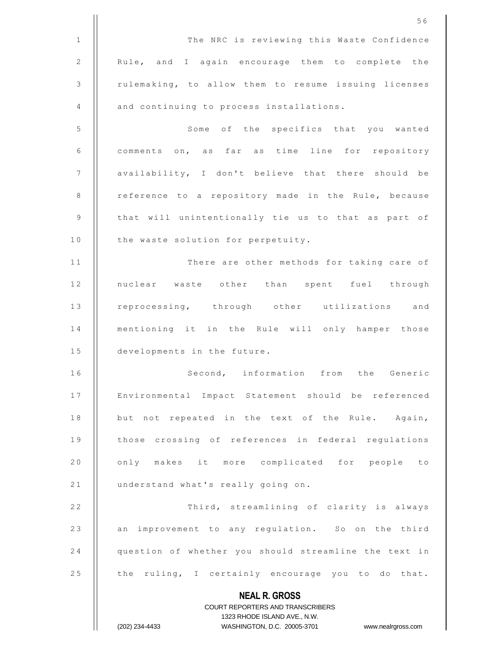**NEAL R. GROSS** COURT REPORTERS AND TRANSCRIBERS 1323 RHODE ISLAND AVE., N.W. (202) 234-4433 WASHINGTON, D.C. 20005-3701 www.nealrgross.com 1 | The NRC is reviewing this Waste Confidence 2 | Rule, and I again encourage them to complete the 3 | rulemaking, to allow them to resume issuing licenses 4 **and continuing to process installations.** 5 | Some of the specifics that you wanted 6 | comments on, as far as time line for repository 7 | availability, I don't believe that there should be 8 | reference to a repository made in the Rule, because  $9$   $\parallel$  that will unintentionally tie us to that as part of 10 | the waste solution for perpetuity. 11 || There are other methods for taking care of 12 || nuclear waste other than spent fuel through 13 || reprocessing, through other utilizations and 14 || mentioning it in the Rule will only hamper those 15 **developments** in the future. 16 || Second, information from the Generic 17 | Environmental Impact Statement should be referenced 18 | but not repeated in the text of the Rule. Again, 19 || those crossing of references in federal regulations 20 || only makes it more complicated for people to 21 | understand what's really going on. 22 | Third, streamlining of clarity is always 23 || an improvement to any regulation. So on the third 24 question of whether you should streamline the text in 25  $\parallel$  the ruling, I certainly encourage you to do that.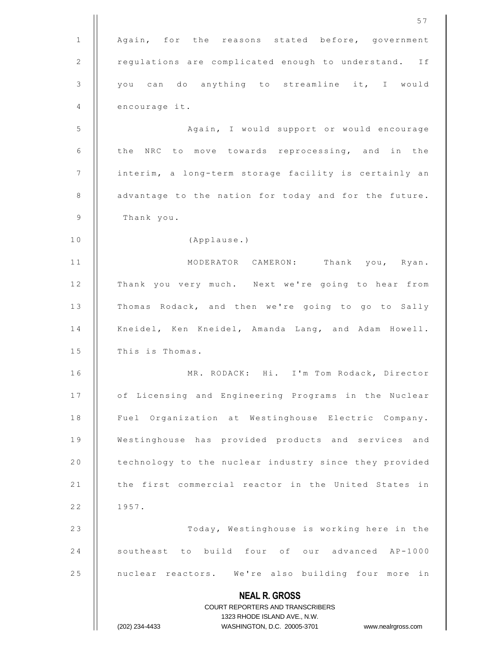|              | 57                                                                                                  |
|--------------|-----------------------------------------------------------------------------------------------------|
| $\mathbf{1}$ | Again, for the reasons stated before, government                                                    |
| 2            | regulations are complicated enough to understand. If                                                |
| 3            | you can do anything to streamline it, I would                                                       |
| 4            | encourage it.                                                                                       |
| 5            | Again, I would support or would encourage                                                           |
| 6            | the NRC to move towards reprocessing, and in the                                                    |
| 7            | interim, a long-term storage facility is certainly an                                               |
| $\,8\,$      | advantage to the nation for today and for the future.                                               |
| 9            | Thank you.                                                                                          |
| 10           | (Applause.)                                                                                         |
| 11           | MODERATOR CAMERON:<br>Thank you, Ryan.                                                              |
| 12           | Thank you very much. Next we're going to hear from                                                  |
| 13           | Thomas Rodack, and then we're going to go to Sally                                                  |
| 14           | Kneidel, Ken Kneidel, Amanda Lang, and Adam Howell.                                                 |
| 15           | This is Thomas.                                                                                     |
| 16           | MR. RODACK: Hi. I'm Tom Rodack, Director                                                            |
| 17           | of Licensing and Engineering Programs in the Nuclear                                                |
| 18           | Fuel Organization at Westinghouse Electric Company.                                                 |
| 19           | Westinghouse has provided products and services and                                                 |
| 20           | technology to the nuclear industry since they provided                                              |
| 21           | the first commercial reactor in the United States in                                                |
| 22           | 1957.                                                                                               |
| 23           | Today, Westinghouse is working here in the                                                          |
| 24           | southeast to build four of our advanced AP-1000                                                     |
| 25           | nuclear reactors. We're also building four more in                                                  |
|              | <b>NEAL R. GROSS</b>                                                                                |
|              | COURT REPORTERS AND TRANSCRIBERS                                                                    |
|              | 1323 RHODE ISLAND AVE., N.W.<br>(202) 234-4433<br>WASHINGTON, D.C. 20005-3701<br>www.nealrgross.com |
|              |                                                                                                     |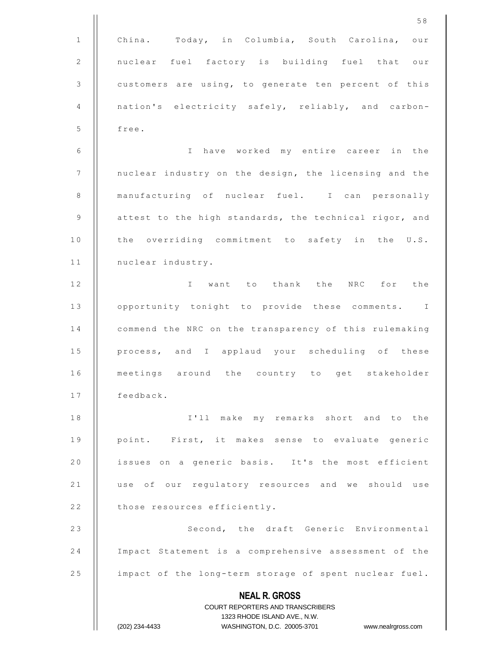**NEAL R. GROSS** COURT REPORTERS AND TRANSCRIBERS 1323 RHODE ISLAND AVE., N.W. (202) 234-4433 WASHINGTON, D.C. 20005-3701 www.nealrgross.com 5 8 1 | China. Today, in Columbia, South Carolina, our 2 || nuclear fuel factory is building fuel that our 3 | customers are using, to generate ten percent of this 4 | nation's electricity safely, reliably, and carbon- $5$  || free. 6 | | Thave worked my entire career in the 7 | nuclear industry on the design, the licensing and the 8 | manufacturing of nuclear fuel. I can personally 9  $\parallel$  attest to the high standards, the technical rigor, and 10 || the overriding commitment to safety in the U.S. 11 | nuclear industry. 12 || **I** want to thank the NRC for the 13 || opportunity tonight to provide these comments. I 14 | commend the NRC on the transparency of this rulemaking 15 || process, and I applaud your scheduling of these 16 || meetings around the country to get stakeholder 17 | feedback. 18 || I'll make my remarks short and to the 19 || point. First, it makes sense to evaluate generic 20 | issues on a generic basis. It's the most efficient 21 || use of our regulatory resources and we should use 22 | those resources efficiently. 23 || Second, the draft Generic Environmental 24 | Impact Statement is a comprehensive assessment of the 25 | impact of the long-term storage of spent nuclear fuel.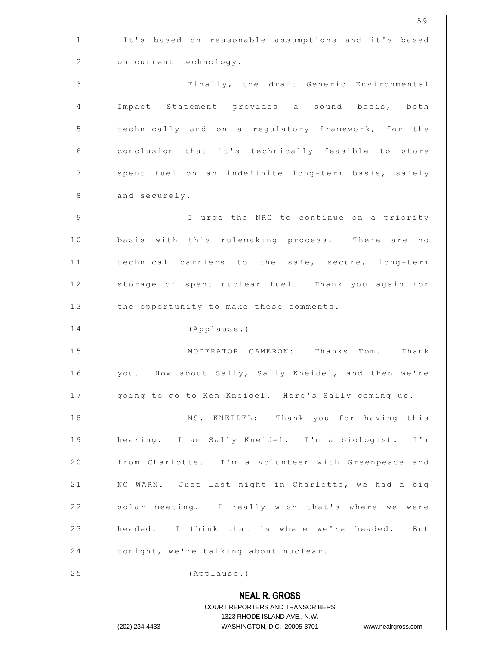| $\mathbf 1$<br>It's based on reasonable assumptions and it's based<br>2<br>on current technology.<br>3<br>Finally, the draft Generic Environmental<br>4<br>Impact Statement provides a sound basis, both<br>5<br>technically and on a regulatory framework, for the<br>6<br>conclusion that it's technically feasible to store<br>$\overline{7}$<br>spent fuel on an indefinite long-term basis, safely<br>8<br>and securely.<br>9<br>I urge the NRC to continue on a priority<br>10<br>basis with this rulemaking process. There are no<br>11<br>technical barriers to the safe, secure, long-term<br>storage of spent nuclear fuel. Thank you again for<br>12<br>13<br>the opportunity to make these comments.<br>14<br>(Applause.)<br>15<br>MODERATOR CAMERON: Thanks Tom.<br>Thank<br>you. How about Sally, Sally Kneidel, and then we're<br>16<br>17<br>going to go to Ken Kneidel. Here's Sally coming up.<br>$1\;8$<br>MS. KNEIDEL: Thank you for having this<br>19<br>hearing. I am Sally Kneidel. I'm a biologist. I'm<br>20<br>from Charlotte. I'm a volunteer with Greenpeace and<br>21<br>NC WARN. Just last night in Charlotte, we had a big |
|-----------------------------------------------------------------------------------------------------------------------------------------------------------------------------------------------------------------------------------------------------------------------------------------------------------------------------------------------------------------------------------------------------------------------------------------------------------------------------------------------------------------------------------------------------------------------------------------------------------------------------------------------------------------------------------------------------------------------------------------------------------------------------------------------------------------------------------------------------------------------------------------------------------------------------------------------------------------------------------------------------------------------------------------------------------------------------------------------------------------------------------------------------------|
|                                                                                                                                                                                                                                                                                                                                                                                                                                                                                                                                                                                                                                                                                                                                                                                                                                                                                                                                                                                                                                                                                                                                                           |
|                                                                                                                                                                                                                                                                                                                                                                                                                                                                                                                                                                                                                                                                                                                                                                                                                                                                                                                                                                                                                                                                                                                                                           |
|                                                                                                                                                                                                                                                                                                                                                                                                                                                                                                                                                                                                                                                                                                                                                                                                                                                                                                                                                                                                                                                                                                                                                           |
|                                                                                                                                                                                                                                                                                                                                                                                                                                                                                                                                                                                                                                                                                                                                                                                                                                                                                                                                                                                                                                                                                                                                                           |
|                                                                                                                                                                                                                                                                                                                                                                                                                                                                                                                                                                                                                                                                                                                                                                                                                                                                                                                                                                                                                                                                                                                                                           |
|                                                                                                                                                                                                                                                                                                                                                                                                                                                                                                                                                                                                                                                                                                                                                                                                                                                                                                                                                                                                                                                                                                                                                           |
|                                                                                                                                                                                                                                                                                                                                                                                                                                                                                                                                                                                                                                                                                                                                                                                                                                                                                                                                                                                                                                                                                                                                                           |
|                                                                                                                                                                                                                                                                                                                                                                                                                                                                                                                                                                                                                                                                                                                                                                                                                                                                                                                                                                                                                                                                                                                                                           |
|                                                                                                                                                                                                                                                                                                                                                                                                                                                                                                                                                                                                                                                                                                                                                                                                                                                                                                                                                                                                                                                                                                                                                           |
|                                                                                                                                                                                                                                                                                                                                                                                                                                                                                                                                                                                                                                                                                                                                                                                                                                                                                                                                                                                                                                                                                                                                                           |
|                                                                                                                                                                                                                                                                                                                                                                                                                                                                                                                                                                                                                                                                                                                                                                                                                                                                                                                                                                                                                                                                                                                                                           |
|                                                                                                                                                                                                                                                                                                                                                                                                                                                                                                                                                                                                                                                                                                                                                                                                                                                                                                                                                                                                                                                                                                                                                           |
|                                                                                                                                                                                                                                                                                                                                                                                                                                                                                                                                                                                                                                                                                                                                                                                                                                                                                                                                                                                                                                                                                                                                                           |
|                                                                                                                                                                                                                                                                                                                                                                                                                                                                                                                                                                                                                                                                                                                                                                                                                                                                                                                                                                                                                                                                                                                                                           |
|                                                                                                                                                                                                                                                                                                                                                                                                                                                                                                                                                                                                                                                                                                                                                                                                                                                                                                                                                                                                                                                                                                                                                           |
|                                                                                                                                                                                                                                                                                                                                                                                                                                                                                                                                                                                                                                                                                                                                                                                                                                                                                                                                                                                                                                                                                                                                                           |
|                                                                                                                                                                                                                                                                                                                                                                                                                                                                                                                                                                                                                                                                                                                                                                                                                                                                                                                                                                                                                                                                                                                                                           |
|                                                                                                                                                                                                                                                                                                                                                                                                                                                                                                                                                                                                                                                                                                                                                                                                                                                                                                                                                                                                                                                                                                                                                           |
|                                                                                                                                                                                                                                                                                                                                                                                                                                                                                                                                                                                                                                                                                                                                                                                                                                                                                                                                                                                                                                                                                                                                                           |
|                                                                                                                                                                                                                                                                                                                                                                                                                                                                                                                                                                                                                                                                                                                                                                                                                                                                                                                                                                                                                                                                                                                                                           |
|                                                                                                                                                                                                                                                                                                                                                                                                                                                                                                                                                                                                                                                                                                                                                                                                                                                                                                                                                                                                                                                                                                                                                           |
| 22<br>solar meeting. I really wish that's where we were                                                                                                                                                                                                                                                                                                                                                                                                                                                                                                                                                                                                                                                                                                                                                                                                                                                                                                                                                                                                                                                                                                   |
| 23<br>headed. I think that is where we're headed.<br>But                                                                                                                                                                                                                                                                                                                                                                                                                                                                                                                                                                                                                                                                                                                                                                                                                                                                                                                                                                                                                                                                                                  |
| 24<br>tonight, we're talking about nuclear.                                                                                                                                                                                                                                                                                                                                                                                                                                                                                                                                                                                                                                                                                                                                                                                                                                                                                                                                                                                                                                                                                                               |
| 25<br>(Applause.)                                                                                                                                                                                                                                                                                                                                                                                                                                                                                                                                                                                                                                                                                                                                                                                                                                                                                                                                                                                                                                                                                                                                         |
| <b>NEAL R. GROSS</b>                                                                                                                                                                                                                                                                                                                                                                                                                                                                                                                                                                                                                                                                                                                                                                                                                                                                                                                                                                                                                                                                                                                                      |
| COURT REPORTERS AND TRANSCRIBERS                                                                                                                                                                                                                                                                                                                                                                                                                                                                                                                                                                                                                                                                                                                                                                                                                                                                                                                                                                                                                                                                                                                          |
| 1323 RHODE ISLAND AVE., N.W.<br>(202) 234-4433<br>WASHINGTON, D.C. 20005-3701<br>www.nealrgross.com                                                                                                                                                                                                                                                                                                                                                                                                                                                                                                                                                                                                                                                                                                                                                                                                                                                                                                                                                                                                                                                       |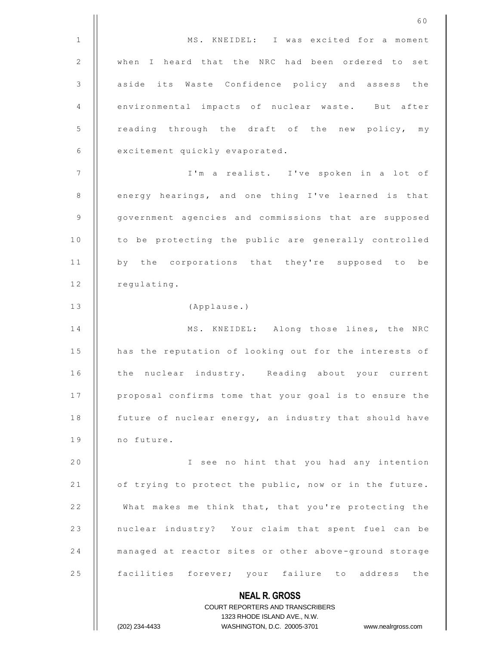**NEAL R. GROSS** COURT REPORTERS AND TRANSCRIBERS 1323 RHODE ISLAND AVE., N.W. (202) 234-4433 WASHINGTON, D.C. 20005-3701 www.nealrgross.com 6 0 1 | MS. KNEIDEL: I was excited for a moment 2 || when I heard that the NRC had been ordered to set 3 | aside its Waste Confidence policy and assess the 4 | environmental impacts of nuclear waste. But after 5 | reading through the draft of the new policy, my 6 **excitement** quickly evaporated. 7 || I'm a realist. I've spoken in a lot of 8 | energy hearings, and one thing I've learned is that 9 | government agencies and commissions that are supposed 10 | to be protecting the public are generally controlled 11 || by the corporations that they're supposed to be 12 | regulating. 13 | (Applause.) 14 | MS. KNEIDEL: Along those lines, the NRC 15 | has the reputation of looking out for the interests of 16 || the nuclear industry. Reading about your current 17 | proposal confirms tome that your goal is to ensure the 18 | future of nuclear energy, an industry that should have 19 | no future. 2 0 I s e e n o h i n t t h a t y o u h a d a n y i n t e n t i o n 21 | of trying to protect the public, now or in the future. 22 | What makes me think that, that you're protecting the 23 || nuclear industry? Your claim that spent fuel can be 24 | managed at reactor sites or other above-ground storage 25 || facilities forever; your failure to address the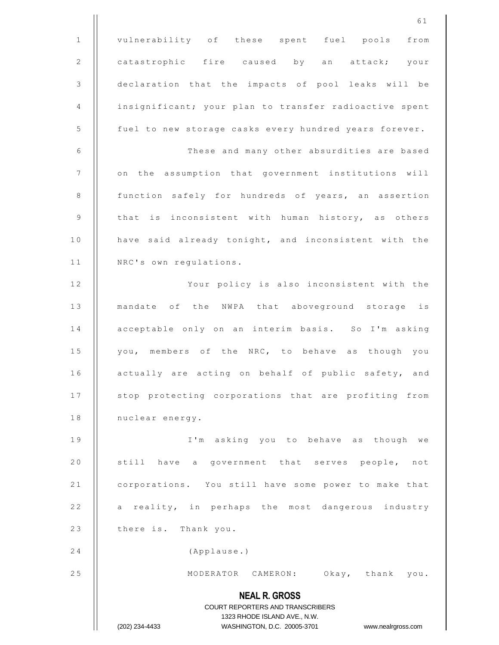**NEAL R. GROSS** COURT REPORTERS AND TRANSCRIBERS 1323 RHODE ISLAND AVE., N.W. (202) 234-4433 WASHINGTON, D.C. 20005-3701 www.nealrgross.com 1 | vulnerability of these spent fuel pools from 2 | catastrophic fire caused by an attack; your 3 declaration that the impacts of pool leaks will be 4 | insignificant; your plan to transfer radioactive spent 5 | fuel to new storage casks every hundred years forever. 6 | These and many other absurdities are based 7 | on the assumption that government institutions will 8 | function safely for hundreds of years, an assertion 9  $\parallel$  that is inconsistent with human history, as others 10 | have said already tonight, and inconsistent with the 11 | NRC's own requiations. 12 || Your policy is also inconsistent with the 13 || mandate of the NWPA that aboveground storage is 14 | acceptable only on an interim basis. So I'm asking 15 || you, members of the NRC, to behave as though you 16 | actually are acting on behalf of public safety, and 17 | stop protecting corporations that are profiting from 18 | nuclear energy. 19 || I'm asking you to behave as though we 20  $\parallel$  still have a government that serves people, not 21 | corporations. You still have some power to make that 22 | a reality, in perhaps the most dangerous industry 23 | there is. Thank you. 24 (Applause.) 25 || MODERATOR CAMERON: Okay, thank you.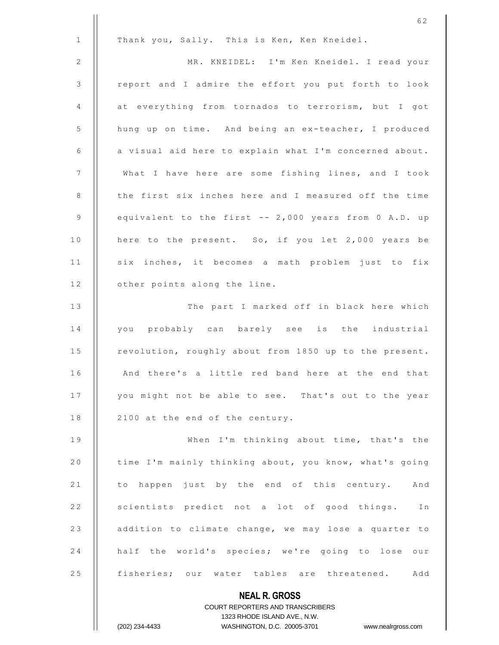|                | 62                                                       |
|----------------|----------------------------------------------------------|
| $\mathbf{1}$   | Thank you, Sally. This is Ken, Ken Kneidel.              |
| 2              | MR. KNEIDEL: I'm Ken Kneidel. I read your                |
| $\mathfrak{Z}$ | report and I admire the effort you put forth to look     |
| 4              | at everything from tornados to terrorism, but I got      |
| 5              | hung up on time. And being an ex-teacher, I produced     |
| 6              | a visual aid here to explain what I'm concerned about.   |
| $\overline{7}$ | What I have here are some fishing lines, and I took      |
| 8              | the first six inches here and I measured off the time    |
| 9              | equivalent to the first -- 2,000 years from 0 A.D. up    |
| 10             | here to the present. So, if you let 2,000 years be       |
| 11             | six inches, it becomes a math problem just to fix        |
| 12             | other points along the line.                             |
| 13             | The part I marked off in black here which                |
| 14             | you probably can barely see is the industrial            |
| 15             | revolution, roughly about from 1850 up to the present.   |
| 16             | And there's a little red band here at the end that       |
| 17             | you might not be able to see. That's out to the year     |
| 18             | 2100 at the end of the century.                          |
| 19             | When I'm thinking about time, that's the                 |
| 20             | time I'm mainly thinking about, you know, what's going   |
| 21             | to happen just by the end of this century. And           |
| 22             | scientists predict not a lot of good things.<br>Ιn       |
| 23             | addition to climate change, we may lose a quarter to     |
| 24             | half the world's species; we're going to lose our        |
| 25             | fisheries; our water tables are threatened.<br>Add       |
|                | <b>NEAL R. GROSS</b><br>COURT REPORTERS AND TRANSCRIBERS |

1323 RHODE ISLAND AVE., N.W.

 $\prod_{i=1}^{n}$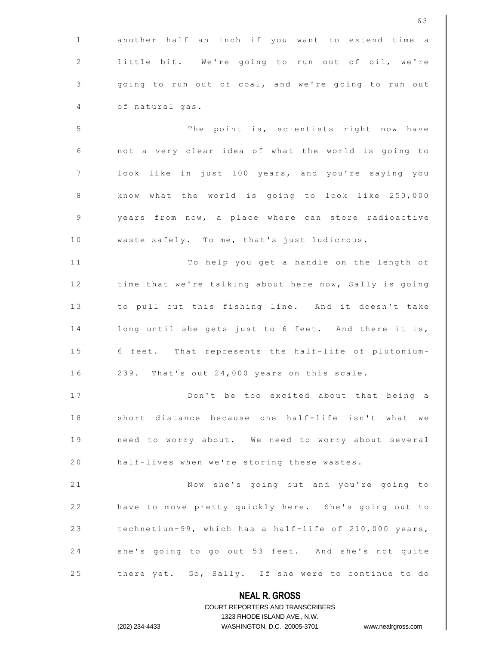|                 | 63                                                                            |
|-----------------|-------------------------------------------------------------------------------|
| $\mathbf{1}$    | another half an inch if you want to extend time a                             |
| 2               | little bit. We're going to run out of oil, we're                              |
| 3               | going to run out of coal, and we're going to run out                          |
| 4               | of natural gas.                                                               |
| 5               | The point is, scientists right now have                                       |
| 6               | not a very clear idea of what the world is going to                           |
| $7\phantom{.0}$ | look like in just 100 years, and you're saying you                            |
| 8               | know what the world is going to look like 250,000                             |
| 9               | years from now, a place where can store radioactive                           |
| $1\,0$          | waste safely. To me, that's just ludicrous.                                   |
| 11              | To help you get a handle on the length of                                     |
| 12              | time that we're talking about here now, Sally is going                        |
| 13              | to pull out this fishing line. And it doesn't take                            |
| 14              | long until she gets just to 6 feet. And there it is,                          |
| 15              | 6 feet. That represents the half-life of plutonium-                           |
| 16              | 239. That's out 24,000 years on this scale.                                   |
| 17              | Don't be too excited about that being a                                       |
| 18              | short distance because one half-life isn't what we                            |
| 19              | need to worry about. We need to worry about several                           |
| 20              | half-lives when we're storing these wastes.                                   |
| 21              | Now she's going out and you're going to                                       |
| 22              | have to move pretty quickly here. She's going out to                          |
| 23              | technetium-99, which has a half-life of 210,000 years,                        |
| 24              | she's going to go out 53 feet. And she's not quite                            |
| 25              | there yet. Go, Sally. If she were to continue to do                           |
|                 | <b>NEAL R. GROSS</b>                                                          |
|                 | <b>COURT REPORTERS AND TRANSCRIBERS</b>                                       |
|                 | 1323 RHODE ISLAND AVE., N.W.<br>(202) 234-4433<br>WASHINGTON, D.C. 20005-3701 |
|                 | www.nealrgross.com                                                            |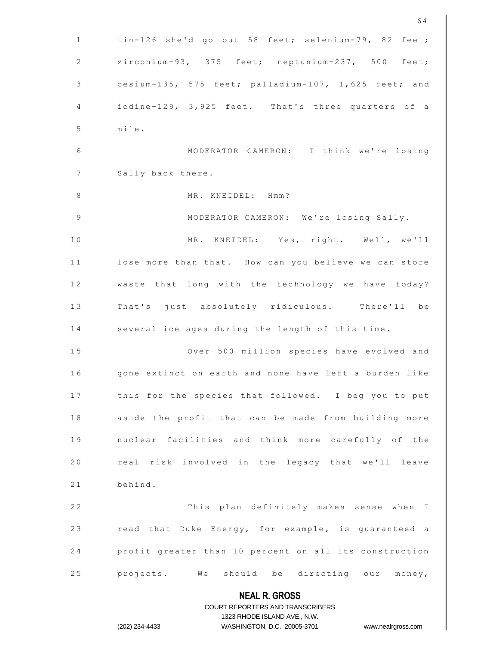|              | 64                                                                                                  |
|--------------|-----------------------------------------------------------------------------------------------------|
| $\mathbf{1}$ | tin-126 she'd go out 58 feet; selenium-79, 82 feet;                                                 |
| 2            | zirconium-93, 375 feet; neptunium-237, 500 feet;                                                    |
| 3            | cesium-135, 575 feet; palladium-107, 1,625 feet; and                                                |
| 4            | iodine-129, 3,925 feet. That's three quarters of a                                                  |
| 5            | mile.                                                                                               |
| 6            | MODERATOR CAMERON: I think we're losing                                                             |
| 7            | Sally back there.                                                                                   |
| 8            | MR. KNEIDEL: Hmm?                                                                                   |
| 9            | MODERATOR CAMERON: We're losing Sally.                                                              |
| 10           | MR. KNEIDEL: Yes, right. Well, we'll                                                                |
| 11           | lose more than that. How can you believe we can store                                               |
| 12           | waste that long with the technology we have today?                                                  |
| 13           | That's just absolutely ridiculous. There'll be                                                      |
| 14           | several ice ages during the length of this time.                                                    |
| 15           | Over 500 million species have evolved and                                                           |
| 16           | gone extinct on earth and none have left a burden like                                              |
| 17           | this for the species that followed. I beg you to put                                                |
| 18           | aside the profit that can be made from building more                                                |
| 19           | nuclear facilities and think more carefully of the                                                  |
| 20           | real risk involved in the legacy that we'll leave                                                   |
| 21           | behind.                                                                                             |
| 22           | This plan definitely makes sense when I                                                             |
| 23           | read that Duke Energy, for example, is guaranteed a                                                 |
| 24           | profit greater than 10 percent on all its construction                                              |
| 25           | projects. We should be directing our money,                                                         |
|              | <b>NEAL R. GROSS</b>                                                                                |
|              | <b>COURT REPORTERS AND TRANSCRIBERS</b>                                                             |
|              | 1323 RHODE ISLAND AVE., N.W.<br>(202) 234-4433<br>WASHINGTON, D.C. 20005-3701<br>www.nealrgross.com |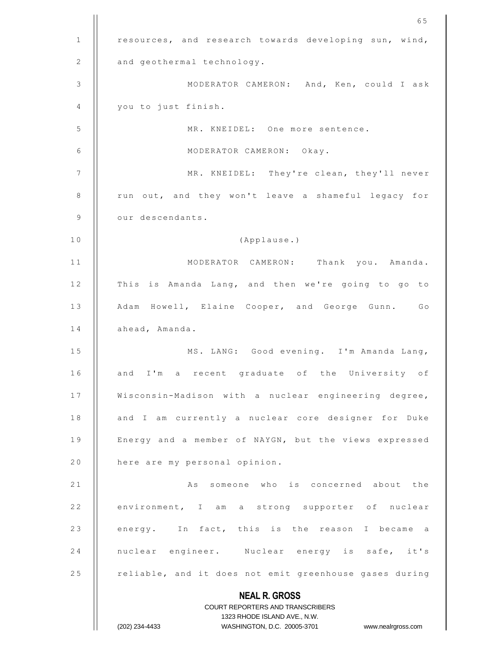|                | 65                                                               |
|----------------|------------------------------------------------------------------|
| 1              | resources, and research towards developing sun, wind,            |
| 2              | and geothermal technology.                                       |
| 3              | MODERATOR CAMERON: And, Ken, could I ask                         |
| 4              | you to just finish.                                              |
| 5              | MR. KNEIDEL: One more sentence.                                  |
| 6              | MODERATOR CAMERON: Okay.                                         |
| $\overline{7}$ | MR. KNEIDEL: They're clean, they'll never                        |
| 8              | run out, and they won't leave a shameful legacy for              |
| $\overline{9}$ | our descendants.                                                 |
| 10             | (Applause.)                                                      |
| 11             | MODERATOR CAMERON: Thank you. Amanda.                            |
| 12             | This is Amanda Lang, and then we're going to go to               |
| 13             | Adam Howell, Elaine Cooper, and George Gunn. Go                  |
| 14             | ahead, Amanda.                                                   |
| 15             | MS. LANG: Good evening. I'm Amanda Lang,                         |
| 16             | I'm a recent graduate of the University of<br>and                |
| 17             | Wisconsin-Madison with a nuclear engineering degree,             |
| 18             | and I am currently a nuclear core designer for Duke              |
| 19             | Energy and a member of NAYGN, but the views expressed            |
| 20             | here are my personal opinion.                                    |
| 21             | As someone who is concerned about the                            |
| 22             | environment, I am a strong supporter of nuclear                  |
| 23             | energy. In fact, this is the reason I became a                   |
| 24             | nuclear engineer. Nuclear energy is safe, it's                   |
| 25             | reliable, and it does not emit greenhouse gases during           |
|                | <b>NEAL R. GROSS</b>                                             |
|                | <b>COURT REPORTERS AND TRANSCRIBERS</b>                          |
|                | 1323 RHODE ISLAND AVE., N.W.                                     |
|                | WASHINGTON, D.C. 20005-3701 www.nealrgross.com<br>(202) 234-4433 |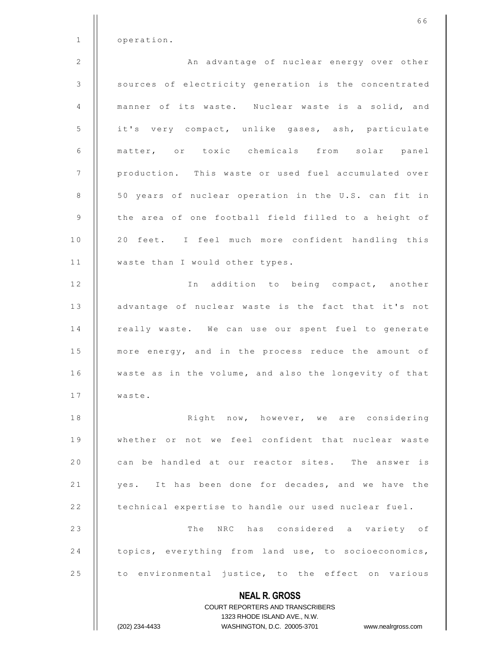|              | 66                                                                                                  |
|--------------|-----------------------------------------------------------------------------------------------------|
| $\mathbf{1}$ | operation.                                                                                          |
| 2            | An advantage of nuclear energy over other                                                           |
| 3            | sources of electricity generation is the concentrated                                               |
| 4            | manner of its waste. Nuclear waste is a solid, and                                                  |
| 5            | it's very compact, unlike gases, ash, particulate                                                   |
| 6            | matter, or toxic chemicals from solar panel                                                         |
| 7            | production. This waste or used fuel accumulated over                                                |
| 8            | 50 years of nuclear operation in the U.S. can fit in                                                |
| 9            | the area of one football field filled to a height of                                                |
| 10           | 20 feet. I feel much more confident handling this                                                   |
| 11           | waste than I would other types.                                                                     |
| 12           | In addition to being compact, another                                                               |
| 13           | advantage of nuclear waste is the fact that it's not                                                |
| 14           | really waste. We can use our spent fuel to generate                                                 |
| 15           | more energy, and in the process reduce the amount of                                                |
| 16           | waste as in the volume, and also the longevity of that                                              |
| 17           | waste.                                                                                              |
| 18           | Right now, however, we are considering                                                              |
| 19           | whether or not we feel confident that nuclear waste                                                 |
| 20           | can be handled at our reactor sites. The answer is                                                  |
| 21           | yes. It has been done for decades, and we have the                                                  |
| 22           | technical expertise to handle our used nuclear fuel.                                                |
| 23           | The NRC has considered a variety of                                                                 |
| 24           | topics, everything from land use, to socioeconomics,                                                |
| 25           | to environmental justice, to the effect on various                                                  |
|              | <b>NEAL R. GROSS</b>                                                                                |
|              | <b>COURT REPORTERS AND TRANSCRIBERS</b>                                                             |
|              | 1323 RHODE ISLAND AVE., N.W.<br>(202) 234-4433<br>WASHINGTON, D.C. 20005-3701<br>www.nealrgross.com |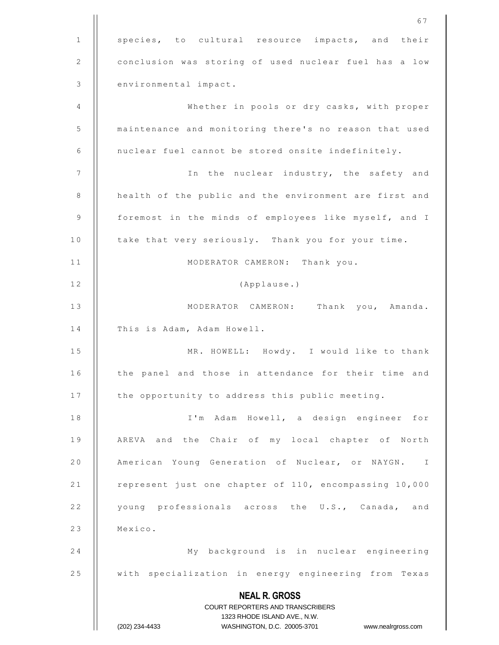|              | 67                                                                                                  |
|--------------|-----------------------------------------------------------------------------------------------------|
| $\mathbf{1}$ | species, to cultural resource impacts, and their                                                    |
| 2            | conclusion was storing of used nuclear fuel has a low                                               |
| 3            | environmental impact.                                                                               |
| 4            | Whether in pools or dry casks, with proper                                                          |
| 5            | maintenance and monitoring there's no reason that used                                              |
| 6            | nuclear fuel cannot be stored onsite indefinitely.                                                  |
| 7            | In the nuclear industry, the safety and                                                             |
| 8            | health of the public and the environment are first and                                              |
| 9            | foremost in the minds of employees like myself, and I                                               |
| 10           | take that very seriously. Thank you for your time.                                                  |
| 11           | MODERATOR CAMERON: Thank you.                                                                       |
| 12           | (Applause.)                                                                                         |
| 13           | MODERATOR CAMERON: Thank you, Amanda.                                                               |
| 14           | This is Adam, Adam Howell.                                                                          |
| 15           | MR. HOWELL: Howdy. I would like to thank                                                            |
| 16           | the panel and those in attendance for their time and                                                |
| 17           | the opportunity to address this public meeting.                                                     |
| 18           | I'm Adam Howell, a design engineer for                                                              |
| 19           | AREVA and the Chair of my local chapter of North                                                    |
| 20           | American Young Generation of Nuclear, or NAYGN. I                                                   |
| 21           | represent just one chapter of 110, encompassing 10,000                                              |
| 22           | young professionals across the U.S., Canada, and                                                    |
| 23           | Mexico.                                                                                             |
| 24           | My background is in nuclear engineering                                                             |
| 25           | with specialization in energy engineering from Texas                                                |
|              | <b>NEAL R. GROSS</b>                                                                                |
|              | COURT REPORTERS AND TRANSCRIBERS                                                                    |
|              | 1323 RHODE ISLAND AVE., N.W.<br>(202) 234-4433<br>WASHINGTON, D.C. 20005-3701<br>www.nealrgross.com |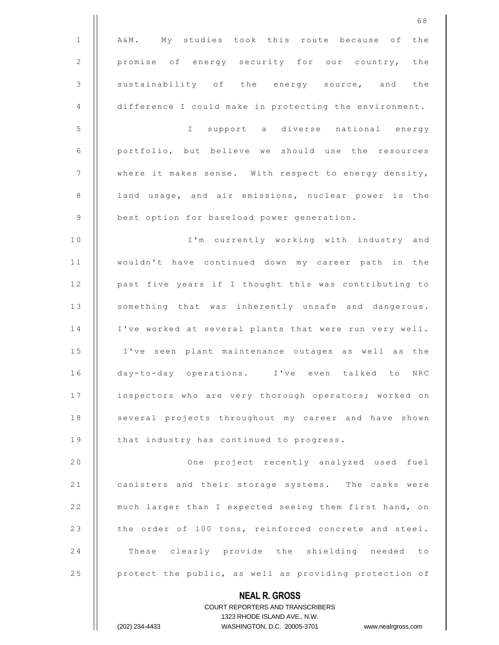|                | 68                                                       |
|----------------|----------------------------------------------------------|
| $\mathbf{1}$   | A&M. My studies took this route because of the           |
| 2              | promise of energy security for our country, the          |
| 3              | sustainability of the energy source, and the             |
| 4              | difference I could make in protecting the environment.   |
| 5              | support a diverse national energy<br>$\mathbf{I}$        |
| 6              | portfolio, but believe we should use the resources       |
| $\overline{7}$ | where it makes sense. With respect to energy density,    |
| 8              | land usage, and air emissions, nuclear power is the      |
| $\overline{9}$ | best option for baseload power generation.               |
| 10             | I'm currently working with industry and                  |
| 11             | wouldn't have continued down my career path in the       |
| 12             | past five years if I thought this was contributing to    |
| 13             | something that was inherently unsafe and dangerous.      |
| 14             | I've worked at several plants that were run very well.   |
| 15             | I've seen plant maintenance outages as well as the       |
| 16             | day-to-day operations. I've even talked to<br>NRC        |
| 17             | inspectors who are very thorough operators; worked on    |
| 18             | several projects throughout my career and have shown     |
| 19             | that industry has continued to progress.                 |
| 20             | One project recently analyzed used fuel                  |
| 21             | canisters and their storage systems. The casks were      |
| 22             | much larger than I expected seeing them first hand, on   |
| 23             | the order of 100 tons, reinforced concrete and steel.    |
| 24             | These clearly provide the shielding needed to            |
| 25             | protect the public, as well as providing protection of   |
|                | <b>NEAL R. GROSS</b><br>COURT REPORTERS AND TRANSCRIBERS |

1323 RHODE ISLAND AVE., N.W.

 $\prod$ 

(202) 234-4433 WASHINGTON, D.C. 20005-3701 www.nealrgross.com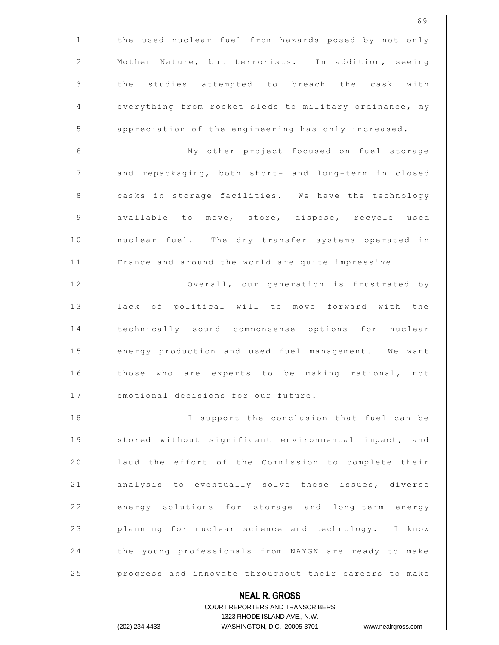|              | 69                                                                                                  |
|--------------|-----------------------------------------------------------------------------------------------------|
| $\mathbf{1}$ | the used nuclear fuel from hazards posed by not only                                                |
| 2            | Mother Nature, but terrorists. In addition, seeing                                                  |
| 3            | the studies attempted to breach the cask with                                                       |
| 4            | everything from rocket sleds to military ordinance, my                                              |
| 5            | appreciation of the engineering has only increased.                                                 |
| 6            | My other project focused on fuel storage                                                            |
| 7            | and repackaging, both short- and long-term in closed                                                |
| 8            | casks in storage facilities. We have the technology                                                 |
| 9            | available to move, store, dispose, recycle used                                                     |
| 10           | nuclear fuel. The dry transfer systems operated in                                                  |
| 11           | France and around the world are quite impressive.                                                   |
| 12           | Overall, our generation is frustrated by                                                            |
| 13           | lack of political will to move forward with the                                                     |
| 14           | technically sound commonsense options for nuclear                                                   |
| 15           | energy production and used fuel management. We want                                                 |
| 16           | those who are experts to be making rational, not                                                    |
| 17           | emotional decisions for our future.                                                                 |
| 18           | I support the conclusion that fuel can be                                                           |
| 19           | stored without significant environmental impact, and                                                |
| 20           | laud the effort of the Commission to complete their                                                 |
| 21           | analysis to eventually solve these issues, diverse                                                  |
| 22           | energy solutions for storage and long-term energy                                                   |
| 23           | planning for nuclear science and technology. I know                                                 |
| 24           | the young professionals from NAYGN are ready to make                                                |
| 25           | progress and innovate throughout their careers to make                                              |
|              | <b>NEAL R. GROSS</b>                                                                                |
|              | <b>COURT REPORTERS AND TRANSCRIBERS</b>                                                             |
|              | 1323 RHODE ISLAND AVE., N.W.<br>WASHINGTON, D.C. 20005-3701<br>(202) 234-4433<br>www.nealrgross.com |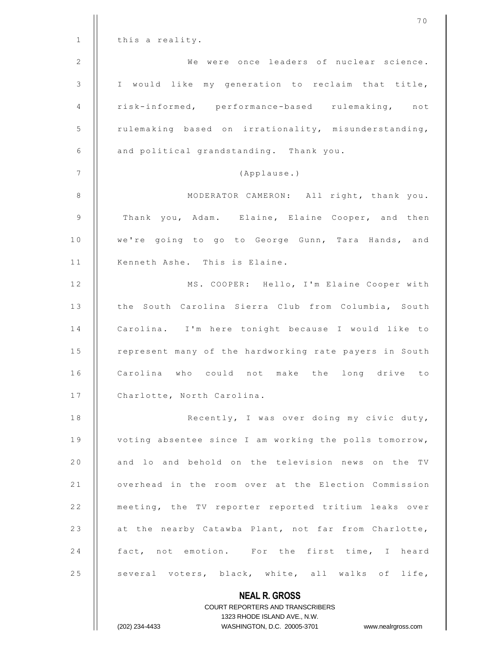|              | 70                                                                                               |
|--------------|--------------------------------------------------------------------------------------------------|
| $\mathbf{1}$ | this a reality.                                                                                  |
| 2            | We were once leaders of nuclear science.                                                         |
| 3            | I would like my generation to reclaim that title,                                                |
| 4            | risk-informed, performance-based rulemaking, not                                                 |
| 5            | rulemaking based on irrationality, misunderstanding,                                             |
| 6            | and political grandstanding. Thank you.                                                          |
| 7            | (Applause.)                                                                                      |
| 8            | MODERATOR CAMERON: All right, thank you.                                                         |
| 9            | Thank you, Adam. Elaine, Elaine Cooper, and then                                                 |
| 10           | we're going to go to George Gunn, Tara Hands, and                                                |
| 11           | Kenneth Ashe. This is Elaine.                                                                    |
| 12           | MS. COOPER: Hello, I'm Elaine Cooper with                                                        |
| 13           | the South Carolina Sierra Club from Columbia, South                                              |
| 14           | Carolina. I'm here tonight because I would like to                                               |
| 15           | represent many of the hardworking rate payers in South                                           |
| 16           | Carolina<br>could<br>who<br>not<br>make<br>the<br>long drive<br>to                               |
| 17           | Charlotte, North Carolina.                                                                       |
| 18           | Recently, I was over doing my civic duty,                                                        |
| 19           | voting absentee since I am working the polls tomorrow,                                           |
| 20           | and lo and behold on the television news on the TV                                               |
| 21           | overhead in the room over at the Election Commission                                             |
| 22           | meeting, the TV reporter reported tritium leaks over                                             |
| 23           | at the nearby Catawba Plant, not far from Charlotte,                                             |
| 24           | fact, not emotion. For the first time, I heard                                                   |
| 25           | several voters, black, white, all walks of life,                                                 |
|              | <b>NEAL R. GROSS</b>                                                                             |
|              | <b>COURT REPORTERS AND TRANSCRIBERS</b>                                                          |
|              | 1323 RHODE ISLAND AVE., N.W.<br>WASHINGTON, D.C. 20005-3701 www.nealrgross.com<br>(202) 234-4433 |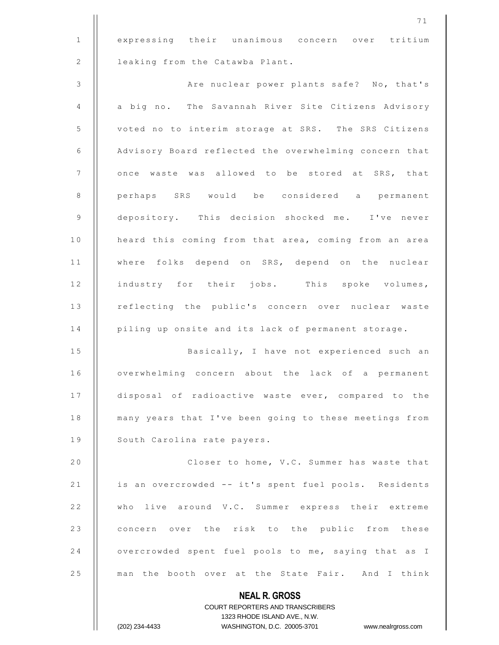1 | expressing their unanimous concern over tritium 2 | leaking from the Catawba Plant.

3 | Re nuclear power plants safe? No, that's 4 | a big no. The Savannah River Site Citizens Advisory 5 | voted no to interim storage at SRS. The SRS Citizens 6 Advisory Board reflected the overwhelming concern that 7 | once waste was allowed to be stored at SRS, that 8 || perhaps SRS would be considered a permanent 9 | depository. This decision shocked me. I've never 10 | heard this coming from that area, coming from an area 11 || where folks depend on SRS, depend on the nuclear 12 || industry for their jobs. This spoke volumes, 13 || reflecting the public's concern over nuclear waste 14 | piling up onsite and its lack of permanent storage.

15 | Basically, I have not experienced such an 16 | overwhelming concern about the lack of a permanent 17 | disposal of radioactive waste ever, compared to the 18 | many years that I've been going to these meetings from 19 | South Carolina rate payers.

20 | Closer to home, V.C. Summer has waste that 21 | is an overcrowded -- it's spent fuel pools. Residents 22 || who live around V.C. Summer express their extreme 23 || concern over the risk to the public from these 24  $\vert$  overcrowded spent fuel pools to me, saying that as I 25 || man the booth over at the State Fair. And I think

> **NEAL R. GROSS** COURT REPORTERS AND TRANSCRIBERS 1323 RHODE ISLAND AVE., N.W. (202) 234-4433 WASHINGTON, D.C. 20005-3701 www.nealrgross.com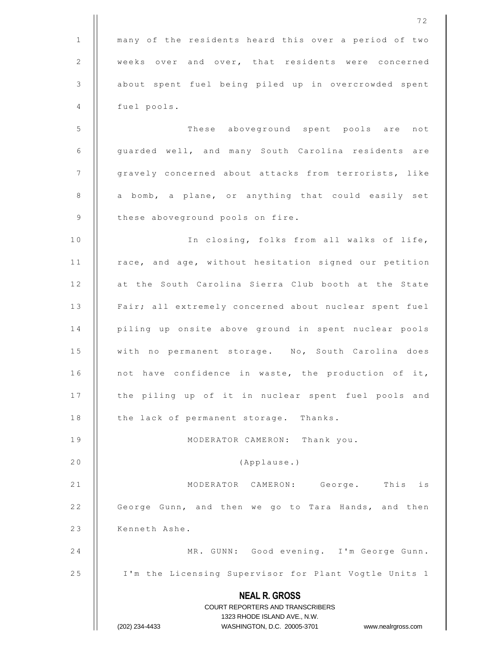|              | 72                                                                                                  |
|--------------|-----------------------------------------------------------------------------------------------------|
| $\mathbf{1}$ | many of the residents heard this over a period of two                                               |
| 2            | weeks over and over, that residents were concerned                                                  |
| 3            | about spent fuel being piled up in overcrowded spent                                                |
| 4            | fuel pools.                                                                                         |
| 5            | These aboveground spent pools are not                                                               |
| 6            | guarded well, and many South Carolina residents are                                                 |
| 7            | gravely concerned about attacks from terrorists, like                                               |
| 8            | a bomb, a plane, or anything that could easily set                                                  |
| 9            | these aboveground pools on fire.                                                                    |
| 10           | In closing, folks from all walks of life,                                                           |
| 11           | race, and age, without hesitation signed our petition                                               |
| 12           | at the South Carolina Sierra Club booth at the State                                                |
| 13           | Fair; all extremely concerned about nuclear spent fuel                                              |
| 14           | piling up onsite above ground in spent nuclear pools                                                |
| 15           | with no permanent storage. No, South Carolina does                                                  |
| 16           | not have confidence in waste, the production of it,                                                 |
| 17           | the piling up of it in nuclear spent fuel pools and                                                 |
| 18           | the lack of permanent storage. Thanks.                                                              |
| 19           | MODERATOR CAMERON: Thank you.                                                                       |
| 20           | (Applause.)                                                                                         |
| 21           | MODERATOR CAMERON: George. This is                                                                  |
| 22           | George Gunn, and then we go to Tara Hands, and then                                                 |
| 23           | Kenneth Ashe.                                                                                       |
| 24           | MR. GUNN: Good evening. I'm George Gunn.                                                            |
| 25           | I'm the Licensing Supervisor for Plant Vogtle Units 1                                               |
|              | <b>NEAL R. GROSS</b>                                                                                |
|              | COURT REPORTERS AND TRANSCRIBERS                                                                    |
|              | 1323 RHODE ISLAND AVE., N.W.<br>(202) 234-4433<br>WASHINGTON, D.C. 20005-3701<br>www.nealrgross.com |
|              |                                                                                                     |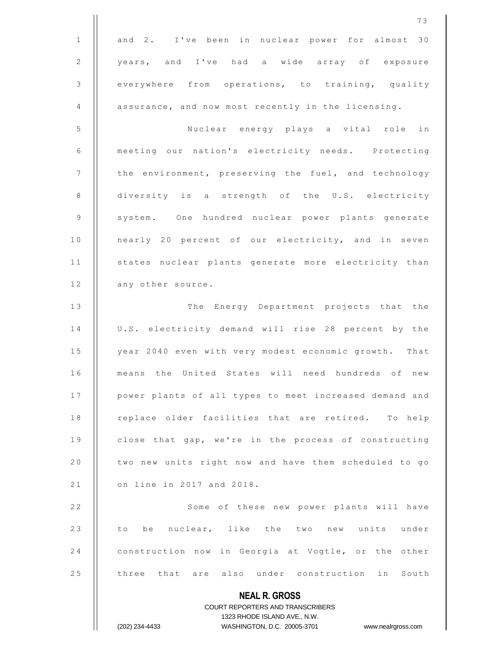|              | 73                                                                                                  |
|--------------|-----------------------------------------------------------------------------------------------------|
| $\mathbf{1}$ | and 2. I've been in nuclear power for almost 30                                                     |
| 2            | years, and I've had a wide array of exposure                                                        |
| 3            | everywhere from operations, to training, quality                                                    |
| 4            | assurance, and now most recently in the licensing.                                                  |
| 5            | Nuclear energy plays a vital role<br>in                                                             |
| 6            | meeting our nation's electricity needs. Protecting                                                  |
| 7            | the environment, preserving the fuel, and technology                                                |
| 8            | diversity is a strength of the U.S. electricity                                                     |
| 9            | system. One hundred nuclear power plants generate                                                   |
| 10           | nearly 20 percent of our electricity, and in seven                                                  |
| 11           | states nuclear plants generate more electricity than                                                |
| 12           | any other source.                                                                                   |
| 13           | The Energy Department projects that the                                                             |
| 14           | U.S. electricity demand will rise 28 percent by the                                                 |
| 15           | year 2040 even with very modest economic growth. That                                               |
| 16           | means the United States will need hundreds of new                                                   |
| 17           | power plants of all types to meet increased demand and                                              |
| 18           | replace older facilities that are retired. To help                                                  |
| 19           | close that gap, we're in the process of constructing                                                |
| 20           | two new units right now and have them scheduled to go                                               |
| 21           | on line in 2017 and 2018.                                                                           |
| 22           | Some of these new power plants will have                                                            |
| 23           | to be nuclear, like the two new units under                                                         |
| 24           | construction now in Georgia at Vogtle, or the other                                                 |
| 25           | three that are also under construction in South                                                     |
|              | <b>NEAL R. GROSS</b>                                                                                |
|              | COURT REPORTERS AND TRANSCRIBERS                                                                    |
|              | 1323 RHODE ISLAND AVE., N.W.<br>(202) 234-4433<br>WASHINGTON, D.C. 20005-3701<br>www.nealrgross.com |
|              |                                                                                                     |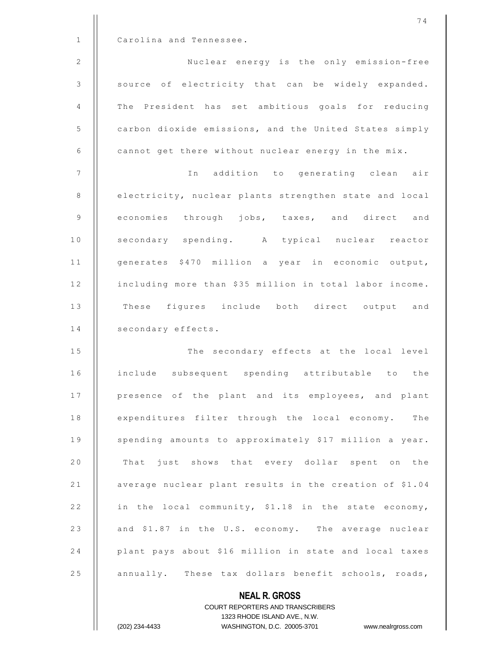|                | 74                                                      |
|----------------|---------------------------------------------------------|
| $\mathbf{1}$   | Carolina and Tennessee.                                 |
| 2              | Nuclear energy is the only emission-free                |
| $\mathcal{S}$  | source of electricity that can be widely expanded.      |
| 4              | The President has set ambitious goals for reducing      |
| 5              | carbon dioxide emissions, and the United States simply  |
| 6              | cannot get there without nuclear energy in the mix.     |
| $\overline{7}$ | In addition to generating clean air                     |
| 8              | electricity, nuclear plants strengthen state and local  |
| $\overline{9}$ | economies through jobs, taxes, and direct and           |
| $1\,0$         | secondary spending. A typical nuclear reactor           |
| 11             | generates \$470 million a year in economic output,      |
| 12             | including more than \$35 million in total labor income. |
| 13             | These figures include both direct output and            |
| 14             | secondary effects.                                      |
| 15             | The secondary effects at the local level                |
| 16             | include subsequent spending attributable to the         |
| 17             | presence of the plant and its employees, and plant      |
| 18             | expenditures filter through the local economy. The      |
| 19             | spending amounts to approximately \$17 million a year.  |
| 20             | That just shows that every dollar spent on the          |
| 21             | average nuclear plant results in the creation of \$1.04 |
| 22             | in the local community, \$1.18 in the state economy,    |
| 23             | and \$1.87 in the U.S. economy. The average nuclear     |
| 24             | plant pays about \$16 million in state and local taxes  |
| 25             | annually. These tax dollars benefit schools, roads,     |
|                | <b>NEAL R. GROSS</b>                                    |

COURT REPORTERS AND TRANSCRIBERS 1323 RHODE ISLAND AVE., N.W. (202) 234-4433 WASHINGTON, D.C. 20005-3701 www.nealrgross.com

 $\mathsf{II}$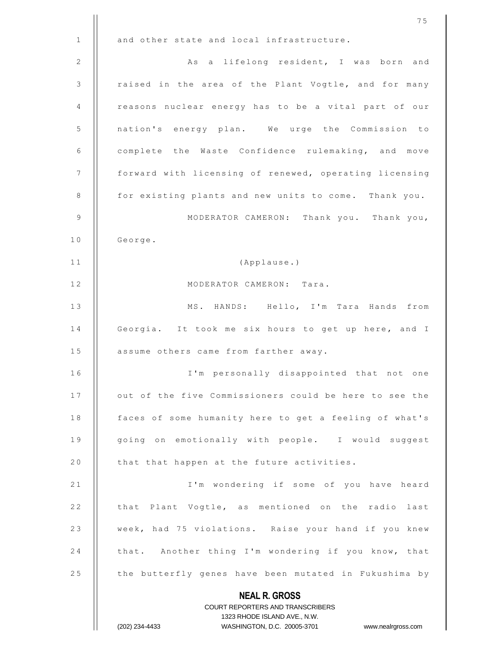|              | 75                                                                                                  |
|--------------|-----------------------------------------------------------------------------------------------------|
| $\mathbf{1}$ | and other state and local infrastructure.                                                           |
| 2            | As a lifelong resident, I was born and                                                              |
| 3            | raised in the area of the Plant Vogtle, and for many                                                |
| 4            | reasons nuclear energy has to be a vital part of our                                                |
| 5            | nation's energy plan. We urge the Commission to                                                     |
| 6            | complete the Waste Confidence rulemaking, and move                                                  |
| 7            | forward with licensing of renewed, operating licensing                                              |
| 8            | for existing plants and new units to come. Thank you.                                               |
| 9            | MODERATOR CAMERON: Thank you. Thank you,                                                            |
| 10           | George.                                                                                             |
| 11           | (Applause.)                                                                                         |
| 12           | MODERATOR CAMERON: Tara.                                                                            |
| 13           | MS. HANDS: Hello, I'm Tara Hands from                                                               |
| 14           | Georgia. It took me six hours to get up here, and I                                                 |
| 15           | assume others came from farther away.                                                               |
| 16           | I'm personally disappointed that not one                                                            |
| 17           | out of the five Commissioners could be here to see the                                              |
| 18           | faces of some humanity here to get a feeling of what's                                              |
| 19           | going on emotionally with people. I would suggest                                                   |
| 20           | that that happen at the future activities.                                                          |
| 21           | I'm wondering if some of you have heard                                                             |
| 22           | that Plant Vogtle, as mentioned on the radio last                                                   |
| 23           | week, had 75 violations. Raise your hand if you knew                                                |
| 24           | that. Another thing I'm wondering if you know, that                                                 |
| 25           | the butterfly genes have been mutated in Fukushima by                                               |
|              | <b>NEAL R. GROSS</b>                                                                                |
|              | COURT REPORTERS AND TRANSCRIBERS                                                                    |
|              | 1323 RHODE ISLAND AVE., N.W.<br>(202) 234-4433<br>WASHINGTON, D.C. 20005-3701<br>www.nealrgross.com |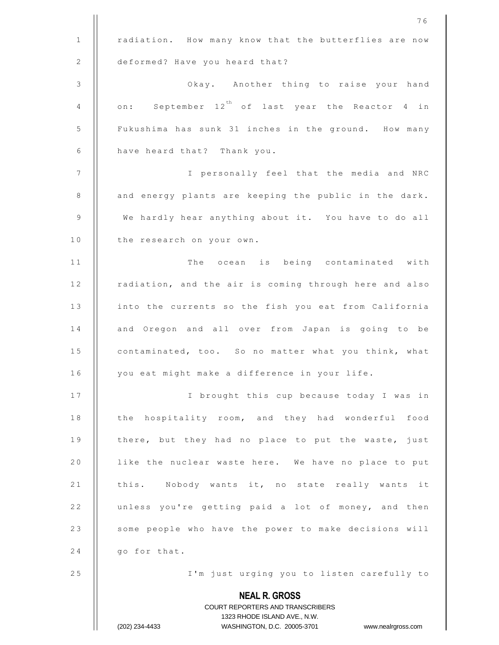|              | 76                                                               |
|--------------|------------------------------------------------------------------|
| $\mathbf{1}$ | radiation. How many know that the butterflies are now            |
| 2            | deformed? Have you heard that?                                   |
| 3            | Okay. Another thing to raise your hand                           |
| 4            | on: September 12 <sup>th</sup> of last year the Reactor 4 in     |
| 5            | Fukushima has sunk 31 inches in the ground. How many             |
| 6            | have heard that? Thank you.                                      |
| 7            | I personally feel that the media and NRC                         |
| 8            | and energy plants are keeping the public in the dark.            |
| 9            | We hardly hear anything about it. You have to do all             |
| 10           | the research on your own.                                        |
| 11           | The ocean is being contaminated with                             |
| 12           | radiation, and the air is coming through here and also           |
| 13           | into the currents so the fish you eat from California            |
| 14           | and Oregon and all over from Japan is going to be                |
| 15           | contaminated, too. So no matter what you think, what             |
| 16           | you eat might make a difference in your life.                    |
| 17           | I brought this cup because today I was in                        |
| 18           | the hospitality room, and they had wonderful food                |
| 19           | there, but they had no place to put the waste, just              |
| 20           | like the nuclear waste here. We have no place to put             |
| 21           | this. Nobody wants it, no state really wants it                  |
| 22           | unless you're getting paid a lot of money, and then              |
| 23           | some people who have the power to make decisions will            |
| 24           | go for that.                                                     |
| 25           | I'm just urging you to listen carefully to                       |
|              | <b>NEAL R. GROSS</b>                                             |
|              | COURT REPORTERS AND TRANSCRIBERS<br>1323 RHODE ISLAND AVE., N.W. |
|              | (202) 234-4433<br>WASHINGTON, D.C. 20005-3701 www.nealrgross.com |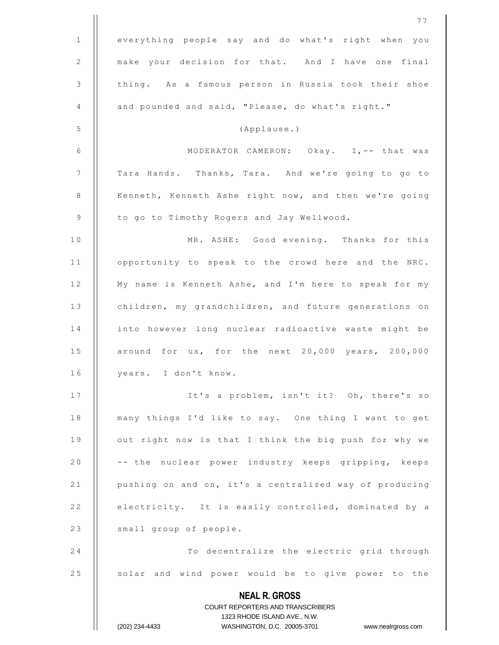|              | 77                                                                  |
|--------------|---------------------------------------------------------------------|
| $\mathbf{1}$ | everything people say and do what's right when you                  |
| 2            | make your decision for that. And I have one final                   |
| 3            | thing. As a famous person in Russia took their shoe                 |
| 4            | and pounded and said, "Please, do what's right."                    |
| 5            | (Applause.)                                                         |
| 6            | MODERATOR CAMERON: Okay. I,-- that was                              |
| 7            | Tara Hands. Thanks, Tara. And we're going to go to                  |
| 8            | Kenneth, Kenneth Ashe right now, and then we're going               |
| 9            | to go to Timothy Rogers and Jay Wellwood.                           |
| 10           | MR. ASHE: Good evening. Thanks for this                             |
| 11           | opportunity to speak to the crowd here and the NRC.                 |
| 12           | My name is Kenneth Ashe, and I'm here to speak for my               |
| 13           | children, my grandchildren, and future generations on               |
| 14           | into however long nuclear radioactive waste might be                |
| 15           | around for us, for the next 20,000 years, 200,000                   |
| 16           | years. I don't know.                                                |
| 17           | It's a problem, isn't it? Oh, there's so                            |
| 18           | many things I'd like to say. One thing I want to get                |
| 19           | out right now is that I think the big push for why we               |
| 20           | -- the nuclear power industry keeps gripping, keeps                 |
| 21           | pushing on and on, it's a centralized way of producing              |
| 22           | electricity. It is easily controlled, dominated by a                |
| 23           | small group of people.                                              |
| 24           | To decentralize the electric grid through                           |
| 25           | solar and wind power would be to give power to the                  |
|              | <b>NEAL R. GROSS</b>                                                |
|              | COURT REPORTERS AND TRANSCRIBERS                                    |
|              | 1323 RHODE ISLAND AVE., N.W.                                        |
|              | (202) 234-4433<br>WASHINGTON, D.C. 20005-3701<br>www.nealrgross.com |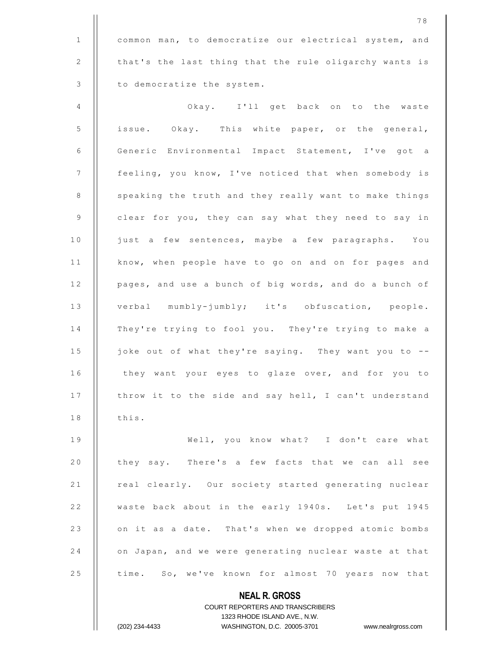1 | common man, to democratize our electrical system, and 2 | that's the last thing that the rule oligarchy wants is 3 | to democratize the system.

4 | Okay. I'll get back on to the waste 5 | issue. Okay. This white paper, or the general, 6 || Generic Environmental Impact Statement, I've got a 7 feeling, you know, I've noticed that when somebody is 8 | speaking the truth and they really want to make things 9 | clear for you, they can say what they need to say in 10 | just a few sentences, maybe a few paragraphs. You 11 | know, when people have to go on and on for pages and 12 | pages, and use a bunch of big words, and do a bunch of 13 | verbal mumbly-jumbly; it's obfuscation, people. 14 || They're trying to fool you. They're trying to make a 15 | joke out of what they're saying. They want you to --16 | they want your eyes to glaze over, and for you to 17 | throw it to the side and say hell, I can't understand  $18$   $\parallel$  this. 19 || Well, you know what? I don't care what 20 | they say. There's a few facts that we can all see 21 | real clearly. Our society started generating nuclear 22 | waste back about in the early 1940s. Let's put 1945 23 | on it as a date. That's when we dropped atomic bombs 24 | on Japan, and we were generating nuclear waste at that 25 | time. So, we've known for almost 70 years now that

> COURT REPORTERS AND TRANSCRIBERS 1323 RHODE ISLAND AVE., N.W.

**NEAL R. GROSS**

(202) 234-4433 WASHINGTON, D.C. 20005-3701 www.nealrgross.com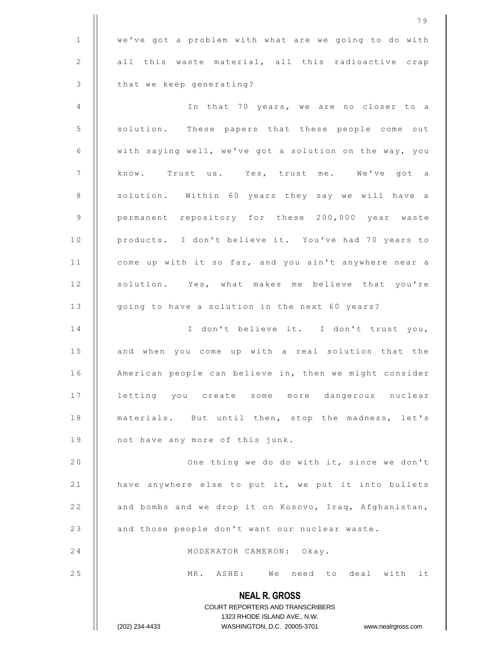|              | 79                                                                                               |
|--------------|--------------------------------------------------------------------------------------------------|
| $\mathbf{1}$ | we've got a problem with what are we going to do with                                            |
| 2            | all this waste material, all this radioactive crap                                               |
| 3            | that we keep generating?                                                                         |
| 4            | In that 70 years, we are no closer to a                                                          |
| 5            | solution. These papers that these people come out                                                |
| 6            | with saying well, we've got a solution on the way, you                                           |
| 7            | know. Trust us. Yes, trust me. We've got a                                                       |
| 8            | solution. Within 60 years they say we will have a                                                |
| 9            | permanent repository for these 200,000 year waste                                                |
| 10           | products. I don't believe it. You've had 70 years to                                             |
| 11           | come up with it so far, and you ain't anywhere near a                                            |
| 12           | solution. Yes, what makes me believe that you're                                                 |
| 13           | going to have a solution in the next 60 years?                                                   |
| 14           | I don't believe it. I don't trust you,                                                           |
| 15           | and when you come up with a real solution that the                                               |
| 16           | American people can believe in, then we might consider                                           |
| 17           | letting you create some more dangerous nuclear                                                   |
| 18           | materials. But until then, stop the madness, let's                                               |
| 19           | not have any more of this junk.                                                                  |
| 20           | One thing we do do with it, since we don't                                                       |
| 21           | have anywhere else to put it, we put it into bullets                                             |
| 22           | and bombs and we drop it on Kosovo, Iraq, Afghanistan,                                           |
| 23           | and those people don't want our nuclear waste.                                                   |
| 24           | MODERATOR CAMERON: Okay.                                                                         |
| 25           | MR. ASHE: We need to deal with it                                                                |
|              | <b>NEAL R. GROSS</b>                                                                             |
|              | COURT REPORTERS AND TRANSCRIBERS                                                                 |
|              | 1323 RHODE ISLAND AVE., N.W.<br>(202) 234-4433<br>WASHINGTON, D.C. 20005-3701 www.nealrgross.com |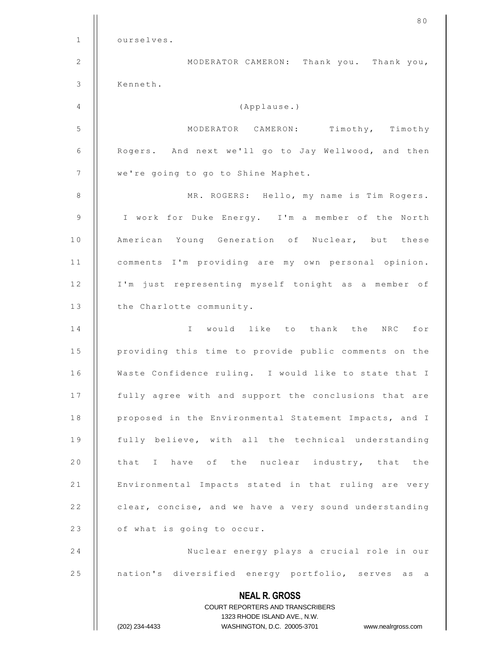|                | 80                                                                                                  |
|----------------|-----------------------------------------------------------------------------------------------------|
| $\mathbf{1}$   | ourselves.                                                                                          |
| 2              | MODERATOR CAMERON: Thank you. Thank you,                                                            |
| $\mathfrak{Z}$ | Kenneth.                                                                                            |
| 4              | (Applause.)                                                                                         |
| 5              | MODERATOR CAMERON: Timothy, Timothy                                                                 |
| 6              | Rogers. And next we'll go to Jay Wellwood, and then                                                 |
| 7              | we're going to go to Shine Maphet.                                                                  |
| 8              | MR. ROGERS: Hello, my name is Tim Rogers.                                                           |
| 9              | I work for Duke Energy. I'm a member of the North                                                   |
| 10             | American Young Generation of Nuclear, but these                                                     |
| 11             | comments I'm providing are my own personal opinion.                                                 |
| 12             | I'm just representing myself tonight as a member of                                                 |
| 13             | the Charlotte community.                                                                            |
| 14             | would like to thank the<br>NRC for<br>$\mathbf{I}$                                                  |
| 15             | providing this time to provide public comments on the                                               |
| 16             | Waste Confidence ruling. I would like to state that I                                               |
| 17             | fully agree with and support the conclusions that are                                               |
| 18             | proposed in the Environmental Statement Impacts, and I                                              |
| 19             | fully believe, with all the technical understanding                                                 |
| 20             | that I have of the nuclear industry, that the                                                       |
| 21             | Environmental Impacts stated in that ruling are very                                                |
| 22             | clear, concise, and we have a very sound understanding                                              |
| 23             | of what is going to occur.                                                                          |
| 24             | Nuclear energy plays a crucial role in our                                                          |
| 25             | nation's diversified energy portfolio, serves as a                                                  |
|                | <b>NEAL R. GROSS</b>                                                                                |
|                | COURT REPORTERS AND TRANSCRIBERS                                                                    |
|                | 1323 RHODE ISLAND AVE., N.W.<br>(202) 234-4433<br>WASHINGTON, D.C. 20005-3701<br>www.nealrgross.com |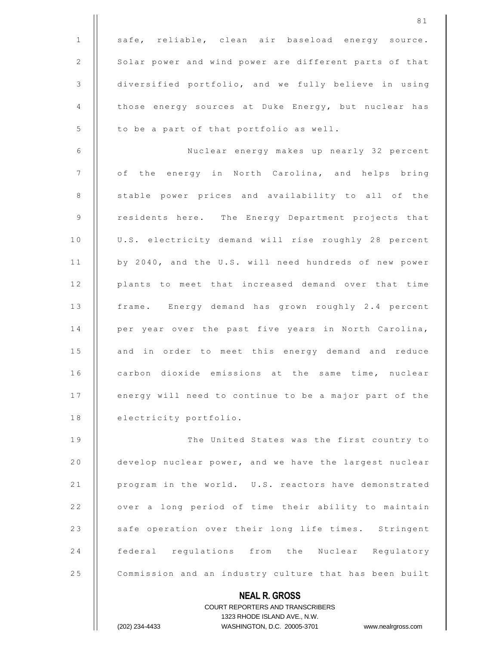**NEAL R. GROSS** 1 || safe, reliable, clean air baseload energy source. 2 | Solar power and wind power are different parts of that 3 diversified portfolio, and we fully believe in using 4 | those energy sources at Duke Energy, but nuclear has  $5$  | to be a part of that portfolio as well. 6 Nuclear energy makes up nearly 32 percent 7 | of the energy in North Carolina, and helps bring 8 | stable power prices and availability to all of the 9 | residents here. The Energy Department projects that 10 | U.S. electricity demand will rise roughly 28 percent 11 | by 2040, and the U.S. will need hundreds of new power 12 || plants to meet that increased demand over that time 13 | frame. Energy demand has grown roughly 2.4 percent 14 || per year over the past five years in North Carolina, 15 || and in order to meet this energy demand and reduce 16 | carbon dioxide emissions at the same time, nuclear 17 | energy will need to continue to be a major part of the 18 | electricity portfolio. 19 || The United States was the first country to 20 | develop nuclear power, and we have the largest nuclear 21 | program in the world. U.S. reactors have demonstrated 22 | over a long period of time their ability to maintain 23 | safe operation over their long life times. Stringent 24 **federal regulations from the Nuclear Regulatory** 25 | Commission and an industry culture that has been built

> COURT REPORTERS AND TRANSCRIBERS 1323 RHODE ISLAND AVE., N.W. (202) 234-4433 WASHINGTON, D.C. 20005-3701 www.nealrgross.com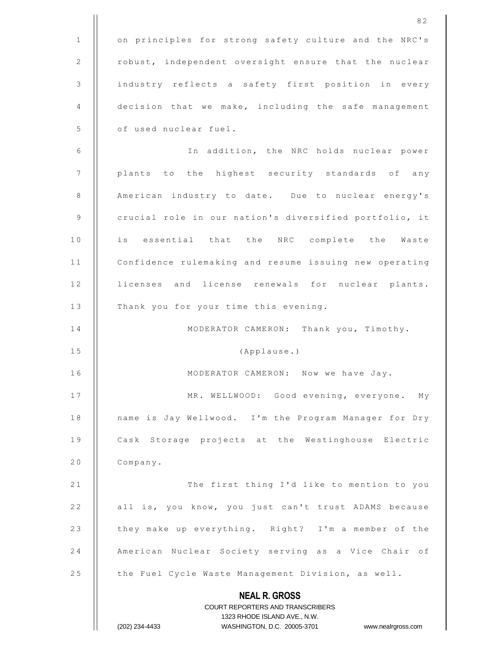|              | 82                                                                                                  |
|--------------|-----------------------------------------------------------------------------------------------------|
| $\mathbf{1}$ | on principles for strong safety culture and the NRC's                                               |
| 2            | robust, independent oversight ensure that the nuclear                                               |
| 3            | industry reflects a safety first position in every                                                  |
| 4            | decision that we make, including the safe management                                                |
| 5            | of used nuclear fuel.                                                                               |
| 6            | In addition, the NRC holds nuclear power                                                            |
| 7            | plants to the highest security standards of any                                                     |
| 8            | American industry to date. Due to nuclear energy's                                                  |
| 9            | crucial role in our nation's diversified portfolio, it                                              |
| 10           | is essential that the NRC complete the Waste                                                        |
| 11           | Confidence rulemaking and resume issuing new operating                                              |
| 12           | licenses and license renewals for nuclear plants.                                                   |
| 13           | Thank you for your time this evening.                                                               |
| 14           | MODERATOR CAMERON: Thank you, Timothy.                                                              |
| 15           | (Applause.)                                                                                         |
| 16           | MODERATOR CAMERON: Now we have Jay.                                                                 |
| 17           | MR. WELLWOOD: Good evening, everyone. My                                                            |
| 18           | name is Jay Wellwood. I'm the Program Manager for Dry                                               |
| 19           | Cask Storage projects at the Westinghouse Electric                                                  |
| 20           | Company.                                                                                            |
| 21           | The first thing I'd like to mention to you                                                          |
| 22           | all is, you know, you just can't trust ADAMS because                                                |
| 23           | they make up everything. Right? I'm a member of the                                                 |
| 24           | American Nuclear Society serving as a Vice Chair of                                                 |
| 25           | the Fuel Cycle Waste Management Division, as well.                                                  |
|              | <b>NEAL R. GROSS</b>                                                                                |
|              | COURT REPORTERS AND TRANSCRIBERS                                                                    |
|              | 1323 RHODE ISLAND AVE., N.W.<br>(202) 234-4433<br>WASHINGTON, D.C. 20005-3701<br>www.nealrgross.com |
|              |                                                                                                     |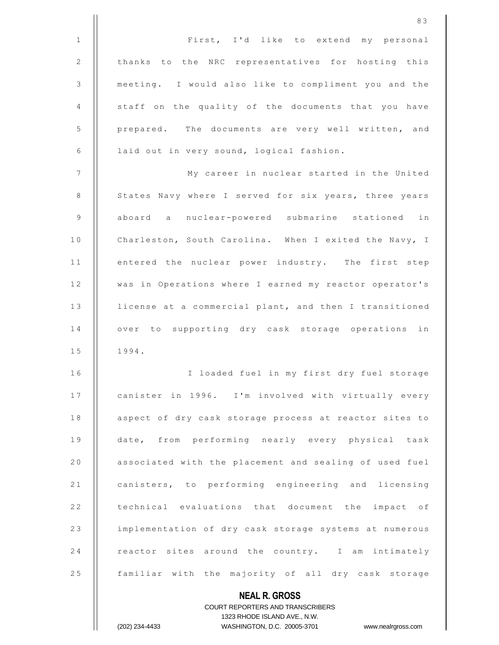|                | 83                                                     |
|----------------|--------------------------------------------------------|
| $\mathbf{1}$   | First, I'd like to extend my personal                  |
| 2              | thanks<br>to the NRC representatives for hosting this  |
| $\mathfrak{Z}$ | meeting. I would also like to compliment you and the   |
| 4              | staff on the quality of the documents that you have    |
| 5              | prepared. The documents are very well written, and     |
| 6              | laid out in very sound, logical fashion.               |
| $\overline{7}$ | My career in nuclear started in the United             |
| 8              | States Navy where I served for six years, three years  |
| $\mathsf 9$    | aboard a nuclear-powered submarine stationed in        |
| 10             | Charleston, South Carolina. When I exited the Navy, I  |
| 11             | entered the nuclear power industry. The first step     |
| 12             | was in Operations where I earned my reactor operator's |
| 13             | license at a commercial plant, and then I transitioned |
| 14             | over to supporting dry cask storage operations<br>in   |
| 15             | 1994.                                                  |
| 16             | I loaded fuel in my first dry fuel storage             |
| 17             | canister in 1996. I'm involved with virtually every    |
| 18             | aspect of dry cask storage process at reactor sites to |
| 19             | date, from performing nearly every physical task       |
| 20             | associated with the placement and sealing of used fuel |
| 21             | canisters, to performing engineering and licensing     |
| 22             | technical evaluations that document the impact of      |
| 23             | implementation of dry cask storage systems at numerous |
| 24             | reactor sites around the country. I am intimately      |
| 25             | familiar with the majority of all dry cask storage     |
|                | <b>NEAL R. GROSS</b>                                   |

## COURT REPORTERS AND TRANSCRIBERS 1323 RHODE ISLAND AVE., N.W. (202) 234-4433 WASHINGTON, D.C. 20005-3701 www.nealrgross.com

 $\mathsf{II}$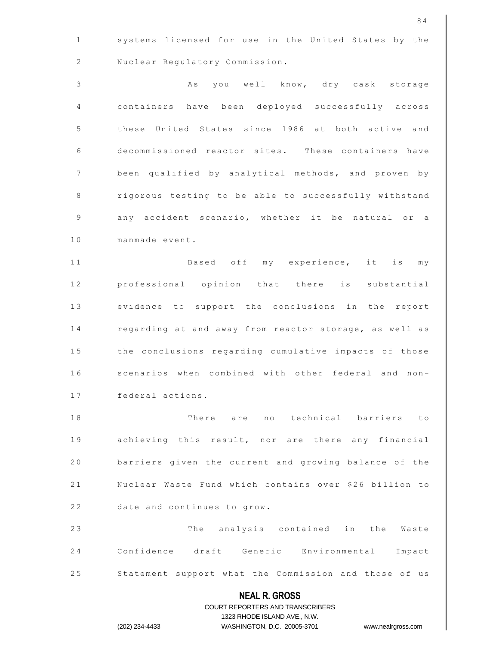**NEAL R. GROSS** COURT REPORTERS AND TRANSCRIBERS 1323 RHODE ISLAND AVE., N.W. (202) 234-4433 WASHINGTON, D.C. 20005-3701 www.nealrgross.com 1 | systems licensed for use in the United States by the 2 | Nuclear Regulatory Commission. 3 | | As you well know, dry cask storage 4 containers have been deployed successfully across 5 | these United States since 1986 at both active and 6 decommissioned reactor sites. These containers have 7 | been qualified by analytical methods, and proven by 8 | rigorous testing to be able to successfully withstand 9 || any accident scenario, whether it be natural or a 10 | manmade event. 11 || Based off my experience, it is my 12 || professional opinion that there is substantial 13 | evidence to support the conclusions in the report 14 | regarding at and away from reactor storage, as well as 15 | the conclusions regarding cumulative impacts of those 16 | scenarios when combined with other federal and non-17 | federal actions. 1 8 T h e r e a r e n o t e c h n i c a l b a r r i e r s t o 19 | achieving this result, nor are there any financial 20 | barriers given the current and growing balance of the 21 | Nuclear Waste Fund which contains over \$26 billion to 22 **date and continues to grow.** 23 || The analysis contained in the Waste 24 | Confidence draft Generic Environmental Impact 25 | Statement support what the Commission and those of us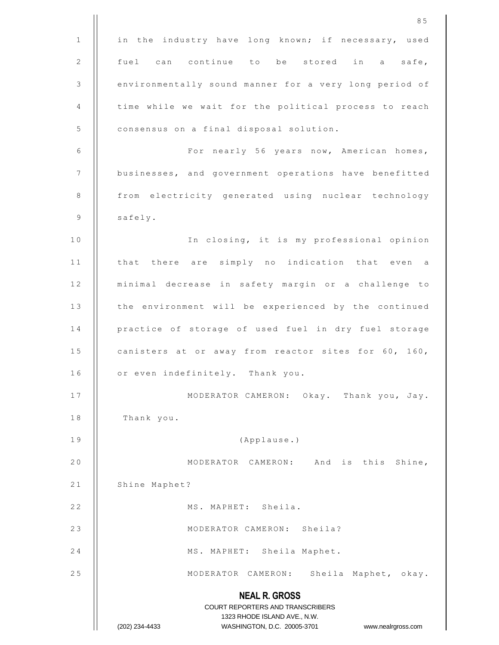|                | 85                                                                                                  |
|----------------|-----------------------------------------------------------------------------------------------------|
| $\mathbf{1}$   | in the industry have long known; if necessary, used                                                 |
| $\overline{2}$ | fuel can continue to be stored in a safe,                                                           |
| 3              | environmentally sound manner for a very long period of                                              |
| 4              | time while we wait for the political process to reach                                               |
| 5              | consensus on a final disposal solution.                                                             |
| 6              | For nearly 56 years now, American homes,                                                            |
| 7              | businesses, and government operations have benefitted                                               |
| 8              | from electricity generated using nuclear technology                                                 |
| 9              | safely.                                                                                             |
| 10             | In closing, it is my professional opinion                                                           |
| 11             | that there are simply no indication that even a                                                     |
| 12             | minimal decrease in safety margin or a challenge to                                                 |
| 13             | the environment will be experienced by the continued                                                |
| 14             | practice of storage of used fuel in dry fuel storage                                                |
| 15             | canisters at or away from reactor sites for 60, 160,                                                |
| 16             | or even indefinitely. Thank you.                                                                    |
| 17             | MODERATOR CAMERON: Okay. Thank you, Jay.                                                            |
| 18             | Thank you.                                                                                          |
| 19             | (Applause.)                                                                                         |
| 20             | MODERATOR CAMERON: And is this Shine,                                                               |
| 21             | Shine Maphet?                                                                                       |
| 22             | MS. MAPHET: Sheila.                                                                                 |
| 23             | MODERATOR CAMERON: Sheila?                                                                          |
| 24             | MS. MAPHET: Sheila Maphet.                                                                          |
| 25             | MODERATOR CAMERON: Sheila Maphet, okay.                                                             |
|                | <b>NEAL R. GROSS</b>                                                                                |
|                | COURT REPORTERS AND TRANSCRIBERS                                                                    |
|                | 1323 RHODE ISLAND AVE., N.W.<br>(202) 234-4433<br>WASHINGTON, D.C. 20005-3701<br>www.nealrgross.com |
|                |                                                                                                     |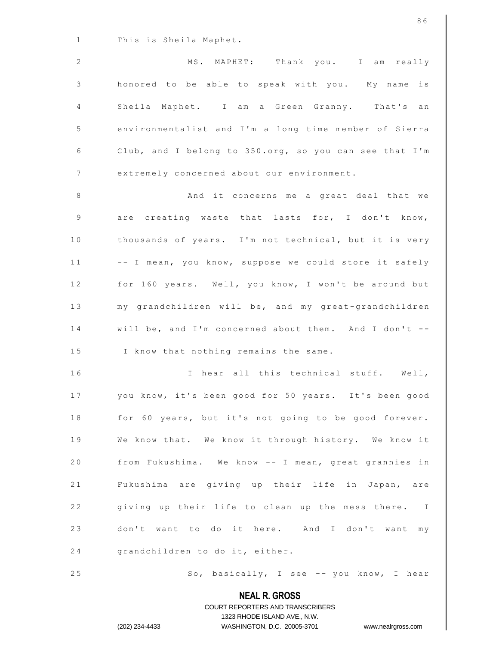|              | 86                                                               |
|--------------|------------------------------------------------------------------|
| $\mathbf{1}$ | This is Sheila Maphet.                                           |
| $\mathbf{2}$ | MS. MAPHET: Thank you. I am really                               |
| $\mathsf 3$  | honored to be able to speak with you. My name is                 |
| 4            | Sheila Maphet. I am a Green Granny. That's an                    |
| 5            | environmentalist and I'm a long time member of Sierra            |
| 6            | Club, and I belong to 350.org, so you can see that I'm           |
| 7            | extremely concerned about our environment.                       |
| $\,8\,$      | And it concerns me a great deal that we                          |
| 9            | are creating waste that lasts for, I don't know,                 |
| 10           | thousands of years. I'm not technical, but it is very            |
| 11           | -- I mean, you know, suppose we could store it safely            |
| 12           | for 160 years. Well, you know, I won't be around but             |
| 13           | my grandchildren will be, and my great-grandchildren             |
| 14           | will be, and I'm concerned about them. And I don't --            |
| 15           | I know that nothing remains the same.                            |
| 16           | I hear all this technical stuff. Well,                           |
| 17           | you know, it's been good for 50 years. It's been good            |
| 18           | for 60 years, but it's not going to be good forever.             |
| 19           | We know that. We know it through history. We know it             |
| 20           | from Fukushima. We know -- I mean, great grannies in             |
| 21           | Fukushima are giving up their life in Japan, are                 |
| 22           | giving up their life to clean up the mess there. I               |
| 23           | don't want to do it here. And I don't want my                    |
| 24           | grandchildren to do it, either.                                  |
| 25           | So, basically, I see -- you know, I hear                         |
|              | <b>NEAL R. GROSS</b><br><b>COURT REPORTERS AND TRANSCRIBERS</b>  |
|              | 1323 RHODE ISLAND AVE., N.W.                                     |
|              | (202) 234-4433<br>WASHINGTON, D.C. 20005-3701 www.nealrgross.com |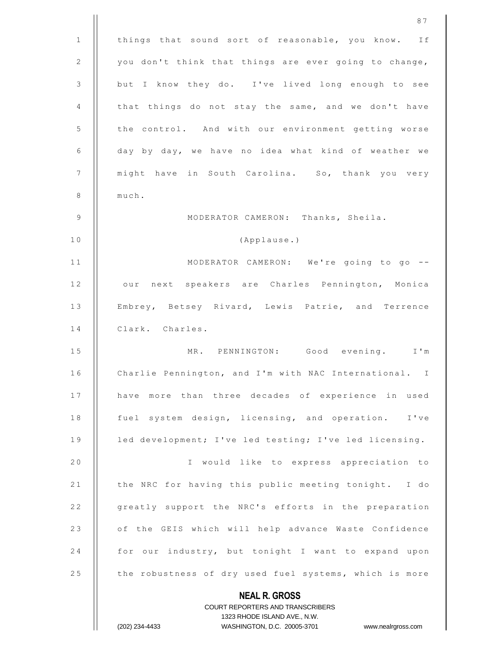|                | COURT REPORTERS AND TRANSCRIBERS<br>1323 RHODE ISLAND AVE., N.W.<br>(202) 234-4433<br>WASHINGTON, D.C. 20005-3701<br>www.nealrgross.com |
|----------------|-----------------------------------------------------------------------------------------------------------------------------------------|
|                | <b>NEAL R. GROSS</b>                                                                                                                    |
| 25             | the robustness of dry used fuel systems, which is more                                                                                  |
| 24             | for our industry, but tonight I want to expand upon                                                                                     |
| 23             | of the GEIS which will help advance Waste Confidence                                                                                    |
| 22             | greatly support the NRC's efforts in the preparation                                                                                    |
| 21             | the NRC for having this public meeting tonight. I do                                                                                    |
| 20             | I would like to express appreciation to                                                                                                 |
| 19             | led development; I've led testing; I've led licensing.                                                                                  |
| 18             | fuel system design, licensing, and operation. I've                                                                                      |
| 17             | have more than three decades of experience in used                                                                                      |
| 16             | Charlie Pennington, and I'm with NAC International. I                                                                                   |
| 15             | MR. PENNINGTON: Good evening. I'm                                                                                                       |
| 14             | Clark. Charles.                                                                                                                         |
| 13             | Embrey, Betsey Rivard, Lewis Patrie, and Terrence                                                                                       |
| 12             | next speakers are Charles Pennington, Monica<br>our                                                                                     |
| 11             | MODERATOR CAMERON: We're going to go --                                                                                                 |
| 10             | (Applause.)                                                                                                                             |
| 9              | MODERATOR CAMERON: Thanks, Sheila.                                                                                                      |
| 8              | much.                                                                                                                                   |
| $\overline{7}$ | might have in South Carolina. So, thank you very                                                                                        |
| 6              | day by day, we have no idea what kind of weather we                                                                                     |
| 5              | the control. And with our environment getting worse                                                                                     |
| 4              | that things do not stay the same, and we don't have                                                                                     |
| 3              | but I know they do. I've lived long enough to see                                                                                       |
| 2              | you don't think that things are ever going to change,                                                                                   |
| 1              | things that sound sort of reasonable, you know. If                                                                                      |
|                | 87                                                                                                                                      |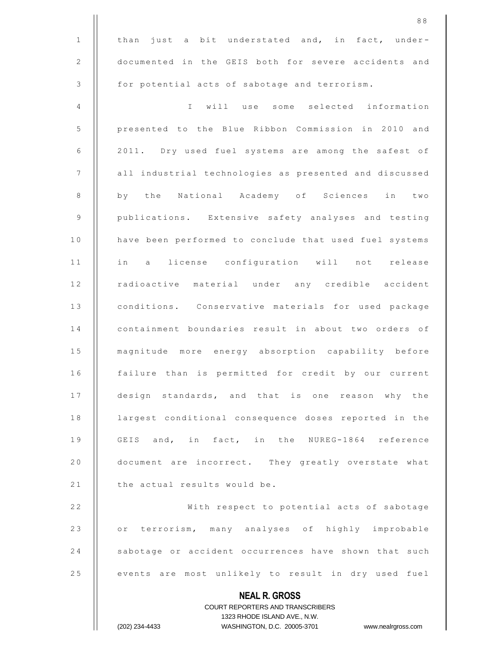|                | 88                                                                                                  |
|----------------|-----------------------------------------------------------------------------------------------------|
| $\mathbf{1}$   | than just a bit understated and, in fact, under-                                                    |
| $\mathbf{2}$   | documented in the GEIS both for severe accidents and                                                |
| $\mathfrak{Z}$ | for potential acts of sabotage and terrorism.                                                       |
| 4              | will use some selected information<br>$\mathbb{I}$                                                  |
| 5              | presented to the Blue Ribbon Commission in 2010 and                                                 |
| 6              | 2011. Dry used fuel systems are among the safest of                                                 |
| $\overline{7}$ | all industrial technologies as presented and discussed                                              |
| 8              | by the National Academy of Sciences in two                                                          |
| $\mathsf 9$    | publications. Extensive safety analyses and testing                                                 |
| 10             | have been performed to conclude that used fuel systems                                              |
| 11             | in a license configuration will not release                                                         |
| 12             | radioactive material under any credible accident                                                    |
| 13             | conditions. Conservative materials for used package                                                 |
| 14             | containment boundaries result in about two orders of                                                |
| 15             | magnitude more energy absorption capability before                                                  |
| 16             | failure than is permitted for credit by our current                                                 |
| 17             | design standards, and that is one reason why the                                                    |
| 18             | largest conditional consequence doses reported in the                                               |
| 19             | GEIS and, in fact, in the NUREG-1864 reference                                                      |
| 20             | document are incorrect. They greatly overstate what                                                 |
| 21             | the actual results would be.                                                                        |
| 22             | With respect to potential acts of sabotage                                                          |
| 23             | or terrorism, many analyses of highly improbable                                                    |
| 24             | sabotage or accident occurrences have shown that such                                               |
| 25             | events are most unlikely to result in dry used fuel                                                 |
|                | <b>NEAL R. GROSS</b>                                                                                |
|                | <b>COURT REPORTERS AND TRANSCRIBERS</b>                                                             |
|                | 1323 RHODE ISLAND AVE., N.W.<br>WASHINGTON, D.C. 20005-3701<br>(202) 234-4433<br>www.nealrgross.com |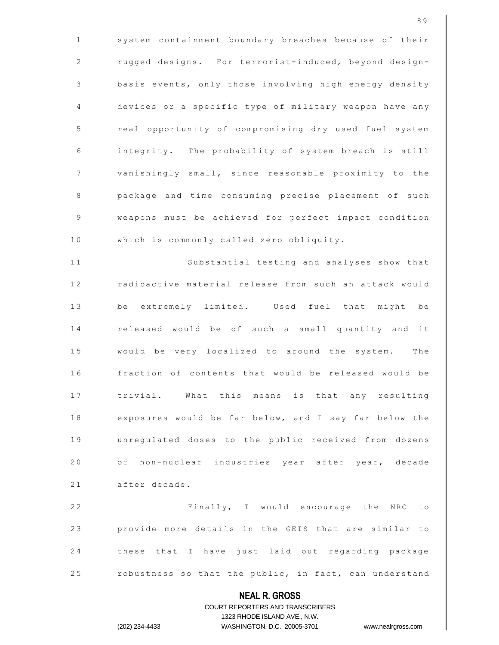**NEAL R. GROSS** COURT REPORTERS AND TRANSCRIBERS 1 | system containment boundary breaches because of their 2 | rugged designs. For terrorist-induced, beyond design-3 | basis events, only those involving high energy density 4 devices or a specific type of military weapon have any 5 | real opportunity of compromising dry used fuel system 6 | integrity. The probability of system breach is still 7 | vanishingly small, since reasonable proximity to the 8 | package and time consuming precise placement of such 9 | weapons must be achieved for perfect impact condition 10 | which is commonly called zero obliquity. 11 || Substantial testing and analyses show that 12 | radioactive material release from such an attack would 13 || be extremely limited. Used fuel that might be 14 | released would be of such a small quantity and it 15 || would be very localized to around the system. The 16 | fraction of contents that would be released would be 17 | trivial. What this means is that any resulting 18 | exposures would be far below, and I say far below the 19 || unregulated doses to the public received from dozens 20 || of non-nuclear industries year after year, decade 21 | after decade. 22 | Finally, I would encourage the NRC to 23 || provide more details in the GEIS that are similar to 24 || these that I have just laid out regarding package 25  $\vert$  robustness so that the public, in fact, can understand

1323 RHODE ISLAND AVE., N.W.

8 9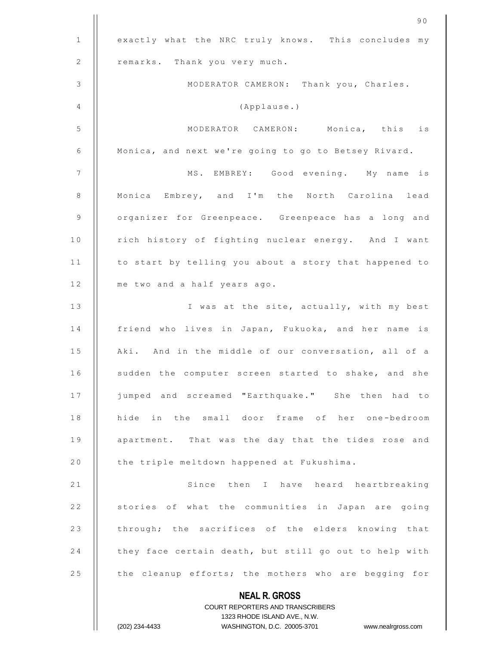|              | 90                                                                  |
|--------------|---------------------------------------------------------------------|
| $\mathbf{1}$ | exactly what the NRC truly knows. This concludes my                 |
| 2            | remarks. Thank you very much.                                       |
| 3            | MODERATOR CAMERON: Thank you, Charles.                              |
| 4            | (Applause.)                                                         |
| 5            | MODERATOR CAMERON: Monica, this<br>is                               |
| 6            | Monica, and next we're going to go to Betsey Rivard.                |
| 7            | MS. EMBREY: Good evening. My name<br>is                             |
| 8            | Monica Embrey, and I'm the North Carolina lead                      |
| 9            | organizer for Greenpeace. Greenpeace has a long and                 |
| 10           | rich history of fighting nuclear energy. And I want                 |
| 11           | to start by telling you about a story that happened to              |
| 12           | me two and a half years ago.                                        |
| 13           | I was at the site, actually, with my best                           |
| 14           | friend who lives in Japan, Fukuoka, and her name is                 |
| 15           | Aki. And in the middle of our conversation, all of a                |
| 16           | sudden the computer screen started to shake, and she                |
| 17           | jumped and screamed "Earthquake." She then had to                   |
| 18           | hide in the small door frame of her one-bedroom                     |
| 19           | apartment. That was the day that the tides rose and                 |
| 20           | the triple meltdown happened at Fukushima.                          |
| 21           | Since then I have heard heartbreaking                               |
| 22           | stories of what the communities in Japan are going                  |
| 23           | through; the sacrifices of the elders knowing that                  |
| 24           | they face certain death, but still go out to help with              |
| 25           | the cleanup efforts; the mothers who are begging for                |
|              | <b>NEAL R. GROSS</b>                                                |
|              | COURT REPORTERS AND TRANSCRIBERS                                    |
|              | 1323 RHODE ISLAND AVE., N.W.                                        |
|              | (202) 234-4433<br>WASHINGTON, D.C. 20005-3701<br>www.nealrgross.com |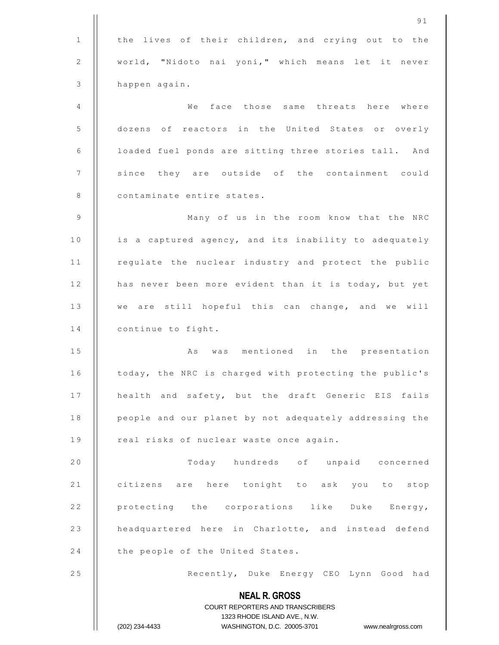|              | 91                                                                  |
|--------------|---------------------------------------------------------------------|
| $\mathbf{1}$ | the lives of their children, and crying out to the                  |
| 2            | world, "Nidoto nai yoni," which means let it never                  |
| 3            | happen again.                                                       |
| 4            | We<br>face those same threats here where                            |
| 5            | dozens of reactors in the United States or overly                   |
| 6            | loaded fuel ponds are sitting three stories tall. And               |
| 7            | since they are outside of the containment could                     |
| 8            | contaminate entire states.                                          |
| $\mathsf 9$  | Many of us in the room know that the NRC                            |
| 10           | is a captured agency, and its inability to adequately               |
| 11           | regulate the nuclear industry and protect the public                |
| 12           | has never been more evident than it is today, but yet               |
| 13           | we are still hopeful this can change, and we will                   |
| 14           | continue to fight.                                                  |
| 15           | was mentioned in the presentation<br>As                             |
| 16           | today, the NRC is charged with protecting the public's              |
| 17           | health and safety, but the draft Generic EIS fails                  |
| 18           | people and our planet by not adequately addressing the              |
| 19           | real risks of nuclear waste once again.                             |
| 20           | Today hundreds of unpaid concerned                                  |
| 21           | citizens are here tonight to ask you to stop                        |
| 22           | protecting the corporations like Duke Energy,                       |
| 23           | headquartered here in Charlotte, and instead defend                 |
| 24           | the people of the United States.                                    |
| 25           | Recently, Duke Energy CEO Lynn Good had                             |
|              | <b>NEAL R. GROSS</b>                                                |
|              | COURT REPORTERS AND TRANSCRIBERS                                    |
|              | 1323 RHODE ISLAND AVE., N.W.                                        |
|              | (202) 234-4433<br>WASHINGTON, D.C. 20005-3701<br>www.nealrgross.com |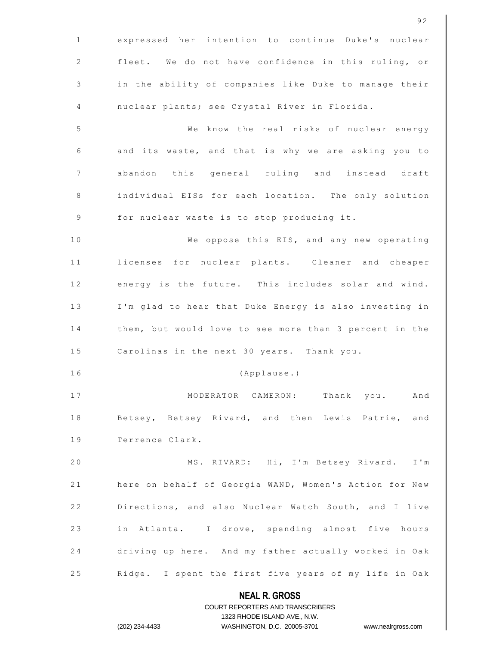|              | 92                                                                  |
|--------------|---------------------------------------------------------------------|
| $\mathbf{1}$ | expressed her intention to continue Duke's nuclear                  |
| 2            | fleet. We do not have confidence in this ruling, or                 |
| 3            | in the ability of companies like Duke to manage their               |
| 4            | nuclear plants; see Crystal River in Florida.                       |
| 5            | We know the real risks of nuclear energy                            |
| 6            | and its waste, and that is why we are asking you to                 |
| 7            | abandon this general ruling and instead draft                       |
| 8            | individual EISs for each location. The only solution                |
| 9            | for nuclear waste is to stop producing it.                          |
| 10           | We oppose this EIS, and any new operating                           |
| 11           | licenses for nuclear plants. Cleaner and cheaper                    |
| 12           | energy is the future. This includes solar and wind.                 |
| 13           | I'm glad to hear that Duke Energy is also investing in              |
| 14           | them, but would love to see more than 3 percent in the              |
| 15           | Carolinas in the next 30 years. Thank you.                          |
| 16           | (Applause.)                                                         |
| 17           | MODERATOR CAMERON: Thank you. And                                   |
| 18           | Betsey, Betsey Rivard, and then Lewis Patrie, and                   |
| 19           | Terrence Clark.                                                     |
| 20           | MS. RIVARD: Hi, I'm Betsey Rivard. I'm                              |
| 21           | here on behalf of Georgia WAND, Women's Action for New              |
| 22           | Directions, and also Nuclear Watch South, and I live                |
| 23           | in Atlanta. I drove, spending almost five hours                     |
| 24           | driving up here. And my father actually worked in Oak               |
| 25           | Ridge. I spent the first five years of my life in Oak               |
|              | <b>NEAL R. GROSS</b>                                                |
|              | COURT REPORTERS AND TRANSCRIBERS<br>1323 RHODE ISLAND AVE., N.W.    |
|              | (202) 234-4433<br>WASHINGTON, D.C. 20005-3701<br>www.nealrgross.com |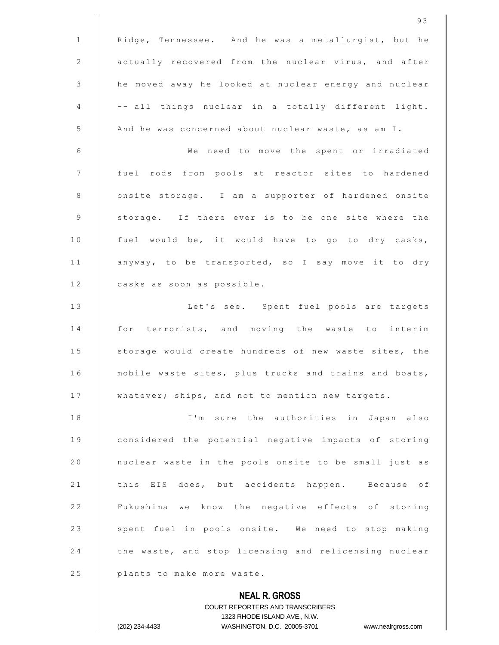**NEAL R. GROSS** COURT REPORTERS AND TRANSCRIBERS 1 | Ridge, Tennessee. And he was a metallurgist, but he 2 | actually recovered from the nuclear virus, and after 3 | he moved away he looked at nuclear energy and nuclear  $\begin{array}{ccc} 4 & || & -- \text{ all things nuclear in a totally different light.} \end{array}$ 5 | And he was concerned about nuclear waste, as am I. 6 || We need to move the spent or irradiated 7 || fuel rods from pools at reactor sites to hardened 8 | onsite storage. I am a supporter of hardened onsite 9 || storage. If there ever is to be one site where the 10 || fuel would be, it would have to go to dry casks, 11 | anyway, to be transported, so I say move it to dry 12 | casks as soon as possible. 13 || Let's see. Spent fuel pools are targets 14 || for terrorists, and moving the waste to interim 15 | storage would create hundreds of new waste sites, the 16 | mobile waste sites, plus trucks and trains and boats, 17 | whatever; ships, and not to mention new targets. 1 8 I ' m s u r e t h e a u t h o r i t i e s i n J a p a n a l s o 19 || considered the potential negative impacts of storing 20 | nuclear waste in the pools onsite to be small just as 21 | this EIS does, but accidents happen. Because of 22 | Fukushima we know the negative effects of storing 23 || spent fuel in pools onsite. We need to stop making 24 | the waste, and stop licensing and relicensing nuclear 25 **plants** to make more waste.

1323 RHODE ISLAND AVE., N.W.

(202) 234-4433 WASHINGTON, D.C. 20005-3701 www.nealrgross.com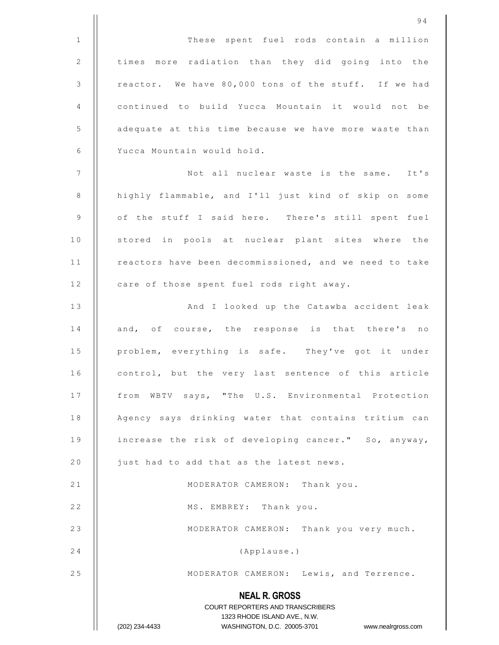|              | 94                                                                  |
|--------------|---------------------------------------------------------------------|
| $\mathbf 1$  | These spent fuel rods contain a million                             |
| $\mathbf{2}$ | times more radiation than they did going into the                   |
| 3            | reactor. We have 80,000 tons of the stuff. If we had                |
| 4            | continued to build Yucca Mountain it would not be                   |
| 5            | adequate at this time because we have more waste than               |
| 6            | Yucca Mountain would hold.                                          |
| 7            | Not all nuclear waste is the same. It's                             |
| 8            | highly flammable, and I'll just kind of skip on some                |
| 9            | of the stuff I said here. There's still spent fuel                  |
| 10           | stored in pools at nuclear plant sites where the                    |
| 11           | reactors have been decommissioned, and we need to take              |
| 12           | care of those spent fuel rods right away.                           |
| 13           | And I looked up the Catawba accident leak                           |
| 14           | and, of course, the response is that there's no                     |
| 15           | problem, everything is safe. They've got it under                   |
| 16           | control, but the very last sentence of this article                 |
| 17           | from WBTV says, "The U.S. Environmental Protection                  |
| 18           | Agency says drinking water that contains tritium can                |
| 19           | increase the risk of developing cancer." So, anyway,                |
| 20           | just had to add that as the latest news.                            |
| 21           | MODERATOR CAMERON: Thank you.                                       |
| 22           | MS. EMBREY: Thank you.                                              |
| 23           | MODERATOR CAMERON: Thank you very much.                             |
| 24           | (Applause.)                                                         |
| 25           | MODERATOR CAMERON: Lewis, and Terrence.                             |
|              | <b>NEAL R. GROSS</b>                                                |
|              | COURT REPORTERS AND TRANSCRIBERS                                    |
|              | 1323 RHODE ISLAND AVE., N.W.                                        |
|              | (202) 234-4433<br>WASHINGTON, D.C. 20005-3701<br>www.nealrgross.com |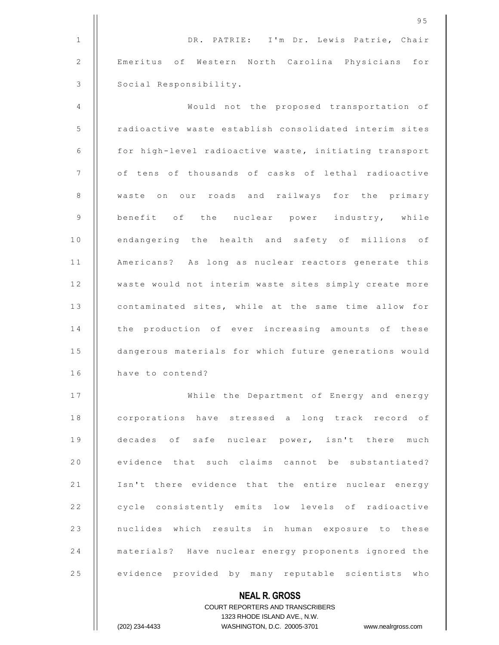|    | 95                                                                                               |
|----|--------------------------------------------------------------------------------------------------|
| 1  | DR. PATRIE: I'm Dr. Lewis Patrie, Chair                                                          |
| 2  | Emeritus of Western North Carolina Physicians for                                                |
| 3  | Social Responsibility.                                                                           |
| 4  | Would not the proposed transportation of                                                         |
| 5  | radioactive waste establish consolidated interim sites                                           |
| 6  | for high-level radioactive waste, initiating transport                                           |
| 7  | of tens of thousands of casks of lethal radioactive                                              |
| 8  | waste on our roads and railways for the primary                                                  |
| 9  | benefit of the nuclear power industry, while                                                     |
| 10 | endangering the health and safety of millions of                                                 |
| 11 | Americans? As long as nuclear reactors generate this                                             |
| 12 | waste would not interim waste sites simply create more                                           |
| 13 | contaminated sites, while at the same time allow for                                             |
| 14 | the production of ever increasing amounts of these                                               |
| 15 | dangerous materials for which future generations would                                           |
| 16 | have to contend?                                                                                 |
| 17 | While the Department of Energy and energy                                                        |
| 18 | corporations have stressed a long track record of                                                |
| 19 | decades of safe nuclear power, isn't there much                                                  |
| 20 | evidence that such claims cannot be substantiated?                                               |
| 21 | Isn't there evidence that the entire nuclear energy                                              |
| 22 | cycle consistently emits low levels of radioactive                                               |
| 23 | nuclides which results in human exposure to these                                                |
| 24 | materials? Have nuclear energy proponents ignored the                                            |
| 25 | evidence provided by many reputable scientists who                                               |
|    | <b>NEAL R. GROSS</b>                                                                             |
|    | <b>COURT REPORTERS AND TRANSCRIBERS</b>                                                          |
|    | 1323 RHODE ISLAND AVE., N.W.<br>(202) 234-4433<br>WASHINGTON, D.C. 20005-3701 www.nealrgross.com |
|    |                                                                                                  |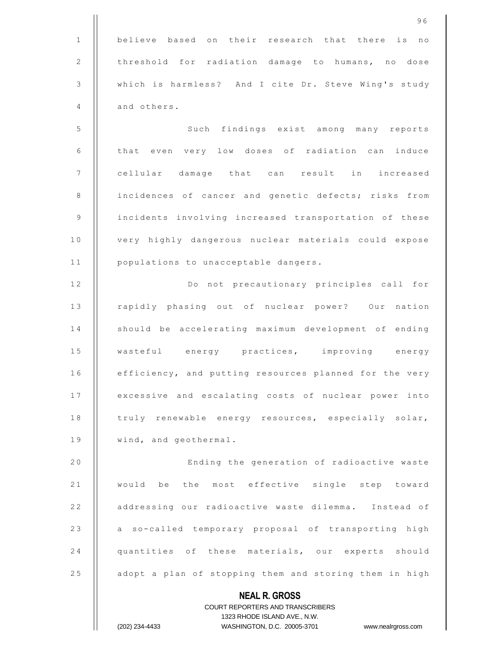**NEAL R. GROSS** COURT REPORTERS AND TRANSCRIBERS 1323 RHODE ISLAND AVE., N.W. 1 || believe based on their research that there is no 2 | threshold for radiation damage to humans, no dose 3 | which is harmless? And I cite Dr. Steve Wing's study 4 | and others. 5 | Such findings exist among many reports 6  $\parallel$  that even very low doses of radiation can induce 7 | cellular damage that can result in increased 8 | incidences of cancer and genetic defects; risks from 9 | incidents involving increased transportation of these 10 | very highly dangerous nuclear materials could expose 11 | populations to unacceptable dangers. 12 || Do not precautionary principles call for 13 | rapidly phasing out of nuclear power? Our nation 14 || should be accelerating maximum development of ending 15 || wasteful energy practices, improving energy 16 | efficiency, and putting resources planned for the very 17 | excessive and escalating costs of nuclear power into 18 | truly renewable energy resources, especially solar, 19 | wind, and geothermal. 20 | Ending the generation of radioactive waste 21 || would be the most effective single step toward 22 | addressing our radioactive waste dilemma. Instead of 23 || a so-called temporary proposal of transporting high 24 quantities of these materials, our experts should 25 | adopt a plan of stopping them and storing them in high

(202) 234-4433 WASHINGTON, D.C. 20005-3701 www.nealrgross.com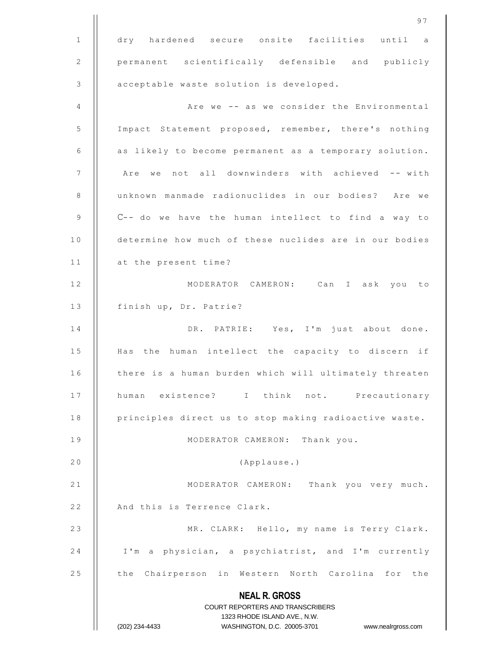|               | 97                                                                                                  |
|---------------|-----------------------------------------------------------------------------------------------------|
| $\mathbf{1}$  | dry hardened secure onsite facilities until a                                                       |
| 2             | permanent scientifically defensible and publicly                                                    |
| $\mathcal{S}$ | acceptable waste solution is developed.                                                             |
| 4             | Are we -- as we consider the Environmental                                                          |
| 5             | Impact Statement proposed, remember, there's nothing                                                |
| 6             | as likely to become permanent as a temporary solution.                                              |
| 7             | Are we not all downwinders with achieved -- with                                                    |
| $\,8\,$       | unknown manmade radionuclides in our bodies? Are we                                                 |
| 9             | C-- do we have the human intellect to find a way to                                                 |
| 10            | determine how much of these nuclides are in our bodies                                              |
| 11            | at the present time?                                                                                |
| 12            | MODERATOR CAMERON: Can I ask you to                                                                 |
| 13            | finish up, Dr. Patrie?                                                                              |
| 14            | DR. PATRIE: Yes, I'm just about done.                                                               |
| 15            | Has the human intellect the capacity to discern if                                                  |
| 16            | there is a human burden which will ultimately threaten                                              |
| 17            | human existence? I think not. Precautionary                                                         |
| 18            | principles direct us to stop making radioactive waste.                                              |
| 19            | MODERATOR CAMERON: Thank you.                                                                       |
| 20            | (Applause.)                                                                                         |
| 21            | MODERATOR CAMERON: Thank you very much.                                                             |
| 22            | And this is Terrence Clark.                                                                         |
| 23            | MR. CLARK: Hello, my name is Terry Clark.                                                           |
| 24            | I'm a physician, a psychiatrist, and I'm currently                                                  |
| 25            | the Chairperson in Western North Carolina for the                                                   |
|               | <b>NEAL R. GROSS</b>                                                                                |
|               | COURT REPORTERS AND TRANSCRIBERS                                                                    |
|               | 1323 RHODE ISLAND AVE., N.W.<br>(202) 234-4433<br>WASHINGTON, D.C. 20005-3701<br>www.nealrgross.com |
|               |                                                                                                     |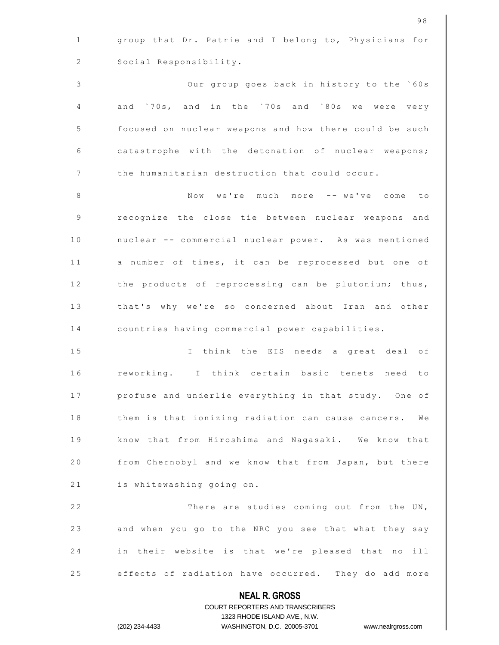|                | 1323 RHODE ISLAND AVE., N.W.<br>(202) 234-4433<br>WASHINGTON, D.C. 20005-3701<br>www.nealrgross.com |
|----------------|-----------------------------------------------------------------------------------------------------|
|                | <b>NEAL R. GROSS</b><br><b>COURT REPORTERS AND TRANSCRIBERS</b>                                     |
| 25             | effects of radiation have occurred. They do add more                                                |
| 24             | in their website is that we're pleased that no ill                                                  |
| 23             | and when you go to the NRC you see that what they say                                               |
| 22             | There are studies coming out from the UN,                                                           |
| 21             | is whitewashing going on.                                                                           |
| 20             | from Chernobyl and we know that from Japan, but there                                               |
| 19             | know that from Hiroshima and Nagasaki. We know that                                                 |
| 18             | them is that ionizing radiation can cause cancers.<br>We                                            |
| 17             | profuse and underlie everything in that study. One of                                               |
| 16             | reworking. I think certain basic tenets need to                                                     |
| 15             | I think the EIS needs a great deal of                                                               |
| 14             | countries having commercial power capabilities.                                                     |
| 13             | that's why we're so concerned about Iran and other                                                  |
| 12             | the products of reprocessing can be plutonium; thus,                                                |
| 11             | a number of times, it can be reprocessed but one of                                                 |
| 10             | nuclear -- commercial nuclear power. As was mentioned                                               |
| 9              | recognize the close tie between nuclear weapons and                                                 |
| 8              | Now we're much more -- we've come to                                                                |
| $\overline{7}$ | the humanitarian destruction that could occur.                                                      |
| 6              | catastrophe with the detonation of nuclear weapons;                                                 |
| 5              | focused on nuclear weapons and how there could be such                                              |
| 4              | and '70s, and in the '70s and '80s we were very                                                     |
| 3              | Our group goes back in history to the `60s                                                          |
| 2              | Social Responsibility.                                                                              |
| $\mathbf{1}$   | group that Dr. Patrie and I belong to, Physicians for                                               |
|                | 98                                                                                                  |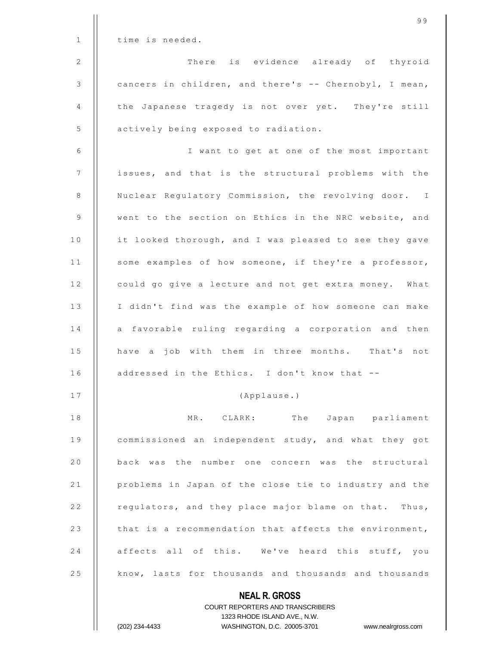| 25           | know, lasts for thousands and thousands and thousands  |
|--------------|--------------------------------------------------------|
| 24           | affects all of this. We've heard this stuff, you       |
| 23           | that is a recommendation that affects the environment, |
| 22           | regulators, and they place major blame on that. Thus,  |
| 21           | problems in Japan of the close tie to industry and the |
| 20           | back was the number one concern was the structural     |
| 19           | commissioned an independent study, and what they got   |
| 18           | MR. CLARK:<br>The Japan parliament                     |
| 17           | (Applause.)                                            |
| 16           | addressed in the Ethics. I don't know that --          |
| 15           | have a job with them in three months. That's not       |
| 14           | a favorable ruling regarding a corporation and then    |
| 13           | I didn't find was the example of how someone can make  |
| 12           | could go give a lecture and not get extra money. What  |
| 11           | some examples of how someone, if they're a professor,  |
| 10           | it looked thorough, and I was pleased to see they gave |
| 9            | went to the section on Ethics in the NRC website, and  |
| 8            | Nuclear Regulatory Commission, the revolving door. I   |
| 7            | issues, and that is the structural problems with the   |
| 6            | I want to get at one of the most important             |
| 5            | actively being exposed to radiation.                   |
| 4            | the Japanese tragedy is not over yet. They're still    |
| 3            | cancers in children, and there's -- Chernobyl, I mean, |
| 2            | There is evidence already of thyroid                   |
| $\mathbf{1}$ | time is needed.                                        |
|              | 99                                                     |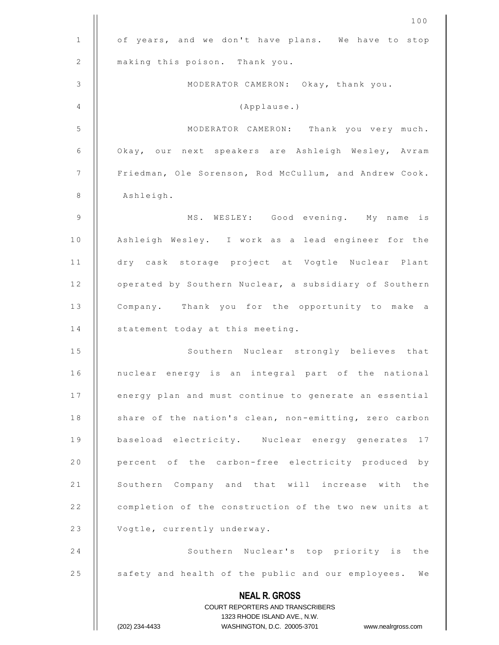|              | 100                                                                                                 |
|--------------|-----------------------------------------------------------------------------------------------------|
| $\mathbf{1}$ | of years, and we don't have plans. We have to stop                                                  |
| 2            | making this poison. Thank you.                                                                      |
| 3            | MODERATOR CAMERON: Okay, thank you.                                                                 |
| 4            | (Applause.)                                                                                         |
| 5            | MODERATOR CAMERON: Thank you very much.                                                             |
| 6            | Okay, our next speakers are Ashleigh Wesley, Avram                                                  |
| 7            | Friedman, Ole Sorenson, Rod McCullum, and Andrew Cook.                                              |
| 8            | Ashleigh.                                                                                           |
| $\mathsf 9$  | MS. WESLEY: Good evening. My name is                                                                |
| 10           | Ashleigh Wesley. I work as a lead engineer for the                                                  |
| 11           | dry cask storage project at Vogtle Nuclear Plant                                                    |
| 12           | operated by Southern Nuclear, a subsidiary of Southern                                              |
| 13           | Company. Thank you for the opportunity to make a                                                    |
| 14           | statement today at this meeting.                                                                    |
| 15           | Southern Nuclear strongly believes that                                                             |
| 16           | nuclear energy is an integral part of the national                                                  |
| 17           | energy plan and must continue to generate an essential                                              |
| 18           | share of the nation's clean, non-emitting, zero carbon                                              |
| 19           | baseload electricity. Nuclear energy generates<br>17                                                |
| 20           | percent of the carbon-free electricity produced by                                                  |
| 21           | Southern Company and that will increase with the                                                    |
| 22           | completion of the construction of the two new units at                                              |
| 23           | Vogtle, currently underway.                                                                         |
| 24           | Southern Nuclear's top priority is the                                                              |
| 25           | safety and health of the public and our employees. We                                               |
|              | <b>NEAL R. GROSS</b>                                                                                |
|              | COURT REPORTERS AND TRANSCRIBERS                                                                    |
|              | 1323 RHODE ISLAND AVE., N.W.<br>WASHINGTON, D.C. 20005-3701<br>(202) 234-4433<br>www.nealrgross.com |
|              |                                                                                                     |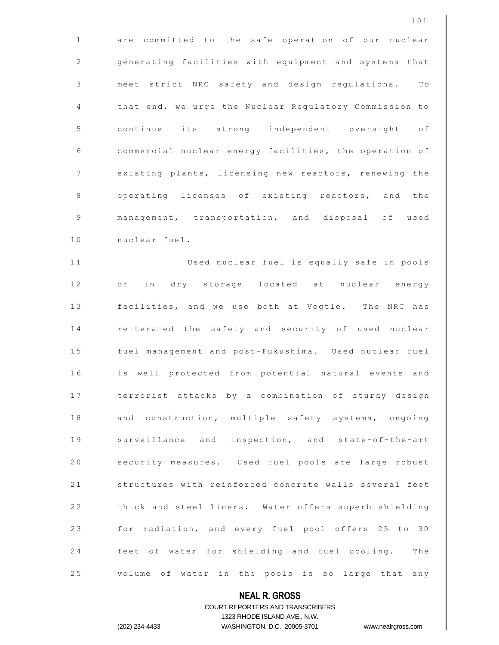|                | 101                                                    |
|----------------|--------------------------------------------------------|
| $\mathbf{1}$   | are committed to the safe operation of our nuclear     |
| 2              | generating facilities with equipment and systems that  |
| 3              | meet strict NRC safety and design regulations. To      |
| 4              | that end, we urge the Nuclear Regulatory Commission to |
| 5              | continue its strong independent oversight of           |
| 6              | commercial nuclear energy facilities, the operation of |
| 7              | existing plants, licensing new reactors, renewing the  |
| $\,8\,$        | operating licenses of existing reactors, and the       |
| $\overline{9}$ | management, transportation, and disposal of used       |
| 10             | nuclear fuel.                                          |
| 11             | Used nuclear fuel is equally safe in pools             |
| 12             | or in dry storage located at nuclear energy            |
| 13             | facilities, and we use both at Vogtle. The NRC has     |
| 14             | reiterated the safety and security of used nuclear     |
| 15             | fuel management and post-Fukushima. Used nuclear fuel  |
| 16             | is well protected from potential natural events and    |
| 17             | terrorist attacks by a combination of sturdy design    |
| 18             | and construction, multiple safety systems, ongoing     |
| 19             | surveillance and inspection, and state-of-the-art      |
| 20             | security measures. Used fuel pools are large robust    |
| 21             | structures with reinforced concrete walls several feet |
| 22             | thick and steel liners. Water offers superb shielding  |
| 23             | for radiation, and every fuel pool offers 25 to 30     |
| 24             | feet of water for shielding and fuel cooling. The      |
| 25             | volume of water in the pools is so large that any      |

**NEAL R. GROSS** COURT REPORTERS AND TRANSCRIBERS 1323 RHODE ISLAND AVE., N.W.

 $\mathbf{I}$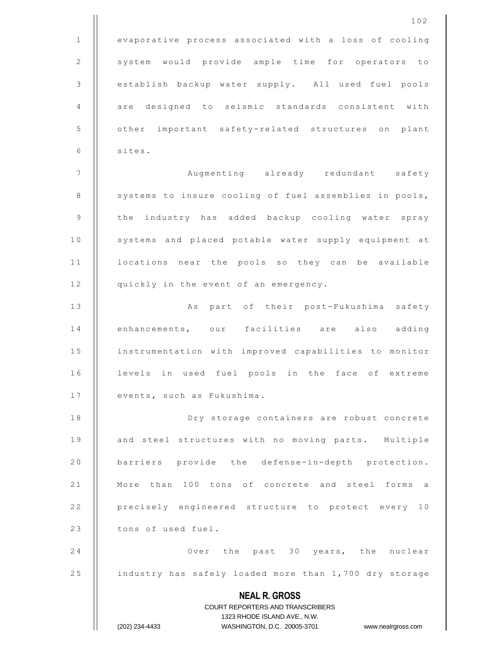|              | 102                                                                                                 |
|--------------|-----------------------------------------------------------------------------------------------------|
| $\mathbf{1}$ | evaporative process associated with a loss of cooling                                               |
| 2            | system would provide ample time for operators to                                                    |
| 3            | establish backup water supply. All used fuel pools                                                  |
| 4            | are designed to seismic standards consistent with                                                   |
| 5            | other important safety-related structures on plant                                                  |
| 6            | sites.                                                                                              |
| 7            | Augmenting already redundant safety                                                                 |
| 8            | systems to insure cooling of fuel assemblies in pools,                                              |
| 9            | the industry has added backup cooling water spray                                                   |
| 10           | systems and placed potable water supply equipment at                                                |
| 11           | locations near the pools so they can be available                                                   |
| 12           | quickly in the event of an emergency.                                                               |
| 13           | As part of their post-Fukushima safety                                                              |
| 14           | enhancements, our facilities are also adding                                                        |
| 15           | instrumentation with improved capabilities to monitor                                               |
| 16           | levels in used fuel pools in the face of extreme                                                    |
| 17           | events, such as Fukushima.                                                                          |
| 18           | Dry storage containers are robust concrete                                                          |
| 19           | and steel structures with no moving parts. Multiple                                                 |
| 20           | barriers provide the defense-in-depth protection.                                                   |
| 21           | More than 100 tons of concrete and steel forms a                                                    |
| 22           | precisely engineered structure to protect every 10                                                  |
| 23           | tons of used fuel.                                                                                  |
| 24           | Over the past 30 years, the nuclear                                                                 |
| 25           | industry has safely loaded more than 1,700 dry storage                                              |
|              | <b>NEAL R. GROSS</b>                                                                                |
|              | COURT REPORTERS AND TRANSCRIBERS                                                                    |
|              | 1323 RHODE ISLAND AVE., N.W.<br>(202) 234-4433<br>WASHINGTON, D.C. 20005-3701<br>www.nealrgross.com |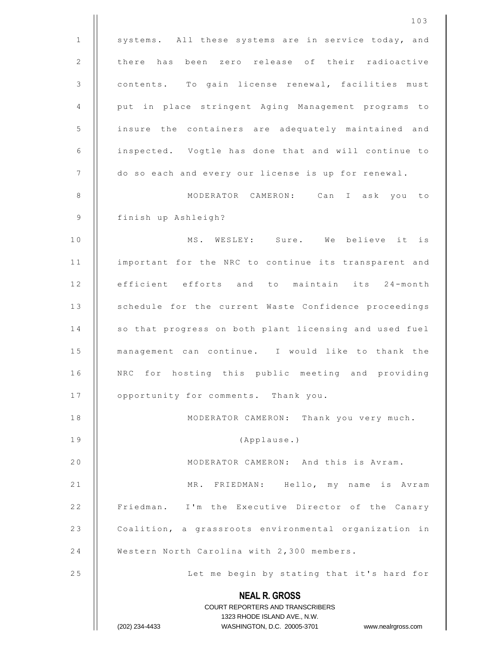|             | 103                                                                 |
|-------------|---------------------------------------------------------------------|
| $\mathbf 1$ | systems. All these systems are in service today, and                |
| $\sqrt{2}$  | there has been zero release of their radioactive                    |
| 3           | contents. To gain license renewal, facilities must                  |
| 4           | put in place stringent Aging Management programs to                 |
| 5           | insure the containers are adequately maintained and                 |
| 6           | inspected. Vogtle has done that and will continue to                |
| 7           | do so each and every our license is up for renewal.                 |
| 8           | MODERATOR CAMERON: Can I ask you to                                 |
| 9           | finish up Ashleigh?                                                 |
| 10          | MS. WESLEY: Sure. We believe it is                                  |
| 11          | important for the NRC to continue its transparent and               |
| 12          | efficient efforts and to maintain its 24-month                      |
| 13          | schedule for the current Waste Confidence proceedings               |
| 14          | so that progress on both plant licensing and used fuel              |
| 15          | management can continue. I would like to thank the                  |
| 16          | NRC for hosting this public meeting and providing                   |
| 17          | opportunity for comments. Thank you.                                |
| 18          | MODERATOR CAMERON: Thank you very much.                             |
| 19          | (Applause.)                                                         |
| 20          | MODERATOR CAMERON: And this is Avram.                               |
| 21          | MR. FRIEDMAN: Hello, my name is Avram                               |
| 22          | Friedman. I'm the Executive Director of the Canary                  |
| 23          | Coalition, a grassroots environmental organization in               |
| 24          | Western North Carolina with 2,300 members.                          |
| 25          | Let me begin by stating that it's hard for                          |
|             | <b>NEAL R. GROSS</b><br>COURT REPORTERS AND TRANSCRIBERS            |
|             | 1323 RHODE ISLAND AVE., N.W.                                        |
|             | (202) 234-4433<br>WASHINGTON, D.C. 20005-3701<br>www.nealrgross.com |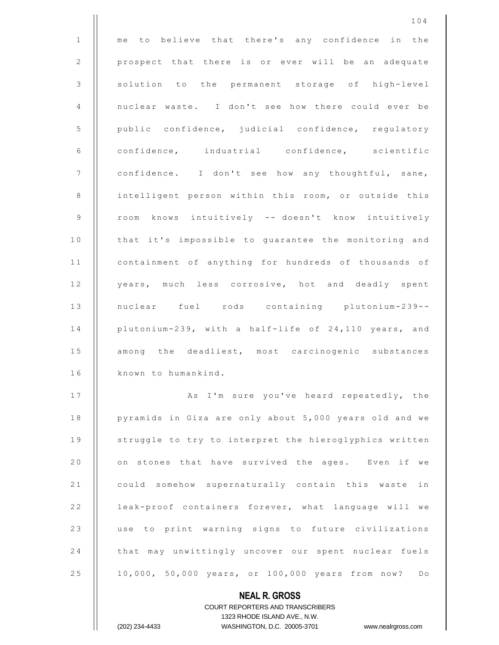|              | 104                                                                 |
|--------------|---------------------------------------------------------------------|
| $\mathbf{1}$ | me to believe that there's any confidence in the                    |
| 2            | prospect that there is or ever will be an adequate                  |
| 3            | solution to the permanent storage of high-level                     |
| 4            | nuclear waste. I don't see how there could ever be                  |
| 5            | public confidence, judicial confidence, regulatory                  |
| 6            | confidence, industrial confidence, scientific                       |
| 7            | confidence. I don't see how any thoughtful, sane,                   |
| 8            | intelligent person within this room, or outside this                |
| 9            | room knows intuitively -- doesn't know intuitively                  |
| 10           | that it's impossible to guarantee the monitoring and                |
| 11           | containment of anything for hundreds of thousands of                |
| 12           | years, much less corrosive, hot and deadly spent                    |
| 13           | nuclear fuel rods containing plutonium-239--                        |
| 14           | plutonium-239, with a half-life of 24,110 years, and                |
| 15           | among the deadliest, most carcinogenic substances                   |
| 16           | known to humankind.                                                 |
| 17           | As I'm sure you've heard repeatedly, the                            |
| 18           | pyramids in Giza are only about 5,000 years old and we              |
| 19           | struggle to try to interpret the hieroglyphics written              |
| 20           | on stones that have survived the ages. Even if we                   |
| 21           | could somehow supernaturally contain this waste in                  |
| 22           | leak-proof containers forever, what language will we                |
| 23           | use to print warning signs to future civilizations                  |
| 24           | that may unwittingly uncover our spent nuclear fuels                |
| 25           | 10,000, 50,000 years, or 100,000 years from now? Do                 |
|              | <b>NEAL R. GROSS</b>                                                |
|              | COURT REPORTERS AND TRANSCRIBERS                                    |
|              | 1323 RHODE ISLAND AVE., N.W.                                        |
|              | (202) 234-4433<br>WASHINGTON, D.C. 20005-3701<br>www.nealrgross.com |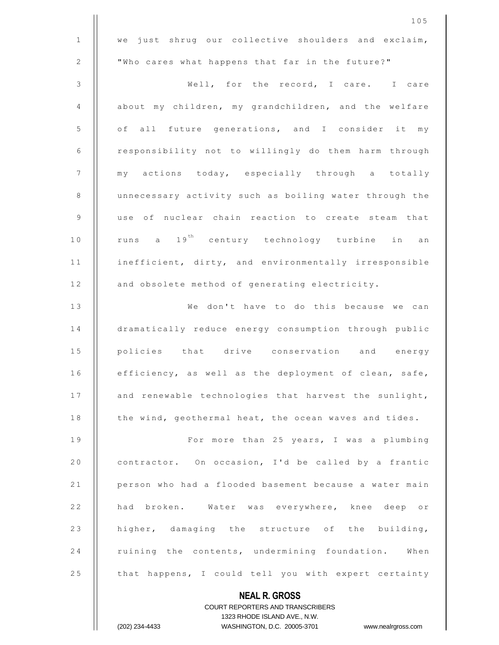**NEAL R. GROSS**  $1$  we just shrug our collective shoulders and exclaim, 2 | Who cares what happens that far in the future?" 3 || Well, for the record, I care. I care 4 | about my children, my grandchildren, and the welfare 5 | of all future generations, and I consider it my 6 | responsibility not to willingly do them harm through 7 || my actions today, especially through a totally 8 | unnecessary activity such as boiling water through the 9 || use of nuclear chain reaction to create steam that 10 || runs a 19<sup>th</sup> century technology turbine in an 11 | inefficient, dirty, and environmentally irresponsible 12 | and obsolete method of generating electricity. 13 || We don't have to do this because we can 14 | dramatically reduce energy consumption through public 15 || policies that drive conservation and energy 16 | efficiency, as well as the deployment of clean, safe, 17 | and renewable technologies that harvest the sunlight, 18 | the wind, geothermal heat, the ocean waves and tides. 1 9 F o r m o r e t h a n 2 5 y e a r s , I w a s a p l u m b i n g 20  $\vert$  contractor. On occasion, I'd be called by a frantic 21 | person who had a flooded basement because a water main 22 | had broken. Water was everywhere, knee deep or 23 | higher, damaging the structure of the building, 24 Tuining the contents, undermining foundation. When 25 | that happens, I could tell you with expert certainty

COURT REPORTERS AND TRANSCRIBERS 1323 RHODE ISLAND AVE., N.W. (202) 234-4433 WASHINGTON, D.C. 20005-3701 www.nealrgross.com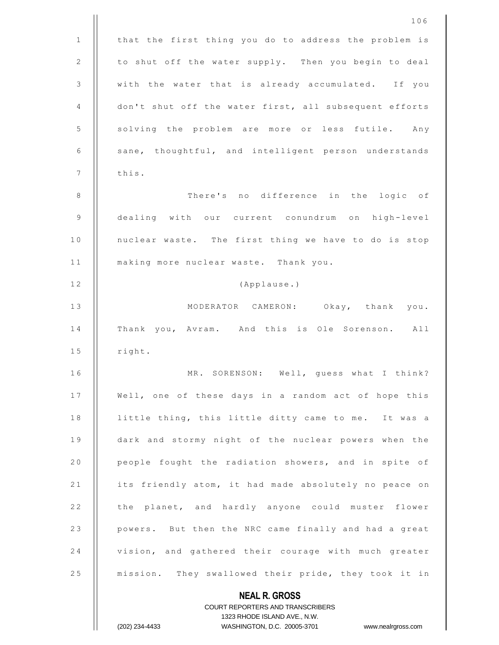|                | 106                                                    |
|----------------|--------------------------------------------------------|
| $\mathbf{1}$   | that the first thing you do to address the problem is  |
| 2              | to shut off the water supply. Then you begin to deal   |
| $\mathfrak{Z}$ | with the water that is already accumulated. If you     |
| 4              | don't shut off the water first, all subsequent efforts |
| 5              | solving the problem are more or less futile. Any       |
| 6              | sane, thoughtful, and intelligent person understands   |
| $\overline{7}$ | this.                                                  |
| 8              | There's no difference in the logic of                  |
| $\mathsf 9$    | dealing with our current conundrum on high-level       |
| 10             | nuclear waste. The first thing we have to do is stop   |
| 11             | making more nuclear waste. Thank you.                  |
| 12             | (Applause.)                                            |
| 13             | MODERATOR CAMERON: Okay, thank you.                    |
| 14             | Thank you, Avram. And this is Ole Sorenson. All        |
| 15             | right.                                                 |
| 16             | MR. SORENSON: Well, guess what I think?                |
| 17             | Well, one of these days in a random act of hope this   |
| 18             | little thing, this little ditty came to me. It was a   |
| 19             | dark and stormy night of the nuclear powers when the   |
| 20             | people fought the radiation showers, and in spite of   |
| 21             | its friendly atom, it had made absolutely no peace on  |
| 22             | the planet, and hardly anyone could muster flower      |
| 23             | powers. But then the NRC came finally and had a great  |
| 24             | vision, and gathered their courage with much greater   |
| 25             | mission. They swallowed their pride, they took it in   |
|                | <b>NEAL R. GROSS</b>                                   |

COURT REPORTERS AND TRANSCRIBERS 1323 RHODE ISLAND AVE., N.W.

 $\mathsf{II}$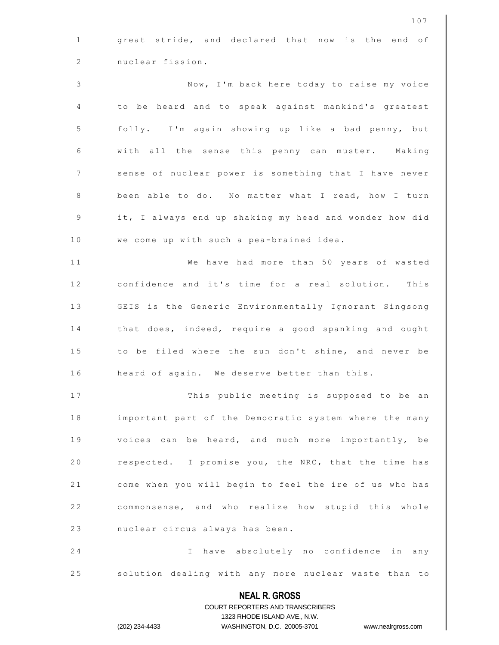|              | 107                                                              |
|--------------|------------------------------------------------------------------|
| $\mathbf{1}$ | great stride, and declared that now is the end of                |
| 2            | nuclear fission.                                                 |
| 3            | Now, I'm back here today to raise my voice                       |
| 4            | to be heard and to speak against mankind's greatest              |
| 5            | folly. I'm again showing up like a bad penny, but                |
| 6            | with all the sense this penny can muster. Making                 |
| 7            | sense of nuclear power is something that I have never            |
| 8            | been able to do. No matter what I read, how I turn               |
| 9            | it, I always end up shaking my head and wonder how did           |
| 10           | we come up with such a pea-brained idea.                         |
| 11           | We have had more than 50 years of wasted                         |
| 12           | confidence and it's time for a real solution. This               |
| 13           | GEIS is the Generic Environmentally Ignorant Singsong            |
| 14           | that does, indeed, require a good spanking and ought             |
| 15           | to be filed where the sun don't shine, and never be              |
| 16           | heard of again. We deserve better than this.                     |
| 17           | This public meeting is supposed to be an                         |
| 18           | important part of the Democratic system where the many           |
| 19           | voices can be heard, and much more importantly, be               |
| 20           | respected. I promise you, the NRC, that the time has             |
| 21           | come when you will begin to feel the ire of us who has           |
| 22           | commonsense, and who realize how stupid this whole               |
| 23           | nuclear circus always has been.                                  |
| 24           | I have absolutely no confidence in any                           |
| 25           | solution dealing with any more nuclear waste than to             |
|              | <b>NEAL R. GROSS</b><br>COURT REPORTERS AND TRANSCRIBERS         |
|              | 1323 RHODE ISLAND AVE., N.W.                                     |
|              | (202) 234-4433<br>WASHINGTON, D.C. 20005-3701 www.nealrgross.com |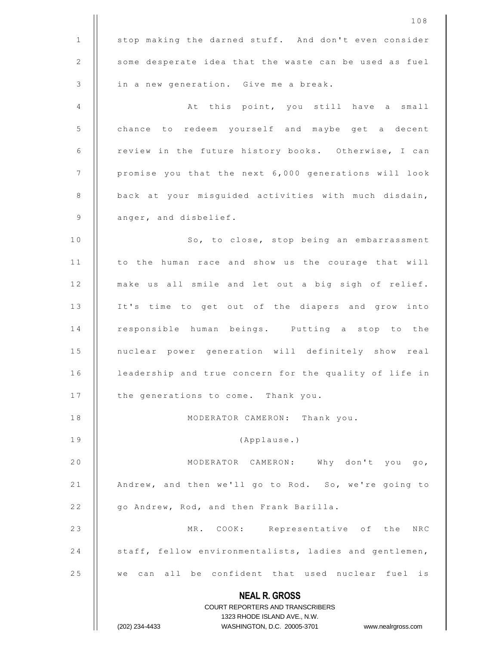|              | 108                                                                                                 |
|--------------|-----------------------------------------------------------------------------------------------------|
| $\mathbf{1}$ | stop making the darned stuff. And don't even consider                                               |
| 2            | some desperate idea that the waste can be used as fuel                                              |
| 3            | in a new generation. Give me a break.                                                               |
| 4            | At this point, you still have a small                                                               |
| 5            | chance to redeem yourself and maybe get a decent                                                    |
| 6            | review in the future history books. Otherwise, I can                                                |
| 7            | promise you that the next 6,000 generations will look                                               |
| 8            | back at your misguided activities with much disdain,                                                |
| 9            | anger, and disbelief.                                                                               |
| 10           | So, to close, stop being an embarrassment                                                           |
| 11           | to the human race and show us the courage that will                                                 |
| 12           | make us all smile and let out a big sigh of relief.                                                 |
| 13           | It's time to get out of the diapers and grow into                                                   |
| 14           | responsible human beings. Putting a stop to the                                                     |
| 15           | nuclear power generation will definitely show real                                                  |
| 16           | leadership and true concern for the quality of life in                                              |
| 17           | the generations to come. Thank you.                                                                 |
| 18           | MODERATOR CAMERON: Thank you.                                                                       |
| 19           | (Applause.)                                                                                         |
| 20           | MODERATOR CAMERON: Why don't you go,                                                                |
| 21           | Andrew, and then we'll go to Rod. So, we're going to                                                |
| 22           | go Andrew, Rod, and then Frank Barilla.                                                             |
| 23           | MR. COOK: Representative of the NRC                                                                 |
| 24           | staff, fellow environmentalists, ladies and gentlemen,                                              |
| 25           | can all be confident that used nuclear fuel is<br>we                                                |
|              | <b>NEAL R. GROSS</b>                                                                                |
|              | <b>COURT REPORTERS AND TRANSCRIBERS</b>                                                             |
|              | 1323 RHODE ISLAND AVE., N.W.<br>(202) 234-4433<br>WASHINGTON, D.C. 20005-3701<br>www.nealrgross.com |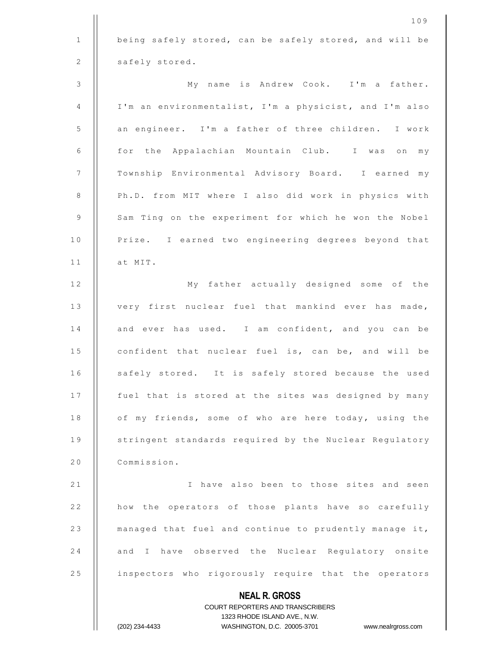|               | 109                                                                                                 |
|---------------|-----------------------------------------------------------------------------------------------------|
| $\mathbf{1}$  | being safely stored, can be safely stored, and will be                                              |
| 2             | safely stored.                                                                                      |
| $\mathcal{S}$ | My name is Andrew Cook. I'm a father.                                                               |
| 4             | I'm an environmentalist, I'm a physicist, and I'm also                                              |
| 5             | an engineer. I'm a father of three children. I work                                                 |
| 6             | for the Appalachian Mountain Club. I was on<br>my                                                   |
| 7             | Township Environmental Advisory Board. I earned my                                                  |
| 8             | Ph.D. from MIT where I also did work in physics with                                                |
| 9             | Sam Ting on the experiment for which he won the Nobel                                               |
| 10            | Prize. I earned two engineering degrees beyond that                                                 |
| 11            | at MIT.                                                                                             |
| 12            | My father actually designed some of the                                                             |
| 13            | very first nuclear fuel that mankind ever has made,                                                 |
| 14            | and ever has used. I am confident, and you can be                                                   |
| 15            | confident that nuclear fuel is, can be, and will be                                                 |
| 16            | safely stored. It is safely stored because the used                                                 |
| 17            | fuel that is stored at the sites was designed by many                                               |
| 18            | of my friends, some of who are here today, using the                                                |
| 19            | stringent standards required by the Nuclear Regulatory                                              |
| 20            | Commission.                                                                                         |
| 21            | I have also been to those sites and seen                                                            |
| 22            | how the operators of those plants have so carefully                                                 |
| 23            | managed that fuel and continue to prudently manage it,                                              |
| 24            | and I have observed the Nuclear Regulatory onsite                                                   |
| 25            | inspectors who rigorously require that the operators                                                |
|               | <b>NEAL R. GROSS</b>                                                                                |
|               | <b>COURT REPORTERS AND TRANSCRIBERS</b>                                                             |
|               | 1323 RHODE ISLAND AVE., N.W.<br>(202) 234-4433<br>WASHINGTON, D.C. 20005-3701<br>www.nealrgross.com |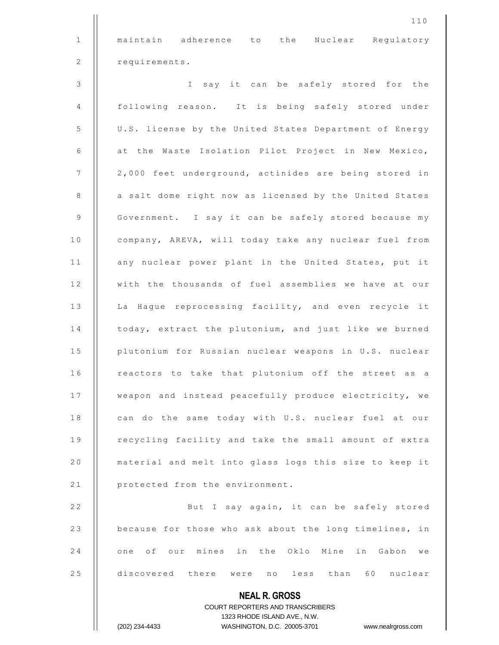1 || maintain adherence to the Nuclear Regulatory 2 | requirements.

110

3 | I say it can be safely stored for the 4 | following reason. It is being safely stored under 5 | U.S. license by the United States Department of Energy  $6$  | at the Waste Isolation Pilot Project in New Mexico,  $7$   $||$  2,000 feet underground, actinides are being stored in 8 | a salt dome right now as licensed by the United States 9 | Government. I say it can be safely stored because my 10 | company, AREVA, will today take any nuclear fuel from 11 | any nuclear power plant in the United States, put it 12 | with the thousands of fuel assemblies we have at our 13 | La Hague reprocessing facility, and even recycle it 14 | today, extract the plutonium, and just like we burned 15 | plutonium for Russian nuclear weapons in U.S. nuclear 16 | reactors to take that plutonium off the street as a 17 | weapon and instead peacefully produce electricity, we 18 | can do the same today with U.S. nuclear fuel at our 19 | recycling facility and take the small amount of extra 20 | material and melt into glass logs this size to keep it 21 | protected from the environment. 22 | But I say again, it can be safely stored 23 **because for those who ask about the long timelines, in** 24 || one of our mines in the Oklo Mine in Gabon we 25 discovered there were no less than 60 nuclear

> **NEAL R. GROSS** COURT REPORTERS AND TRANSCRIBERS 1323 RHODE ISLAND AVE., N.W.

(202) 234-4433 WASHINGTON, D.C. 20005-3701 www.nealrgross.com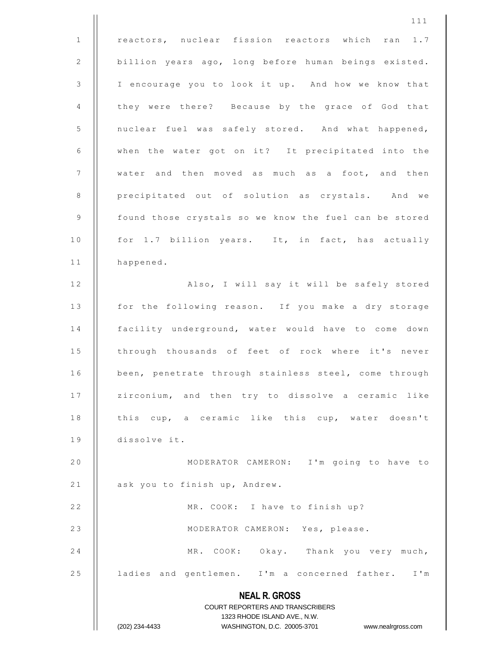**NEAL R. GROSS** COURT REPORTERS AND TRANSCRIBERS 1323 RHODE ISLAND AVE., N.W. (202) 234-4433 WASHINGTON, D.C. 20005-3701 www.nealrgross.com 1 || reactors, nuclear fission reactors which ran 1.7 2 | billion years ago, long before human beings existed. 3 | I encourage you to look it up. And how we know that 4 | they were there? Because by the grace of God that 5 | nuclear fuel was safely stored. And what happened, 6 | when the water got on it? It precipitated into the  $7$   $\parallel$  water and then moved as much as a foot, and then 8 | precipitated out of solution as crystals. And we 9 | found those crystals so we know the fuel can be stored 10 | for 1.7 billion years. It, in fact, has actually 11 | happened. 12 || Also, I will say it will be safely stored 13 | for the following reason. If you make a dry storage 14 || facility underground, water would have to come down 15 || through thousands of feet of rock where it's never 16 | been, penetrate through stainless steel, come through 17 | zirconium, and then try to dissolve a ceramic like 18 || this cup, a ceramic like this cup, water doesn't 19 | dissolve it. 20 | MODERATOR CAMERON: I'm going to have to 21 | ask you to finish up, Andrew. 22 | MR. COOK: I have to finish up? 23 || MODERATOR CAMERON: Yes, please. 24 | MR. COOK: Okay. Thank you very much, 25 | ladies and gentlemen. I'm a concerned father. I'm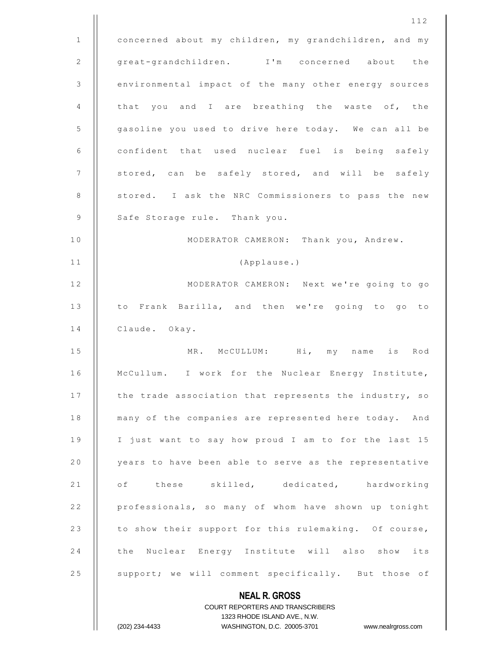|              | 112                                                    |
|--------------|--------------------------------------------------------|
| $\mathbf{1}$ | concerned about my children, my grandchildren, and my  |
| 2            | great-grandchildren. I'm concerned about the           |
| 3            | environmental impact of the many other energy sources  |
| 4            | that you and I are breathing the waste of, the         |
| 5            | gasoline you used to drive here today. We can all be   |
| 6            | confident that used nuclear fuel is being safely       |
| 7            | stored, can be safely stored, and will be safely       |
| 8            | stored. I ask the NRC Commissioners to pass the new    |
| 9            | Safe Storage rule. Thank you.                          |
| 10           | MODERATOR CAMERON: Thank you, Andrew.                  |
| 11           | (Applause.)                                            |
| 12           | MODERATOR CAMERON: Next we're going to go              |
| 13           | to Frank Barilla, and then we're going to go to        |
| 14           | Claude. Okay.                                          |
| 15           | MR. McCULLUM: Hi, my name is Rod                       |
| 16           | McCullum. I work for the Nuclear Energy Institute,     |
| 17           | the trade association that represents the industry, so |
| 18           | many of the companies are represented here today. And  |
| 19           | I just want to say how proud I am to for the last 15   |
| 20           | years to have been able to serve as the representative |
| 21           | of these skilled, dedicated, hardworking               |
| 22           | professionals, so many of whom have shown up tonight   |
| 23           | to show their support for this rulemaking. Of course,  |
| 24           | the Nuclear Energy Institute will also show its        |
| 25           | support; we will comment specifically. But those of    |
|              | <b>NEAL R. GROSS</b>                                   |

COURT REPORTERS AND TRANSCRIBERS 1323 RHODE ISLAND AVE., N.W. (202) 234-4433 WASHINGTON, D.C. 20005-3701 www.nealrgross.com

 $\prod$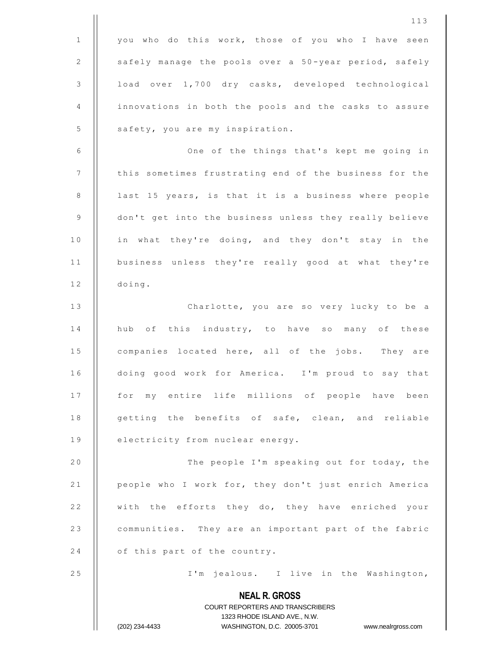|              | 113                                                                                                 |
|--------------|-----------------------------------------------------------------------------------------------------|
| $\mathbf{1}$ | you who do this work, those of you who I have seen                                                  |
| 2            | safely manage the pools over a 50-year period, safely                                               |
| 3            | load over 1,700 dry casks, developed technological                                                  |
| 4            | innovations in both the pools and the casks to assure                                               |
| 5            | safety, you are my inspiration.                                                                     |
| 6            | One of the things that's kept me going in                                                           |
| 7            | this sometimes frustrating end of the business for the                                              |
| 8            | last 15 years, is that it is a business where people                                                |
| 9            | don't get into the business unless they really believe                                              |
| 10           | in what they're doing, and they don't stay in the                                                   |
| 11           | business unless they're really good at what they're                                                 |
| 12           | doing.                                                                                              |
| 13           | Charlotte, you are so very lucky to be a                                                            |
| 14           | hub of this industry, to have so many of these                                                      |
| 15           | companies located here, all of the jobs. They are                                                   |
| 16           | doing good work for America. I'm proud to say that                                                  |
| 17           | for my entire life millions of people have been                                                     |
| 18           | getting the benefits of safe, clean, and reliable                                                   |
| 19           | electricity from nuclear energy.                                                                    |
| 20           | The people I'm speaking out for today, the                                                          |
| 21           | people who I work for, they don't just enrich America                                               |
| 22           | with the efforts they do, they have enriched your                                                   |
| 23           | communities. They are an important part of the fabric                                               |
| 24           | of this part of the country.                                                                        |
| 25           | I'm jealous. I live in the Washington,                                                              |
|              | <b>NEAL R. GROSS</b>                                                                                |
|              | COURT REPORTERS AND TRANSCRIBERS                                                                    |
|              | 1323 RHODE ISLAND AVE., N.W.<br>(202) 234-4433<br>WASHINGTON, D.C. 20005-3701<br>www.nealrgross.com |
|              |                                                                                                     |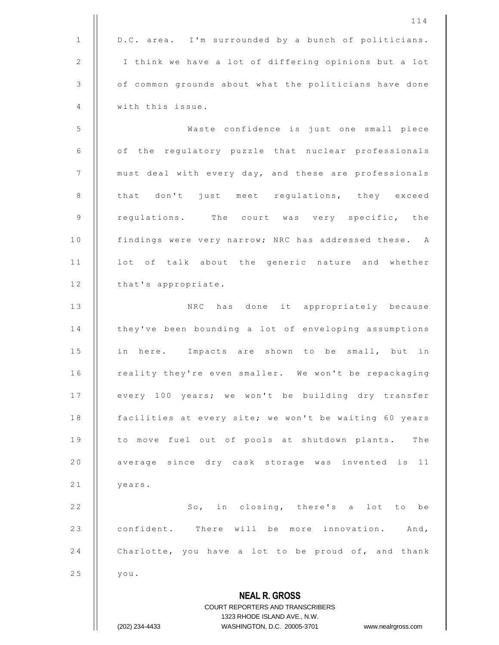|              | 114                                                              |
|--------------|------------------------------------------------------------------|
| $\mathbf{1}$ | D.C. area. I'm surrounded by a bunch of politicians.             |
| 2            | I think we have a lot of differing opinions but a lot            |
| 3            | of common grounds about what the politicians have done           |
| 4            | with this issue.                                                 |
| 5            | Waste confidence is just one small piece                         |
| 6            | of the regulatory puzzle that nuclear professionals              |
| 7            | must deal with every day, and these are professionals            |
| 8            | that don't just meet regulations, they exceed                    |
| 9            | regulations. The court was very specific, the                    |
| 10           | findings were very narrow; NRC has addressed these. A            |
| 11           | lot of talk about the generic nature and whether                 |
| 12           | that's appropriate.                                              |
| 13           | NRC has done it appropriately because                            |
| 14           | they've been bounding a lot of enveloping assumptions            |
| 15           | in here. Impacts are shown to be small, but in                   |
| 16           | reality they're even smaller. We won't be repackaging            |
| 17           | every 100 years; we won't be building dry transfer               |
| 18           | facilities at every site; we won't be waiting 60 years           |
| 19           | to move fuel out of pools at shutdown plants. The                |
| 20           | average since dry cask storage was invented is 11                |
| 21           | years.                                                           |
| 22           | So, in closing, there's a lot to be                              |
| 23           | confident. There will be more innovation. And,                   |
| 24           | Charlotte, you have a lot to be proud of, and thank              |
| 25           | you.                                                             |
|              | <b>NEAL R. GROSS</b>                                             |
|              | COURT REPORTERS AND TRANSCRIBERS<br>1323 RHODE ISLAND AVE., N.W. |
|              | (202) 234-4433<br>WASHINGTON, D.C. 20005-3701 www.nealrgross.com |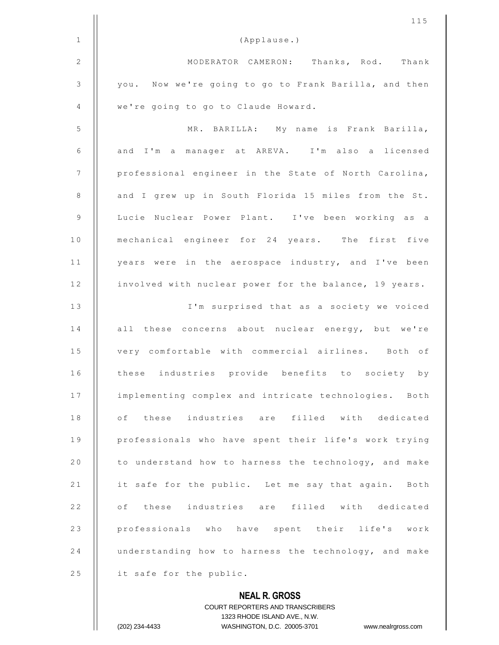|                | 115                                                      |
|----------------|----------------------------------------------------------|
| $\mathbf{1}$   | (Applause.)                                              |
| $\mathbf{2}$   | MODERATOR CAMERON: Thanks, Rod. Thank                    |
| $\mathfrak{Z}$ | you. Now we're going to go to Frank Barilla, and then    |
| 4              | we're going to go to Claude Howard.                      |
| 5              | MR. BARILLA: My name is Frank Barilla,                   |
| 6              | and I'm a manager at AREVA. I'm also a licensed          |
| 7              | professional engineer in the State of North Carolina,    |
| 8              | and I grew up in South Florida 15 miles from the St.     |
| 9              | Lucie Nuclear Power Plant. I've been working as a        |
| 10             | mechanical engineer for 24 years. The first five         |
| 11             | years were in the aerospace industry, and I've been      |
| 12             | involved with nuclear power for the balance, 19 years.   |
| 13             | I'm surprised that as a society we voiced                |
| 14             | all these concerns about nuclear energy, but we're       |
| 15             | very comfortable with commercial airlines. Both of       |
| 16             | these industries provide benefits to society by          |
| 17             | implementing complex and intricate technologies. Both    |
| 18             | of these industries are filled with dedicated            |
| 19             | professionals who have spent their life's work trying    |
| 20             | to understand how to harness the technology, and make    |
| 21             | it safe for the public. Let me say that again. Both      |
| 22             | of these industries are filled with dedicated            |
| 23             | professionals who have spent their life's work           |
| 24             | understanding how to harness the technology, and make    |
| 25             | it safe for the public.                                  |
|                | <b>NEAL R. GROSS</b><br>COURT REPORTERS AND TRANSCRIBERS |

1323 RHODE ISLAND AVE., N.W.

(202) 234-4433 WASHINGTON, D.C. 20005-3701 www.nealrgross.com

 $\prod$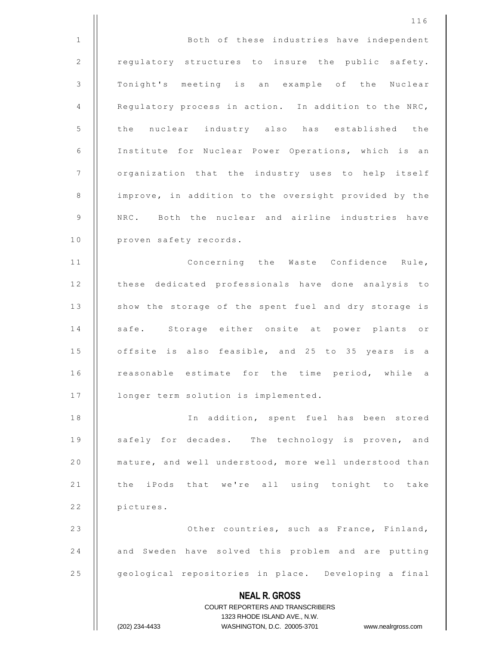**NEAL R. GROSS** COURT REPORTERS AND TRANSCRIBERS 1323 RHODE ISLAND AVE., N.W. (202) 234-4433 WASHINGTON, D.C. 20005-3701 www.nealrgross.com 116 1 | Both of these industries have independent 2 | regulatory structures to insure the public safety. 3 || Tonight's meeting is an example of the Nuclear 4  $\parallel$  Regulatory process in action. In addition to the NRC, 5 | the nuclear industry also has established the 6 | Institute for Nuclear Power Operations, which is an 7 | organization that the industry uses to help itself 8 | improve, in addition to the oversight provided by the 9 || NRC. Both the nuclear and airline industries have 10 | proven safety records. 11 || Concerning the Waste Confidence Rule, 12 | these dedicated professionals have done analysis to 13 | show the storage of the spent fuel and dry storage is 14 || safe. Storage either onsite at power plants or 15 | offsite is also feasible, and 25 to 35 years is a 16 || reasonable estimate for the time period, while a 17 | longer term solution is implemented. 18 || The addition, spent fuel has been stored 19 || safely for decades. The technology is proven, and 20 **e** mature, and well understood, more well understood than 21 || the iPods that we're all using tonight to take 22 | pictures. 23 || Cher countries, such as France, Finland, 24 | and Sweden have solved this problem and are putting 25 | geological repositories in place. Developing a final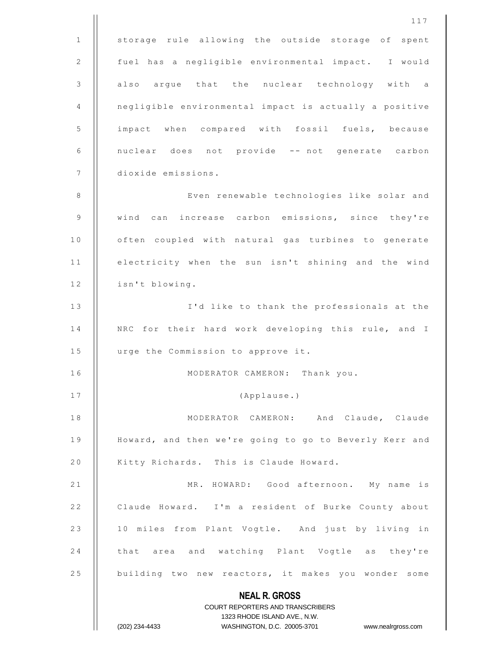|              | 117                                                                 |
|--------------|---------------------------------------------------------------------|
| $\mathbf{1}$ | storage rule allowing the outside storage of spent                  |
| 2            | fuel has a negligible environmental impact. I would                 |
| 3            | also argue that the nuclear technology with a                       |
| 4            | negligible environmental impact is actually a positive              |
| 5            | impact when compared with fossil fuels, because                     |
| 6            | nuclear does not provide -- not generate carbon                     |
| 7            | dioxide emissions.                                                  |
| 8            | Even renewable technologies like solar and                          |
| 9            | wind can increase carbon emissions, since they're                   |
| 10           | often coupled with natural gas turbines to generate                 |
| 11           | electricity when the sun isn't shining and the wind                 |
| 12           | isn't blowing.                                                      |
| 13           | I'd like to thank the professionals at the                          |
| 14           | NRC for their hard work developing this rule, and I                 |
| 15           | urge the Commission to approve it.                                  |
| 16           | MODERATOR CAMERON: Thank you.                                       |
| 17           | (Applause.)                                                         |
| 18           | MODERATOR CAMERON: And Claude, Claude                               |
| 19           | Howard, and then we're going to go to Beverly Kerr and              |
| 20           | Kitty Richards. This is Claude Howard.                              |
| 21           | MR. HOWARD: Good afternoon. My name is                              |
| 22           | Claude Howard. I'm a resident of Burke County about                 |
| 23           | 10 miles from Plant Vogtle. And just by living in                   |
| 24           | that area and watching Plant Vogtle as they're                      |
| 25           | building two new reactors, it makes you wonder some                 |
|              | <b>NEAL R. GROSS</b>                                                |
|              | <b>COURT REPORTERS AND TRANSCRIBERS</b>                             |
|              | 1323 RHODE ISLAND AVE., N.W.                                        |
|              | (202) 234-4433<br>WASHINGTON, D.C. 20005-3701<br>www.nealrgross.com |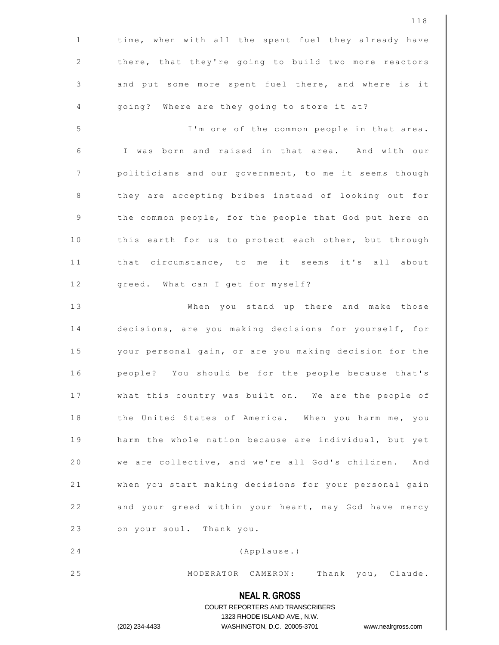|                | 118                                                                                                 |
|----------------|-----------------------------------------------------------------------------------------------------|
| $\mathbf 1$    | time, when with all the spent fuel they already have                                                |
| $\mathbf{2}$   | there, that they're going to build two more reactors                                                |
| 3              | and put some more spent fuel there, and where is it                                                 |
| 4              | going? Where are they going to store it at?                                                         |
| 5              | I'm one of the common people in that area.                                                          |
| 6              | I was born and raised in that area. And with our                                                    |
| $\overline{7}$ | politicians and our government, to me it seems though                                               |
| 8              | they are accepting bribes instead of looking out for                                                |
| 9              | the common people, for the people that God put here on                                              |
| 10             | this earth for us to protect each other, but through                                                |
| 11             | that circumstance, to me it seems it's all about                                                    |
| 12             | greed. What can I get for myself?                                                                   |
| 13             | When you stand up there and make those                                                              |
| 14             | decisions, are you making decisions for yourself, for                                               |
| 15             | your personal gain, or are you making decision for the                                              |
| 16             | people? You should be for the people because that's                                                 |
| 17             | what this country was built on. We are the people of                                                |
| 18             | the United States of America. When you harm me, you                                                 |
| 19             | harm the whole nation because are individual, but yet                                               |
| 20             | we are collective, and we're all God's children. And                                                |
| 21             | when you start making decisions for your personal gain                                              |
| 22             | and your greed within your heart, may God have mercy                                                |
| 23             | on your soul. Thank you.                                                                            |
| 24             | (Applause.)                                                                                         |
| 25             | Thank you, Claude.<br>MODERATOR CAMERON:                                                            |
|                | <b>NEAL R. GROSS</b>                                                                                |
|                | COURT REPORTERS AND TRANSCRIBERS                                                                    |
|                | 1323 RHODE ISLAND AVE., N.W.<br>(202) 234-4433<br>WASHINGTON, D.C. 20005-3701<br>www.nealrgross.com |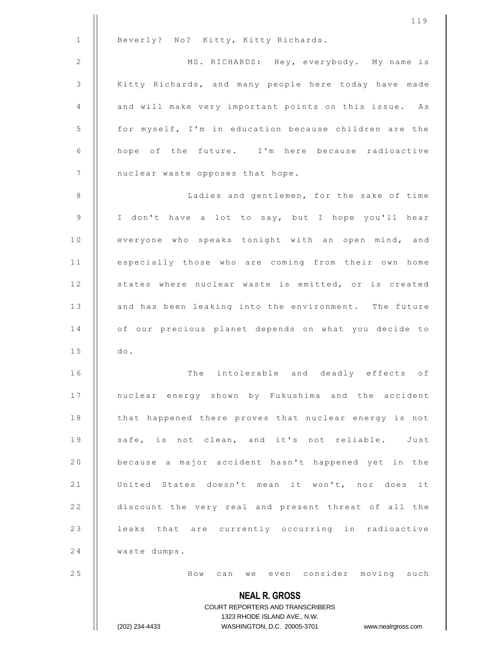|              | 119                                                                                                 |
|--------------|-----------------------------------------------------------------------------------------------------|
| $\mathbf{1}$ | Beverly? No? Kitty, Kitty Richards.                                                                 |
| $\mathbf{2}$ | MS. RICHARDS: Hey, everybody. My name is                                                            |
| 3            | Kitty Richards, and many people here today have made                                                |
| 4            | and will make very important points on this issue. As                                               |
| 5            | for myself, I'm in education because children are the                                               |
| 6            | hope of the future. I'm here because radioactive                                                    |
| 7            | nuclear waste opposes that hope.                                                                    |
| 8            | Ladies and gentlemen, for the sake of time                                                          |
| 9            | I don't have a lot to say, but I hope you'll hear                                                   |
| 10           | everyone who speaks tonight with an open mind, and                                                  |
| 11           | especially those who are coming from their own home                                                 |
| 12           | states where nuclear waste is emitted, or is created                                                |
| 13           | and has been leaking into the environment. The future                                               |
| 14           | of our precious planet depends on what you decide to                                                |
| 15           | do.                                                                                                 |
| 16           | The intolerable and deadly effects of                                                               |
| 17           | nuclear energy shown by Fukushima and the accident                                                  |
| 18           | that happened there proves that nuclear energy is not                                               |
| 19           | safe, is not clean, and it's not reliable. Just                                                     |
| 20           | because a major accident hasn't happened yet in the                                                 |
| 21           | United States doesn't mean it won't, nor does it                                                    |
| 22           | discount the very real and present threat of all the                                                |
| 23           | leaks that are currently occurring in radioactive                                                   |
| 24           | waste dumps.                                                                                        |
| 25           | How can we even consider moving such                                                                |
|              | <b>NEAL R. GROSS</b>                                                                                |
|              | COURT REPORTERS AND TRANSCRIBERS                                                                    |
|              | 1323 RHODE ISLAND AVE., N.W.<br>(202) 234-4433<br>WASHINGTON, D.C. 20005-3701<br>www.nealrgross.com |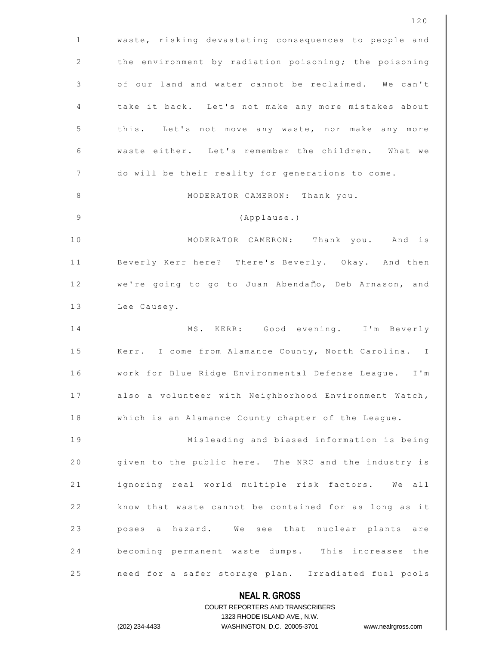|                | 120                                                      |
|----------------|----------------------------------------------------------|
| $\mathbf{1}$   | waste, risking devastating consequences to people and    |
| 2              | the environment by radiation poisoning; the poisoning    |
| 3              | of our land and water cannot be reclaimed. We can't      |
| 4              | take it back. Let's not make any more mistakes about     |
| 5              | this. Let's not move any waste, nor make any more        |
| 6              | waste either. Let's remember the children. What we       |
| $\overline{7}$ | do will be their reality for generations to come.        |
| 8              | MODERATOR CAMERON: Thank you.                            |
| $\overline{9}$ | (Applause.)                                              |
| 10             | MODERATOR CAMERON: Thank you. And is                     |
| 11             | Beverly Kerr here? There's Beverly. Okay. And then       |
| 12             | we're going to go to Juan Abendaño, Deb Arnason, and     |
| 13             | Lee Causey.                                              |
| 14             | MS. KERR: Good evening. I'm Beverly                      |
| 15             | Kerr. I come from Alamance County, North Carolina. I     |
| 16             | work for Blue Ridge Environmental Defense League. I'm    |
| 17             | also a volunteer with Neighborhood Environment Watch,    |
| 18             | which is an Alamance County chapter of the League.       |
| 19             | Misleading and biased information is being               |
| 20             | given to the public here. The NRC and the industry is    |
| 21             | ignoring real world multiple risk factors.<br>We all     |
| 22             | know that waste cannot be contained for as long as it    |
| 23             | poses a hazard. We see that nuclear plants are           |
| 24             | becoming permanent waste dumps. This increases the       |
| 25             | need for a safer storage plan. Irradiated fuel pools     |
|                | <b>NEAL R. GROSS</b><br>COURT REPORTERS AND TRANSCRIBERS |

1323 RHODE ISLAND AVE., N.W.

 $\begin{array}{c} \hline \end{array}$ 

(202) 234-4433 WASHINGTON, D.C. 20005-3701 www.nealrgross.com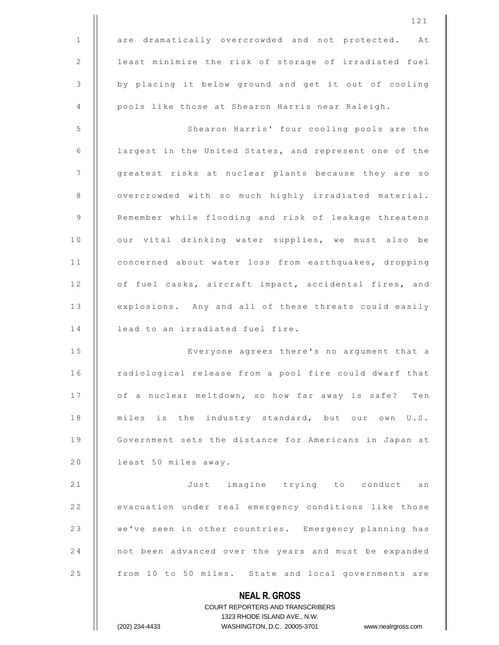|              | 121                                                                 |
|--------------|---------------------------------------------------------------------|
| $\mathbf{1}$ | are dramatically overcrowded and not protected. At                  |
| 2            | least minimize the risk of storage of irradiated fuel               |
| 3            | by placing it below ground and get it out of cooling                |
| 4            | pools like those at Shearon Harris near Raleigh.                    |
| 5            | Shearon Harris' four cooling pools are the                          |
| 6            | largest in the United States, and represent one of the              |
| 7            | greatest risks at nuclear plants because they are so                |
| 8            | overcrowded with so much highly irradiated material.                |
| 9            | Remember while flooding and risk of leakage threatens               |
| 10           | our vital drinking water supplies, we must also be                  |
| 11           | concerned about water loss from earthquakes, dropping               |
| 12           | of fuel casks, aircraft impact, accidental fires, and               |
| 13           | explosions. Any and all of these threats could easily               |
| 14           | lead to an irradiated fuel fire.                                    |
| 15           | Everyone agrees there's no argument that a                          |
| 16           | radiological release from a pool fire could dwarf that              |
| 17           | of a nuclear meltdown, so how far away is safe? Ten                 |
| 18           | miles is the industry standard, but our own U.S.                    |
| 19           | Government sets the distance for Americans in Japan at              |
| 20           | least 50 miles away.                                                |
| 21           | Just imagine trying to conduct an                                   |
| 22           | evacuation under real emergency conditions like those               |
| 23           | we've seen in other countries. Emergency planning has               |
| 24           | not been advanced over the years and must be expanded               |
| 25           | from 10 to 50 miles. State and local governments are                |
|              | <b>NEAL R. GROSS</b>                                                |
|              | <b>COURT REPORTERS AND TRANSCRIBERS</b>                             |
|              | 1323 RHODE ISLAND AVE., N.W.                                        |
|              | (202) 234-4433<br>WASHINGTON, D.C. 20005-3701<br>www.nealrgross.com |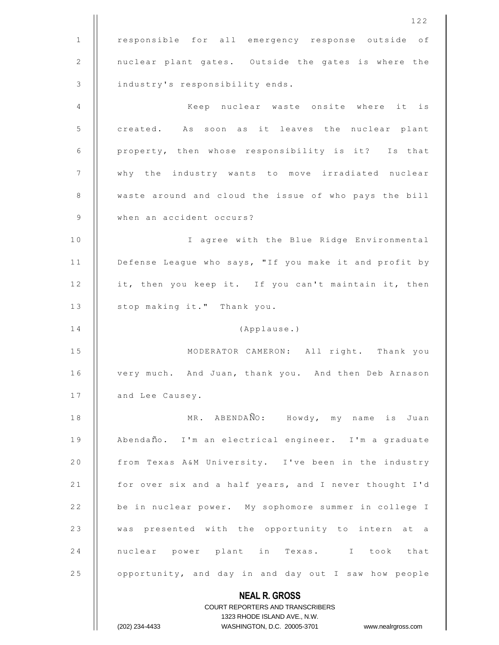|              | 122                                                                                                 |
|--------------|-----------------------------------------------------------------------------------------------------|
| $\mathbf{1}$ | responsible for all emergency response outside of                                                   |
| 2            | nuclear plant gates. Outside the gates is where the                                                 |
| 3            | industry's responsibility ends.                                                                     |
| 4            | Keep nuclear waste onsite where it is                                                               |
| 5            | created. As soon as it leaves the nuclear plant                                                     |
| 6            | property, then whose responsibility is it? Is that                                                  |
| 7            | why the industry wants to move irradiated nuclear                                                   |
| $8\,$        | waste around and cloud the issue of who pays the bill                                               |
| 9            | when an accident occurs?                                                                            |
| 10           | I agree with the Blue Ridge Environmental                                                           |
| 11           | Defense League who says, "If you make it and profit by                                              |
| 12           | it, then you keep it. If you can't maintain it, then                                                |
| 13           | stop making it." Thank you.                                                                         |
| 14           | (Applause.)                                                                                         |
| 15           | MODERATOR CAMERON: All right. Thank you                                                             |
| 16           | very much. And Juan, thank you. And then Deb Arnason                                                |
| 17           | and Lee Causey.                                                                                     |
| 18           | MR. ABENDAÑO: Howdy, my name is Juan                                                                |
| 19           | Abendaño. I'm an electrical engineer. I'm a graduate                                                |
| 20           | from Texas A&M University. I've been in the industry                                                |
| 21           | for over six and a half years, and I never thought I'd                                              |
| 22           | be in nuclear power. My sophomore summer in college I                                               |
| 23           | was presented with the opportunity to intern at a                                                   |
| 24           | nuclear power plant in Texas. I took that                                                           |
| 25           | opportunity, and day in and day out I saw how people                                                |
|              | <b>NEAL R. GROSS</b>                                                                                |
|              | <b>COURT REPORTERS AND TRANSCRIBERS</b>                                                             |
|              | 1323 RHODE ISLAND AVE., N.W.<br>(202) 234-4433<br>WASHINGTON, D.C. 20005-3701<br>www.nealrgross.com |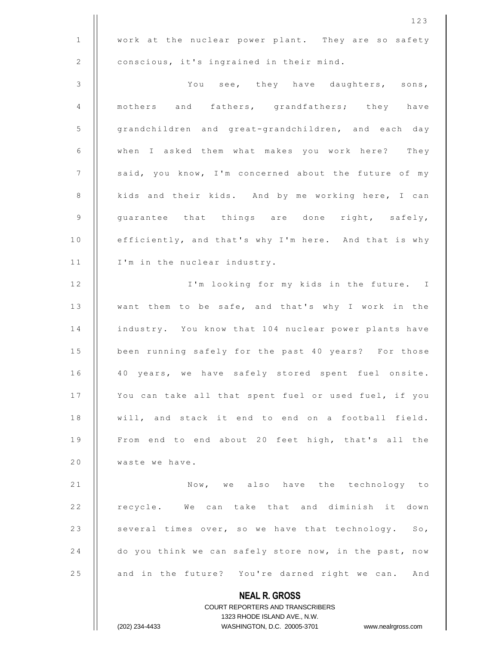|                | 123                                                                                              |
|----------------|--------------------------------------------------------------------------------------------------|
| $\mathbf{1}$   | work at the nuclear power plant. They are so safety                                              |
| 2              | conscious, it's ingrained in their mind.                                                         |
| 3              | You see, they have daughters, sons,                                                              |
| 4              | mothers and fathers, grandfathers; they have                                                     |
| 5              | grandchildren and great-grandchildren, and each day                                              |
| 6              | when I asked them what makes you work here? They                                                 |
| $\overline{7}$ | said, you know, I'm concerned about the future of my                                             |
| 8              | kids and their kids. And by me working here, I can                                               |
| 9              | guarantee that things are done right, safely,                                                    |
| 10             | efficiently, and that's why I'm here. And that is why                                            |
| 11             | I'm in the nuclear industry.                                                                     |
| 12             | I'm looking for my kids in the future. I                                                         |
| 13             | want them to be safe, and that's why I work in the                                               |
| 14             | industry. You know that 104 nuclear power plants have                                            |
| $1\,5$         | been running safely for the past 40 years? For those                                             |
| 16             | 40 years, we have safely stored spent fuel onsite.                                               |
| 17             | You can take all that spent fuel or used fuel, if you                                            |
| 18             | will, and stack it end to end on a football field.                                               |
| 19             | From end to end about 20 feet high, that's all the                                               |
| 20             | waste we have.                                                                                   |
| 21             | Now, we also have the technology to                                                              |
| 22             | recycle. We can take that and diminish it down                                                   |
| 23             | several times over, so we have that technology. So,                                              |
| 24             | do you think we can safely store now, in the past, now                                           |
| 25             | and in the future? You're darned right we can. And                                               |
|                | <b>NEAL R. GROSS</b>                                                                             |
|                | COURT REPORTERS AND TRANSCRIBERS                                                                 |
|                | 1323 RHODE ISLAND AVE., N.W.<br>WASHINGTON, D.C. 20005-3701 www.nealrgross.com<br>(202) 234-4433 |
|                |                                                                                                  |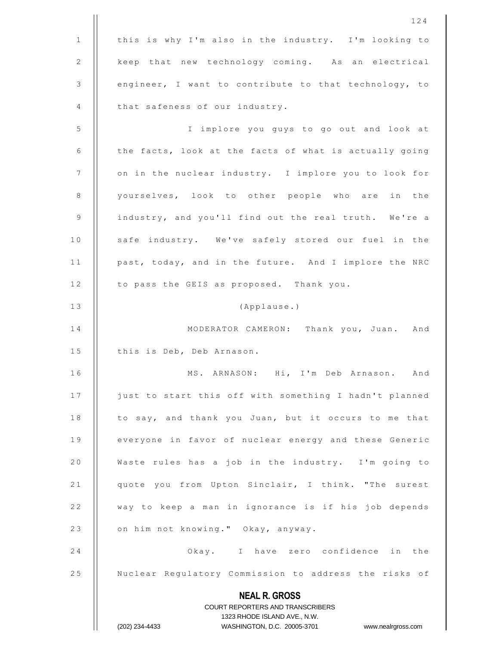|              | 124                                                                                              |
|--------------|--------------------------------------------------------------------------------------------------|
| $\mathbf{1}$ | this is why I'm also in the industry. I'm looking to                                             |
| 2            | keep that new technology coming. As an electrical                                                |
| 3            | engineer, I want to contribute to that technology, to                                            |
| 4            | that safeness of our industry.                                                                   |
| 5            | I implore you guys to go out and look at                                                         |
| 6            | the facts, look at the facts of what is actually going                                           |
| 7            | on in the nuclear industry. I implore you to look for                                            |
| 8            | yourselves, look to other people who are in the                                                  |
| 9            | industry, and you'll find out the real truth. We're a                                            |
| 10           | safe industry. We've safely stored our fuel in the                                               |
| 11           | past, today, and in the future. And I implore the NRC                                            |
| 12           | to pass the GEIS as proposed. Thank you.                                                         |
| 13           | (Applause.)                                                                                      |
| 14           | MODERATOR CAMERON: Thank you, Juan. And                                                          |
| 15           | this is Deb, Deb Arnason.                                                                        |
| 16           | ARNASON: Hi, I'm Deb Arnason. And<br>MS.                                                         |
| 17           | just to start this off with something I hadn't planned                                           |
| 18           | to say, and thank you Juan, but it occurs to me that                                             |
| 19           | everyone in favor of nuclear energy and these Generic                                            |
| 20           | Waste rules has a job in the industry. I'm going to                                              |
| 21           | quote you from Upton Sinclair, I think. "The surest                                              |
| 22           | way to keep a man in ignorance is if his job depends                                             |
| 23           | on him not knowing." Okay, anyway.                                                               |
| 24           | Okay. I have zero confidence in the                                                              |
| 25           | Nuclear Regulatory Commission to address the risks of                                            |
|              | <b>NEAL R. GROSS</b>                                                                             |
|              | COURT REPORTERS AND TRANSCRIBERS                                                                 |
|              | 1323 RHODE ISLAND AVE., N.W.<br>(202) 234-4433<br>WASHINGTON, D.C. 20005-3701 www.nealrgross.com |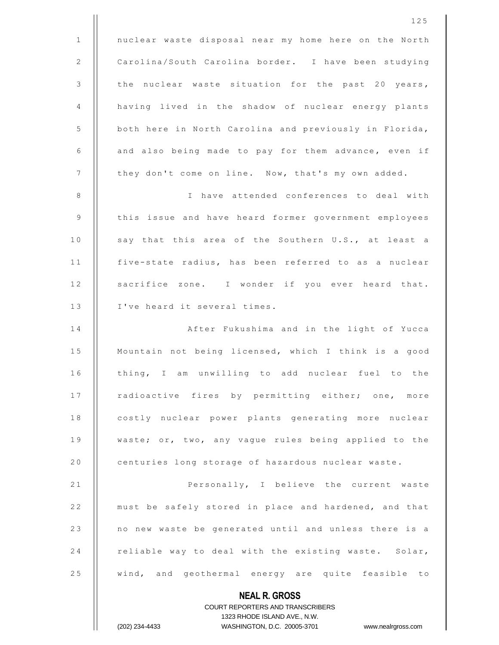**NEAL R. GROSS** 125 1 | nuclear waste disposal near my home here on the North 2 | Carolina/South Carolina border. I have been studying 3  $\parallel$  the nuclear waste situation for the past 20 years, 4 | having lived in the shadow of nuclear energy plants 5 | both here in North Carolina and previously in Florida,  $6$  | and also being made to pay for them advance, even if 7 | they don't come on line. Now, that's my own added. 8 I h a v e a t t e n d e d c o n f e r e n c e s t o d e a l w i t h 9 | this issue and have heard former government employees 10 || say that this area of the Southern U.S., at least a 11 | five-state radius, has been referred to as a nuclear 12 || sacrifice zone. I wonder if you ever heard that. 13 || I've heard it several times. 14 || After Fukushima and in the light of Yucca 15  $\parallel$  Mountain not being licensed, which I think is a good 16 | thing, I am unwilling to add nuclear fuel to the 17 || radioactive fires by permitting either; one, more 18 | costly nuclear power plants generating more nuclear 19 || waste; or, two, any vaque rules being applied to the 20 | centuries long storage of hazardous nuclear waste. 21 | Personally, I believe the current waste 22 | must be safely stored in place and hardened, and that 23 | no new waste be generated until and unless there is a 24 | reliable way to deal with the existing waste. Solar, 25 | wind, and geothermal energy are quite feasible to

> COURT REPORTERS AND TRANSCRIBERS 1323 RHODE ISLAND AVE., N.W. (202) 234-4433 WASHINGTON, D.C. 20005-3701 www.nealrgross.com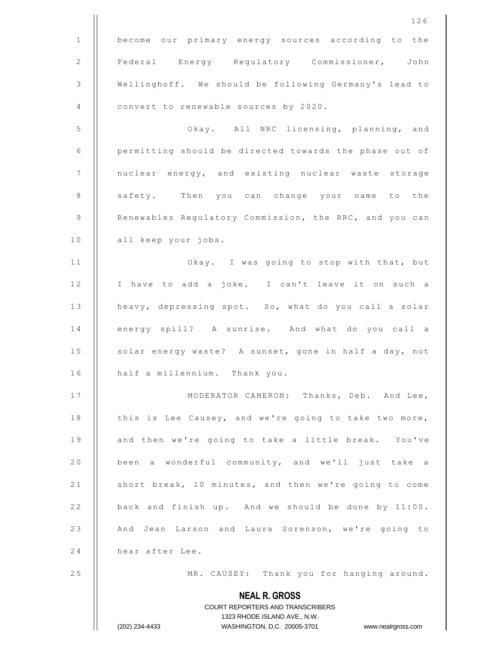|              | 126                                                                                                 |
|--------------|-----------------------------------------------------------------------------------------------------|
| $\mathbf{1}$ | become our primary energy sources according to the                                                  |
| $\mathbf{2}$ | Federal Energy Regulatory Commissioner, John                                                        |
| 3            | Wellinghoff. We should be following Germany's lead to                                               |
| 4            | convert to renewable sources by 2020.                                                               |
| 5            | Okay. All NRC licensing, planning, and                                                              |
| 6            | permitting should be directed towards the phase out of                                              |
| 7            | nuclear energy, and existing nuclear waste storage                                                  |
| 8            | safety. Then you can change your name to the                                                        |
| 9            | Renewables Regulatory Commission, the RRC, and you can                                              |
| 10           | all keep your jobs.                                                                                 |
| 11           | Okay. I was going to stop with that, but                                                            |
| 12           | I have to add a joke. I can't leave it on such a                                                    |
| 13           | heavy, depressing spot. So, what do you call a solar                                                |
| 14           | energy spill? A sunrise. And what do you call a                                                     |
| 15           | solar energy waste? A sunset, gone in half a day, not                                               |
| 16           | half a millennium. Thank you.                                                                       |
| 17           | MODERATOR CAMERON: Thanks, Deb. And Lee,                                                            |
| 18           | this is Lee Causey, and we're going to take two more,                                               |
| 19           | and then we're going to take a little break. You've                                                 |
| $2\;0$       | been a wonderful community, and we'll just take a                                                   |
| 21           | short break, 10 minutes, and then we're going to come                                               |
| 22           | back and finish up. And we should be done by 11:00.                                                 |
| 23           | And Jean Larson and Laura Sorenson, we're going to                                                  |
| 24           | hear after Lee.                                                                                     |
| 25           | MR. CAUSEY: Thank you for hanging around.                                                           |
|              | <b>NEAL R. GROSS</b>                                                                                |
|              | COURT REPORTERS AND TRANSCRIBERS                                                                    |
|              | 1323 RHODE ISLAND AVE., N.W.<br>(202) 234-4433<br>WASHINGTON, D.C. 20005-3701<br>www.nealrgross.com |
|              |                                                                                                     |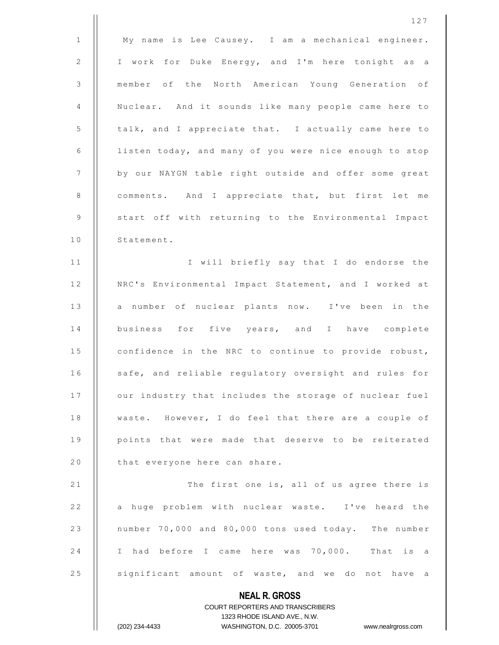|              | 127                                                                 |
|--------------|---------------------------------------------------------------------|
| $\mathbf{1}$ | My name is Lee Causey. I am a mechanical engineer.                  |
| 2            | I work for Duke Energy, and I'm here tonight as a                   |
| 3            | member of the North American Young Generation of                    |
| 4            | Nuclear. And it sounds like many people came here to                |
| 5            | talk, and I appreciate that. I actually came here to                |
| 6            | listen today, and many of you were nice enough to stop              |
| 7            | by our NAYGN table right outside and offer some great               |
| 8            | comments. And I appreciate that, but first let me                   |
| 9            | start off with returning to the Environmental Impact                |
| 10           | Statement.                                                          |
| 11           | I will briefly say that I do endorse the                            |
| 12           | NRC's Environmental Impact Statement, and I worked at               |
| 13           | a number of nuclear plants now. I've been in the                    |
| 14           | business for five years, and I have complete                        |
| 15           | confidence in the NRC to continue to provide robust,                |
| 16           | safe, and reliable regulatory oversight and rules for               |
| 17           | our industry that includes the storage of nuclear fuel              |
| 18           | waste. However, I do feel that there are a couple of                |
| 19           | points that were made that deserve to be reiterated                 |
| 20           | that everyone here can share.                                       |
| 21           | The first one is, all of us agree there is                          |
| 22           | a huge problem with nuclear waste. I've heard the                   |
| 23           | number 70,000 and 80,000 tons used today. The number                |
| 24           | I had before I came here was 70,000.<br>That is a                   |
| 25           | significant amount of waste, and we do not have a                   |
|              | <b>NEAL R. GROSS</b>                                                |
|              | COURT REPORTERS AND TRANSCRIBERS                                    |
|              | 1323 RHODE ISLAND AVE., N.W.                                        |
|              | WASHINGTON, D.C. 20005-3701<br>(202) 234-4433<br>www.nealrgross.com |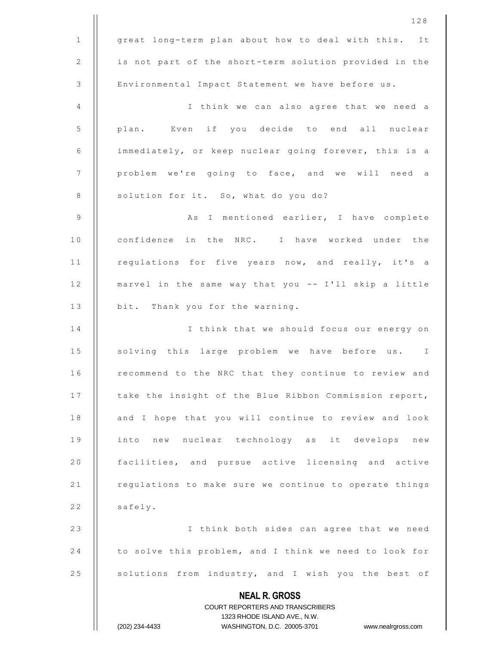|                 | 128                                                                 |
|-----------------|---------------------------------------------------------------------|
| $\mathbf{1}$    | great long-term plan about how to deal with this. It                |
| 2               | is not part of the short-term solution provided in the              |
| 3               | Environmental Impact Statement we have before us.                   |
| 4               | I think we can also agree that we need a                            |
| 5               | plan. Even if you decide to end all nuclear                         |
| 6               | immediately, or keep nuclear going forever, this is a               |
| $7\phantom{.0}$ | problem we're going to face, and we will need a                     |
| 8               | solution for it. So, what do you do?                                |
| 9               | As I mentioned earlier, I have complete                             |
| 10              | confidence in the NRC. I have worked under the                      |
| 11              | regulations for five years now, and really, it's a                  |
| 12              | marvel in the same way that you -- I'll skip a little               |
| 13              | bit. Thank you for the warning.                                     |
| 14              | I think that we should focus our energy on                          |
| 15              | solving this large problem we have before us. I                     |
| 16              | recommend to the NRC that they continue to review and               |
| 17              | take the insight of the Blue Ribbon Commission report,              |
| 18              | and I hope that you will continue to review and look                |
| 19              | into new nuclear technology as it develops new                      |
| 20              | facilities, and pursue active licensing and active                  |
| 21              | regulations to make sure we continue to operate things              |
| 22              | safely.                                                             |
| 23              | I think both sides can agree that we need                           |
| 24              | to solve this problem, and I think we need to look for              |
| 25              | solutions from industry, and I wish you the best of                 |
|                 | <b>NEAL R. GROSS</b>                                                |
|                 | COURT REPORTERS AND TRANSCRIBERS                                    |
|                 | 1323 RHODE ISLAND AVE., N.W.                                        |
|                 | (202) 234-4433<br>WASHINGTON, D.C. 20005-3701<br>www.nealrgross.com |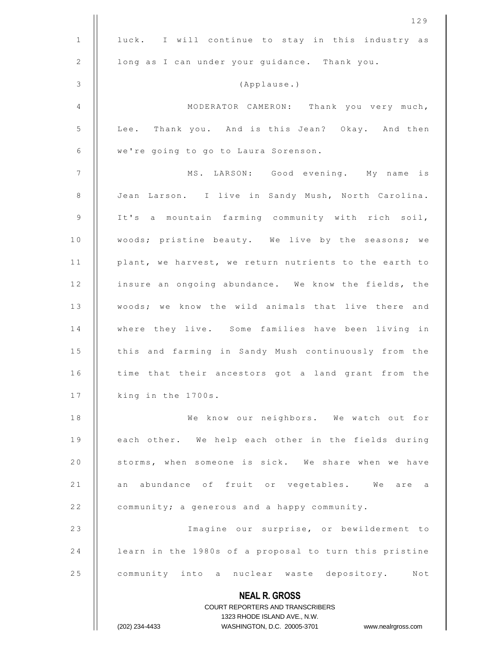|                 | 129                                                              |
|-----------------|------------------------------------------------------------------|
| $\mathbf{1}$    | luck. I will continue to stay in this industry as                |
| 2               | long as I can under your guidance. Thank you.                    |
| $\mathfrak{Z}$  | (Applause.)                                                      |
| 4               | MODERATOR CAMERON: Thank you very much,                          |
| 5               | Lee. Thank you. And is this Jean? Okay. And then                 |
| 6               | we're going to go to Laura Sorenson.                             |
| $7\phantom{.0}$ | MS. LARSON: Good evening. My name is                             |
| 8               | Jean Larson. I live in Sandy Mush, North Carolina.               |
| 9               | It's a mountain farming community with rich soil,                |
| 10              | woods; pristine beauty. We live by the seasons; we               |
| $1\,1$          | plant, we harvest, we return nutrients to the earth to           |
| 12              | insure an ongoing abundance. We know the fields, the             |
| 13              | woods; we know the wild animals that live there and              |
| 14              | where they live. Some families have been living in               |
| 15              | this and farming in Sandy Mush continuously from the             |
| 16              | time that their ancestors got a land grant from the              |
| 17              | king in the 1700s.                                               |
| 18              | We know our neighbors. We watch out for                          |
| 19              | each other. We help each other in the fields during              |
| 20              | storms, when someone is sick. We share when we have              |
| 21              | an abundance of fruit or vegetables. We are a                    |
| 22              | community; a generous and a happy community.                     |
| 23              | Imagine our surprise, or bewilderment to                         |
| 24              | learn in the 1980s of a proposal to turn this pristine           |
| 25              | community into a nuclear waste depository. Not                   |
|                 | <b>NEAL R. GROSS</b>                                             |
|                 | COURT REPORTERS AND TRANSCRIBERS                                 |
|                 | 1323 RHODE ISLAND AVE., N.W.                                     |
|                 | WASHINGTON, D.C. 20005-3701 www.nealrgross.com<br>(202) 234-4433 |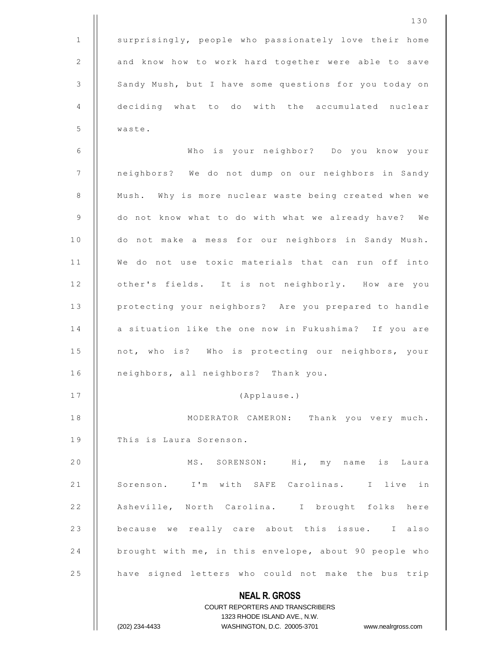**NEAL R. GROSS** COURT REPORTERS AND TRANSCRIBERS 1323 RHODE ISLAND AVE., N.W. (202) 234-4433 WASHINGTON, D.C. 20005-3701 www.nealrgross.com 130 1 | surprisingly, people who passionately love their home 2 | and know how to work hard together were able to save 3 | Sandy Mush, but I have some questions for you today on 4 deciding what to do with the accumulated nuclear 5 waste. 6 W h o i s y o u r n e i g h b o r ? D o y o u k n o w y o u r 7 | | neighbors? We do not dump on our neighbors in Sandy 8 | Mush. Why is more nuclear waste being created when we 9 | do not know what to do with what we already have? We 10 | do not make a mess for our neighbors in Sandy Mush. 11 || We do not use toxic materials that can run off into 12 | other's fields. It is not neighborly. How are you 13 | protecting your neighbors? Are you prepared to handle 14 || a situation like the one now in Fukushima? If you are 15 | not, who is? Who is protecting our neighbors, your 16 | neighbors, all neighbors? Thank you. 17 | (Applause.) 18 | MODERATOR CAMERON: Thank you very much. 19 | This is Laura Sorenson. 20 || MS. SORENSON: Hi, my name is Laura 21 || Sorenson. I'm with SAFE Carolinas. I live in 22 || Asheville, North Carolina. I brought folks here 23 | because we really care about this issue. I also 24 | brought with me, in this envelope, about 90 people who 25 | have signed letters who could not make the bus trip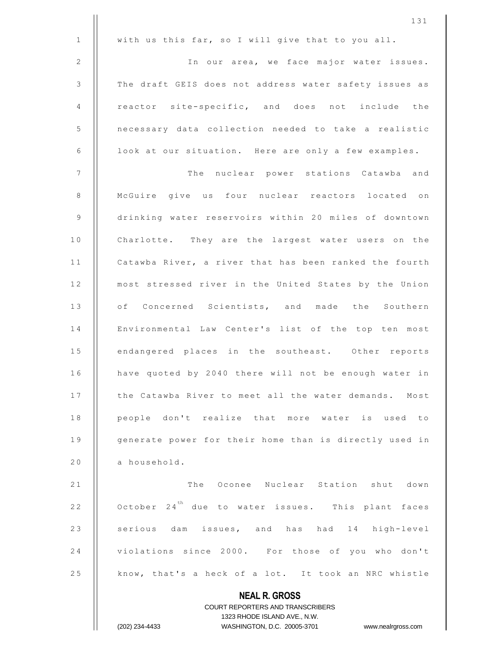|              | 131                                                                                                 |
|--------------|-----------------------------------------------------------------------------------------------------|
| $\mathbf{1}$ | with us this far, so I will give that to you all.                                                   |
| 2            | In our area, we face major water issues.                                                            |
| 3            | The draft GEIS does not address water safety issues as                                              |
| 4            | reactor site-specific, and does not include the                                                     |
| 5            | necessary data collection needed to take a realistic                                                |
| 6            | look at our situation. Here are only a few examples.                                                |
| 7            | The nuclear power stations Catawba and                                                              |
| 8            | McGuire give us four nuclear reactors located on                                                    |
| 9            | drinking water reservoirs within 20 miles of downtown                                               |
| 10           | Charlotte. They are the largest water users on the                                                  |
| 11           | Catawba River, a river that has been ranked the fourth                                              |
| 12           | most stressed river in the United States by the Union                                               |
| 13           | of Concerned Scientists, and made the Southern                                                      |
| 14           | Environmental Law Center's list of the top ten most                                                 |
| 15           | endangered places in the southeast. Other reports                                                   |
| 16           | have quoted by 2040 there will not be enough water in                                               |
| 17           | the Catawba River to meet all the water demands. Most                                               |
| 18           | people don't realize that more water is used to                                                     |
| 19           | generate power for their home than is directly used in                                              |
| 20           | a household.                                                                                        |
| 21           | The Oconee Nuclear Station shut down                                                                |
| 22           | October $24^{th}$ due to water issues. This plant faces                                             |
| 23           | serious dam issues, and has had 14 high-level                                                       |
| 24           | violations since 2000. For those of you who don't                                                   |
| 25           | know, that's a heck of a lot. It took an NRC whistle                                                |
|              | <b>NEAL R. GROSS</b>                                                                                |
|              | <b>COURT REPORTERS AND TRANSCRIBERS</b>                                                             |
|              | 1323 RHODE ISLAND AVE., N.W.<br>(202) 234-4433<br>WASHINGTON, D.C. 20005-3701<br>www.nealrgross.com |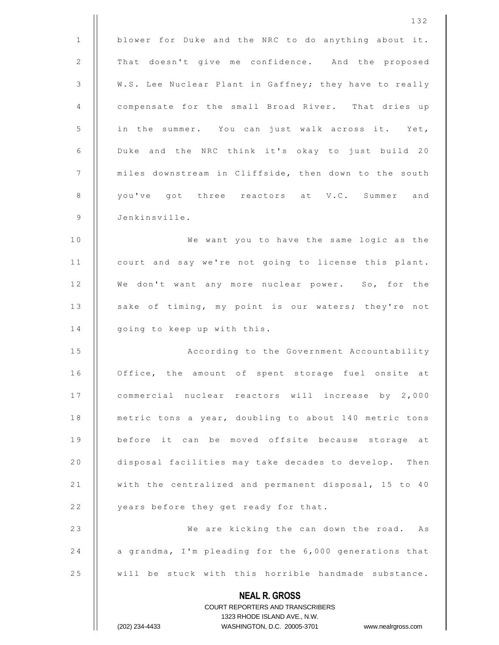|              | 132                                                                                                 |
|--------------|-----------------------------------------------------------------------------------------------------|
| $\mathbf{1}$ | blower for Duke and the NRC to do anything about it.                                                |
| 2            | That doesn't give me confidence. And the proposed                                                   |
| 3            | W.S. Lee Nuclear Plant in Gaffney; they have to really                                              |
| 4            | compensate for the small Broad River. That dries up                                                 |
| 5            | in the summer. You can just walk across it. Yet,                                                    |
| 6            | Duke and the NRC think it's okay to just build 20                                                   |
| 7            | miles downstream in Cliffside, then down to the south                                               |
| 8            | you've got three reactors at V.C. Summer and                                                        |
| 9            | Jenkinsville.                                                                                       |
| 10           | We want you to have the same logic as the                                                           |
| 11           | court and say we're not going to license this plant.                                                |
| 12           | We don't want any more nuclear power. So, for the                                                   |
| 13           | sake of timing, my point is our waters; they're not                                                 |
| 14           | going to keep up with this.                                                                         |
| 15           | According to the Government Accountability                                                          |
| 16           | Office, the amount of spent storage fuel onsite at                                                  |
| 17           | commercial nuclear reactors will increase by 2,000                                                  |
| 18           | metric tons a year, doubling to about 140 metric tons                                               |
| 19           | before it can be moved offsite because storage at                                                   |
| 20           | disposal facilities may take decades to develop. Then                                               |
| 21           | with the centralized and permanent disposal, 15 to 40                                               |
| 22           | years before they get ready for that.                                                               |
| 23           | We are kicking the can down the road. As                                                            |
| 24           | a grandma, I'm pleading for the 6,000 generations that                                              |
| 25           | will be stuck with this horrible handmade substance.                                                |
|              | <b>NEAL R. GROSS</b>                                                                                |
|              | <b>COURT REPORTERS AND TRANSCRIBERS</b>                                                             |
|              | 1323 RHODE ISLAND AVE., N.W.<br>(202) 234-4433<br>WASHINGTON, D.C. 20005-3701<br>www.nealrgross.com |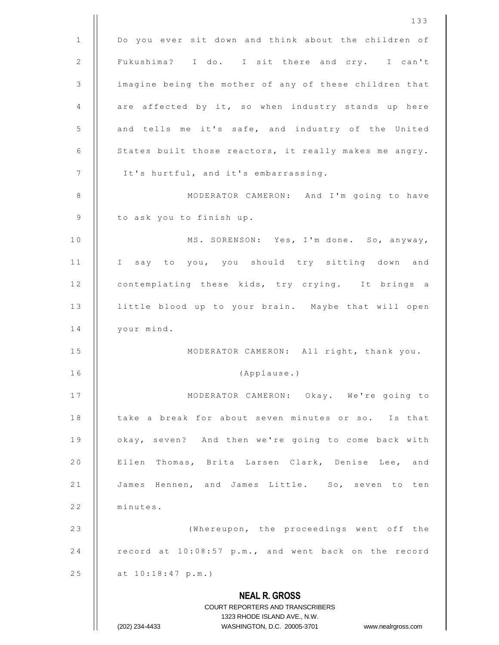|              | 133                                                                                                 |
|--------------|-----------------------------------------------------------------------------------------------------|
| $\mathbf{1}$ | Do you ever sit down and think about the children of                                                |
| 2            | Fukushima? I do. I sit there and cry. I can't                                                       |
| 3            | imagine being the mother of any of these children that                                              |
| 4            | are affected by it, so when industry stands up here                                                 |
| 5            | and tells me it's safe, and industry of the United                                                  |
| 6            | States built those reactors, it really makes me angry.                                              |
| 7            | It's hurtful, and it's embarrassing.                                                                |
| 8            | MODERATOR CAMERON: And I'm going to have                                                            |
| 9            | to ask you to finish up.                                                                            |
| 10           | MS. SORENSON: Yes, I'm done. So, anyway,                                                            |
| 11           | I say to you, you should try sitting down and                                                       |
| 12           | contemplating these kids, try crying. It brings a                                                   |
| 13           | little blood up to your brain. Maybe that will open                                                 |
| 14           | your mind.                                                                                          |
| 15           | MODERATOR CAMERON: All right, thank you.                                                            |
| 16           | (Applause.)                                                                                         |
| 17           | MODERATOR CAMERON: Okay. We're going to                                                             |
| 18           | take a break for about seven minutes or so. Is that                                                 |
| 19           | okay, seven? And then we're going to come back with                                                 |
| 20           | Ellen Thomas, Brita Larsen Clark, Denise Lee, and                                                   |
| 21           | James Hennen, and James Little. So, seven to ten                                                    |
| 22           | minutes.                                                                                            |
| 23           | (Whereupon, the proceedings went off the                                                            |
| 24           | record at 10:08:57 p.m., and went back on the record                                                |
| 25           | at 10:18:47 p.m.)                                                                                   |
|              | <b>NEAL R. GROSS</b>                                                                                |
|              | COURT REPORTERS AND TRANSCRIBERS                                                                    |
|              | 1323 RHODE ISLAND AVE., N.W.<br>(202) 234-4433<br>WASHINGTON, D.C. 20005-3701<br>www.nealrgross.com |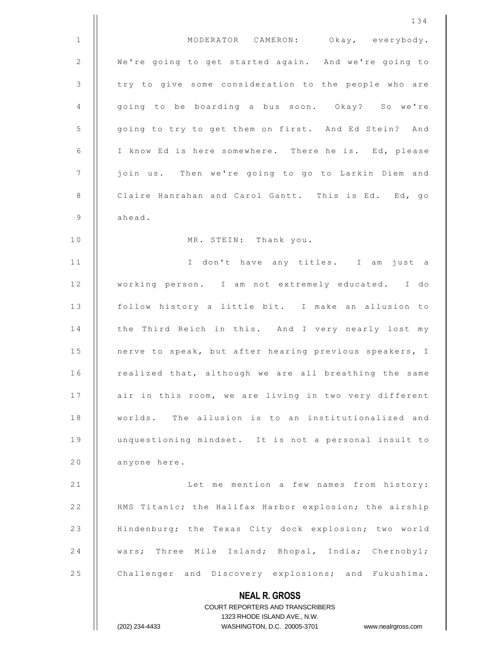|              | 134                                                                                                 |
|--------------|-----------------------------------------------------------------------------------------------------|
| $\mathbf{1}$ | MODERATOR CAMERON: Okay, everybody.                                                                 |
| 2            | We're going to get started again. And we're going to                                                |
| 3            | try to give some consideration to the people who are                                                |
| 4            | going to be boarding a bus soon. Okay? So we're                                                     |
| 5            | going to try to get them on first. And Ed Stein? And                                                |
| 6            | I know Ed is here somewhere. There he is. Ed, please                                                |
| 7            | join us. Then we're going to go to Larkin Diem and                                                  |
| $\,8\,$      | Claire Hanrahan and Carol Gantt. This is Ed. Ed, go                                                 |
| 9            | ahead.                                                                                              |
| 10           | MR. STEIN: Thank you.                                                                               |
| 11           | I don't have any titles. I am just a                                                                |
| 12           | working person. I am not extremely educated. I do                                                   |
| 13           | follow history a little bit. I make an allusion to                                                  |
| 14           | the Third Reich in this. And I very nearly lost my                                                  |
| 15           | nerve to speak, but after hearing previous speakers, I                                              |
| 16           | realized that, although we are all breathing the same                                               |
| 17           | air in this room, we are living in two very different                                               |
| 18           | worlds. The allusion is to an institutionalized and                                                 |
| 19           | unquestioning mindset. It is not a personal insult to                                               |
| 20           | anyone here.                                                                                        |
| 21           | Let me mention a few names from history:                                                            |
| 22           | HMS Titanic; the Halifax Harbor explosion; the airship                                              |
| 23           | Hindenburg; the Texas City dock explosion; two world                                                |
| 24           | wars; Three Mile Island; Bhopal, India; Chernobyl;                                                  |
| 25           | Challenger and Discovery explosions; and Fukushima.                                                 |
|              | <b>NEAL R. GROSS</b>                                                                                |
|              | <b>COURT REPORTERS AND TRANSCRIBERS</b>                                                             |
|              | 1323 RHODE ISLAND AVE., N.W.<br>(202) 234-4433<br>WASHINGTON, D.C. 20005-3701<br>www.nealrgross.com |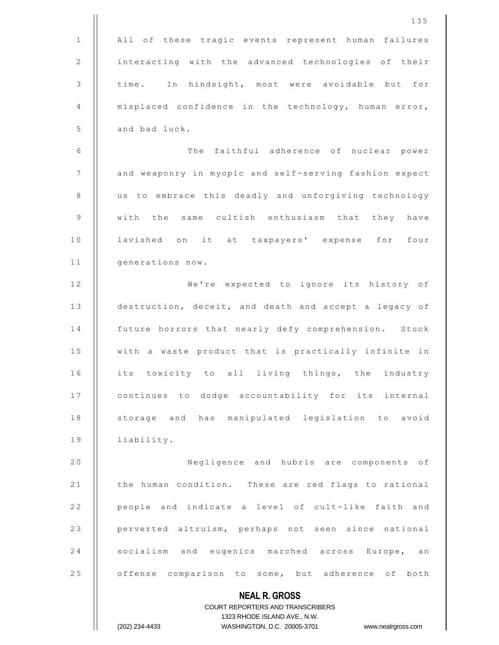|              | 135                                                                                                 |
|--------------|-----------------------------------------------------------------------------------------------------|
| $\mathbf{1}$ | All of these tragic events represent human failures                                                 |
| 2            | interacting with the advanced technologies of their                                                 |
| 3            | time. In hindsight, most were avoidable but for                                                     |
| 4            | misplaced confidence in the technology, human error,                                                |
| 5            | and bad luck.                                                                                       |
| 6            | The faithful adherence of nuclear power                                                             |
| 7            | and weaponry in myopic and self-serving fashion expect                                              |
| 8            | us to embrace this deadly and unforgiving technology                                                |
| 9            | with the same cultish enthusiasm that they have                                                     |
| 10           | lavished on it at taxpayers' expense for four                                                       |
| 11           | generations now.                                                                                    |
| 12           | We're expected to ignore its history of                                                             |
| 13           | destruction, deceit, and death and accept a legacy of                                               |
| 14           | future horrors that nearly defy comprehension. Stuck                                                |
| 15           | with a waste product that is practically infinite in                                                |
| 16           | its toxicity to all living things, the industry                                                     |
| 17           | continues to dodge accountability for its internal                                                  |
| 18           | storage and has manipulated legislation to avoid                                                    |
| 19           | liability.                                                                                          |
| 20           | Negligence and hubris are components of                                                             |
| 21           | the human condition. These are red flags to rational                                                |
| 22           | people and indicate a level of cult-like faith and                                                  |
| 23           | perverted altruism, perhaps not seen since national                                                 |
| 24           | socialism and eugenics marched across Europe,<br>an                                                 |
| 25           | offense comparison to some, but adherence of both                                                   |
|              | <b>NEAL R. GROSS</b>                                                                                |
|              | COURT REPORTERS AND TRANSCRIBERS                                                                    |
|              | 1323 RHODE ISLAND AVE., N.W.<br>(202) 234-4433<br>WASHINGTON, D.C. 20005-3701<br>www.nealrgross.com |
|              |                                                                                                     |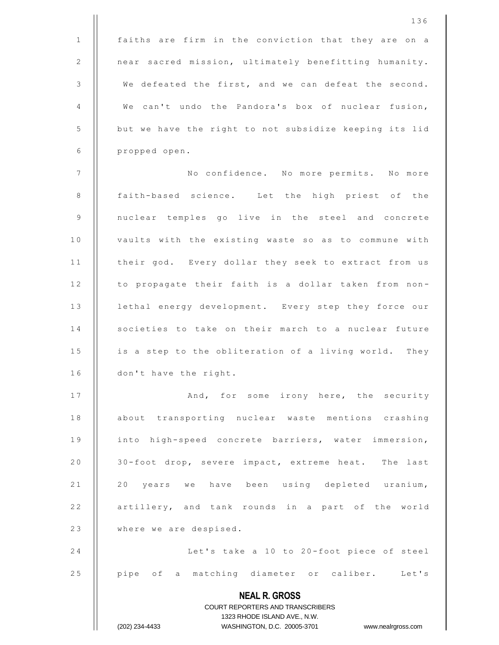|              | 136                                                                                                 |
|--------------|-----------------------------------------------------------------------------------------------------|
| $\mathbf{1}$ | faiths are firm in the conviction that they are on a                                                |
| 2            | near sacred mission, ultimately benefitting humanity.                                               |
| 3            | We defeated the first, and we can defeat the second.                                                |
| 4            | We can't undo the Pandora's box of nuclear fusion,                                                  |
| 5            | but we have the right to not subsidize keeping its lid                                              |
| 6            | propped open.                                                                                       |
| 7            | No confidence. No more permits. No more                                                             |
| 8            | faith-based science. Let the high priest of the                                                     |
| 9            | nuclear temples go live in the steel and concrete                                                   |
| 10           | vaults with the existing waste so as to commune with                                                |
| 11           | their god. Every dollar they seek to extract from us                                                |
| 12           | to propagate their faith is a dollar taken from non-                                                |
| 13           | lethal energy development. Every step they force our                                                |
| 14           | societies to take on their march to a nuclear future                                                |
| 15           | is a step to the obliteration of a living world. They                                               |
| 16           | don't have the right.                                                                               |
| 17           | And, for some irony here, the security                                                              |
| 18           | about transporting nuclear waste mentions crashing                                                  |
| 19           | into high-speed concrete barriers, water immersion,                                                 |
| 20           | 30-foot drop, severe impact, extreme heat. The last                                                 |
| 21           | 20 years we have been using depleted uranium,                                                       |
| 22           | artillery, and tank rounds in a part of the world                                                   |
| 23           | where we are despised.                                                                              |
| 24           | Let's take a 10 to 20-foot piece of steel                                                           |
| 25           | pipe of a matching diameter or caliber. Let's                                                       |
|              | <b>NEAL R. GROSS</b>                                                                                |
|              | COURT REPORTERS AND TRANSCRIBERS                                                                    |
|              | 1323 RHODE ISLAND AVE., N.W.<br>(202) 234-4433<br>WASHINGTON, D.C. 20005-3701<br>www.nealrgross.com |
|              |                                                                                                     |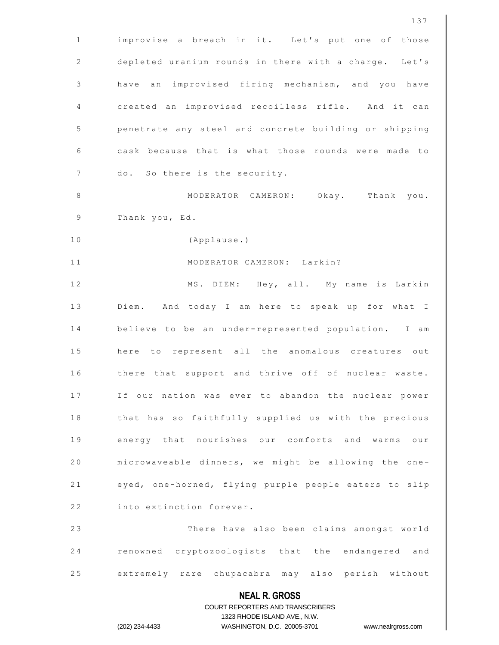|              | 137                                                                                                 |
|--------------|-----------------------------------------------------------------------------------------------------|
| $\mathbf{1}$ | improvise a breach in it. Let's put one of those                                                    |
| 2            | depleted uranium rounds in there with a charge. Let's                                               |
| 3            | an improvised firing mechanism, and you have<br>have                                                |
| 4            | created an improvised recoilless rifle. And it can                                                  |
| 5            | penetrate any steel and concrete building or shipping                                               |
| 6            | cask because that is what those rounds were made to                                                 |
| 7            | do. So there is the security.                                                                       |
| 8            | MODERATOR CAMERON: Okay. Thank you.                                                                 |
| 9            | Thank you, Ed.                                                                                      |
| 10           | (Applause.)                                                                                         |
| 11           | MODERATOR CAMERON: Larkin?                                                                          |
| 12           | MS. DIEM: Hey, all. My name is Larkin                                                               |
| 13           | Diem. And today I am here to speak up for what I                                                    |
| 14           | believe to be an under-represented population. I am                                                 |
| 15           | here to represent all the anomalous creatures out                                                   |
| 16           | there that support and thrive off of nuclear waste.                                                 |
| 17           | If our nation was ever to abandon the nuclear power                                                 |
| 18           | that has so faithfully supplied us with the precious                                                |
| 19           | energy that nourishes our comforts and warms our                                                    |
| 20           | microwaveable dinners, we might be allowing the one-                                                |
| 21           | eyed, one-horned, flying purple people eaters to slip                                               |
| 22           | into extinction forever.                                                                            |
| 23           | There have also been claims amongst world                                                           |
| 24           | renowned cryptozoologists that the endangered and                                                   |
| 25           | extremely rare chupacabra may also perish without                                                   |
|              | <b>NEAL R. GROSS</b>                                                                                |
|              | COURT REPORTERS AND TRANSCRIBERS                                                                    |
|              | 1323 RHODE ISLAND AVE., N.W.<br>(202) 234-4433<br>WASHINGTON, D.C. 20005-3701<br>www.nealrgross.com |
|              |                                                                                                     |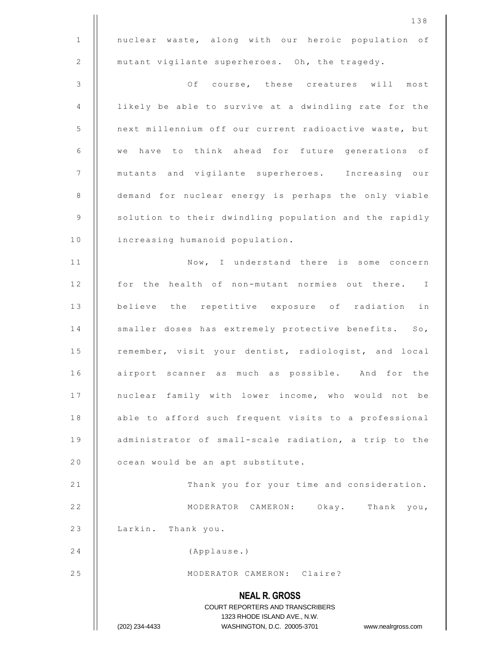|              | 138                                                                                                 |
|--------------|-----------------------------------------------------------------------------------------------------|
| $\mathbf{1}$ | nuclear waste, along with our heroic population of                                                  |
| 2            | mutant vigilante superheroes. Oh, the tragedy.                                                      |
| 3            | Of course, these creatures will most                                                                |
| 4            | likely be able to survive at a dwindling rate for the                                               |
| 5            | next millennium off our current radioactive waste, but                                              |
| 6            | we have to think ahead for future generations of                                                    |
| 7            | mutants and vigilante superheroes. Increasing our                                                   |
| 8            | demand for nuclear energy is perhaps the only viable                                                |
| 9            | solution to their dwindling population and the rapidly                                              |
| 10           | increasing humanoid population.                                                                     |
| 11           | Now, I understand there is some concern                                                             |
| 12           | for the health of non-mutant normies out there. I                                                   |
| 13           | believe the repetitive exposure of radiation in                                                     |
| 14           | smaller doses has extremely protective benefits. So,                                                |
| 15           | remember, visit your dentist, radiologist, and local                                                |
| 16           | airport scanner as much as possible. And for the                                                    |
| 17           | nuclear family with lower income, who would not be                                                  |
| 18           | able to afford such frequent visits to a professional                                               |
| 19           | administrator of small-scale radiation, a trip to the                                               |
| 20           | ocean would be an apt substitute.                                                                   |
| 21           | Thank you for your time and consideration.                                                          |
| 22           | MODERATOR CAMERON: Okay. Thank you,                                                                 |
| 23           | Larkin. Thank you.                                                                                  |
| 24           | (Applause.)                                                                                         |
| 25           | MODERATOR CAMERON: Claire?                                                                          |
|              | <b>NEAL R. GROSS</b>                                                                                |
|              | COURT REPORTERS AND TRANSCRIBERS                                                                    |
|              | 1323 RHODE ISLAND AVE., N.W.<br>(202) 234-4433<br>WASHINGTON, D.C. 20005-3701<br>www.nealrgross.com |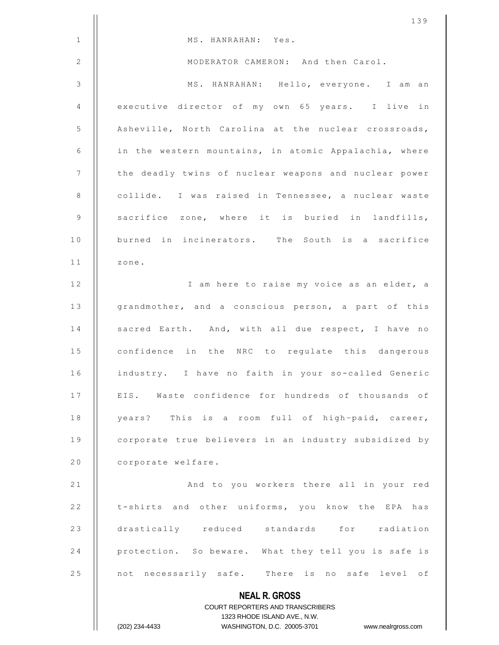|              | 139                                                                                                 |
|--------------|-----------------------------------------------------------------------------------------------------|
| $\mathbf{1}$ | MS. HANRAHAN: Yes.                                                                                  |
| 2            | MODERATOR CAMERON: And then Carol.                                                                  |
| 3            | MS. HANRAHAN: Hello, everyone. I am an                                                              |
| 4            | executive director of my own 65 years. I live in                                                    |
| 5            | Asheville, North Carolina at the nuclear crossroads,                                                |
| 6            | in the western mountains, in atomic Appalachia, where                                               |
| 7            | the deadly twins of nuclear weapons and nuclear power                                               |
| 8            | collide. I was raised in Tennessee, a nuclear waste                                                 |
| 9            | sacrifice zone, where it is buried in landfills,                                                    |
| 10           | burned in incinerators. The South is a sacrifice                                                    |
| 11           | zone.                                                                                               |
| 12           | I am here to raise my voice as an elder, a                                                          |
| 13           | grandmother, and a conscious person, a part of this                                                 |
| 14           | sacred Earth. And, with all due respect, I have no                                                  |
| 15           | confidence in the NRC to regulate this dangerous                                                    |
| 16           | industry. I have no faith in your so-called Generic                                                 |
| 17           | EIS. Waste confidence for hundreds of thousands of                                                  |
| 18           | years? This is a room full of high-paid, career,                                                    |
| 19           | corporate true believers in an industry subsidized by                                               |
| 20           | corporate welfare.                                                                                  |
| 21           | And to you workers there all in your red                                                            |
| 22           | t-shirts and other uniforms, you know the EPA has                                                   |
| 23           | drastically reduced standards for radiation                                                         |
| 24           | protection. So beware. What they tell you is safe is                                                |
| 25           | not necessarily safe. There is no safe level of                                                     |
|              | <b>NEAL R. GROSS</b>                                                                                |
|              | COURT REPORTERS AND TRANSCRIBERS                                                                    |
|              | 1323 RHODE ISLAND AVE., N.W.<br>(202) 234-4433<br>WASHINGTON, D.C. 20005-3701<br>www.nealrgross.com |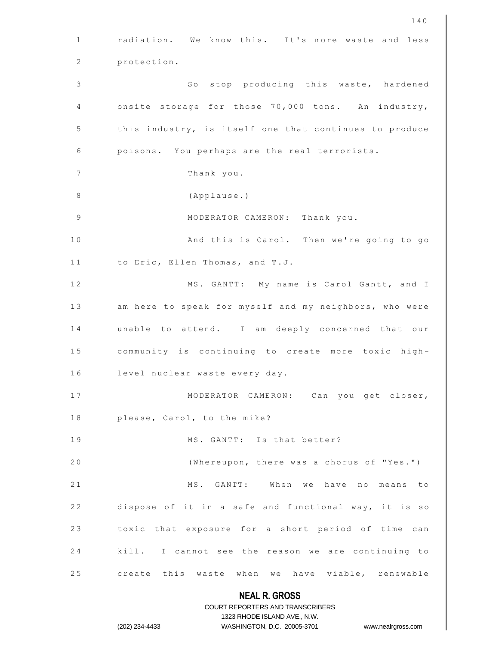|              | 140                                                                                                 |
|--------------|-----------------------------------------------------------------------------------------------------|
| $\mathbf{1}$ | radiation. We know this. It's more waste and less                                                   |
| 2            | protection.                                                                                         |
| 3            | So stop producing this waste, hardened                                                              |
| 4            | onsite storage for those 70,000 tons. An industry,                                                  |
| 5            | this industry, is itself one that continues to produce                                              |
| 6            | poisons. You perhaps are the real terrorists.                                                       |
| 7            | Thank you.                                                                                          |
| 8            | (Applause.)                                                                                         |
| 9            | MODERATOR CAMERON: Thank you.                                                                       |
| 10           | And this is Carol. Then we're going to go                                                           |
| 11           | to Eric, Ellen Thomas, and T.J.                                                                     |
| 12           | MS. GANTT: My name is Carol Gantt, and I                                                            |
| 13           | am here to speak for myself and my neighbors, who were                                              |
| 14           | unable to attend. I am deeply concerned that our                                                    |
| 15           | community is continuing to create more toxic high-                                                  |
| 16           | level nuclear waste every day.                                                                      |
| 17           | MODERATOR CAMERON: Can you get closer,                                                              |
| 18           | please, Carol, to the mike?                                                                         |
| 19           | MS. GANTT: Is that better?                                                                          |
| 20           | (Whereupon, there was a chorus of "Yes.")                                                           |
| 21           | MS. GANTT: When we have no means to                                                                 |
| 22           | dispose of it in a safe and functional way, it is so                                                |
| 23           | toxic that exposure for a short period of time can                                                  |
| 24           | kill. I cannot see the reason we are continuing to                                                  |
| 25           | create this waste when we have viable, renewable                                                    |
|              | <b>NEAL R. GROSS</b>                                                                                |
|              | COURT REPORTERS AND TRANSCRIBERS                                                                    |
|              | 1323 RHODE ISLAND AVE., N.W.<br>(202) 234-4433<br>WASHINGTON, D.C. 20005-3701<br>www.nealrgross.com |
|              |                                                                                                     |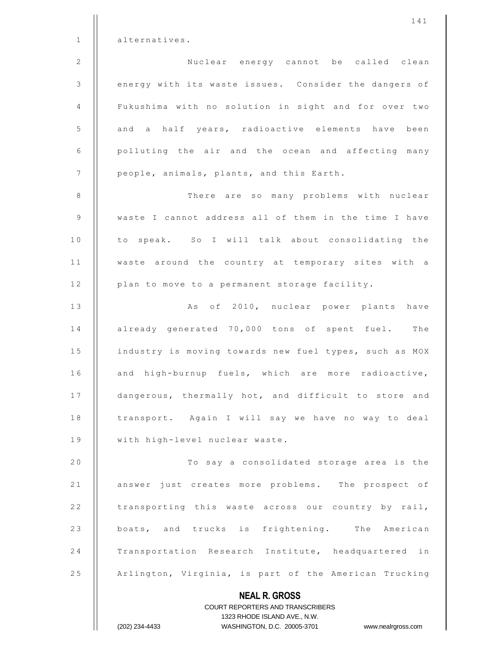| $\mathbf 1$      | alternatives.                                                       |
|------------------|---------------------------------------------------------------------|
| $\mathbf 2$      | Nuclear energy cannot be called clean                               |
| $\mathfrak{Z}$   | energy with its waste issues. Consider the dangers of               |
| $\overline{4}$   | Fukushima with no solution in sight and for over two                |
| 5                | and a half years, radioactive elements have been                    |
| 6                | polluting the air and the ocean and affecting many                  |
| $\boldsymbol{7}$ | people, animals, plants, and this Earth.                            |
| $\,8\,$          | There are so many problems with nuclear                             |
| 9                | waste I cannot address all of them in the time I have               |
| 10               | to speak. So I will talk about consolidating the                    |
| 11               | waste around the country at temporary sites with a                  |
| 12               | plan to move to a permanent storage facility.                       |
| 13               | As of 2010, nuclear power plants have                               |
| 14               | already generated 70,000 tons of spent fuel. The                    |
| 15               | industry is moving towards new fuel types, such as MOX              |
| 16               | and high-burnup fuels, which are more radioactive,                  |
| 17               | dangerous, thermally hot, and difficult to store and                |
| 18               | transport. Again I will say we have no way to deal                  |
| 19               | with high-level nuclear waste.                                      |
| 20               | To say a consolidated storage area is the                           |
| 21               | answer just creates more problems. The prospect of                  |
| 22               | transporting this waste across our country by rail,                 |
| 23               | boats, and trucks is frightening. The American                      |
| 24               | Transportation Research Institute, headquartered<br>in              |
| 25               | Arlington, Virginia, is part of the American Trucking               |
|                  | <b>NEAL R. GROSS</b>                                                |
|                  | <b>COURT REPORTERS AND TRANSCRIBERS</b>                             |
|                  | 1323 RHODE ISLAND AVE., N.W.                                        |
|                  | (202) 234-4433<br>WASHINGTON, D.C. 20005-3701<br>www.nealrgross.com |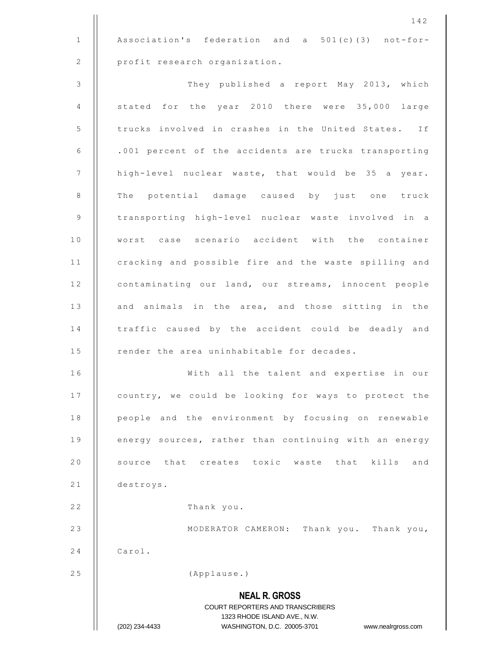1 | Association's federation and a 501(c)(3) not-for-2 | profit research organization.

3 | They published a report May 2013, which 4  $\parallel$  stated for the year 2010 there were 35,000 large 5 | trucks involved in crashes in the United States. If 6 | .001 percent of the accidents are trucks transporting 7 | high-level nuclear waste, that would be 35 a year. 8 | The potential damage caused by just one truck 9 || transporting high-level nuclear waste involved in a 10 || worst case scenario accident with the container 11 | cracking and possible fire and the waste spilling and 12 | contaminating our land, our streams, innocent people  $13$   $\parallel$  and animals in the area, and those sitting in the 14 | traffic caused by the accident could be deadly and 15 | render the area uninhabitable for decades. 16 || With all the talent and expertise in our 17 | country, we could be looking for ways to protect the 18 | people and the environment by focusing on renewable 19 | energy sources, rather than continuing with an energy 20 || source that creates toxic waste that kills and

21 destroys.

22 | Thank you.

23 || MODERATOR CAMERON: Thank you. Thank you,  $24$   $\parallel$  Carol.

25 | (Applause.)

## **NEAL R. GROSS** COURT REPORTERS AND TRANSCRIBERS 1323 RHODE ISLAND AVE., N.W. (202) 234-4433 WASHINGTON, D.C. 20005-3701 www.nealrgross.com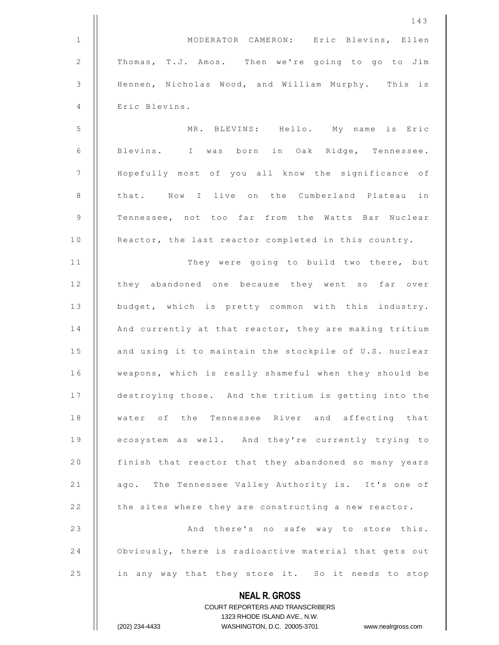|                | 143                                                      |
|----------------|----------------------------------------------------------|
| $\mathbf{1}$   | MODERATOR CAMERON: Eric Blevins, Ellen                   |
| 2              | Thomas, T.J. Amos. Then we're going to go to Jim         |
| $\mathfrak{Z}$ | Hennen, Nicholas Wood, and William Murphy. This is       |
| 4              | Eric Blevins.                                            |
| 5              | MR. BLEVINS: Hello. My name is Eric                      |
| 6              | Blevins. I was born in Oak Ridge, Tennessee.             |
| 7              | Hopefully most of you all know the significance of       |
| $\,8\,$        | that. Now I live on the Cumberland Plateau in            |
| 9              | Tennessee, not too far from the Watts Bar Nuclear        |
| 10             | Reactor, the last reactor completed in this country.     |
| 11             | They were going to build two there, but                  |
| 12             | they abandoned one because they went so far over         |
| 13             | budget, which is pretty common with this industry.       |
| 14             | And currently at that reactor, they are making tritium   |
| 15             | and using it to maintain the stockpile of U.S. nuclear   |
| 16             | weapons, which is really shameful when they should be    |
| 17             | destroying those. And the tritium is getting into the    |
| 18             | water of the Tennessee River and affecting that          |
| 19             | ecosystem as well. And they're currently trying to       |
| 20             | finish that reactor that they abandoned so many years    |
| 21             | ago. The Tennessee Valley Authority is. It's one of      |
| 22             | the sites where they are constructing a new reactor.     |
| 23             | And there's no safe way to store this.                   |
| 24             | Obviously, there is radioactive material that gets out   |
| 25             | in any way that they store it. So it needs to stop       |
|                | <b>NEAL R. GROSS</b><br>COURT REPORTERS AND TRANSCRIBERS |

1323 RHODE ISLAND AVE., N.W.

(202) 234-4433 WASHINGTON, D.C. 20005-3701 www.nealrgross.com

 $\prod$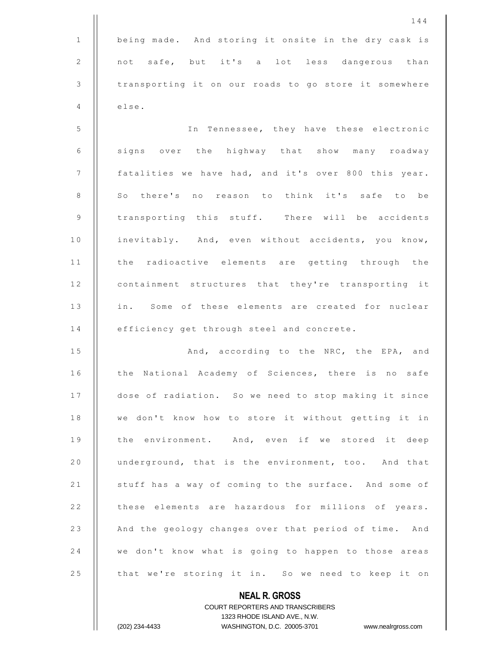1 | being made. And storing it onsite in the dry cask is 2 || not safe, but it's a lot less dangerous than 3 | transporting it on our roads to go store it somewhere  $4$   $\parallel$  else.

5 In Tennessee, they have these electronic 6 | signs over the highway that show many roadway 7 | fatalities we have had, and it's over 800 this year. 8 || So there's no reason to think it's safe to be 9 | transporting this stuff. There will be accidents 10 || inevitably. And, even without accidents, you know, 11 || the radioactive elements are getting through the 12 | containment structures that they're transporting it 13 || in. Some of these elements are created for nuclear 14 | efficiency get through steel and concrete.

15 | And, according to the NRC, the EPA, and 16 | the National Academy of Sciences, there is no safe 17 | dose of radiation. So we need to stop making it since 18 | we don't know how to store it without getting it in 19 || the environment. And, even if we stored it deep 20 | underground, that is the environment, too. And that 21 | stuff has a way of coming to the surface. And some of 22 | these elements are hazardous for millions of years. 23 | And the geology changes over that period of time. And 24 | we don't know what is going to happen to those areas 25 | that we're storing it in. So we need to keep it on

> **NEAL R. GROSS** COURT REPORTERS AND TRANSCRIBERS 1323 RHODE ISLAND AVE., N.W. (202) 234-4433 WASHINGTON, D.C. 20005-3701 www.nealrgross.com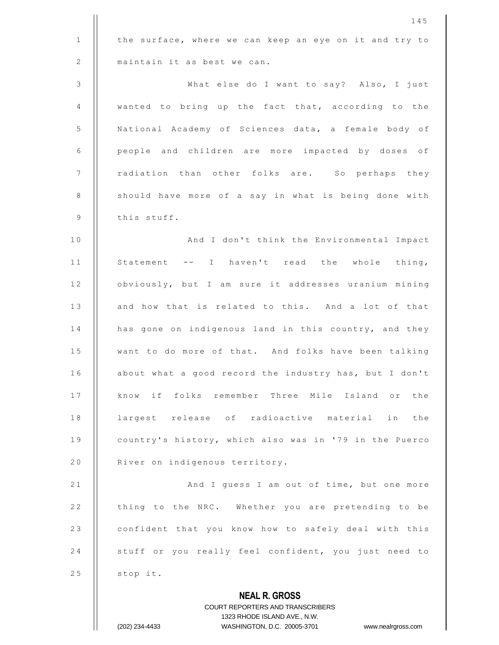|              | 145                                                                 |
|--------------|---------------------------------------------------------------------|
| $\mathbf{1}$ | the surface, where we can keep an eye on it and try to              |
| 2            | maintain it as best we can.                                         |
| 3            | What else do I want to say? Also, I just                            |
| 4            | wanted to bring up the fact that, according to the                  |
| 5            | National Academy of Sciences data, a female body of                 |
| 6            | people and children are more impacted by doses of                   |
| 7            | radiation than other folks are. So perhaps they                     |
| $\,8\,$      | should have more of a say in what is being done with                |
| 9            | this stuff.                                                         |
| 10           | And I don't think the Environmental Impact                          |
| 11           | Statement -- I haven't read the whole thing,                        |
| 12           | obviously, but I am sure it addresses uranium mining                |
| 13           | and how that is related to this. And a lot of that                  |
| 14           | has gone on indigenous land in this country, and they               |
| 15           | want to do more of that. And folks have been talking                |
| 16           | about what a good record the industry has, but I don't              |
| 17           | know if folks remember Three Mile Island or the                     |
| 18           | largest release of radioactive material in the                      |
| 19           | country's history, which also was in '79 in the Puerco              |
| 20           | River on indigenous territory.                                      |
| 21           | And I guess I am out of time, but one more                          |
| 22           | thing to the NRC. Whether you are pretending to be                  |
| 23           | confident that you know how to safely deal with this                |
| 24           | stuff or you really feel confident, you just need to                |
| 25           | stop it.                                                            |
|              | <b>NEAL R. GROSS</b>                                                |
|              | <b>COURT REPORTERS AND TRANSCRIBERS</b>                             |
|              | 1323 RHODE ISLAND AVE., N.W.                                        |
|              | (202) 234-4433<br>WASHINGTON, D.C. 20005-3701<br>www.nealrgross.com |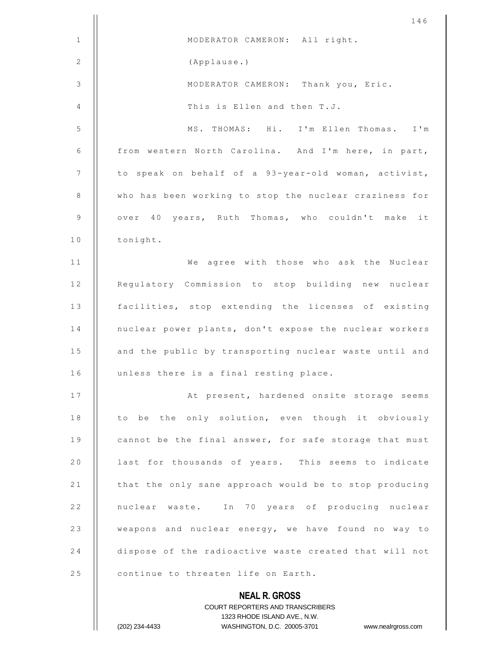|                | 146                                                                 |
|----------------|---------------------------------------------------------------------|
| $\mathbf{1}$   | MODERATOR CAMERON: All right.                                       |
| 2              | (Applause.)                                                         |
| $\mathfrak{Z}$ | MODERATOR CAMERON: Thank you, Eric.                                 |
| 4              | This is Ellen and then T.J.                                         |
| 5              | MS. THOMAS: Hi. I'm Ellen Thomas. I'm                               |
| 6              | from western North Carolina. And I'm here, in part,                 |
| 7              | to speak on behalf of a 93-year-old woman, activist,                |
| 8              | who has been working to stop the nuclear craziness for              |
| 9              | over 40 years, Ruth Thomas, who couldn't make it                    |
| 10             | tonight.                                                            |
| 11             | We agree with those who ask the Nuclear                             |
| 12             | Regulatory Commission to stop building new nuclear                  |
| 13             | facilities, stop extending the licenses of existing                 |
| 14             | nuclear power plants, don't expose the nuclear workers              |
| 15             | and the public by transporting nuclear waste until and              |
| 16             | unless there is a final resting place.                              |
| 17             | At present, hardened onsite storage seems                           |
| 18             | to be the only solution, even though it obviously                   |
| 19             | cannot be the final answer, for safe storage that must              |
| 20             | last for thousands of years. This seems to indicate                 |
| 21             | that the only sane approach would be to stop producing              |
| 22             | nuclear waste. In 70 years of producing nuclear                     |
| 23             | weapons and nuclear energy, we have found no way to                 |
| 24             | dispose of the radioactive waste created that will not              |
| 25             | continue to threaten life on Earth.                                 |
|                | <b>NEAL R. GROSS</b>                                                |
|                | COURT REPORTERS AND TRANSCRIBERS                                    |
|                | 1323 RHODE ISLAND AVE., N.W.                                        |
|                | WASHINGTON, D.C. 20005-3701<br>(202) 234-4433<br>www.nealrgross.com |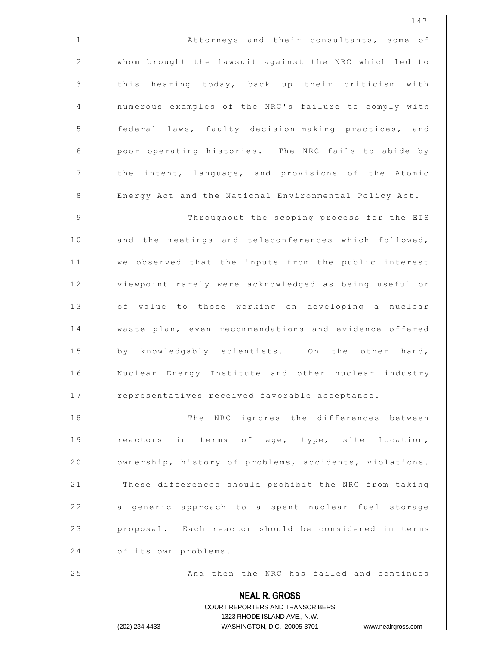1 | **Attorneys** and their consultants, some of 2 | whom brought the lawsuit against the NRC which led to 3 | this hearing today, back up their criticism with 4 numerous examples of the NRC's failure to comply with 5 | federal laws, faulty decision-making practices, and 6 | poor operating histories. The NRC fails to abide by 7 | | the intent, language, and provisions of the Atomic 8 | Energy Act and the National Environmental Policy Act.

9 | Throughout the scoping process for the EIS 10 || and the meetings and teleconferences which followed, 11 || we observed that the inputs from the public interest 12 | viewpoint rarely were acknowledged as being useful or 13 || of value to those working on developing a nuclear 14 | waste plan, even recommendations and evidence offered 15 || by knowledgably scientists. On the other hand, 16 | Nuclear Energy Institute and other nuclear industry 17 | representatives received favorable acceptance.

18 || The NRC ignores the differences between 19 || reactors in terms of age, type, site location, 20 | ownership, history of problems, accidents, violations. 21 | These differences should prohibit the NRC from taking 22 | a generic approach to a spent nuclear fuel storage 23 || proposal. Each reactor should be considered in terms 24 | of its own problems.

25 | And then the NRC has failed and continues

**NEAL R. GROSS** COURT REPORTERS AND TRANSCRIBERS 1323 RHODE ISLAND AVE., N.W.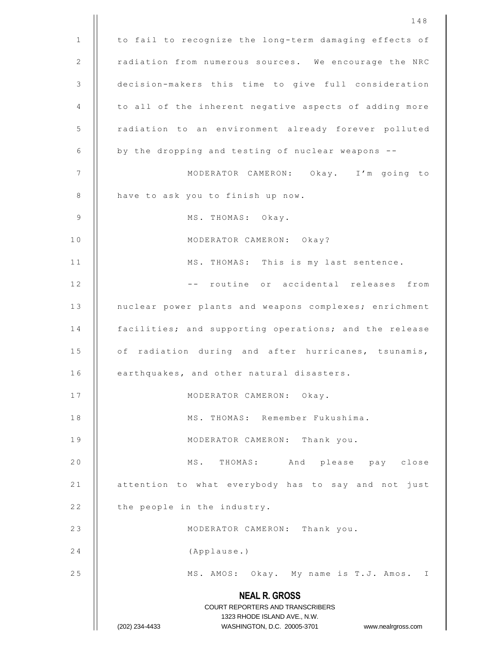|                | 148                                                                                                 |
|----------------|-----------------------------------------------------------------------------------------------------|
| $\mathbf{1}$   | to fail to recognize the long-term damaging effects of                                              |
| $\overline{2}$ | radiation from numerous sources. We encourage the NRC                                               |
| 3              | decision-makers this time to give full consideration                                                |
| 4              | to all of the inherent negative aspects of adding more                                              |
| 5              | radiation to an environment already forever polluted                                                |
| 6              | by the dropping and testing of nuclear weapons --                                                   |
| 7              | MODERATOR CAMERON: Okay. I'm going to                                                               |
| 8              | have to ask you to finish up now.                                                                   |
| 9              | MS. THOMAS: Okay.                                                                                   |
| 10             | MODERATOR CAMERON: Okay?                                                                            |
| 11             | MS. THOMAS: This is my last sentence.                                                               |
| 12             | -- routine or accidental releases from                                                              |
| 13             | nuclear power plants and weapons complexes; enrichment                                              |
| 14             | facilities; and supporting operations; and the release                                              |
| 15             | of radiation during and after hurricanes, tsunamis,                                                 |
| 16             | earthquakes, and other natural disasters.                                                           |
| 17             | MODERATOR CAMERON: Okay.                                                                            |
| 18             | MS. THOMAS: Remember Fukushima.                                                                     |
| 19             | MODERATOR CAMERON: Thank you.                                                                       |
| 20             | MS. THOMAS: And please pay close                                                                    |
| 21             | attention to what everybody has to say and not just                                                 |
| 22             | the people in the industry.                                                                         |
| 23             | MODERATOR CAMERON: Thank you.                                                                       |
| 24             | (Applause.)                                                                                         |
| 25             | MS. AMOS: Okay. My name is T.J. Amos. I                                                             |
|                | <b>NEAL R. GROSS</b>                                                                                |
|                | COURT REPORTERS AND TRANSCRIBERS                                                                    |
|                | 1323 RHODE ISLAND AVE., N.W.<br>(202) 234-4433<br>WASHINGTON, D.C. 20005-3701<br>www.nealrgross.com |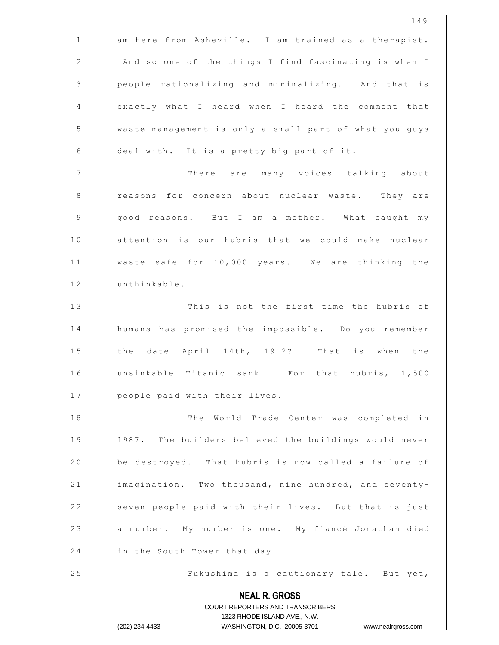|              | 149                                                                 |
|--------------|---------------------------------------------------------------------|
| $\mathbf{1}$ | am here from Asheville. I am trained as a therapist.                |
| $\sqrt{2}$   | And so one of the things I find fascinating is when I               |
| 3            | people rationalizing and minimalizing. And that is                  |
| 4            | exactly what I heard when I heard the comment that                  |
| 5            | waste management is only a small part of what you guys              |
| 6            | deal with. It is a pretty big part of it.                           |
| 7            | There are many voices talking<br>about                              |
| 8            | reasons for concern about nuclear waste. They are                   |
| 9            | good reasons. But I am a mother. What caught my                     |
| 10           | attention is our hubris that we could make nuclear                  |
| 11           | waste safe for 10,000 years. We are thinking the                    |
| 12           | unthinkable.                                                        |
| 13           | This is not the first time the hubris of                            |
| 14           | humans has promised the impossible. Do you remember                 |
| 15           | date April 14th, 1912? That is when the<br>the                      |
| 16           | unsinkable Titanic sank. For that hubris, 1,500                     |
| 17           | people paid with their lives.                                       |
| 18           | The World Trade Center was completed<br>in                          |
| 19           | 1987. The builders believed the buildings would never               |
| 20           | be destroyed. That hubris is now called a failure of                |
| 21           | imagination. Two thousand, nine hundred, and seventy-               |
| 22           | seven people paid with their lives. But that is just                |
| 23           | a number. My number is one. My fiancé Jonathan died                 |
| 24           | in the South Tower that day.                                        |
| 25           | Fukushima is a cautionary tale. But yet,                            |
|              | <b>NEAL R. GROSS</b>                                                |
|              | COURT REPORTERS AND TRANSCRIBERS<br>1323 RHODE ISLAND AVE., N.W.    |
|              | (202) 234-4433<br>WASHINGTON, D.C. 20005-3701<br>www.nealrgross.com |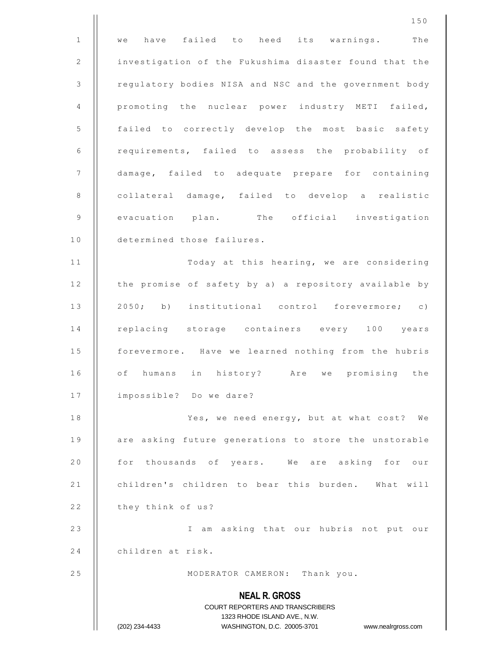**NEAL R. GROSS** COURT REPORTERS AND TRANSCRIBERS 1323 RHODE ISLAND AVE., N.W. (202) 234-4433 WASHINGTON, D.C. 20005-3701 www.nealrgross.com 1 || we have failed to heed its warnings. The 2 | investigation of the Fukushima disaster found that the 3 | regulatory bodies NISA and NSC and the government body 4 | promoting the nuclear power industry METI failed, 5 | failed to correctly develop the most basic safety 6 | requirements, failed to assess the probability of 7 damage, failed to adequate prepare for containing 8 | collateral damage, failed to develop a realistic 9 | evacuation plan. The official investigation 10 | determined those failures. 1 1 T o d a y a t t h i s h e a r i n g , w e a r e c o n s i d e r i n g 12 | the promise of safety by a) a repository available by 13 || 2050; b) institutional control forevermore; c) 14 || replacing storage containers every 100 years 15 | forevermore. Have we learned nothing from the hubris 16 || of humans in history? Are we promising the 17 | impossible? Do we dare? 18 | Yes, we need energy, but at what cost? We 19 || are asking future generations to store the unstorable 20 || for thousands of years. We are asking for our 21 | children's children to bear this burden. What will 22 | they think of us? 23 || I am asking that our hubris not put our 24 | children at risk. 25 | MODERATOR CAMERON: Thank you.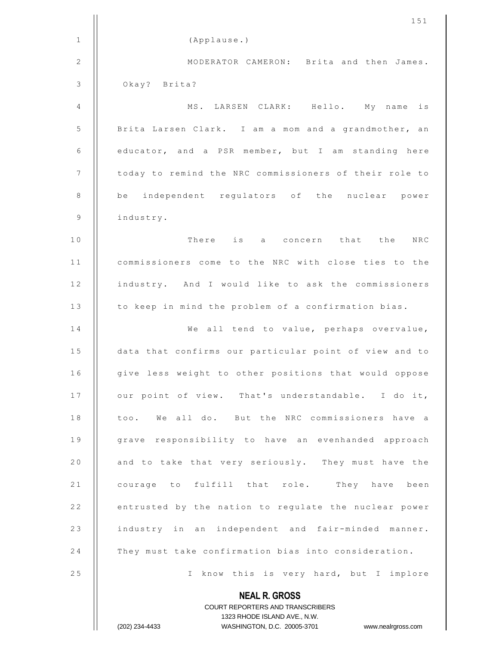|              | 151                                                                                                 |
|--------------|-----------------------------------------------------------------------------------------------------|
| $\mathbf{1}$ | (Applause.)                                                                                         |
| 2            | MODERATOR CAMERON: Brita and then James.                                                            |
| 3            | Okay? Brita?                                                                                        |
| 4            | MS. LARSEN CLARK: Hello. My name<br>is                                                              |
| 5            | Brita Larsen Clark. I am a mom and a grandmother, an                                                |
| 6            | educator, and a PSR member, but I am standing here                                                  |
| 7            | today to remind the NRC commissioners of their role to                                              |
| 8            | be independent regulators of the nuclear power                                                      |
| 9            | industry.                                                                                           |
| 10           | There is a concern that the NRC                                                                     |
| 11           | commissioners come to the NRC with close ties to the                                                |
| 12           | industry. And I would like to ask the commissioners                                                 |
| 13           | to keep in mind the problem of a confirmation bias.                                                 |
| 14           | We all tend to value, perhaps overvalue,                                                            |
| 15           | data that confirms our particular point of view and to                                              |
| 16           | give less weight to other positions that would oppose                                               |
| 17           | our point of view. That's understandable. I do it,                                                  |
| 18           | too. We all do. But the NRC commissioners have a                                                    |
| 19           | grave responsibility to have an evenhanded approach                                                 |
| 20           | and to take that very seriously. They must have the                                                 |
| 21           | courage to fulfill that role. They have been                                                        |
| 22           | entrusted by the nation to regulate the nuclear power                                               |
| 23           | industry in an independent and fair-minded manner.                                                  |
| 24           | They must take confirmation bias into consideration.                                                |
| 25           | I know this is very hard, but I implore                                                             |
|              | <b>NEAL R. GROSS</b>                                                                                |
|              | COURT REPORTERS AND TRANSCRIBERS                                                                    |
|              | 1323 RHODE ISLAND AVE., N.W.<br>WASHINGTON, D.C. 20005-3701<br>(202) 234-4433<br>www.nealrgross.com |
|              |                                                                                                     |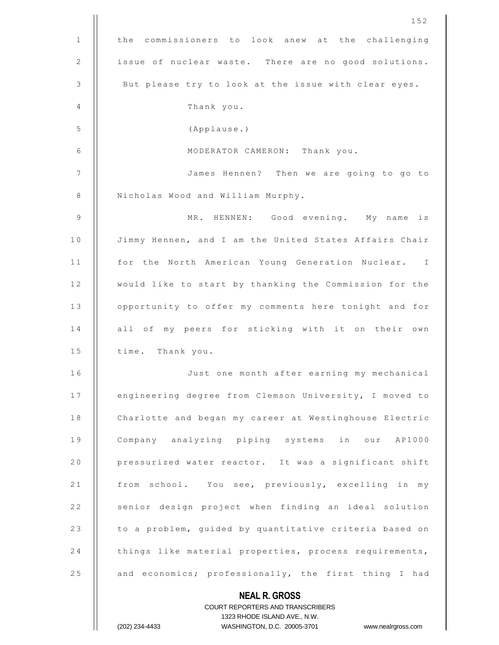|              | 152                                                                                                 |
|--------------|-----------------------------------------------------------------------------------------------------|
| $\mathbf{1}$ | the commissioners to look anew at the challenging                                                   |
| 2            | issue of nuclear waste. There are no good solutions.                                                |
| 3            | But please try to look at the issue with clear eyes.                                                |
| 4            | Thank you.                                                                                          |
| 5            | (Applause.)                                                                                         |
| 6            | MODERATOR CAMERON: Thank you.                                                                       |
| 7            | James Hennen? Then we are going to go to                                                            |
| 8            | Nicholas Wood and William Murphy.                                                                   |
| 9            | MR. HENNEN: Good evening. My name<br>is                                                             |
| 10           | Jimmy Hennen, and I am the United States Affairs Chair                                              |
| 11           | for the North American Young Generation Nuclear. I                                                  |
| 12           | would like to start by thanking the Commission for the                                              |
| 13           | opportunity to offer my comments here tonight and for                                               |
| 14           | all of my peers for sticking with it on their own                                                   |
| 15           | time. Thank you.                                                                                    |
| 16           | Just one month after earning my mechanical                                                          |
| 17           | engineering degree from Clemson University, I moved to                                              |
| 18           | Charlotte and began my career at Westinghouse Electric                                              |
| 19           | Company analyzing piping systems in our AP1000                                                      |
| 20           | pressurized water reactor. It was a significant shift                                               |
| 21           | from school. You see, previously, excelling in my                                                   |
| 22           | senior design project when finding an ideal solution                                                |
| 23           | to a problem, guided by quantitative criteria based on                                              |
| 24           | things like material properties, process requirements,                                              |
| 25           | and economics; professionally, the first thing I had                                                |
|              | <b>NEAL R. GROSS</b>                                                                                |
|              | COURT REPORTERS AND TRANSCRIBERS                                                                    |
|              | 1323 RHODE ISLAND AVE., N.W.<br>(202) 234-4433<br>WASHINGTON, D.C. 20005-3701<br>www.nealrgross.com |
|              |                                                                                                     |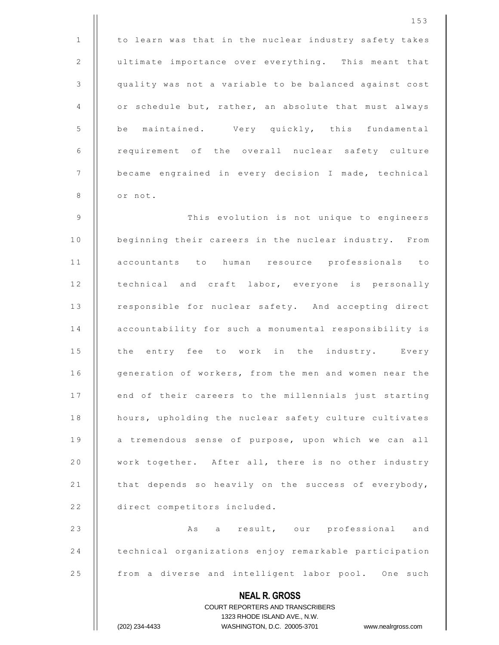**NEAL R. GROSS** COURT REPORTERS AND TRANSCRIBERS 1323 RHODE ISLAND AVE., N.W. (202) 234-4433 WASHINGTON, D.C. 20005-3701 www.nealrgross.com  $1$  | to learn was that in the nuclear industry safety takes 2 | ultimate importance over everything. This meant that 3 quality was not a variable to be balanced against cost 4 | or schedule but, rather, an absolute that must always 5 | be maintained. Very quickly, this fundamental  $6$  | requirement of the overall nuclear safety culture 7 | became engrained in every decision I made, technical 8 | or not. 9 | This evolution is not unique to engineers 10 | beginning their careers in the nuclear industry. From 1 1 accountants to human resource professionals to 12 | technical and craft labor, everyone is personally 13 | responsible for nuclear safety. And accepting direct 14 | accountability for such a monumental responsibility is 15 | the entry fee to work in the industry. Every 16 | generation of workers, from the men and women near the 17 | end of their careers to the millennials just starting 18 | hours, upholding the nuclear safety culture cultivates 19 || a tremendous sense of purpose, upon which we can all 20 | work together. After all, there is no other industry 21 | that depends so heavily on the success of everybody, 22 | direct competitors included. 2 3 A s a r e s u l t , o u r p r o f e s s i o n a l a n d 24 | technical organizations enjoy remarkable participation 25 | from a diverse and intelligent labor pool. One such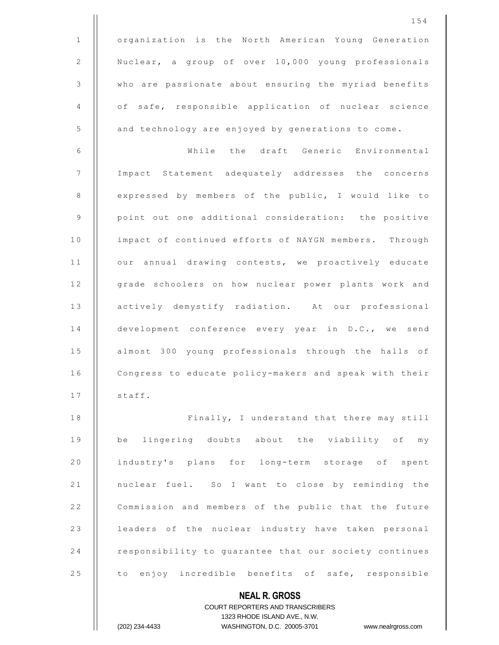**NEAL R. GROSS** COURT REPORTERS AND TRANSCRIBERS 1 | organization is the North American Young Generation 2 | Nuclear, a group of over 10,000 young professionals 3 Who are passionate about ensuring the myriad benefits 4 || of safe, responsible application of nuclear science 5 | and technology are enjoyed by generations to come. 6 W h i l e t h e d r a f t Generic Environmental 7 Impact Statement adequately addresses the concerns 8 || expressed by members of the public, I would like to 9 | point out one additional consideration: the positive 10 | impact of continued efforts of NAYGN members. Through 11 | our annual drawing contests, we proactively educate 12 | grade schoolers on how nuclear power plants work and 13 | actively demystify radiation. At our professional 14 | development conference every year in D.C., we send 15 | almost 300 young professionals through the halls of 16 | Congress to educate policy-makers and speak with their  $17$   $\parallel$  staff. 18 | Finally, I understand that there may still 19 || be lingering doubts about the viability of my 20 || industry's plans for long-term storage of spent 21 | nuclear fuel. So I want to close by reminding the 22 | Commission and members of the public that the future 23 | leaders of the nuclear industry have taken personal 24 **c** responsibility to quarantee that our society continues 25 | to enjoy incredible benefits of safe, responsible

1323 RHODE ISLAND AVE., N.W.

(202) 234-4433 WASHINGTON, D.C. 20005-3701 www.nealrgross.com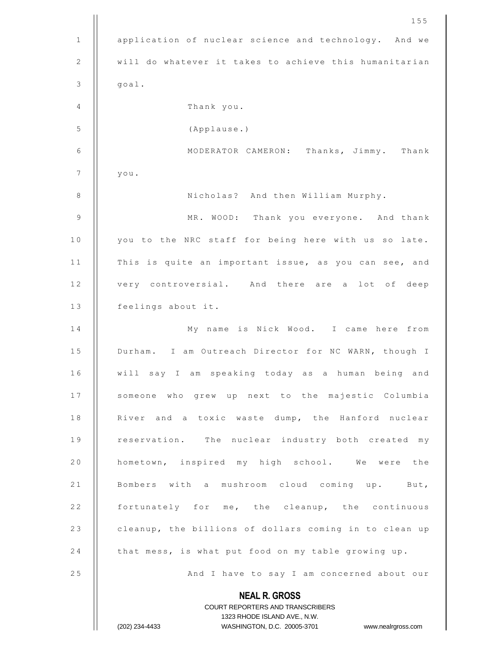|         | 155                                                                                                 |
|---------|-----------------------------------------------------------------------------------------------------|
| 1       | application of nuclear science and technology. And we                                               |
| 2       | will do whatever it takes to achieve this humanitarian                                              |
| 3       | goal.                                                                                               |
| 4       | Thank you.                                                                                          |
| 5       | (Applause.)                                                                                         |
| 6       | MODERATOR CAMERON: Thanks, Jimmy. Thank                                                             |
| 7       | you.                                                                                                |
| $\,8\,$ | Nicholas? And then William Murphy.                                                                  |
| 9       | MR. WOOD: Thank you everyone. And thank                                                             |
| 10      | you to the NRC staff for being here with us so late.                                                |
| 11      | This is quite an important issue, as you can see, and                                               |
| 12      | very controversial. And there are a lot of deep                                                     |
| 13      | feelings about it.                                                                                  |
| 14      | My name is Nick Wood. I came here from                                                              |
| 15      | Durham. I am Outreach Director for NC WARN, though I                                                |
| 16      | will say I am speaking today as a human being and                                                   |
| 17      | someone who grew up next to the majestic Columbia                                                   |
| 18      | River and a toxic waste dump, the Hanford nuclear                                                   |
| 19      | reservation. The nuclear industry both created my                                                   |
| 20      | hometown, inspired my high school. We were the                                                      |
| 21      | Bombers with a mushroom cloud coming up. But,                                                       |
| 22      | fortunately for me, the cleanup, the continuous                                                     |
| 23      | cleanup, the billions of dollars coming in to clean up                                              |
| 24      | that mess, is what put food on my table growing up.                                                 |
| 25      | And I have to say I am concerned about our                                                          |
|         | <b>NEAL R. GROSS</b>                                                                                |
|         | <b>COURT REPORTERS AND TRANSCRIBERS</b>                                                             |
|         | 1323 RHODE ISLAND AVE., N.W.<br>WASHINGTON, D.C. 20005-3701<br>(202) 234-4433<br>www.nealrgross.com |
|         |                                                                                                     |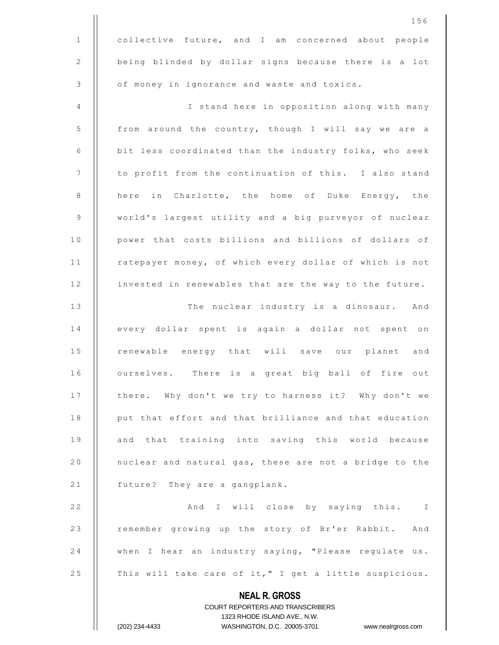|              | 156                                                                                              |
|--------------|--------------------------------------------------------------------------------------------------|
| $\mathbf{1}$ | collective future, and I am concerned about people                                               |
| $\mathbf{2}$ | being blinded by dollar signs because there is a lot                                             |
| 3            | of money in ignorance and waste and toxics.                                                      |
| 4            | I stand here in opposition along with many                                                       |
| 5            | from around the country, though I will say we are a                                              |
| 6            | bit less coordinated than the industry folks, who seek                                           |
| 7            | to profit from the continuation of this. I also stand                                            |
| 8            | here in Charlotte, the home of Duke Energy, the                                                  |
| 9            | world's largest utility and a big purveyor of nuclear                                            |
| 10           | power that costs billions and billions of dollars of                                             |
| 11           | ratepayer money, of which every dollar of which is not                                           |
| 12           | invested in renewables that are the way to the future.                                           |
| 13           | The nuclear industry is a dinosaur. And                                                          |
| 14           | every dollar spent is again a dollar not spent on                                                |
| 15           | renewable energy that will save our planet and                                                   |
| 16           | ourselves. There is a great big ball of fire out                                                 |
| 17           | there. Why don't we try to harness it? Why don't we                                              |
| 18           | put that effort and that brilliance and that education                                           |
| 19           | and that training into saving this world because                                                 |
| 20           | nuclear and natural gas, these are not a bridge to the                                           |
| 21           | future? They are a gangplank.                                                                    |
| 22           | And I will close by saying this. I                                                               |
| 23           | remember growing up the story of Br'er Rabbit. And                                               |
| 24           | when I hear an industry saying, "Please regulate us.                                             |
| 25           | This will take care of it," I get a little suspicious.                                           |
|              | <b>NEAL R. GROSS</b>                                                                             |
|              | COURT REPORTERS AND TRANSCRIBERS                                                                 |
|              | 1323 RHODE ISLAND AVE., N.W.<br>(202) 234-4433<br>WASHINGTON, D.C. 20005-3701 www.nealrgross.com |
|              |                                                                                                  |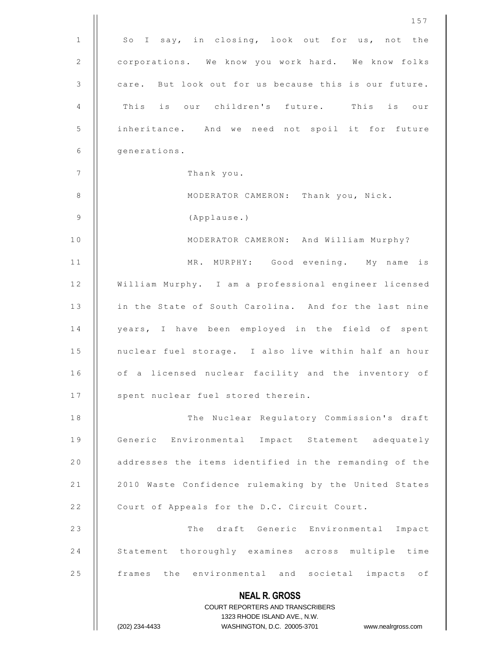|              | 157                                                                                                 |
|--------------|-----------------------------------------------------------------------------------------------------|
| $\mathbf{1}$ | So I say, in closing, look out for us, not the                                                      |
| 2            | corporations. We know you work hard. We know folks                                                  |
| 3            | care. But look out for us because this is our future.                                               |
| 4            | This is our children's future. This is our                                                          |
| 5            | inheritance. And we need not spoil it for future                                                    |
| 6            | generations.                                                                                        |
| 7            | Thank you.                                                                                          |
| 8            | MODERATOR CAMERON: Thank you, Nick.                                                                 |
| 9            | (Applause.)                                                                                         |
| 10           | MODERATOR CAMERON: And William Murphy?                                                              |
| 11           | MR. MURPHY: Good evening. My name<br>is                                                             |
| 12           | William Murphy. I am a professional engineer licensed                                               |
| 13           | in the State of South Carolina. And for the last nine                                               |
| 14           | years, I have been employed in the field of spent                                                   |
| 15           | nuclear fuel storage. I also live within half an hour                                               |
| 16           | of a licensed nuclear facility and the inventory of                                                 |
| 17           | spent nuclear fuel stored therein.                                                                  |
| 18           | The Nuclear Regulatory Commission's draft                                                           |
| 19           | Generic Environmental Impact Statement adequately                                                   |
| 20           | addresses the items identified in the remanding of the                                              |
| 21           | 2010 Waste Confidence rulemaking by the United States                                               |
| 22           | Court of Appeals for the D.C. Circuit Court.                                                        |
| 23           | The draft Generic Environmental Impact                                                              |
| 24           | Statement thoroughly examines across multiple time                                                  |
| 25           | frames the environmental and societal impacts of                                                    |
|              | <b>NEAL R. GROSS</b>                                                                                |
|              | <b>COURT REPORTERS AND TRANSCRIBERS</b>                                                             |
|              | 1323 RHODE ISLAND AVE., N.W.<br>WASHINGTON, D.C. 20005-3701<br>(202) 234-4433<br>www.nealrgross.com |
|              |                                                                                                     |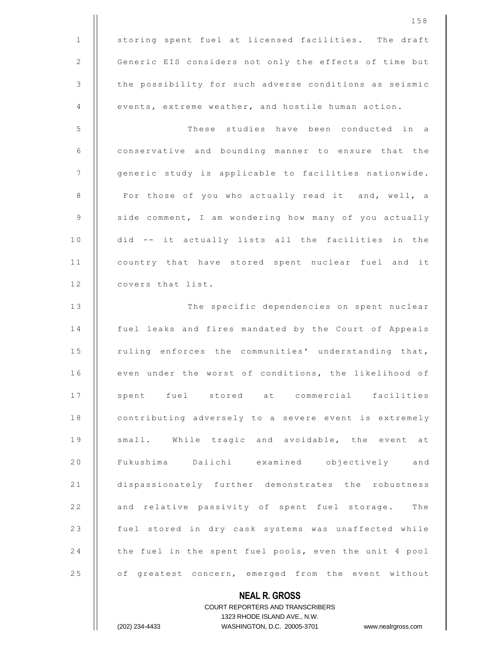|              | 158                                                                                              |
|--------------|--------------------------------------------------------------------------------------------------|
| $\mathbf{1}$ | storing spent fuel at licensed facilities. The draft                                             |
| 2            | Generic EIS considers not only the effects of time but                                           |
| 3            | the possibility for such adverse conditions as seismic                                           |
| 4            | events, extreme weather, and hostile human action.                                               |
| 5            | These studies have been conducted in a                                                           |
| 6            | conservative and bounding manner to ensure that the                                              |
| 7            | generic study is applicable to facilities nationwide.                                            |
| 8            | For those of you who actually read it and, well, a                                               |
| 9            | side comment, I am wondering how many of you actually                                            |
| 10           | did -- it actually lists all the facilities in the                                               |
| 11           | country that have stored spent nuclear fuel and it                                               |
| 12           | covers that list.                                                                                |
| 13           | The specific dependencies on spent nuclear                                                       |
| 14           | fuel leaks and fires mandated by the Court of Appeals                                            |
| 15           | ruling enforces the communities' understanding that,                                             |
| 16           | even under the worst of conditions, the likelihood of                                            |
| 17           | spent fuel stored at commercial facilities                                                       |
| 18           | contributing adversely to a severe event is extremely                                            |
| 19           | small. While tragic and avoidable, the event at                                                  |
| 20           | Fukushima Daiichi examined objectively and                                                       |
| 21           | dispassionately further demonstrates the robustness                                              |
| 22           | and relative passivity of spent fuel storage. The                                                |
| 23           | fuel stored in dry cask systems was unaffected while                                             |
| 24           | the fuel in the spent fuel pools, even the unit 4 pool                                           |
| 25           | of greatest concern, emerged from the event without                                              |
|              | <b>NEAL R. GROSS</b>                                                                             |
|              | <b>COURT REPORTERS AND TRANSCRIBERS</b>                                                          |
|              | 1323 RHODE ISLAND AVE., N.W.<br>WASHINGTON, D.C. 20005-3701 www.nealrgross.com<br>(202) 234-4433 |
|              |                                                                                                  |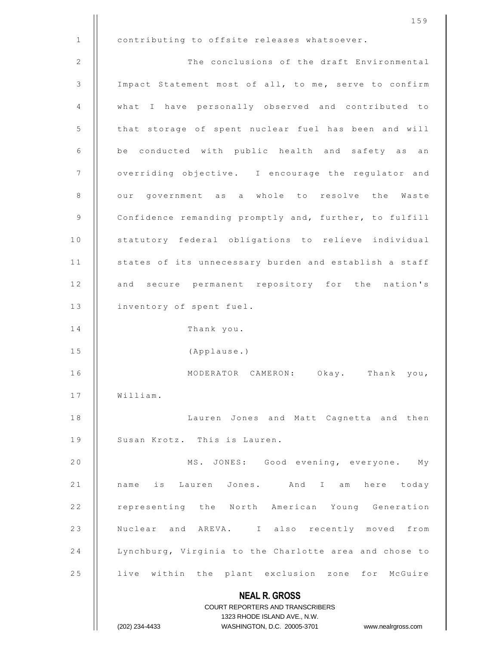|              | 159                                                              |
|--------------|------------------------------------------------------------------|
| $\mathbf{1}$ | contributing to offsite releases whatsoever.                     |
| 2            | The conclusions of the draft Environmental                       |
| 3            | Impact Statement most of all, to me, serve to confirm            |
| 4            | what I have personally observed and contributed to               |
| 5            | that storage of spent nuclear fuel has been and will             |
| 6            | be conducted with public health and safety as an                 |
| 7            | overriding objective. I encourage the regulator and              |
| 8            | our government as a whole to resolve the Waste                   |
| 9            | Confidence remanding promptly and, further, to fulfill           |
| 10           | statutory federal obligations to relieve individual              |
| 11           | states of its unnecessary burden and establish a staff           |
| 12           | and secure permanent repository for the nation's                 |
| 13           | inventory of spent fuel.                                         |
| 14           | Thank you.                                                       |
| 15           | (Applause.)                                                      |
| 16           | MODERATOR CAMERON:<br>Okay.<br>Thank<br>you,                     |
| 17           | William.                                                         |
| 18           | Lauren Jones and Matt Cagnetta and then                          |
| 19           | Susan Krotz. This is Lauren.                                     |
| 20           | MS. JONES: Good evening, everyone.<br>Мy                         |
| 21           | name is Lauren Jones. And I am here today                        |
| 22           | representing the North American Young Generation                 |
| 23           | Nuclear and AREVA. I also recently moved from                    |
| 24           | Lynchburg, Virginia to the Charlotte area and chose to           |
| 25           | live within the plant exclusion zone for McGuire                 |
|              | <b>NEAL R. GROSS</b>                                             |
|              | <b>COURT REPORTERS AND TRANSCRIBERS</b>                          |
|              | 1323 RHODE ISLAND AVE., N.W.                                     |
|              | (202) 234-4433<br>WASHINGTON, D.C. 20005-3701 www.nealrgross.com |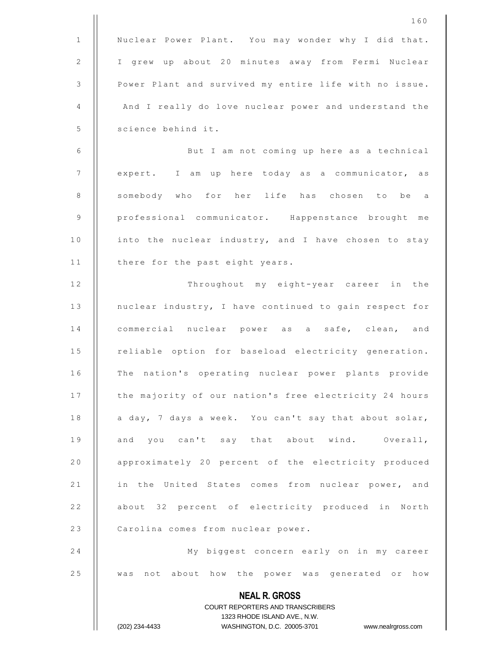|              | 160                                                                           |
|--------------|-------------------------------------------------------------------------------|
| $\mathbf{1}$ | Nuclear Power Plant. You may wonder why I did that.                           |
| 2            | I grew up about 20 minutes away from Fermi Nuclear                            |
| 3            | Power Plant and survived my entire life with no issue.                        |
| 4            | And I really do love nuclear power and understand the                         |
| 5            | science behind it.                                                            |
| 6            | But I am not coming up here as a technical                                    |
| 7            | expert. I am up here today as a communicator, as                              |
| 8            | somebody who for her life has chosen to be a                                  |
| 9            | professional communicator. Happenstance brought me                            |
| 10           | into the nuclear industry, and I have chosen to stay                          |
| 11           | there for the past eight years.                                               |
| 12           | Throughout my eight-year career in the                                        |
| 13           | nuclear industry, I have continued to gain respect for                        |
| 14           | commercial nuclear power as a safe, clean, and                                |
| 15           | reliable option for baseload electricity generation.                          |
| 16           | The nation's operating nuclear power plants provide                           |
| 17           | the majority of our nation's free electricity 24 hours                        |
| 18           | a day, 7 days a week. You can't say that about solar,                         |
| 19           | and you can't say that about wind. Overall,                                   |
| 20           | approximately 20 percent of the electricity produced                          |
| 21           | in the United States comes from nuclear power, and                            |
| 22           | about 32 percent of electricity produced in North                             |
| 23           | Carolina comes from nuclear power.                                            |
| 24           | My biggest concern early on in my career                                      |
| 25           | was not about how the power was generated or how                              |
|              | <b>NEAL R. GROSS</b>                                                          |
|              | COURT REPORTERS AND TRANSCRIBERS                                              |
|              | 1323 RHODE ISLAND AVE., N.W.<br>WASHINGTON, D.C. 20005-3701<br>(202) 234-4433 |
|              | www.nealrgross.com                                                            |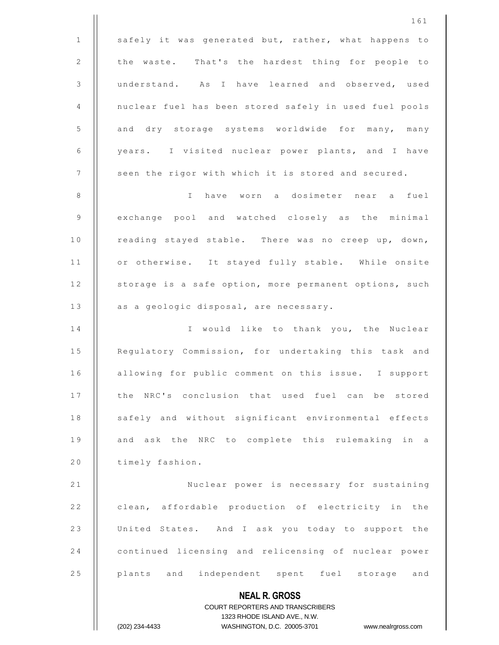|              | 161                                                                                                 |
|--------------|-----------------------------------------------------------------------------------------------------|
| $\mathbf{1}$ | safely it was generated but, rather, what happens to                                                |
| 2            | the waste. That's the hardest thing for people to                                                   |
| 3            | understand. As I have learned and observed, used                                                    |
| 4            | nuclear fuel has been stored safely in used fuel pools                                              |
| 5            | and dry storage systems worldwide for many, many                                                    |
| 6            | years. I visited nuclear power plants, and I have                                                   |
| 7            | seen the rigor with which it is stored and secured.                                                 |
| 8            | have worn a dosimeter near a fuel<br>$\mathbb{I}$                                                   |
| 9            | exchange pool and watched closely as the minimal                                                    |
| 10           | reading stayed stable. There was no creep up, down,                                                 |
| 11           | or otherwise. It stayed fully stable. While onsite                                                  |
| 12           | storage is a safe option, more permanent options, such                                              |
| 13           | as a geologic disposal, are necessary.                                                              |
| 14           | I would like to thank you, the Nuclear                                                              |
| 15           | Regulatory Commission, for undertaking this task and                                                |
| 16           | allowing for public comment on this issue. I support                                                |
| 17           | the NRC's conclusion that used fuel can be stored                                                   |
| 18           | safely and without significant environmental effects                                                |
| 19           | and ask the NRC to complete this rulemaking in a                                                    |
| 20           | timely fashion.                                                                                     |
| 21           | Nuclear power is necessary for sustaining                                                           |
| 22           | clean, affordable production of electricity in the                                                  |
| 23           | United States. And I ask you today to support the                                                   |
| 24           | continued licensing and relicensing of nuclear power                                                |
| 25           | plants and independent spent fuel storage and                                                       |
|              | <b>NEAL R. GROSS</b>                                                                                |
|              | <b>COURT REPORTERS AND TRANSCRIBERS</b>                                                             |
|              | 1323 RHODE ISLAND AVE., N.W.<br>WASHINGTON, D.C. 20005-3701<br>(202) 234-4433<br>www.nealrgross.com |
|              |                                                                                                     |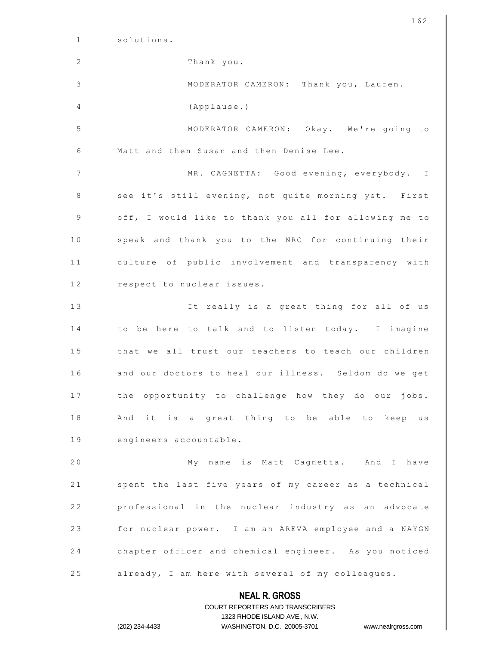|              | 162                                                   |
|--------------|-------------------------------------------------------|
| $\mathbf{1}$ | solutions.                                            |
| 2            | Thank you.                                            |
| 3            | MODERATOR CAMERON: Thank you, Lauren.                 |
| 4            | (Applause.)                                           |
| 5            | MODERATOR CAMERON: Okay. We're going to               |
| 6            | Matt and then Susan and then Denise Lee.              |
| 7            | MR. CAGNETTA: Good evening, everybody. I              |
| 8            | see it's still evening, not quite morning yet. First  |
| 9            | off, I would like to thank you all for allowing me to |
| 10           | speak and thank you to the NRC for continuing their   |
| 11           | culture of public involvement and transparency with   |
| 12           | respect to nuclear issues.                            |
| 13           | It really is a great thing for all of us              |
| 14           | to be here to talk and to listen today. I imagine     |
| 15           | that we all trust our teachers to teach our children  |
| 16           | and our doctors to heal our illness. Seldom do we get |
| 17           | the opportunity to challenge how they do our jobs.    |
| 18           | And it is a great thing to be able to keep us         |
| 19           | engineers accountable.                                |
| 20           | My name is Matt Cagnetta. And I have                  |
| 21           | spent the last five years of my career as a technical |
| 22           | professional in the nuclear industry as an advocate   |
| 23           | for nuclear power. I am an AREVA employee and a NAYGN |
| 24           | chapter officer and chemical engineer. As you noticed |
| 25           | already, I am here with several of my colleagues.     |
|              | <b>NEAL R. GROSS</b>                                  |

COURT REPORTERS AND TRANSCRIBERS 1323 RHODE ISLAND AVE., N.W.

 $\prod$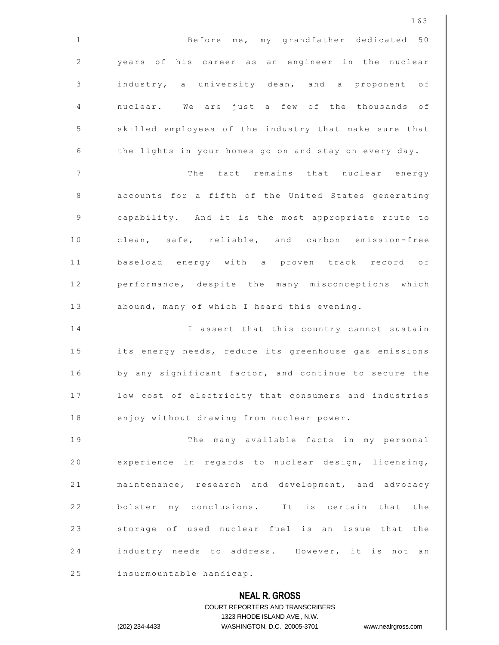|              | 163                                                                                                 |
|--------------|-----------------------------------------------------------------------------------------------------|
| $\mathbf{1}$ | Before me, my grandfather dedicated 50                                                              |
| 2            | years of his career as an engineer in the nuclear                                                   |
| 3            | industry, a university dean, and a proponent of                                                     |
| 4            | nuclear. We are just a few of the thousands of                                                      |
| 5            | skilled employees of the industry that make sure that                                               |
| 6            | the lights in your homes go on and stay on every day.                                               |
| 7            | The fact remains that nuclear energy                                                                |
| 8            | accounts for a fifth of the United States generating                                                |
| 9            | capability. And it is the most appropriate route to                                                 |
| 10           | clean, safe, reliable, and carbon emission-free                                                     |
| 11           | baseload energy with a proven track record of                                                       |
| 12           | performance, despite the many misconceptions which                                                  |
| 13           | abound, many of which I heard this evening.                                                         |
| 14           | I assert that this country cannot sustain                                                           |
| 15           | its energy needs, reduce its greenhouse gas emissions                                               |
| 16           | by any significant factor, and continue to secure the                                               |
| 17           | low cost of electricity that consumers and industries                                               |
| 18           | enjoy without drawing from nuclear power.                                                           |
| 19           | The many available facts in my personal                                                             |
| 20           | experience in regards to nuclear design, licensing,                                                 |
| 21           | maintenance, research and development, and advocacy                                                 |
| 22           | bolster my conclusions. It is certain that the                                                      |
| 23           | storage of used nuclear fuel is an issue that the                                                   |
| 24           | industry needs to address. However, it is not<br>an                                                 |
| 25           | insurmountable handicap.                                                                            |
|              | <b>NEAL R. GROSS</b>                                                                                |
|              | COURT REPORTERS AND TRANSCRIBERS                                                                    |
|              | 1323 RHODE ISLAND AVE., N.W.<br>(202) 234-4433<br>WASHINGTON, D.C. 20005-3701<br>www.nealrgross.com |
|              |                                                                                                     |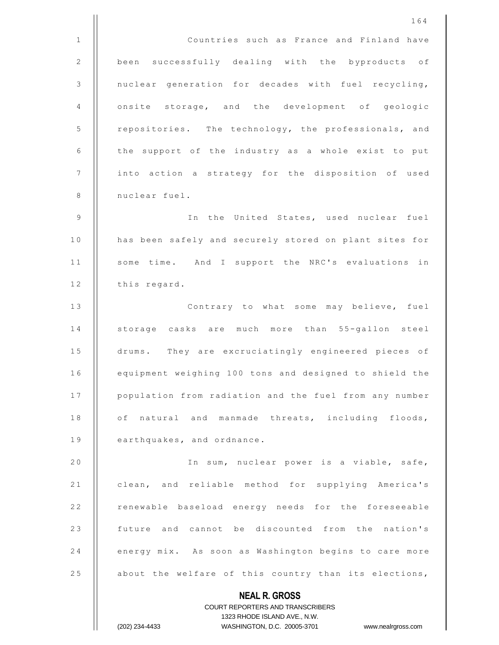**NEAL R. GROSS** COURT REPORTERS AND TRANSCRIBERS 1323 RHODE ISLAND AVE., N.W. (202) 234-4433 WASHINGTON, D.C. 20005-3701 www.nealrgross.com 1 Countries such as France and Finland have 2 | been successfully dealing with the byproducts of 3 || nuclear generation for decades with fuel recycling, 4 || onsite storage, and the development of geologic 5 | repositories. The technology, the professionals, and 6  $\parallel$  the support of the industry as a whole exist to put 7 | into action a strategy for the disposition of used 8 | nuclear fuel. 9 I n t h e U n i t e d S t a t e s , u s e d n u c l e a r f u e l 10 | has been safely and securely stored on plant sites for 11 | some time. And I support the NRC's evaluations in 12 | this regard. 13 || Contrary to what some may believe, fuel 14 || storage casks are much more than 55-gallon steel 15 | drums. They are excruciatingly engineered pieces of 16 | equipment weighing 100 tons and designed to shield the 17 | population from radiation and the fuel from any number 18 | of natural and manmade threats, including floods, 19 **earthquakes**, and ordnance. 20 || The sum, nuclear power is a viable, safe, 21 | clean, and reliable method for supplying America's 22 | renewable baseload energy needs for the foreseeable 23 || future and cannot be discounted from the nation's 24 | energy mix. As soon as Washington begins to care more 25  $\vert$  about the welfare of this country than its elections,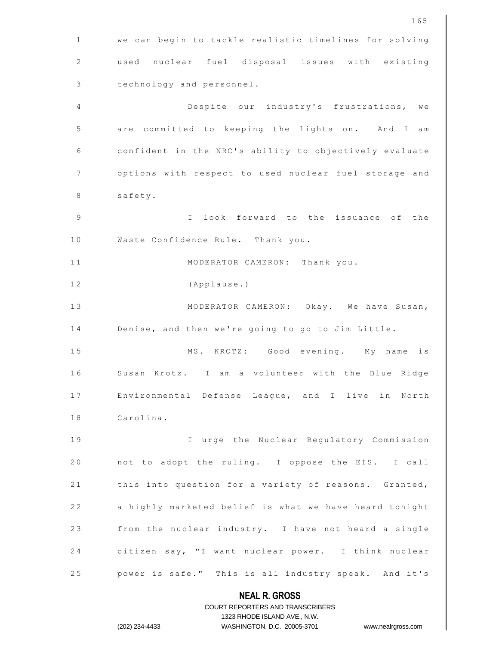|    | 165                                                                                                 |
|----|-----------------------------------------------------------------------------------------------------|
| 1  | we can begin to tackle realistic timelines for solving                                              |
| 2  | used nuclear fuel disposal issues with existing                                                     |
| 3  | technology and personnel.                                                                           |
| 4  | Despite our industry's frustrations, we                                                             |
| 5  | are committed to keeping the lights on. And I<br>am                                                 |
| 6  | confident in the NRC's ability to objectively evaluate                                              |
| 7  | options with respect to used nuclear fuel storage and                                               |
| 8  | safety.                                                                                             |
| 9  | look forward to the issuance of the<br>$\mathbb{I}$                                                 |
| 10 | Waste Confidence Rule. Thank you.                                                                   |
| 11 | MODERATOR CAMERON:<br>Thank you.                                                                    |
| 12 | (Applause.)                                                                                         |
| 13 | MODERATOR CAMERON: Okay. We have Susan,                                                             |
| 14 | Denise, and then we're going to go to Jim Little.                                                   |
| 15 | KROTZ: Good evening. My name<br>is<br>MS.                                                           |
| 16 | a volunteer with the Blue Ridge<br>Susan Krotz.<br>$\mathbb{I}$<br>am                               |
| 17 | Environmental Defense League, and I live in North                                                   |
| 18 | Carolina.                                                                                           |
| 19 | I urge the Nuclear Regulatory Commission                                                            |
| 20 | not to adopt the ruling. I oppose the EIS. I call                                                   |
| 21 | this into question for a variety of reasons. Granted,                                               |
| 22 | a highly marketed belief is what we have heard tonight                                              |
| 23 | from the nuclear industry. I have not heard a single                                                |
| 24 | citizen say, "I want nuclear power. I think nuclear                                                 |
| 25 | power is safe." This is all industry speak. And it's                                                |
|    | <b>NEAL R. GROSS</b>                                                                                |
|    | <b>COURT REPORTERS AND TRANSCRIBERS</b>                                                             |
|    | 1323 RHODE ISLAND AVE., N.W.<br>(202) 234-4433<br>WASHINGTON, D.C. 20005-3701<br>www.nealrgross.com |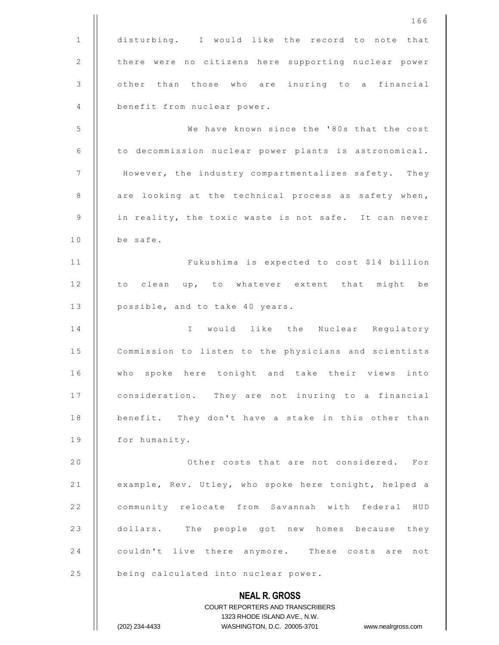**NEAL R. GROSS** COURT REPORTERS AND TRANSCRIBERS 1323 RHODE ISLAND AVE., N.W. (202) 234-4433 WASHINGTON, D.C. 20005-3701 www.nealrgross.com 166 1 disturbing. I would like the record to note that 2 | there were no citizens here supporting nuclear power 3 | other than those who are inuring to a financial 4 **benefit from nuclear power.** 5 | We have known since the '80s that the cost 6 | to decommission nuclear power plants is astronomical. 7 | However, the industry compartmentalizes safety. They 8 | are looking at the technical process as safety when,  $9$  | in reality, the toxic waste is not safe. It can never  $10$  || be safe. 11 | Fukushima is expected to cost \$14 billion 12 || to clean up, to whatever extent that might be 13 | possible, and to take 40 years. 14 || I would like the Nuclear Requlatory 15 | Commission to listen to the physicians and scientists 16 || who spoke here tonight and take their views into 17 | consideration. They are not inuring to a financial 18 | benefit. They don't have a stake in this other than 19 | for humanity. 2 0 O t h e r c o s t s t h a t a r e n o t c o n s i d e r e d . F o r 21 | example, Rev. Utley, who spoke here tonight, helped a 22 | community relocate from Savannah with federal HUD 23 dollars. The people got new homes because they 24 **couldn't live there anymore.** These costs are not 25 | being calculated into nuclear power.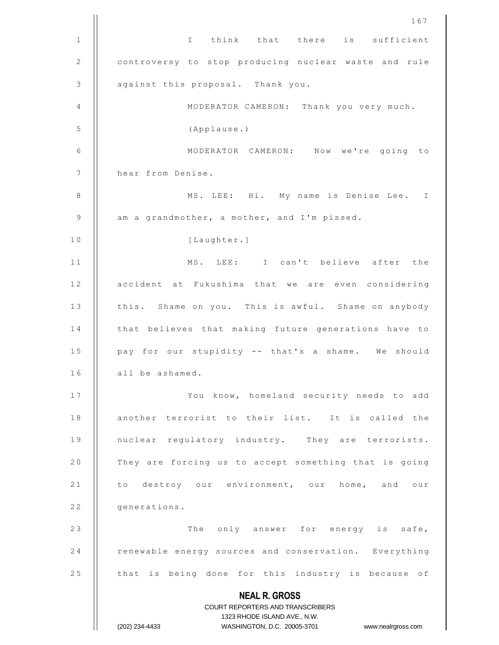|                | 167                                                                                                 |
|----------------|-----------------------------------------------------------------------------------------------------|
| $\mathbf{1}$   | I think that there is sufficient                                                                    |
| $\overline{2}$ | controversy to stop producing nuclear waste and rule                                                |
| 3              | against this proposal. Thank you.                                                                   |
| 4              | MODERATOR CAMERON: Thank you very much.                                                             |
| 5              | (Applause.)                                                                                         |
| 6              | MODERATOR CAMERON: Now we're going to                                                               |
| 7              | hear from Denise.                                                                                   |
| 8              | MS. LEE: Hi. My name is Denise Lee. I                                                               |
| 9              | am a grandmother, a mother, and I'm pissed.                                                         |
| 10             | [Laughter.]                                                                                         |
| 11             | MS. LEE: I can't believe after the                                                                  |
| 12             | accident at Fukushima that we are even considering                                                  |
| 13             | this. Shame on you. This is awful. Shame on anybody                                                 |
| 14             | that believes that making future generations have to                                                |
| 15             | pay for our stupidity -- that's a shame. We should                                                  |
| 16             | all be ashamed.                                                                                     |
| 17             | You know, homeland security needs to add                                                            |
| 18             | another terrorist to their list. It is called the                                                   |
| 19             | nuclear regulatory industry. They are terrorists.                                                   |
| 20             | They are forcing us to accept something that is going                                               |
| 21             | to destroy our environment, our home, and our                                                       |
| 22             | generations.                                                                                        |
| 23             | The only answer for energy is safe,                                                                 |
| 24             | renewable energy sources and conservation. Everything                                               |
| 25             | that is being done for this industry is because of                                                  |
|                | <b>NEAL R. GROSS</b>                                                                                |
|                | <b>COURT REPORTERS AND TRANSCRIBERS</b>                                                             |
|                | 1323 RHODE ISLAND AVE., N.W.<br>(202) 234-4433<br>WASHINGTON, D.C. 20005-3701<br>www.nealrgross.com |
|                |                                                                                                     |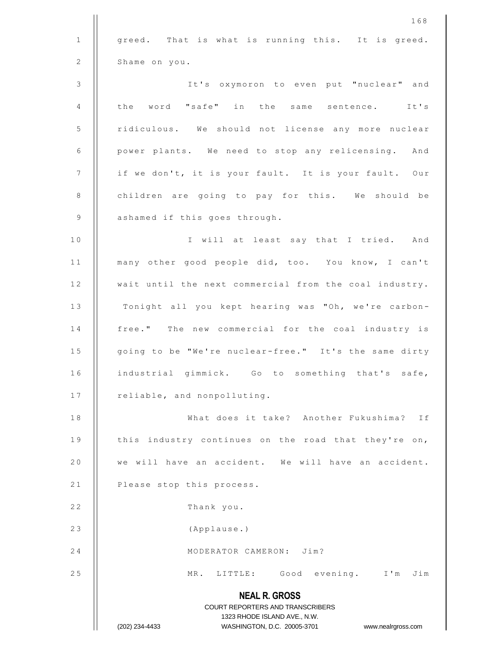|                | 168                                                                 |
|----------------|---------------------------------------------------------------------|
| $\mathbf{1}$   | greed. That is what is running this. It is greed.                   |
| 2              | Shame on you.                                                       |
| 3              | It's oxymoron to even put "nuclear" and                             |
| 4              | the word "safe" in the same sentence. It's                          |
| 5              | ridiculous. We should not license any more nuclear                  |
| 6              | power plants. We need to stop any relicensing. And                  |
| $\overline{7}$ | if we don't, it is your fault. It is your fault. Our                |
| 8              | children are going to pay for this. We should be                    |
| 9              | ashamed if this goes through.                                       |
| 10             | I will at least say that I tried. And                               |
| 11             | many other good people did, too. You know, I can't                  |
| 12             | wait until the next commercial from the coal industry.              |
| 13             | Tonight all you kept hearing was "Oh, we're carbon-                 |
| 14             | free." The new commercial for the coal industry is                  |
| 15             | going to be "We're nuclear-free." It's the same dirty               |
| 16             | industrial gimmick. Go to something that's safe,                    |
| 17             | reliable, and nonpolluting.                                         |
| 18             | What does it take? Another Fukushima?<br>Ιf                         |
| 19             | this industry continues on the road that they're on,                |
| 20             | we will have an accident. We will have an accident.                 |
| 21             | Please stop this process.                                           |
| 22             | Thank you.                                                          |
| 23             | (Applause.)                                                         |
| 24             | MODERATOR CAMERON: Jim?                                             |
| 25             | MR. LITTLE: Good evening. I'm Jim                                   |
|                | <b>NEAL R. GROSS</b>                                                |
|                | COURT REPORTERS AND TRANSCRIBERS<br>1323 RHODE ISLAND AVE., N.W.    |
|                | WASHINGTON, D.C. 20005-3701<br>(202) 234-4433<br>www.nealrgross.com |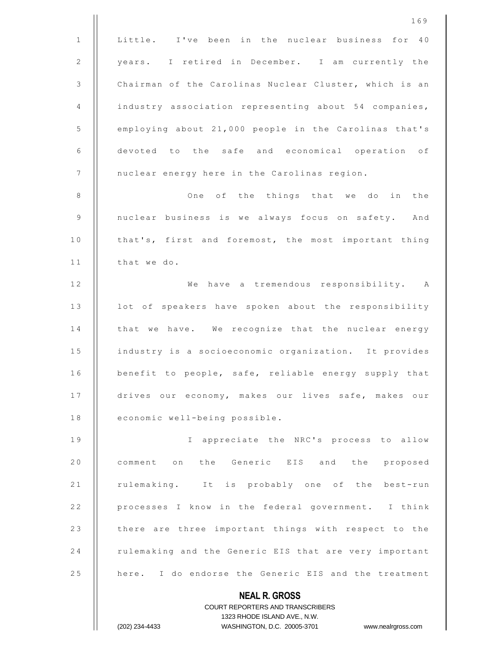|                | 169                                                                                                 |
|----------------|-----------------------------------------------------------------------------------------------------|
| $\mathbf{1}$   | Little. I've been in the nuclear business for 40                                                    |
| 2              | years. I retired in December. I am currently the                                                    |
| $\mathfrak{Z}$ | Chairman of the Carolinas Nuclear Cluster, which is an                                              |
| 4              | industry association representing about 54 companies,                                               |
| 5              | employing about 21,000 people in the Carolinas that's                                               |
| 6              | devoted to the safe and economical operation of                                                     |
| 7              | nuclear energy here in the Carolinas region.                                                        |
| 8              | One of the things that we do<br>in the                                                              |
| $\mathsf 9$    | nuclear business is we always focus on safety. And                                                  |
| 10             | that's, first and foremost, the most important thing                                                |
| 11             | that we do.                                                                                         |
| 12             | We have a tremendous responsibility. A                                                              |
| 13             | lot of speakers have spoken about the responsibility                                                |
| 14             | that we have. We recognize that the nuclear energy                                                  |
| 15             | industry is a socioeconomic organization. It provides                                               |
| 16             | benefit to people, safe, reliable energy supply that                                                |
| 17             | drives our economy, makes our lives safe, makes our                                                 |
| 18             | economic well-being possible.                                                                       |
| 19             | I appreciate the NRC's process to allow                                                             |
| 20             | comment on the Generic EIS and the proposed                                                         |
| 21             | rulemaking. It is probably one of the best-run                                                      |
| 22             | processes I know in the federal government. I think                                                 |
| 23             | there are three important things with respect to the                                                |
| 24             | rulemaking and the Generic EIS that are very important                                              |
| 25             | here. I do endorse the Generic EIS and the treatment                                                |
|                | <b>NEAL R. GROSS</b>                                                                                |
|                | <b>COURT REPORTERS AND TRANSCRIBERS</b>                                                             |
|                | 1323 RHODE ISLAND AVE., N.W.<br>WASHINGTON, D.C. 20005-3701<br>(202) 234-4433<br>www.nealrgross.com |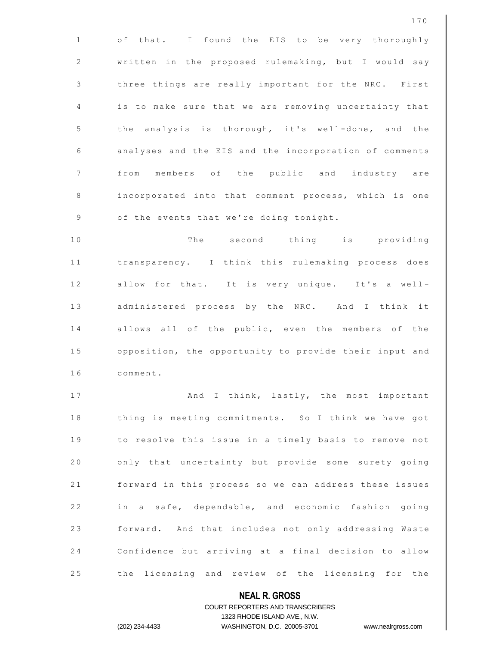|              | 170                                                                                                 |
|--------------|-----------------------------------------------------------------------------------------------------|
| $\mathbf{1}$ | of that. I found the EIS to be very thoroughly                                                      |
| 2            | written in the proposed rulemaking, but I would say                                                 |
| 3            | three things are really important for the NRC. First                                                |
| 4            | is to make sure that we are removing uncertainty that                                               |
| 5            | the analysis is thorough, it's well-done, and the                                                   |
| 6            | analyses and the EIS and the incorporation of comments                                              |
| 7            | members of the public and industry are<br>from                                                      |
| 8            | incorporated into that comment process, which is one                                                |
| 9            | of the events that we're doing tonight.                                                             |
| 10           | The second thing is providing                                                                       |
| 11           | transparency. I think this rulemaking process does                                                  |
| 12           | allow for that. It is very unique. It's a well-                                                     |
| 13           | administered process by the NRC. And I think it                                                     |
| 14           | allows all of the public, even the members of the                                                   |
| 15           | opposition, the opportunity to provide their input and                                              |
| 16           | comment.                                                                                            |
| 17           | And I think, lastly, the most important                                                             |
| 18           | thing is meeting commitments. So I think we have got                                                |
| 19           | to resolve this issue in a timely basis to remove not                                               |
| 20           | only that uncertainty but provide some surety going                                                 |
| 21           | forward in this process so we can address these issues                                              |
| 22           | in a safe, dependable, and economic fashion going                                                   |
| 23           | forward. And that includes not only addressing Waste                                                |
| 24           | Confidence but arriving at a final decision to allow                                                |
| 25           | the licensing and review of the licensing for the                                                   |
|              | <b>NEAL R. GROSS</b>                                                                                |
|              | <b>COURT REPORTERS AND TRANSCRIBERS</b>                                                             |
|              | 1323 RHODE ISLAND AVE., N.W.<br>(202) 234-4433<br>WASHINGTON, D.C. 20005-3701<br>www.nealrgross.com |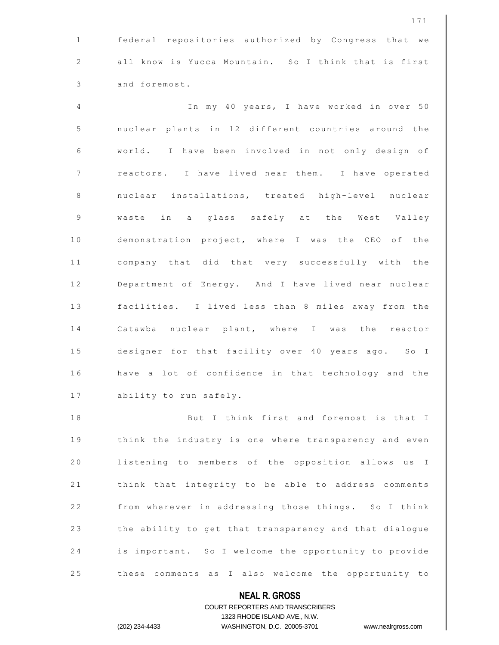**NEAL R. GROSS** COURT REPORTERS AND TRANSCRIBERS 1323 RHODE ISLAND AVE., N.W. 1 federal repositories authorized by Congress that we 2 | all know is Yucca Mountain. So I think that is first 3 **d** and foremost. 4 I n m y 4 0 y e a r s , I h a v e w o r k e d i n o v e r 5 0 5 | nuclear plants in 12 different countries around the 6 | world. I have been involved in not only design of 7 | reactors. I have lived near them. I have operated 8 || nuclear installations, treated high-level nuclear 9 || waste in a glass safely at the West Valley 10 || demonstration project, where I was the CEO of the 11 || company that did that very successfully with the 12 | Department of Energy. And I have lived near nuclear 13 | facilities. I lived less than 8 miles away from the 14 || Catawba nuclear plant, where I was the reactor 15 **designer for that facility over 40 years ago.** So I 16 | have a lot of confidence in that technology and the 17 | ability to run safely. 18 || But I think first and foremost is that I 19 | think the industry is one where transparency and even 20 | listening to members of the opposition allows us I 21 | think that integrity to be able to address comments 22 | from wherever in addressing those things. So I think 23 | the ability to get that transparency and that dialogue 24 | is important. So I welcome the opportunity to provide 25 | these comments as I also welcome the opportunity to

(202) 234-4433 WASHINGTON, D.C. 20005-3701 www.nealrgross.com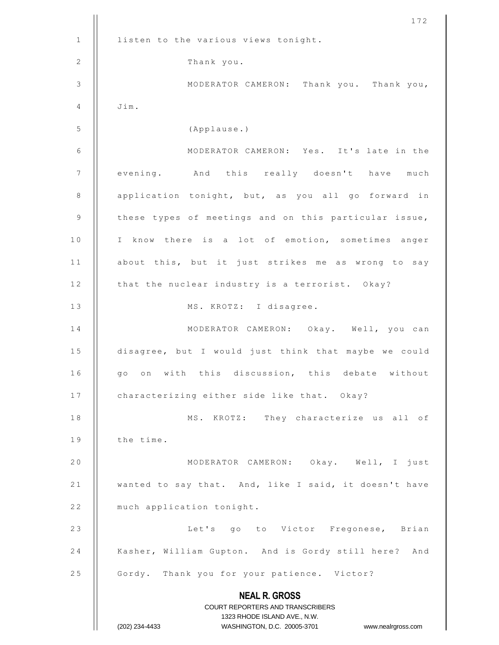|                 | 172                                                                 |
|-----------------|---------------------------------------------------------------------|
| $\mathbf{1}$    | listen to the various views tonight.                                |
| 2               | Thank you.                                                          |
| 3               | MODERATOR CAMERON: Thank you. Thank you,                            |
| 4               | Jim.                                                                |
| 5               | (Applause.)                                                         |
| 6               | MODERATOR CAMERON: Yes. It's late in the                            |
| $7\phantom{.0}$ | evening. And this really doesn't have<br>much                       |
| 8               | application tonight, but, as you all go forward in                  |
| 9               | these types of meetings and on this particular issue,               |
| 10              | I know there is a lot of emotion, sometimes anger                   |
| 11              | about this, but it just strikes me as wrong to say                  |
| 12              | that the nuclear industry is a terrorist. Okay?                     |
| 13              | MS. KROTZ: I disagree.                                              |
| 14              | MODERATOR CAMERON: Okay. Well, you can                              |
| 15              | disagree, but I would just think that maybe we could                |
| 16              | go on with this discussion, this debate without                     |
| 17              | characterizing either side like that. Okay?                         |
| 18              | MS. KROTZ: They characterize us all of                              |
| 19              | the time.                                                           |
| 20              | MODERATOR CAMERON: Okay. Well, I just                               |
| 21              | wanted to say that. And, like I said, it doesn't have               |
| 22              | much application tonight.                                           |
| 23              | Let's go to Victor Fregonese, Brian                                 |
| 24              | Kasher, William Gupton. And is Gordy still here? And                |
| 25              | Gordy. Thank you for your patience. Victor?                         |
|                 | <b>NEAL R. GROSS</b>                                                |
|                 | COURT REPORTERS AND TRANSCRIBERS<br>1323 RHODE ISLAND AVE., N.W.    |
|                 | (202) 234-4433<br>WASHINGTON, D.C. 20005-3701<br>www.nealrgross.com |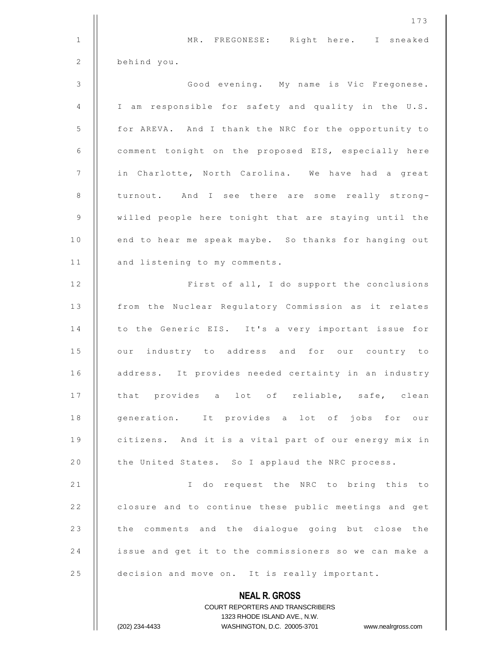|              | 173                                                                                                 |
|--------------|-----------------------------------------------------------------------------------------------------|
| $\mathbf{1}$ | MR. FREGONESE: Right here. I sneaked                                                                |
| 2            | behind you.                                                                                         |
| 3            | Good evening. My name is Vic Fregonese.                                                             |
| 4            | I am responsible for safety and quality in the U.S.                                                 |
| 5            | for AREVA. And I thank the NRC for the opportunity to                                               |
| 6            | comment tonight on the proposed EIS, especially here                                                |
| 7            | in Charlotte, North Carolina. We have had a great                                                   |
| $\,8\,$      | turnout. And I see there are some really strong-                                                    |
| 9            | willed people here tonight that are staying until the                                               |
| 10           | end to hear me speak maybe. So thanks for hanging out                                               |
| 11           | and listening to my comments.                                                                       |
| 12           | First of all, I do support the conclusions                                                          |
| 13           | from the Nuclear Regulatory Commission as it relates                                                |
| 14           | to the Generic EIS. It's a very important issue for                                                 |
| 15           | our industry to address and for our country to                                                      |
| 16           | address. It provides needed certainty in an industry                                                |
| 17           | that provides a lot of reliable, safe, clean                                                        |
| 18           | generation. It provides a lot of jobs for our                                                       |
| 19           | citizens. And it is a vital part of our energy mix in                                               |
| 20           | the United States. So I applaud the NRC process.                                                    |
| 21           | I do request the NRC to bring this to                                                               |
| 22           | closure and to continue these public meetings and get                                               |
| 23           | the comments and the dialogue going but close the                                                   |
| 24           | issue and get it to the commissioners so we can make a                                              |
| 25           | decision and move on. It is really important.                                                       |
|              | <b>NEAL R. GROSS</b>                                                                                |
|              | <b>COURT REPORTERS AND TRANSCRIBERS</b>                                                             |
|              | 1323 RHODE ISLAND AVE., N.W.<br>(202) 234-4433<br>WASHINGTON, D.C. 20005-3701<br>www.nealrgross.com |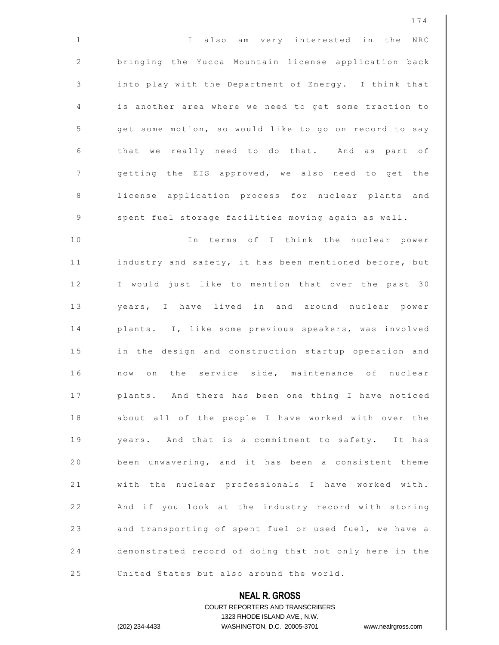**NEAL R. GROSS** 174 1 || I also am very interested in the NRC 2 | bringing the Yucca Mountain license application back 3 | into play with the Department of Energy. I think that 4 || is another area where we need to get some traction to 5 | | get some motion, so would like to go on record to say  $6$   $\parallel$  that we really need to do that. And as part of 7 | getting the EIS approved, we also need to get the 8 || license application process for nuclear plants and 9 | spent fuel storage facilities moving again as well. 10 || In terms of I think the nuclear power 11 | industry and safety, it has been mentioned before, but 12 || I would just like to mention that over the past 30 13 || years, I have lived in and around nuclear power 14 || plants. I, like some previous speakers, was involved 15 | in the design and construction startup operation and 16 || now on the service side, maintenance of nuclear 17 | plants. And there has been one thing I have noticed 18 || about all of the people I have worked with over the 19 || years. And that is a commitment to safety. It has 20 | been unwavering, and it has been a consistent theme 21 || with the nuclear professionals I have worked with. 22 | And if you look at the industry record with storing 23 || and transporting of spent fuel or used fuel, we have a 24 demonstrated record of doing that not only here in the 25 | United States but also around the world.

> COURT REPORTERS AND TRANSCRIBERS 1323 RHODE ISLAND AVE., N.W.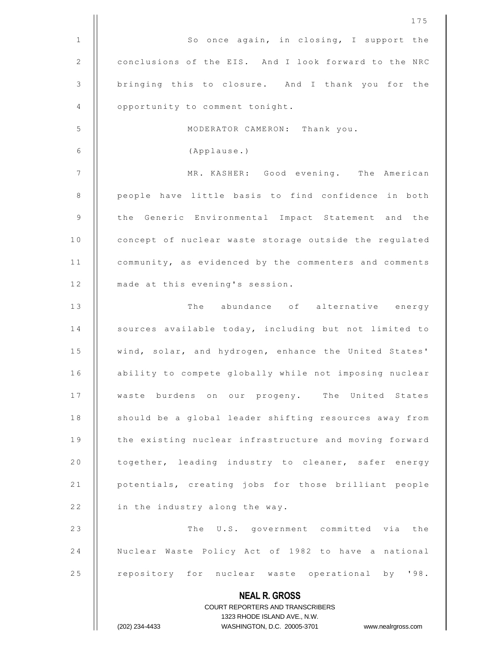|              | 175                                                                                                 |
|--------------|-----------------------------------------------------------------------------------------------------|
| $\mathbf{1}$ | So once again, in closing, I support the                                                            |
| 2            | conclusions of the EIS. And I look forward to the NRC                                               |
| 3            | bringing this to closure. And I thank you for the                                                   |
| 4            | opportunity to comment tonight.                                                                     |
| 5            | MODERATOR CAMERON: Thank you.                                                                       |
| 6            | (Applause.)                                                                                         |
| 7            | MR. KASHER: Good evening. The American                                                              |
| 8            | people have little basis to find confidence in both                                                 |
| 9            | the Generic Environmental Impact Statement and the                                                  |
| 10           | concept of nuclear waste storage outside the regulated                                              |
| 11           | community, as evidenced by the commenters and comments                                              |
| 12           | made at this evening's session.                                                                     |
| 13           | The abundance of alternative energy                                                                 |
| 14           | sources available today, including but not limited to                                               |
| 15           | wind, solar, and hydrogen, enhance the United States'                                               |
| 16           | ability to compete globally while not imposing nuclear                                              |
| 17           | waste burdens on our progeny. The United States                                                     |
| 18           | should be a global leader shifting resources away from                                              |
| 19           | the existing nuclear infrastructure and moving forward                                              |
| 20           | together, leading industry to cleaner, safer energy                                                 |
| 21           | potentials, creating jobs for those brilliant people                                                |
| 22           | in the industry along the way.                                                                      |
| 23           | The U.S. government committed via the                                                               |
| 24           | Nuclear Waste Policy Act of 1982 to have a national                                                 |
| 25           | repository for nuclear waste operational by '98.                                                    |
|              | <b>NEAL R. GROSS</b>                                                                                |
|              | COURT REPORTERS AND TRANSCRIBERS                                                                    |
|              | 1323 RHODE ISLAND AVE., N.W.<br>(202) 234-4433<br>WASHINGTON, D.C. 20005-3701<br>www.nealrgross.com |
|              |                                                                                                     |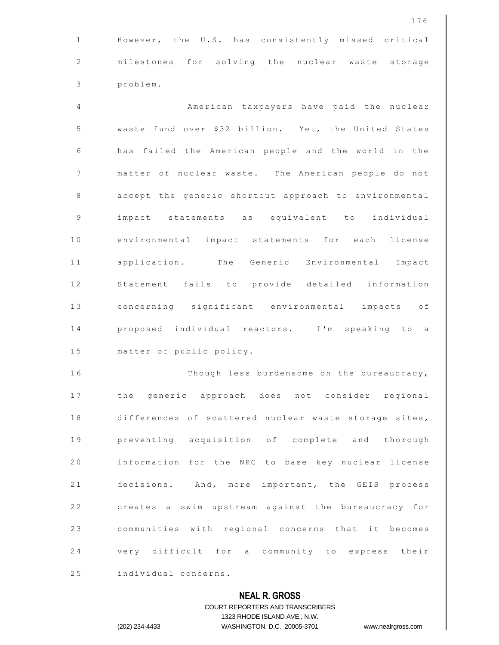**NEAL R. GROSS** COURT REPORTERS AND TRANSCRIBERS 1 | However, the U.S. has consistently missed critical 2 || milestones for solving the nuclear waste storage 3 problem. 4 American taxpayers have paid the nuclear 5 | waste fund over \$32 billion. Yet, the United States 6 | has failed the American people and the world in the 7 | | matter of nuclear waste. The American people do not 8 | accept the generic shortcut approach to environmental 9 | impact statements as equivalent to individual 10 || environmental impact statements for each license 11 || application. The Generic Environmental Impact 12 || Statement fails to provide detailed information 13 | concerning significant environmental impacts of 14 || proposed individual reactors. I'm speaking to a 15 | matter of public policy. 16 || Though less burdensome on the bureaucracy, 17 || the generic approach does not consider regional 18 | differences of scattered nuclear waste storage sites, 19 || preventing acquisition of complete and thorough 20 | information for the NRC to base key nuclear license 21 | decisions. And, more important, the GEIS process 22 | creates a swim upstream against the bureaucracy for 23 | communities with regional concerns that it becomes 24 | very difficult for a community to express their 25 | individual concerns.

1323 RHODE ISLAND AVE., N.W.

(202) 234-4433 WASHINGTON, D.C. 20005-3701 www.nealrgross.com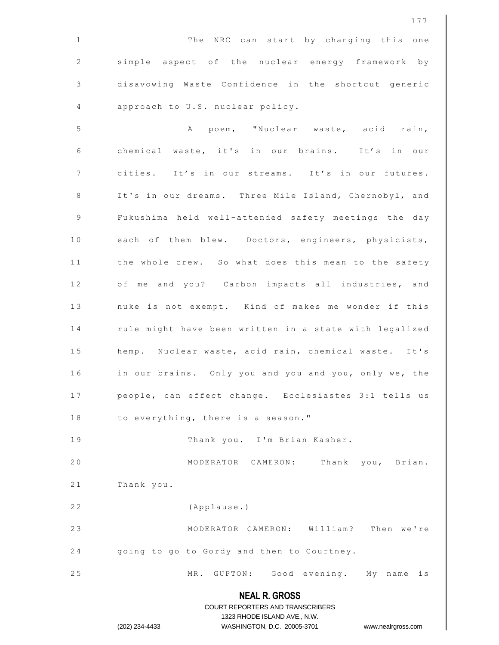**NEAL R. GROSS** COURT REPORTERS AND TRANSCRIBERS 1323 RHODE ISLAND AVE., N.W. (202) 234-4433 WASHINGTON, D.C. 20005-3701 www.nealrgross.com 1 | The NRC can start by changing this one 2 | simple aspect of the nuclear energy framework by 3 disavowing Waste Confidence in the shortcut generic 4 | approach to U.S. nuclear policy. 5 A p o e m , " N u c l e a r w a s t e , a c i d r a i n , 6 | chemical waste, it's in our brains. It's in our 7 | cities. It's in our streams. It's in our futures. 8 | It's in our dreams. Three Mile Island, Chernobyl, and 9 | Fukushima held well-attended safety meetings the day 10 || each of them blew. Doctors, engineers, physicists, 11 | the whole crew. So what does this mean to the safety 12 | of me and you? Carbon impacts all industries, and 13 || nuke is not exempt. Kind of makes me wonder if this 14 | rule might have been written in a state with legalized 15 | hemp. Nuclear waste, acid rain, chemical waste. It's 16 | in our brains. Only you and you and you, only we, the 17 || people, can effect change. Ecclesiastes 3:1 tells us 18  $\parallel$  to everything, there is a season." 19 | Thank you. I'm Brian Kasher. 20 || MODERATOR CAMERON: Thank you, Brian.  $21$  || Thank you. 22 | (Applause.) 2 3 MODERATOR CAMERON: William? Then we're  $24$  | going to go to Gordy and then to Courtney. 25 || MR. GUPTON: Good evening. My name is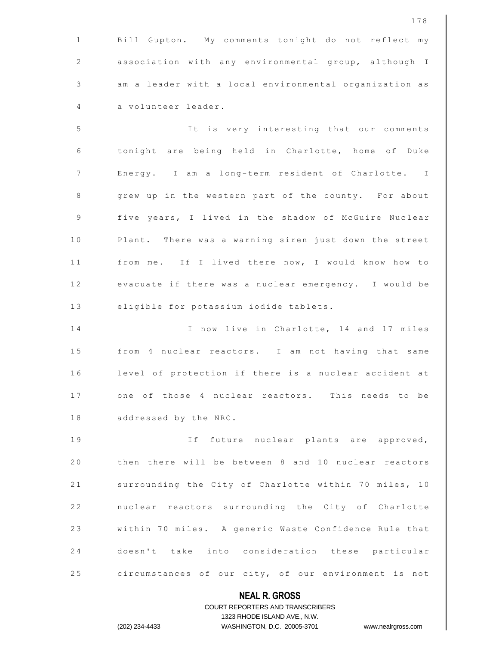178 1 | Bill Gupton. My comments tonight do not reflect my 2 | association with any environmental group, although I 3 | am a leader with a local environmental organization as 4 a volunteer leader. 5 | | It is very interesting that our comments 6 | tonight are being held in Charlotte, home of Duke 7 | Energy. I am a long-term resident of Charlotte. I 8 | grew up in the western part of the county. For about 9 | five years, I lived in the shadow of McGuire Nuclear 10 | Plant. There was a warning siren just down the street 11 || from me. If I lived there now, I would know how to 12 | evacuate if there was a nuclear emergency. I would be 13 | eligible for potassium iodide tablets. 14 || I now live in Charlotte, 14 and 17 miles 15 || from 4 nuclear reactors. I am not having that same

16 | level of protection if there is a nuclear accident at 17 || one of those 4 nuclear reactors. This needs to be 18 | addressed by the NRC.

19 || If future nuclear plants are approved, 20 | then there will be between 8 and 10 nuclear reactors 21 | surrounding the City of Charlotte within 70 miles, 10 22 || nuclear reactors surrounding the City of Charlotte 23 | within 70 miles. A generic Waste Confidence Rule that 24 doesn't take into consideration these particular 25 circumstances of our city, of our environment is not

> **NEAL R. GROSS** COURT REPORTERS AND TRANSCRIBERS 1323 RHODE ISLAND AVE., N.W. (202) 234-4433 WASHINGTON, D.C. 20005-3701 www.nealrgross.com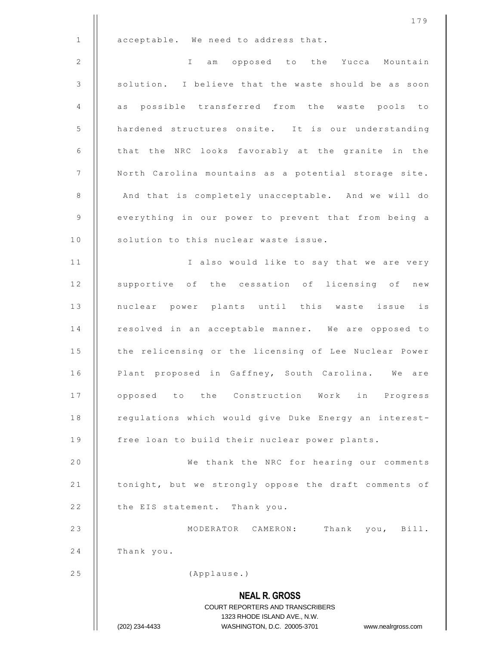|              | 179                                                                                                 |
|--------------|-----------------------------------------------------------------------------------------------------|
| $\mathbf{1}$ | acceptable. We need to address that.                                                                |
| 2            | $\mathbb{I}$<br>am opposed to the Yucca Mountain                                                    |
| 3            | solution. I believe that the waste should be as soon                                                |
| 4            | as possible transferred from the waste pools to                                                     |
| 5            | hardened structures onsite. It is our understanding                                                 |
| 6            | that the NRC looks favorably at the granite in the                                                  |
| 7            | North Carolina mountains as a potential storage site.                                               |
| 8            | And that is completely unacceptable. And we will do                                                 |
| 9            | everything in our power to prevent that from being a                                                |
| 10           | solution to this nuclear waste issue.                                                               |
| 11           | I also would like to say that we are very                                                           |
| 12           | supportive of the cessation of licensing of new                                                     |
| 13           | nuclear power plants until this waste issue is                                                      |
| 14           | resolved in an acceptable manner. We are opposed to                                                 |
| 15           | the relicensing or the licensing of Lee Nuclear Power                                               |
| 16           | Plant proposed in Gaffney, South Carolina. We are                                                   |
| 17           | opposed to the Construction Work in Progress                                                        |
| 18           | regulations which would give Duke Energy an interest-                                               |
| 19           | free loan to build their nuclear power plants.                                                      |
| 20           | We thank the NRC for hearing our comments                                                           |
| 21           | tonight, but we strongly oppose the draft comments of                                               |
| 22           | the EIS statement. Thank you.                                                                       |
| 23           | MODERATOR CAMERON:<br>Thank you, Bill.                                                              |
| 24           | Thank you.                                                                                          |
| 25           | (Applause.)                                                                                         |
|              | <b>NEAL R. GROSS</b>                                                                                |
|              | COURT REPORTERS AND TRANSCRIBERS                                                                    |
|              | 1323 RHODE ISLAND AVE., N.W.<br>(202) 234-4433<br>WASHINGTON, D.C. 20005-3701<br>www.nealrgross.com |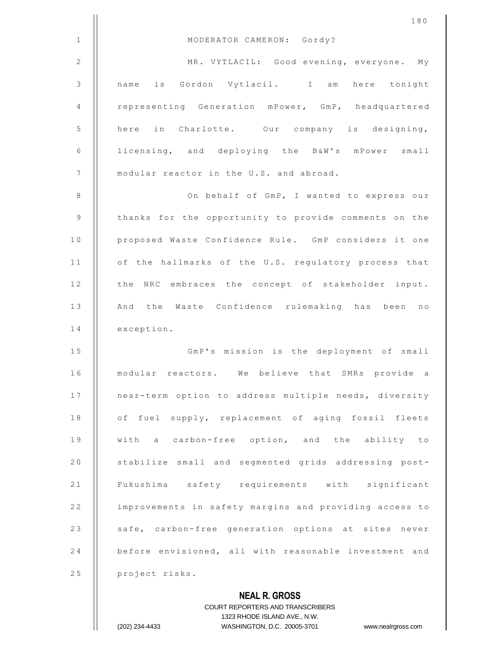|                | 180                                                      |
|----------------|----------------------------------------------------------|
| $\mathbf{1}$   | MODERATOR CAMERON: Gordy?                                |
| $\mathbf{2}$   | MR. VYTLACIL: Good evening, everyone. My                 |
| $\mathcal{S}$  | name is Gordon Vytlacil. I am here tonight               |
| 4              | representing Generation mPower, GmP, headquartered       |
| 5              | here in Charlotte. Our company is designing,             |
| 6              | licensing, and deploying the B&W's mPower small          |
| $\overline{7}$ | modular reactor in the U.S. and abroad.                  |
| 8              | On behalf of GmP, I wanted to express our                |
| $\mathsf 9$    | thanks for the opportunity to provide comments on the    |
| 10             | proposed Waste Confidence Rule. GmP considers it one     |
| 11             | of the hallmarks of the U.S. regulatory process that     |
| 12             | the NRC embraces the concept of stakeholder input.       |
| 13             | And the Waste Confidence rulemaking has been no          |
| 14             | exception.                                               |
| 15             | GmP's mission is the deployment of small                 |
| 16             | modular reactors. We believe that SMRs provide a         |
| 17             | near-term option to address multiple needs, diversity    |
| 18             | of fuel supply, replacement of aging fossil fleets       |
| 19             | with a carbon-free option, and the ability to            |
| 20             | stabilize small and segmented grids addressing post-     |
| 21             | Fukushima safety requirements with significant           |
| 22             | improvements in safety margins and providing access to   |
| 23             | safe, carbon-free generation options at sites never      |
| 24             | before envisioned, all with reasonable investment and    |
| 25             | project risks.                                           |
|                | <b>NEAL R. GROSS</b><br>COURT REPORTERS AND TRANSCRIBERS |

1323 RHODE ISLAND AVE., N.W.

 $\prod$ 

(202) 234-4433 WASHINGTON, D.C. 20005-3701 www.nealrgross.com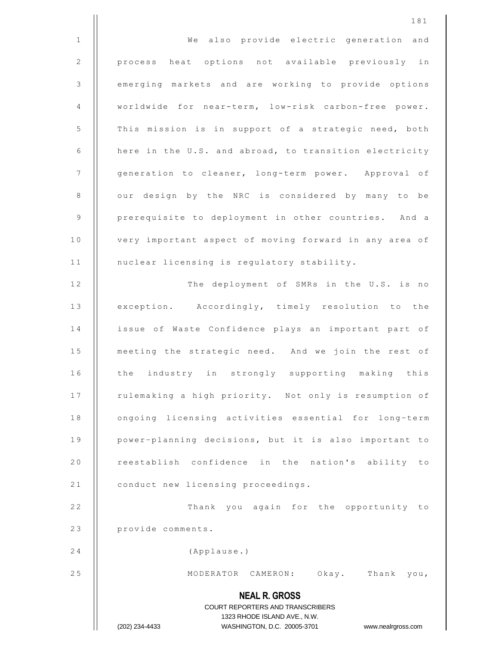|             | 181                                                                                                 |
|-------------|-----------------------------------------------------------------------------------------------------|
| $\mathbf 1$ | We also provide electric generation<br>and                                                          |
| 2           | process heat options not available previously in                                                    |
| 3           | emerging markets and are working to provide options                                                 |
| 4           | worldwide for near-term, low-risk carbon-free power.                                                |
| 5           | This mission is in support of a strategic need, both                                                |
| 6           | here in the U.S. and abroad, to transition electricity                                              |
| 7           | generation to cleaner, long-term power. Approval of                                                 |
| 8           | our design by the NRC is considered by many to be                                                   |
| 9           | prerequisite to deployment in other countries. And a                                                |
| 10          | very important aspect of moving forward in any area of                                              |
| 11          | nuclear licensing is regulatory stability.                                                          |
| 12          | The deployment of SMRs in the U.S. is no                                                            |
| 13          | exception. Accordingly, timely resolution to the                                                    |
| 14          | issue of Waste Confidence plays an important part of                                                |
| 15          | meeting the strategic need. And we join the rest of                                                 |
| 16          | the industry in strongly supporting making this                                                     |
| 17          | rulemaking a high priority. Not only is resumption of                                               |
| 18          | ongoing licensing activities essential for long-term                                                |
| 19          | power-planning decisions, but it is also important to                                               |
| 20          | reestablish confidence in the nation's ability to                                                   |
| 21          | conduct new licensing proceedings.                                                                  |
| 22          | Thank you again for the opportunity to                                                              |
| 23          | provide comments.                                                                                   |
| 24          | (Applause.)                                                                                         |
| 25          | MODERATOR CAMERON: Okay. Thank you,                                                                 |
|             | <b>NEAL R. GROSS</b><br>COURT REPORTERS AND TRANSCRIBERS                                            |
|             | 1323 RHODE ISLAND AVE., N.W.<br>(202) 234-4433<br>WASHINGTON, D.C. 20005-3701<br>www.nealrgross.com |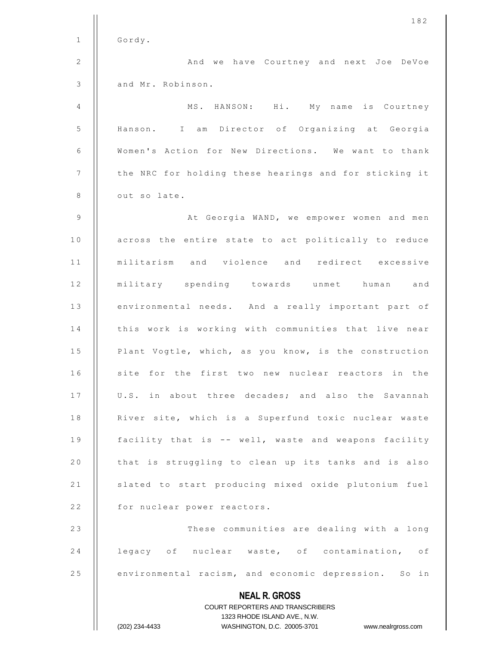|              | 182                                                                                                 |
|--------------|-----------------------------------------------------------------------------------------------------|
| $\mathbf{1}$ | Gordy.                                                                                              |
| 2            | And we have Courtney and next Joe DeVoe                                                             |
| 3            | and Mr. Robinson.                                                                                   |
| 4            | MS. HANSON: Hi. My name is Courtney                                                                 |
| 5            | Hanson. I am Director of Organizing at Georgia                                                      |
| 6            | Women's Action for New Directions. We want to thank                                                 |
| 7            | the NRC for holding these hearings and for sticking it                                              |
| 8            | out so late.                                                                                        |
| 9            | At Georgia WAND, we empower women and men                                                           |
| 10           | across the entire state to act politically to reduce                                                |
| 11           | militarism and violence and redirect excessive                                                      |
| 12           | military spending towards unmet human and                                                           |
| 13           | environmental needs. And a really important part of                                                 |
| 14           | this work is working with communities that live near                                                |
| 15           | Plant Vogtle, which, as you know, is the construction                                               |
| 16           | site for the first two new nuclear reactors in the                                                  |
| 17           | U.S. in about three decades; and also the Savannah                                                  |
| 18           | River site, which is a Superfund toxic nuclear waste                                                |
| 19           | facility that is -- well, waste and weapons facility                                                |
| 20           | that is struggling to clean up its tanks and is also                                                |
| 21           | slated to start producing mixed oxide plutonium fuel                                                |
| 22           | for nuclear power reactors.                                                                         |
| 23           | These communities are dealing with a long                                                           |
| 24           | legacy of nuclear waste, of contamination, of                                                       |
| 25           | environmental racism, and economic depression. So in                                                |
|              | <b>NEAL R. GROSS</b>                                                                                |
|              | <b>COURT REPORTERS AND TRANSCRIBERS</b>                                                             |
|              | 1323 RHODE ISLAND AVE., N.W.<br>(202) 234-4433<br>WASHINGTON, D.C. 20005-3701<br>www.nealrgross.com |
|              |                                                                                                     |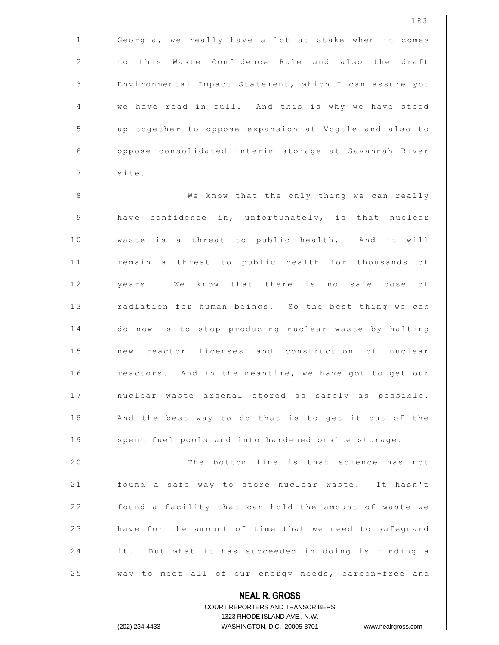|              | 183                                                         |
|--------------|-------------------------------------------------------------|
| $\mathbf{1}$ | Georgia, we really have a lot at stake when it comes        |
| 2            | to this Waste Confidence Rule and also the draft            |
| $\mathsf 3$  | Environmental Impact Statement, which I can assure you      |
| 4            | we have read in full. And this is why we have stood         |
| 5            | up together to oppose expansion at Vogtle and also to       |
| 6            | oppose consolidated interim storage at Savannah River       |
| 7            | site.                                                       |
| 8            | We know that the only thing we can really                   |
| 9            | have confidence in, unfortunately, is that nuclear          |
| 10           | waste is a threat to public health. And it will             |
| 11           | remain a threat to public health for thousands of           |
| 12           | years. We know that there is no safe dose of                |
| 13           | radiation for human beings. So the best thing we can        |
| 14           | do now is to stop producing nuclear waste by halting        |
| 15           | new reactor licenses and construction of nuclear            |
| 16           | reactors. And in the meantime, we have got to get our       |
| 17           | nuclear waste arsenal stored as safely as possible.         |
| 18           | And the best way to do that is to get it out of the         |
| 19           | spent fuel pools and into hardened onsite storage.          |
| 20           | The bottom line is that science has not                     |
| 21           | found a safe way to store nuclear waste. It hasn't          |
| 22           | found a facility that can hold the amount of waste we       |
| 23           | have for the amount of time that we need to safeguard       |
| 24           | it. But what it has succeeded in doing is finding a         |
| 25           | way to meet all of our energy needs, carbon-free and        |
|              | <b>NEAL R. GROSS</b>                                        |
|              | <b>COURT REPORTERS AND TRANSCRIBERS</b>                     |
|              | 1323 RHODE ISLAND AVE., N.W.<br>WASHINGTON, D.C. 20005-3701 |
|              | (202) 234-4433<br>www.nealrgross.com                        |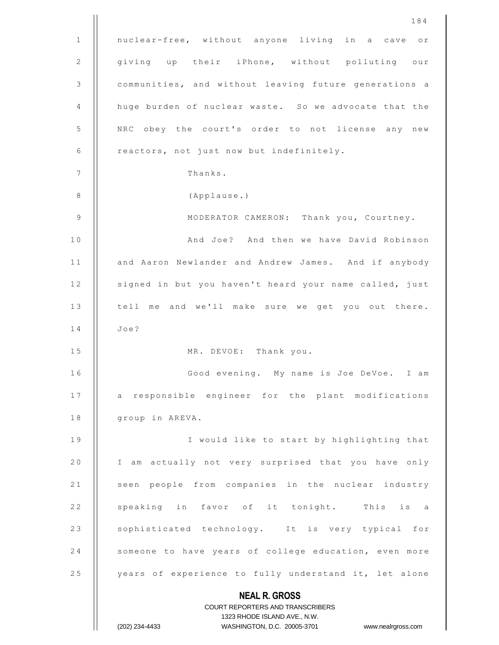|              | 184                                                                 |
|--------------|---------------------------------------------------------------------|
| $\mathbf{1}$ | nuclear-free, without anyone living in a cave or                    |
| 2            | giving up their iPhone, without polluting our                       |
| 3            | communities, and without leaving future generations a               |
| 4            | huge burden of nuclear waste. So we advocate that the               |
| 5            | NRC obey the court's order to not license any new                   |
| 6            | reactors, not just now but indefinitely.                            |
| 7            | Thanks.                                                             |
| 8            | (Applause.)                                                         |
| 9            | MODERATOR CAMERON: Thank you, Courtney.                             |
| 10           | And Joe? And then we have David Robinson                            |
| 11           | and Aaron Newlander and Andrew James. And if anybody                |
| 12           | signed in but you haven't heard your name called, just              |
| 13           | tell me and we'll make sure we get you out there.                   |
| 14           | Joe?                                                                |
| 15           | MR. DEVOE: Thank you.                                               |
| 16           | Good evening. My name is Joe DeVoe. I am                            |
| 17           | a responsible engineer for the plant modifications                  |
| 18           | group in AREVA.                                                     |
| 19           | I would like to start by highlighting that                          |
| 20           | I am actually not very surprised that you have only                 |
| 21           | seen people from companies in the nuclear industry                  |
| 22           | speaking in favor of it tonight. This is a                          |
| 23           | sophisticated technology. It is very typical for                    |
| 24           | someone to have years of college education, even more               |
| 25           | years of experience to fully understand it, let alone               |
|              | <b>NEAL R. GROSS</b>                                                |
|              | COURT REPORTERS AND TRANSCRIBERS                                    |
|              | 1323 RHODE ISLAND AVE., N.W.                                        |
|              | (202) 234-4433<br>WASHINGTON, D.C. 20005-3701<br>www.nealrgross.com |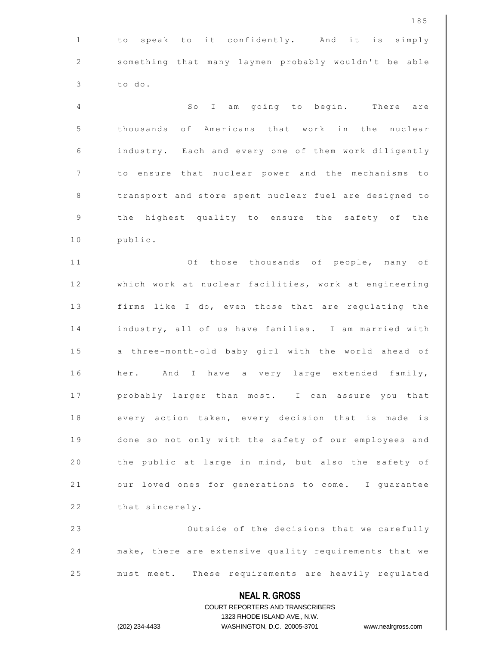|                | 185                                                                                                 |
|----------------|-----------------------------------------------------------------------------------------------------|
| $\mathbf{1}$   | to speak to it confidently. And it is simply                                                        |
| 2              | something that many laymen probably wouldn't be able                                                |
| $\mathsf 3$    | to do.                                                                                              |
| 4              | So I am going to begin.<br>There are                                                                |
| 5              | thousands of Americans that work in the nuclear                                                     |
| 6              | industry. Each and every one of them work diligently                                                |
| $\overline{7}$ | to ensure that nuclear power and the mechanisms to                                                  |
| $\,8\,$        | transport and store spent nuclear fuel are designed to                                              |
| 9              | the highest quality to ensure the safety of the                                                     |
| 10             | public.                                                                                             |
| 11             | Of those thousands of people, many of                                                               |
| 12             | which work at nuclear facilities, work at engineering                                               |
| 13             | firms like I do, even those that are regulating the                                                 |
| 14             | industry, all of us have families. I am married with                                                |
| 15             | a three-month-old baby girl with the world ahead of                                                 |
| 16             | And I have a very large extended family,<br>her.                                                    |
| 17             | probably larger than most. I can assure you that                                                    |
| 18             | every action taken, every decision that is made is                                                  |
| 19             | done so not only with the safety of our employees and                                               |
| 20             | the public at large in mind, but also the safety of                                                 |
| 21             | our loved ones for generations to come. I guarantee                                                 |
| 22             | that sincerely.                                                                                     |
| 23             | Outside of the decisions that we carefully                                                          |
| 24             | make, there are extensive quality requirements that we                                              |
| 25             | must meet. These requirements are heavily regulated                                                 |
|                | <b>NEAL R. GROSS</b>                                                                                |
|                | <b>COURT REPORTERS AND TRANSCRIBERS</b>                                                             |
|                | 1323 RHODE ISLAND AVE., N.W.<br>(202) 234-4433<br>WASHINGTON, D.C. 20005-3701<br>www.nealrgross.com |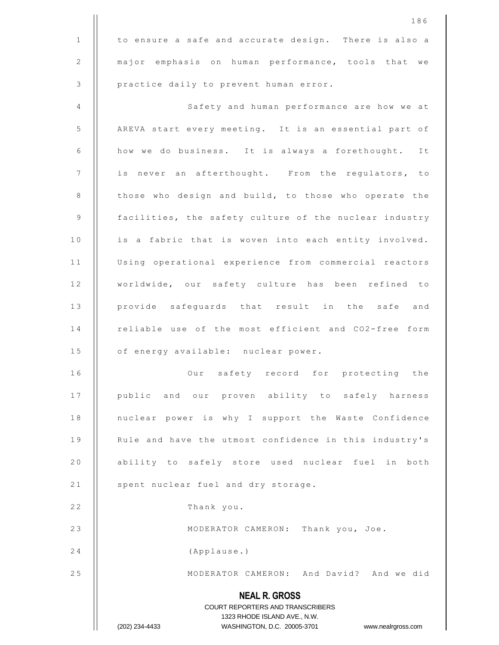|              | 186                                                              |
|--------------|------------------------------------------------------------------|
| $\mathbf{1}$ | to ensure a safe and accurate design. There is also a            |
| 2            | major emphasis on human performance, tools that we               |
| 3            | practice daily to prevent human error.                           |
| 4            | Safety and human performance are how we at                       |
| 5            | AREVA start every meeting. It is an essential part of            |
| 6            | how we do business. It is always a forethought.<br>It            |
| 7            | is never an afterthought. From the regulators, to                |
| 8            | those who design and build, to those who operate the             |
| 9            | facilities, the safety culture of the nuclear industry           |
| 10           | is a fabric that is woven into each entity involved.             |
| 11           | Using operational experience from commercial reactors            |
| 12           | worldwide, our safety culture has been refined to                |
| 13           | provide safeguards that result in the safe and                   |
| 14           | reliable use of the most efficient and CO2-free form             |
| 15           | of energy available: nuclear power.                              |
| 16           | Our safety record for protecting the                             |
| 17           | public and our proven ability to safely harness                  |
| 18           | nuclear power is why I support the Waste Confidence              |
| 19           | Rule and have the utmost confidence in this industry's           |
| 20           | ability to safely store used nuclear fuel in both                |
| 21           | spent nuclear fuel and dry storage.                              |
| 22           | Thank you.                                                       |
| 23           | MODERATOR CAMERON: Thank you, Joe.                               |
| 24           | (Applause.)                                                      |
| 25           | MODERATOR CAMERON: And David? And we did                         |
|              | <b>NEAL R. GROSS</b><br>COURT REPORTERS AND TRANSCRIBERS         |
|              | 1323 RHODE ISLAND AVE., N.W.                                     |
|              | (202) 234-4433<br>WASHINGTON, D.C. 20005-3701 www.nealrgross.com |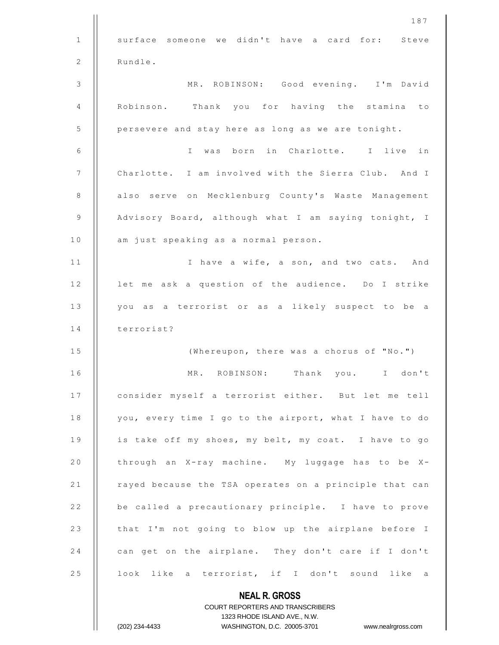|                | 187                                                                 |
|----------------|---------------------------------------------------------------------|
| $\mathbf{1}$   | surface someone we didn't have a card for: Steve                    |
| 2              | Rundle.                                                             |
| $\mathfrak{Z}$ | MR. ROBINSON: Good evening. I'm David                               |
| 4              | Robinson. Thank you for having the stamina<br>to                    |
| 5              | persevere and stay here as long as we are tonight.                  |
| 6              | was born in Charlotte. I live<br>in<br>$\mathbf{I}$                 |
| 7              | Charlotte. I am involved with the Sierra Club. And I                |
| 8              | also serve on Mecklenburg County's Waste Management                 |
| 9              | Advisory Board, although what I am saying tonight, I                |
| 10             | am just speaking as a normal person.                                |
| 11             | I have a wife, a son, and two cats. And                             |
| 12             | let me ask a question of the audience. Do I strike                  |
| 13             | you as a terrorist or as a likely suspect to be a                   |
| 14             | terrorist?                                                          |
| 15             | (Whereupon, there was a chorus of "No.")                            |
| 16             | don't<br>MR.<br>ROBINSON:<br>Thank<br>you.<br>$\mathbf{I}$          |
| 17             | consider myself a terrorist either. But let me tell                 |
| 18             | you, every time I go to the airport, what I have to do              |
| 19             | is take off my shoes, my belt, my coat. I have to go                |
| 20             | through an X-ray machine. My luggage has to be X-                   |
| 21             | rayed because the TSA operates on a principle that can              |
| 22             | be called a precautionary principle. I have to prove                |
| 23             | that I'm not going to blow up the airplane before I                 |
| 24             | can get on the airplane. They don't care if I don't                 |
| 25             | look like a terrorist, if I don't sound like a                      |
|                | <b>NEAL R. GROSS</b>                                                |
|                | COURT REPORTERS AND TRANSCRIBERS                                    |
|                | 1323 RHODE ISLAND AVE., N.W.                                        |
|                | (202) 234-4433<br>WASHINGTON, D.C. 20005-3701<br>www.nealrgross.com |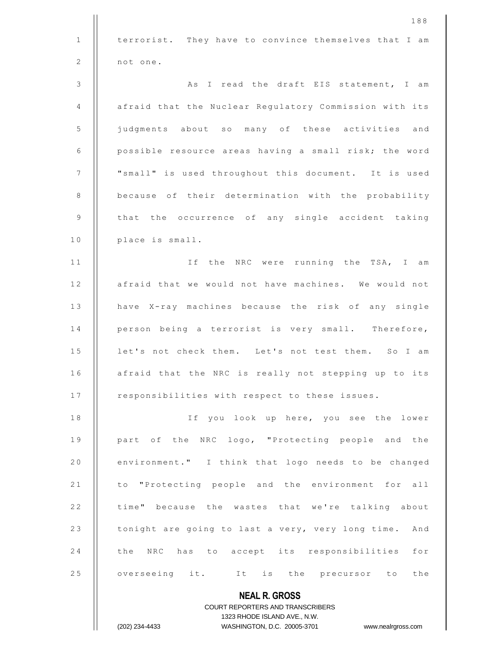|              | 188                                                                                                 |
|--------------|-----------------------------------------------------------------------------------------------------|
| $\mathbf{1}$ | terrorist. They have to convince themselves that I am                                               |
| 2            | not one.                                                                                            |
| 3            | As I read the draft EIS statement, I am                                                             |
| 4            | afraid that the Nuclear Regulatory Commission with its                                              |
| 5            | judgments about so many of these activities and                                                     |
| 6            | possible resource areas having a small risk; the word                                               |
| 7            | "small" is used throughout this document. It is used                                                |
| 8            | because of their determination with the probability                                                 |
| 9            | that the occurrence of any single accident taking                                                   |
| 10           | place is small.                                                                                     |
| 11           | If the NRC were running the TSA, I am                                                               |
| 12           | afraid that we would not have machines. We would not                                                |
| 13           | have X-ray machines because the risk of any single                                                  |
| 14           | person being a terrorist is very small. Therefore,                                                  |
| 15           | let's not check them. Let's not test them. So I am                                                  |
| 16           | afraid that the NRC is really not stepping up to its                                                |
| 17           | responsibilities with respect to these issues.                                                      |
| 18           | If you look up here, you see the lower                                                              |
| 19           | part of the NRC logo, "Protecting people and the                                                    |
| 20           | environment." I think that logo needs to be changed                                                 |
| 21           | to "Protecting people and the environment for all                                                   |
| 22           | time" because the wastes that we're talking about                                                   |
| 23           | tonight are going to last a very, very long time. And                                               |
| 24           | has to accept its responsibilities for<br>the NRC                                                   |
| 25           | overseeing it. It is the precursor to the                                                           |
|              | <b>NEAL R. GROSS</b>                                                                                |
|              | <b>COURT REPORTERS AND TRANSCRIBERS</b>                                                             |
|              | 1323 RHODE ISLAND AVE., N.W.<br>WASHINGTON, D.C. 20005-3701<br>(202) 234-4433<br>www.nealrgross.com |
|              |                                                                                                     |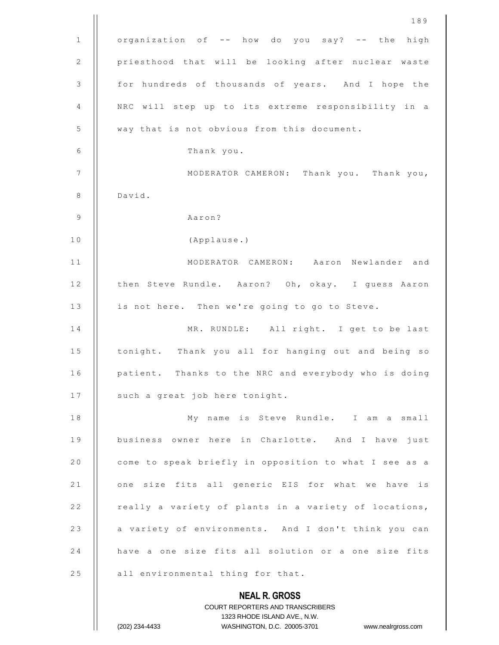|              | 189                                                                                                 |
|--------------|-----------------------------------------------------------------------------------------------------|
| $\mathbf{1}$ | organization of -- how do you say? -- the high                                                      |
| $\sqrt{2}$   | priesthood that will be looking after nuclear waste                                                 |
| 3            | for hundreds of thousands of years. And I hope the                                                  |
| 4            | NRC will step up to its extreme responsibility in a                                                 |
| 5            | way that is not obvious from this document.                                                         |
| 6            | Thank you.                                                                                          |
| 7            | MODERATOR CAMERON: Thank you. Thank you,                                                            |
| 8            | David.                                                                                              |
| 9            | Aaron?                                                                                              |
| 10           | (Applause.)                                                                                         |
| 11           | MODERATOR CAMERON: Aaron Newlander and                                                              |
| 12           | then Steve Rundle. Aaron? Oh, okay. I guess Aaron                                                   |
| 13           | is not here. Then we're going to go to Steve.                                                       |
| 14           | MR. RUNDLE: All right. I get to be last                                                             |
| 15           | tonight. Thank you all for hanging out and being so                                                 |
| 16           | patient. Thanks to the NRC and everybody who is doing                                               |
| 17           | such a great job here tonight.                                                                      |
| 18           | My name is Steve Rundle. I am a small                                                               |
| 19           | business owner here in Charlotte. And I have just                                                   |
| 20           | come to speak briefly in opposition to what I see as a                                              |
| 21           | one size fits all generic EIS for what we have is                                                   |
| 22           | really a variety of plants in a variety of locations,                                               |
| 23           | a variety of environments. And I don't think you can                                                |
| 24           | have a one size fits all solution or a one size fits                                                |
| 25           | all environmental thing for that.                                                                   |
|              | <b>NEAL R. GROSS</b>                                                                                |
|              | COURT REPORTERS AND TRANSCRIBERS                                                                    |
|              | 1323 RHODE ISLAND AVE., N.W.<br>(202) 234-4433<br>WASHINGTON, D.C. 20005-3701<br>www.nealrgross.com |
|              |                                                                                                     |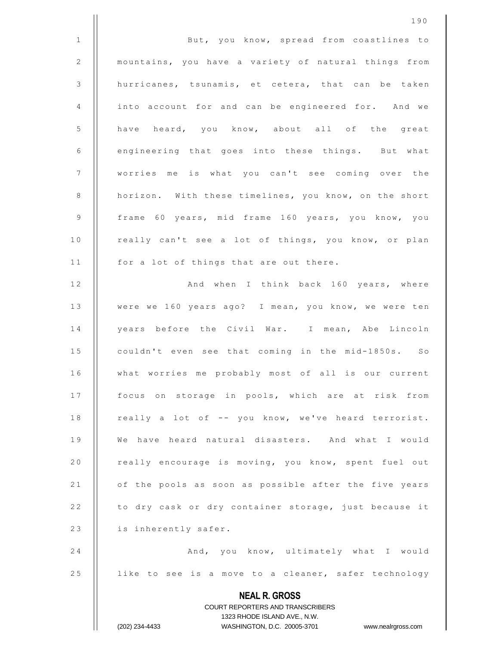|              | 190                                                                                              |
|--------------|--------------------------------------------------------------------------------------------------|
| $\mathbf{1}$ | But, you know, spread from coastlines to                                                         |
| $\sqrt{2}$   | mountains, you have a variety of natural things from                                             |
| 3            | hurricanes, tsunamis, et cetera, that can be taken                                               |
| 4            | into account for and can be engineered for. And we                                               |
| 5            | have heard, you know, about all of the great                                                     |
| 6            | engineering that goes into these things. But what                                                |
| 7            | worries me is what you can't see coming over the                                                 |
| 8            | horizon. With these timelines, you know, on the short                                            |
| 9            | frame 60 years, mid frame 160 years, you know, you                                               |
| 10           | really can't see a lot of things, you know, or plan                                              |
| 11           | for a lot of things that are out there.                                                          |
| 12           | And when I think back 160 years, where                                                           |
| 13           | were we 160 years ago? I mean, you know, we were ten                                             |
| 14           | years before the Civil War. I mean, Abe Lincoln                                                  |
| 15           | couldn't even see that coming in the mid-1850s. So                                               |
| 16           | what worries me probably most of all is our current                                              |
| 17           | focus on storage in pools, which are at risk from                                                |
| 18           | really a lot of -- you know, we've heard terrorist.                                              |
| 19           | We have heard natural disasters. And what I would                                                |
| 20           | really encourage is moving, you know, spent fuel out                                             |
| 21           | of the pools as soon as possible after the five years                                            |
| 22           | to dry cask or dry container storage, just because it                                            |
| 23           | is inherently safer.                                                                             |
| 24           | And, you know, ultimately what I would                                                           |
| 25           | like to see is a move to a cleaner, safer technology                                             |
|              | <b>NEAL R. GROSS</b>                                                                             |
|              | COURT REPORTERS AND TRANSCRIBERS                                                                 |
|              | 1323 RHODE ISLAND AVE., N.W.<br>WASHINGTON, D.C. 20005-3701 www.nealrgross.com<br>(202) 234-4433 |
|              |                                                                                                  |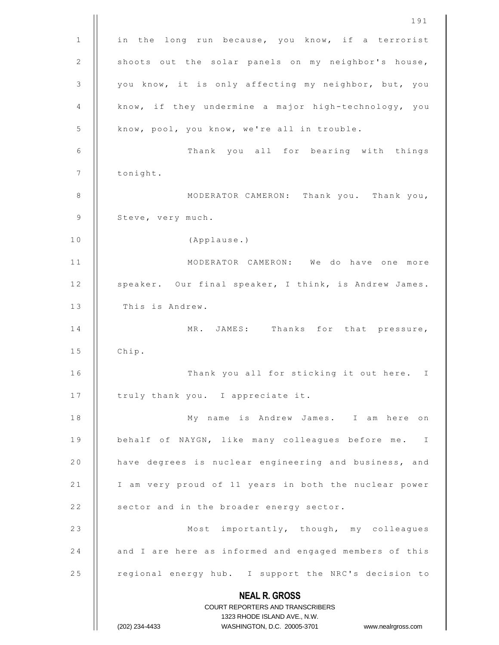|    | 191                                                                                                 |
|----|-----------------------------------------------------------------------------------------------------|
| 1  | in the long run because, you know, if a terrorist                                                   |
| 2  | shoots out the solar panels on my neighbor's house,                                                 |
| 3  | you know, it is only affecting my neighbor, but, you                                                |
| 4  | know, if they undermine a major high-technology, you                                                |
| 5  | know, pool, you know, we're all in trouble.                                                         |
| 6  | Thank you all for bearing with things                                                               |
| 7  | tonight.                                                                                            |
| 8  | MODERATOR CAMERON: Thank you. Thank you,                                                            |
| 9  | Steve, very much.                                                                                   |
| 10 | (Applause.)                                                                                         |
| 11 | MODERATOR CAMERON: We do have one more                                                              |
| 12 | speaker. Our final speaker, I think, is Andrew James.                                               |
| 13 | This is Andrew.                                                                                     |
| 14 | MR. JAMES: Thanks for that pressure,                                                                |
| 15 | Chip.                                                                                               |
| 16 | Thank you all for sticking it out here. I                                                           |
| 17 | truly thank you. I appreciate it.                                                                   |
| 18 | My name is Andrew James. I am here on                                                               |
| 19 | behalf of NAYGN, like many colleagues before me. I                                                  |
| 20 | have degrees is nuclear engineering and business, and                                               |
| 21 | I am very proud of 11 years in both the nuclear power                                               |
| 22 | sector and in the broader energy sector.                                                            |
| 23 | Most importantly, though, my colleagues                                                             |
| 24 | and I are here as informed and engaged members of this                                              |
| 25 | regional energy hub. I support the NRC's decision to                                                |
|    | <b>NEAL R. GROSS</b>                                                                                |
|    | COURT REPORTERS AND TRANSCRIBERS                                                                    |
|    | 1323 RHODE ISLAND AVE., N.W.<br>WASHINGTON, D.C. 20005-3701<br>(202) 234-4433<br>www.nealrgross.com |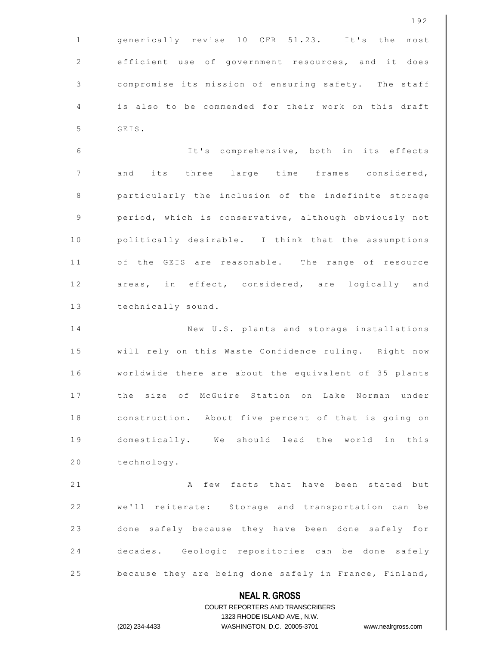|             | 192                                                                                                 |
|-------------|-----------------------------------------------------------------------------------------------------|
| $\mathbf 1$ | generically revise 10 CFR 51.23. It's the<br>most                                                   |
| $\sqrt{2}$  | efficient use of government resources, and it does                                                  |
| 3           | compromise its mission of ensuring safety. The staff                                                |
| 4           | is also to be commended for their work on this draft                                                |
| 5           | GEIS.                                                                                               |
| 6           | It's comprehensive, both in its effects                                                             |
| 7           | and its three large time frames considered,                                                         |
| 8           | particularly the inclusion of the indefinite storage                                                |
| 9           | period, which is conservative, although obviously not                                               |
| 10          | politically desirable. I think that the assumptions                                                 |
| 11          | of the GEIS are reasonable. The range of resource                                                   |
| 12          | areas, in effect, considered, are logically and                                                     |
| 13          | technically sound.                                                                                  |
| 14          | New U.S. plants and storage installations                                                           |
| 15          | will rely on this Waste Confidence ruling. Right now                                                |
| 16          | worldwide there are about the equivalent of 35 plants                                               |
| 17          | the size of McGuire Station on Lake Norman under                                                    |
| 18          | construction. About five percent of that is going on                                                |
| 19          | domestically. We should lead the world in this                                                      |
| 20          | technology.                                                                                         |
| 21          | few facts that have been stated but<br>A                                                            |
| 22          | we'll reiterate: Storage and transportation can be                                                  |
| 23          | done safely because they have been done safely for                                                  |
| 24          | decades. Geologic repositories can be done safely                                                   |
| 25          | because they are being done safely in France, Finland,                                              |
|             | <b>NEAL R. GROSS</b>                                                                                |
|             | COURT REPORTERS AND TRANSCRIBERS                                                                    |
|             | 1323 RHODE ISLAND AVE., N.W.<br>(202) 234-4433<br>WASHINGTON, D.C. 20005-3701<br>www.nealrgross.com |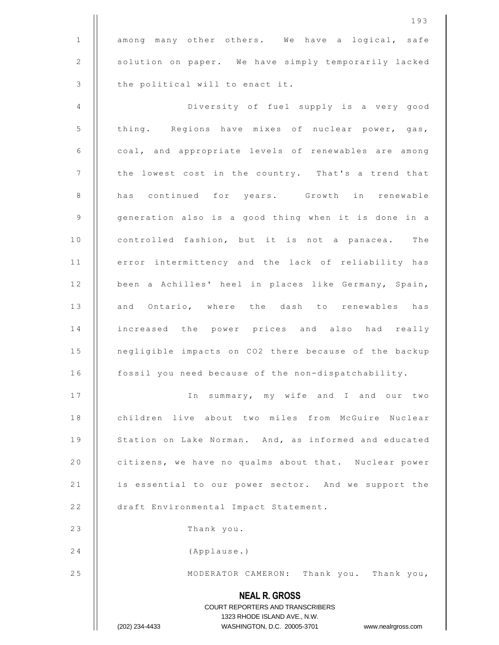**NEAL R. GROSS** COURT REPORTERS AND TRANSCRIBERS 1323 RHODE ISLAND AVE., N.W. (202) 234-4433 WASHINGTON, D.C. 20005-3701 www.nealrgross.com 193 1 | among many other others. We have a logical, safe 2 | solution on paper. We have simply temporarily lacked 3 | the political will to enact it. 4 Diversity of fuel supply is a very good 5 | thing. Regions have mixes of nuclear power, gas, 6 | coal, and appropriate levels of renewables are among  $7$  | the lowest cost in the country. That's a trend that 8 || has continued for years. Growth in renewable 9 | generation also is a good thing when it is done in a 10 | controlled fashion, but it is not a panacea. The 11 | error intermittency and the lack of reliability has 12 | been a Achilles' heel in places like Germany, Spain, 13 || and Ontario, where the dash to renewables has 14 || increased the power prices and also had really 15 | negligible impacts on CO2 there because of the backup 16 | fossil you need because of the non-dispatchability. 17 || In summary, my wife and I and our two 18 | children live about two miles from McGuire Nuclear 19 | Station on Lake Norman. And, as informed and educated 20 **citizens, we have no qualms about that.** Nuclear power 21 | is essential to our power sector. And we support the 22 | draft Environmental Impact Statement. 23 | Thank you. 24 (Applause.) 25 || MODERATOR CAMERON: Thank you. Thank you,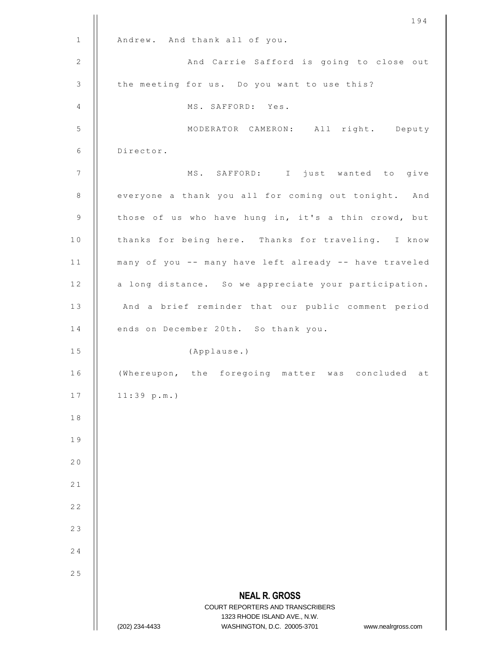|             | 194                                                                                      |
|-------------|------------------------------------------------------------------------------------------|
| $\mathbf 1$ | Andrew. And thank all of you.                                                            |
| 2           | And Carrie Safford is going to close out                                                 |
| 3           | the meeting for us. Do you want to use this?                                             |
| 4           | MS. SAFFORD: Yes.                                                                        |
| 5           | MODERATOR CAMERON: All right. Deputy                                                     |
| 6           | Director.                                                                                |
| 7           | MS. SAFFORD: I just wanted to give                                                       |
| 8           | everyone a thank you all for coming out tonight. And                                     |
| 9           | those of us who have hung in, it's a thin crowd, but                                     |
| 10          | thanks for being here. Thanks for traveling. I know                                      |
| 11          | many of you -- many have left already -- have traveled                                   |
| 12          | a long distance. So we appreciate your participation.                                    |
| 13          | And a brief reminder that our public comment period                                      |
| 14          | ends on December 20th. So thank you.                                                     |
| 15          | (Applause.)                                                                              |
| 16          | (Whereupon, the foregoing matter was concluded at                                        |
| 17          | 11:39 p.m.                                                                               |
| 18          |                                                                                          |
| 19          |                                                                                          |
| 20          |                                                                                          |
| 21          |                                                                                          |
| 22          |                                                                                          |
| 23          |                                                                                          |
| 24          |                                                                                          |
| 25          |                                                                                          |
|             | <b>NEAL R. GROSS</b><br>COURT REPORTERS AND TRANSCRIBERS<br>1323 RHODE ISLAND AVE., N.W. |
|             | WASHINGTON, D.C. 20005-3701<br>(202) 234-4433<br>www.nealrgross.com                      |